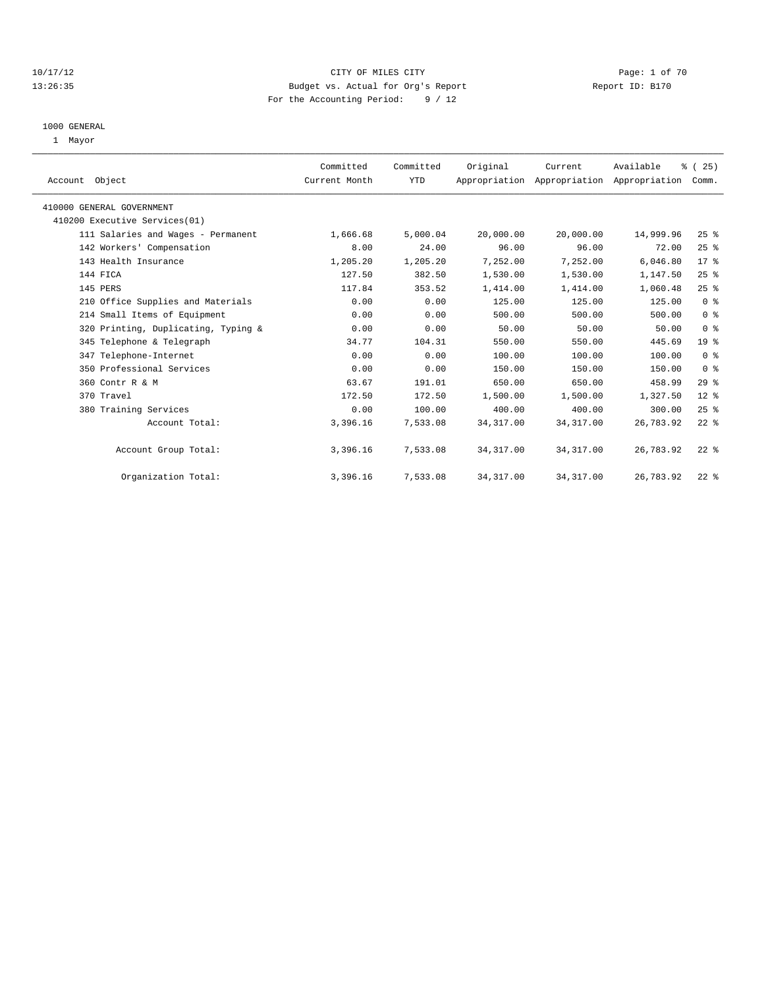### 10/17/12 CITY OF MILES CITY Page: 1 of 70 13:26:35 Budget vs. Actual for Org's Report Report ID: B170 For the Accounting Period: 9 / 12

#### 1000 GENERAL

1 Mayor

| Account Object                      | Committed<br>Current Month | Committed<br>YTD | Original   | Current<br>Appropriation Appropriation Appropriation | Available | % (25)<br>Comm. |  |
|-------------------------------------|----------------------------|------------------|------------|------------------------------------------------------|-----------|-----------------|--|
| 410000 GENERAL GOVERNMENT           |                            |                  |            |                                                      |           |                 |  |
| 410200 Executive Services(01)       |                            |                  |            |                                                      |           |                 |  |
| 111 Salaries and Wages - Permanent  | 1,666.68                   | 5,000.04         | 20,000.00  | 20,000.00                                            | 14,999.96 | 25%             |  |
| 142 Workers' Compensation           | 8.00                       | 24.00            | 96.00      | 96.00                                                | 72.00     | 25%             |  |
| 143 Health Insurance                | 1,205.20                   | 1,205.20         | 7,252.00   | 7,252.00                                             | 6,046.80  | 17.8            |  |
| 144 FICA                            | 127.50                     | 382.50           | 1,530.00   | 1,530.00                                             | 1,147.50  | 25%             |  |
| 145 PERS                            | 117.84                     | 353.52           | 1,414.00   | 1,414.00                                             | 1,060.48  | 25%             |  |
| 210 Office Supplies and Materials   | 0.00                       | 0.00             | 125.00     | 125.00                                               | 125.00    | 0 <sup>8</sup>  |  |
| 214 Small Items of Equipment        | 0.00                       | 0.00             | 500.00     | 500.00                                               | 500.00    | 0 <sup>8</sup>  |  |
| 320 Printing, Duplicating, Typing & | 0.00                       | 0.00             | 50.00      | 50.00                                                | 50.00     | 0 <sup>8</sup>  |  |
| 345 Telephone & Telegraph           | 34.77                      | 104.31           | 550.00     | 550.00                                               | 445.69    | 19 <sup>°</sup> |  |
| 347 Telephone-Internet              | 0.00                       | 0.00             | 100.00     | 100.00                                               | 100.00    | 0 <sup>8</sup>  |  |
| 350 Professional Services           | 0.00                       | 0.00             | 150.00     | 150.00                                               | 150.00    | 0 <sup>8</sup>  |  |
| 360 Contr R & M                     | 63.67                      | 191.01           | 650.00     | 650.00                                               | 458.99    | 29%             |  |
| 370 Travel                          | 172.50                     | 172.50           | 1,500.00   | 1,500.00                                             | 1,327.50  | $12*$           |  |
| 380 Training Services               | 0.00                       | 100.00           | 400.00     | 400.00                                               | 300.00    | 25%             |  |
| Account Total:                      | 3,396.16                   | 7,533.08         | 34, 317.00 | 34, 317.00                                           | 26,783.92 | $22$ $%$        |  |
| Account Group Total:                | 3,396.16                   | 7,533.08         | 34, 317.00 | 34, 317.00                                           | 26,783.92 | $22$ $%$        |  |
| Organization Total:                 | 3,396.16                   | 7,533.08         | 34, 317.00 | 34, 317.00                                           | 26,783.92 | $22$ $%$        |  |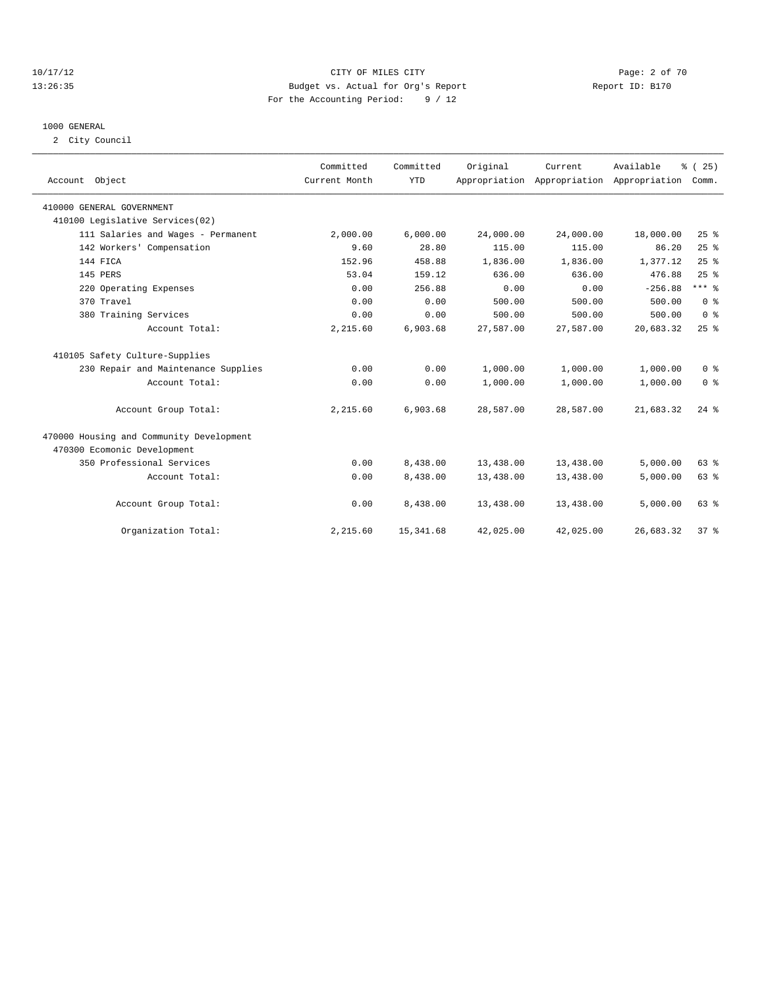### 10/17/12 CITY OF MILES CITY Page: 2 of 70 13:26:35 Budget vs. Actual for Org's Report Report ID: B170 For the Accounting Period: 9 / 12

#### 1000 GENERAL

2 City Council

| Account Object                           | Committed<br>Current Month | Committed<br><b>YTD</b> | Original  | Current<br>Appropriation Appropriation Appropriation | Available | % (25)<br>Comm. |
|------------------------------------------|----------------------------|-------------------------|-----------|------------------------------------------------------|-----------|-----------------|
| 410000 GENERAL GOVERNMENT                |                            |                         |           |                                                      |           |                 |
| 410100 Legislative Services(02)          |                            |                         |           |                                                      |           |                 |
| 111 Salaries and Wages - Permanent       | 2,000.00                   | 6,000.00                | 24,000.00 | 24,000.00                                            | 18,000.00 | 25%             |
| 142 Workers' Compensation                | 9.60                       | 28.80                   | 115.00    | 115.00                                               | 86.20     | 25%             |
| 144 FICA                                 | 152.96                     | 458.88                  | 1,836.00  | 1,836.00                                             | 1,377.12  | 25%             |
| 145 PERS                                 | 53.04                      | 159.12                  | 636.00    | 636.00                                               | 476.88    | 25%             |
| 220 Operating Expenses                   | 0.00                       | 256.88                  | 0.00      | 0.00                                                 | $-256.88$ | $***$ $_{8}$    |
| 370 Travel                               | 0.00                       | 0.00                    | 500.00    | 500.00                                               | 500.00    | 0 <sup>8</sup>  |
| 380 Training Services                    | 0.00                       | 0.00                    | 500.00    | 500.00                                               | 500.00    | 0 <sup>8</sup>  |
| Account Total:                           | 2,215.60                   | 6,903.68                | 27,587.00 | 27,587.00                                            | 20,683.32 | 25%             |
| 410105 Safety Culture-Supplies           |                            |                         |           |                                                      |           |                 |
| 230 Repair and Maintenance Supplies      | 0.00                       | 0.00                    | 1,000.00  | 1,000.00                                             | 1,000.00  | 0 <sup>8</sup>  |
| Account Total:                           | 0.00                       | 0.00                    | 1,000.00  | 1,000.00                                             | 1,000.00  | 0 <sup>8</sup>  |
| Account Group Total:                     | 2,215.60                   | 6,903.68                | 28,587.00 | 28,587.00                                            | 21,683.32 | $24$ $%$        |
| 470000 Housing and Community Development |                            |                         |           |                                                      |           |                 |
| 470300 Ecomonic Development              |                            |                         |           |                                                      |           |                 |
| 350 Professional Services                | 0.00                       | 8,438.00                | 13,438.00 | 13,438.00                                            | 5,000.00  | 63%             |
| Account Total:                           | 0.00                       | 8,438.00                | 13,438.00 | 13,438.00                                            | 5,000.00  | 63%             |
| Account Group Total:                     | 0.00                       | 8,438.00                | 13,438.00 | 13,438.00                                            | 5,000.00  | 63 %            |
| Organization Total:                      | 2,215.60                   | 15, 341.68              | 42,025.00 | 42,025.00                                            | 26,683.32 | 37 <sup>8</sup> |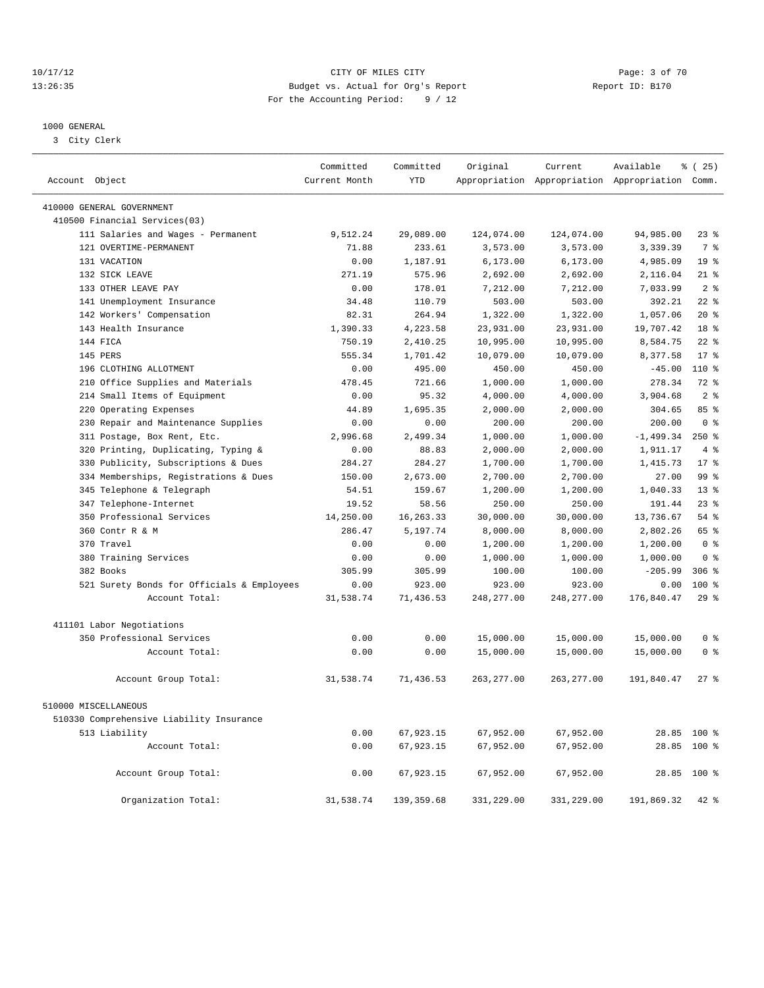### 10/17/12 CITY OF MILES CITY Page: 3 of 70 13:26:35 Budget vs. Actual for Org's Report Report ID: B170 For the Accounting Period: 9 / 12

————————————————————————————————————————————————————————————————————————————————————————————————————————————————————————————————————

#### 1000 GENERAL

3 City Clerk

|                                            | Committed     | Committed   | Original    | Current     | Available                                       | $*(25)$         |
|--------------------------------------------|---------------|-------------|-------------|-------------|-------------------------------------------------|-----------------|
| Account Object                             | Current Month | <b>YTD</b>  |             |             | Appropriation Appropriation Appropriation Comm. |                 |
| 410000 GENERAL GOVERNMENT                  |               |             |             |             |                                                 |                 |
| 410500 Financial Services(03)              |               |             |             |             |                                                 |                 |
| 111 Salaries and Wages - Permanent         | 9,512.24      | 29,089.00   | 124,074.00  | 124,074.00  | 94,985.00                                       | $23$ $%$        |
| 121 OVERTIME-PERMANENT                     | 71.88         | 233.61      | 3,573.00    | 3,573.00    | 3,339.39                                        | 7 %             |
| 131 VACATION                               | 0.00          | 1,187.91    | 6, 173.00   | 6, 173.00   | 4,985.09                                        | 19 <sup>°</sup> |
| 132 SICK LEAVE                             | 271.19        | 575.96      | 2,692.00    | 2,692.00    | 2,116.04                                        | $21$ %          |
| 133 OTHER LEAVE PAY                        | 0.00          | 178.01      | 7,212.00    | 7,212.00    | 7,033.99                                        | 2 <sup>8</sup>  |
| 141 Unemployment Insurance                 | 34.48         | 110.79      | 503.00      | 503.00      | 392.21                                          | $22$ $%$        |
| 142 Workers' Compensation                  | 82.31         | 264.94      | 1,322.00    | 1,322.00    | 1,057.06                                        | $20*$           |
| 143 Health Insurance                       | 1,390.33      | 4,223.58    | 23,931.00   | 23,931.00   | 19,707.42                                       | 18 %            |
| 144 FICA                                   | 750.19        | 2,410.25    | 10,995.00   | 10,995.00   | 8,584.75                                        | $22$ $%$        |
| 145 PERS                                   | 555.34        | 1,701.42    | 10,079.00   | 10,079.00   | 8,377.58                                        | 17 <sup>8</sup> |
| 196 CLOTHING ALLOTMENT                     | 0.00          | 495.00      | 450.00      | 450.00      | $-45.00$                                        | 110 %           |
| 210 Office Supplies and Materials          | 478.45        | 721.66      | 1,000.00    | 1,000.00    | 278.34                                          | 72 %            |
| 214 Small Items of Equipment               | 0.00          | 95.32       | 4,000.00    | 4,000.00    | 3,904.68                                        | 2 <sup>°</sup>  |
| 220 Operating Expenses                     | 44.89         | 1,695.35    | 2,000.00    | 2,000.00    | 304.65                                          | 85%             |
| 230 Repair and Maintenance Supplies        | 0.00          | 0.00        | 200.00      | 200.00      | 200.00                                          | 0 <sup>8</sup>  |
| 311 Postage, Box Rent, Etc.                | 2,996.68      | 2,499.34    | 1,000.00    | 1,000.00    | $-1,499.34$                                     | 250%            |
| 320 Printing, Duplicating, Typing &        | 0.00          | 88.83       | 2,000.00    | 2,000.00    | 1,911.17                                        | 4%              |
| 330 Publicity, Subscriptions & Dues        | 284.27        | 284.27      | 1,700.00    | 1,700.00    | 1,415.73                                        | 17 <sup>8</sup> |
| 334 Memberships, Registrations & Dues      | 150.00        | 2,673.00    | 2,700.00    | 2,700.00    | 27.00                                           | 99 <sup>8</sup> |
| 345 Telephone & Telegraph                  | 54.51         | 159.67      | 1,200.00    | 1,200.00    | 1,040.33                                        | 13 <sup>8</sup> |
| 347 Telephone-Internet                     | 19.52         | 58.56       | 250.00      | 250.00      | 191.44                                          | $23$ $%$        |
| 350 Professional Services                  | 14,250.00     | 16, 263. 33 | 30,000.00   | 30,000.00   | 13,736.67                                       | 54%             |
| 360 Contr R & M                            | 286.47        | 5,197.74    | 8,000.00    | 8,000.00    | 2,802.26                                        | 65 %            |
| 370 Travel                                 | 0.00          | 0.00        | 1,200.00    | 1,200.00    | 1,200.00                                        | 0 <sup>8</sup>  |
| 380 Training Services                      | 0.00          | 0.00        | 1,000.00    | 1,000.00    | 1,000.00                                        | 0 <sup>8</sup>  |
| 382 Books                                  | 305.99        | 305.99      | 100.00      | 100.00      | $-205.99$                                       | $306$ $%$       |
| 521 Surety Bonds for Officials & Employees | 0.00          | 923.00      | 923.00      | 923.00      | 0.00                                            | 100 %           |
| Account Total:                             | 31,538.74     | 71,436.53   | 248, 277.00 | 248, 277.00 | 176,840.47                                      | 29%             |
|                                            |               |             |             |             |                                                 |                 |
| 411101 Labor Negotiations                  |               |             |             |             |                                                 |                 |
| 350 Professional Services                  | 0.00          | 0.00        | 15,000.00   | 15,000.00   | 15,000.00                                       | 0 <sup>8</sup>  |
| Account Total:                             | 0.00          | 0.00        | 15,000.00   | 15,000.00   | 15,000.00                                       | 0 <sup>8</sup>  |
| Account Group Total:                       | 31,538.74     | 71,436.53   | 263, 277.00 | 263, 277.00 | 191,840.47                                      | $27$ $%$        |
| 510000 MISCELLANEOUS                       |               |             |             |             |                                                 |                 |
| 510330 Comprehensive Liability Insurance   |               |             |             |             |                                                 |                 |
| 513 Liability                              | 0.00          | 67,923.15   | 67,952.00   | 67,952.00   |                                                 | 28.85 100 %     |
| Account Total:                             | 0.00          | 67,923.15   | 67,952.00   | 67,952.00   | 28.85                                           | $100*$          |
|                                            |               |             |             |             |                                                 |                 |
| Account Group Total:                       | 0.00          | 67,923.15   | 67,952.00   | 67,952.00   |                                                 | 28.85 100 %     |
| Organization Total:                        | 31,538.74     | 139, 359.68 | 331,229.00  | 331,229.00  | 191,869.32                                      | 42 %            |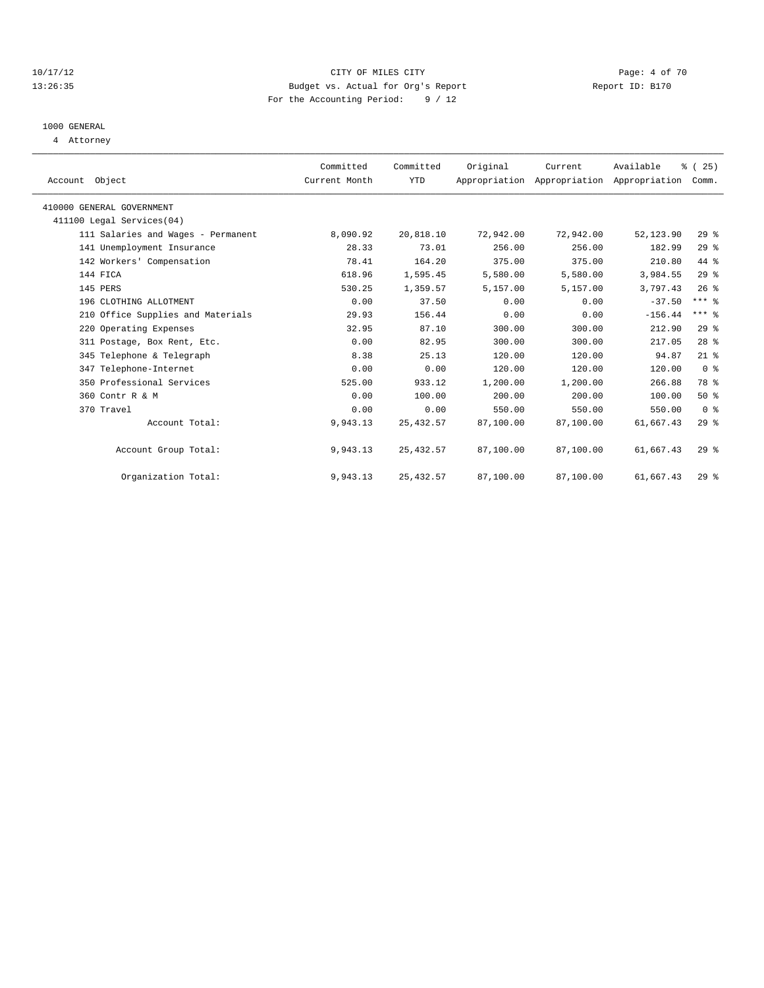#### 10/17/12 CITY OF MILES CITY Page: 4 of 70 13:26:35 Budget vs. Actual for Org's Report Report ID: B170 For the Accounting Period: 9 / 12

## 1000 GENERAL

4 Attorney

| Account Object                     | Committed<br>Current Month | Committed<br>YTD | Original  | Current   | Available<br>Appropriation Appropriation Appropriation | $\frac{3}{2}$ ( 25 )<br>Comm. |  |
|------------------------------------|----------------------------|------------------|-----------|-----------|--------------------------------------------------------|-------------------------------|--|
| 410000 GENERAL GOVERNMENT          |                            |                  |           |           |                                                        |                               |  |
| 411100 Legal Services (04)         |                            |                  |           |           |                                                        |                               |  |
| 111 Salaries and Wages - Permanent | 8,090.92                   | 20,818.10        | 72,942.00 | 72,942.00 | 52,123.90                                              | 29%                           |  |
| 141 Unemployment Insurance         | 28.33                      | 73.01            | 256.00    | 256.00    | 182.99                                                 | 29%                           |  |
| 142 Workers' Compensation          | 78.41                      | 164.20           | 375.00    | 375.00    | 210.80                                                 | 44 %                          |  |
| 144 FICA                           | 618.96                     | 1,595.45         | 5,580.00  | 5,580.00  | 3,984.55                                               | 29%                           |  |
| 145 PERS                           | 530.25                     | 1,359.57         | 5,157.00  | 5,157.00  | 3,797.43                                               | $26*$                         |  |
| 196 CLOTHING ALLOTMENT             | 0.00                       | 37.50            | 0.00      | 0.00      | $-37.50$                                               | $***$ $-$                     |  |
| 210 Office Supplies and Materials  | 29.93                      | 156.44           | 0.00      | 0.00      | $-156.44$                                              | $***$ $%$                     |  |
| 220 Operating Expenses             | 32.95                      | 87.10            | 300.00    | 300.00    | 212.90                                                 | 29%                           |  |
| 311 Postage, Box Rent, Etc.        | 0.00                       | 82.95            | 300.00    | 300.00    | 217.05                                                 | 28 <sup>8</sup>               |  |
| 345 Telephone & Telegraph          | 8.38                       | 25.13            | 120.00    | 120.00    | 94.87                                                  | $21$ %                        |  |
| 347 Telephone-Internet             | 0.00                       | 0.00             | 120.00    | 120.00    | 120.00                                                 | 0 <sup>8</sup>                |  |
| 350 Professional Services          | 525.00                     | 933.12           | 1,200.00  | 1,200.00  | 266.88                                                 | 78 %                          |  |
| 360 Contr R & M                    | 0.00                       | 100.00           | 200.00    | 200.00    | 100.00                                                 | 50%                           |  |
| 370 Travel                         | 0.00                       | 0.00             | 550.00    | 550.00    | 550.00                                                 | 0 <sup>8</sup>                |  |
| Account Total:                     | 9,943.13                   | 25, 432.57       | 87,100.00 | 87,100.00 | 61,667.43                                              | 29%                           |  |
| Account Group Total:               | 9,943.13                   | 25, 432.57       | 87,100.00 | 87,100.00 | 61,667.43                                              | $29*$                         |  |
| Organization Total:                | 9,943.13                   | 25, 432.57       | 87,100.00 | 87,100.00 | 61,667.43                                              | $29*$                         |  |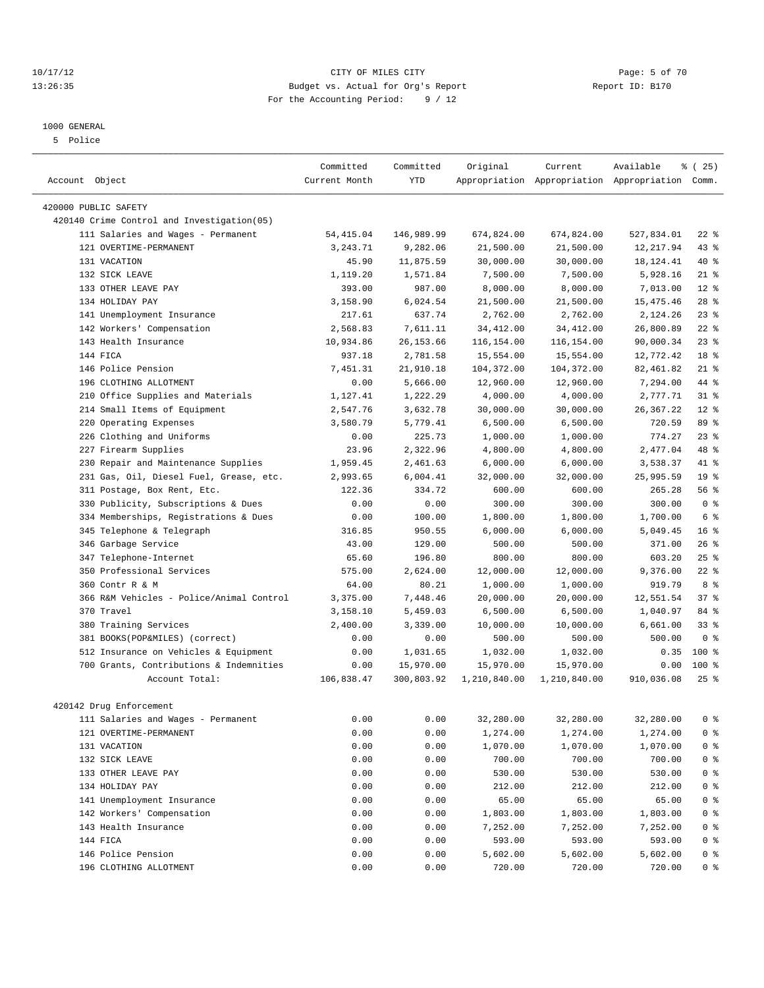#### 10/17/12 CITY OF MILES CITY Page: 5 of 70 13:26:35 Budget vs. Actual for Org's Report Report ID: B170 For the Accounting Period: 9 / 12

————————————————————————————————————————————————————————————————————————————————————————————————————————————————————————————————————

## 1000 GENERAL

5 Police

|                                                                    | Committed          | Committed          | Original                | Current                 | Available                                       | % (25)          |
|--------------------------------------------------------------------|--------------------|--------------------|-------------------------|-------------------------|-------------------------------------------------|-----------------|
| Account Object                                                     | Current Month      | YTD                |                         |                         | Appropriation Appropriation Appropriation Comm. |                 |
|                                                                    |                    |                    |                         |                         |                                                 |                 |
| 420000 PUBLIC SAFETY<br>420140 Crime Control and Investigation(05) |                    |                    |                         |                         |                                                 |                 |
| 111 Salaries and Wages - Permanent                                 | 54, 415.04         | 146,989.99         |                         |                         |                                                 | $22$ %          |
| 121 OVERTIME-PERMANENT                                             | 3,243.71           | 9,282.06           | 674,824.00<br>21,500.00 | 674,824.00<br>21,500.00 | 527,834.01                                      | $43$ %          |
| 131 VACATION                                                       | 45.90              | 11,875.59          | 30,000.00               | 30,000.00               | 12,217.94                                       | 40 %            |
|                                                                    |                    |                    |                         |                         | 18, 124. 41                                     |                 |
| 132 SICK LEAVE<br>133 OTHER LEAVE PAY                              | 1,119.20<br>393.00 | 1,571.84<br>987.00 | 7,500.00                | 7,500.00<br>8,000.00    | 5,928.16                                        | $21$ %<br>$12*$ |
| 134 HOLIDAY PAY                                                    |                    |                    | 8,000.00                | 21,500.00               | 7,013.00<br>15, 475. 46                         | $28$ %          |
|                                                                    | 3,158.90           | 6,024.54           | 21,500.00               |                         |                                                 |                 |
| 141 Unemployment Insurance                                         | 217.61             | 637.74             | 2,762.00                | 2,762.00                | 2,124.26                                        | $23$ $%$        |
| 142 Workers' Compensation                                          | 2,568.83           | 7,611.11           | 34, 412.00              | 34, 412.00              | 26,800.89                                       | $22$ %          |
| 143 Health Insurance                                               | 10,934.86          | 26, 153.66         | 116,154.00              | 116,154.00              | 90,000.34                                       | $23$ $%$        |
| 144 FICA                                                           | 937.18             | 2,781.58           | 15,554.00               | 15,554.00               | 12,772.42                                       | 18 <sup>°</sup> |
| 146 Police Pension                                                 | 7,451.31           | 21,910.18          | 104,372.00              | 104,372.00              | 82,461.82                                       | $21$ %          |
| 196 CLOTHING ALLOTMENT                                             | 0.00               | 5,666.00           | 12,960.00               | 12,960.00               | 7,294.00                                        | 44 %            |
| 210 Office Supplies and Materials                                  | 1,127.41           | 1,222.29           | 4,000.00                | 4,000.00                | 2,777.71                                        | $31$ %          |
| 214 Small Items of Equipment                                       | 2,547.76           | 3,632.78           | 30,000.00               | 30,000.00               | 26, 367. 22                                     | $12*$           |
| 220 Operating Expenses                                             | 3,580.79           | 5,779.41           | 6,500.00                | 6,500.00                | 720.59                                          | 89 %            |
| 226 Clothing and Uniforms                                          | 0.00               | 225.73             | 1,000.00                | 1,000.00                | 774.27                                          | $23$ $%$        |
| 227 Firearm Supplies                                               | 23.96              | 2,322.96           | 4,800.00                | 4,800.00                | 2,477.04                                        | 48 %            |
| 230 Repair and Maintenance Supplies                                | 1,959.45           | 2,461.63           | 6,000.00                | 6,000.00                | 3,538.37                                        | 41 %            |
| 231 Gas, Oil, Diesel Fuel, Grease, etc.                            | 2,993.65           | 6,004.41           | 32,000.00               | 32,000.00               | 25,995.59                                       | 19 <sup>°</sup> |
| 311 Postage, Box Rent, Etc.                                        | 122.36             | 334.72             | 600.00                  | 600.00                  | 265.28                                          | 56%             |
| 330 Publicity, Subscriptions & Dues                                | 0.00               | 0.00               | 300.00                  | 300.00                  | 300.00                                          | 0 <sup>8</sup>  |
| 334 Memberships, Registrations & Dues                              | 0.00               | 100.00             | 1,800.00                | 1,800.00                | 1,700.00                                        | 6 %             |
| 345 Telephone & Telegraph                                          | 316.85             | 950.55             | 6,000.00                | 6,000.00                | 5,049.45                                        | 16 <sup>8</sup> |
| 346 Garbage Service                                                | 43.00              | 129.00             | 500.00                  | 500.00                  | 371.00                                          | $26$ %          |
| 347 Telephone-Internet                                             | 65.60              | 196.80             | 800.00                  | 800.00                  | 603.20                                          | $25$ $%$        |
| 350 Professional Services                                          | 575.00             | 2,624.00           | 12,000.00               | 12,000.00               | 9,376.00                                        | $22$ %          |
| 360 Contr R & M                                                    | 64.00              | 80.21              | 1,000.00                | 1,000.00                | 919.79                                          | 8 %             |
| 366 R&M Vehicles - Police/Animal Control                           | 3,375.00           | 7,448.46           | 20,000.00               | 20,000.00               | 12,551.54                                       | 37%             |
| 370 Travel                                                         | 3,158.10           | 5,459.03           | 6,500.00                | 6,500.00                | 1,040.97                                        | 84 %            |
| 380 Training Services                                              | 2,400.00           | 3,339.00           | 10,000.00               | 10,000.00               | 6,661.00                                        | $33$ $%$        |
| 381 BOOKS(POP&MILES) (correct)                                     | 0.00               | 0.00               | 500.00                  | 500.00                  | 500.00                                          | 0 <sup>8</sup>  |
| 512 Insurance on Vehicles & Equipment                              | 0.00               | 1,031.65           | 1,032.00                | 1,032.00                | 0.35                                            | $100$ %         |
| 700 Grants, Contributions & Indemnities                            | 0.00               | 15,970.00          | 15,970.00               | 15,970.00               | 0.00                                            | 100 %           |
| Account Total:                                                     | 106,838.47         | 300,803.92         | 1,210,840.00            | 1,210,840.00            | 910,036.08                                      | $25$ %          |
|                                                                    |                    |                    |                         |                         |                                                 |                 |
| 420142 Drug Enforcement                                            |                    |                    |                         |                         |                                                 |                 |
| 111 Salaries and Wages - Permanent                                 | 0.00               | 0.00               | 32,280.00               | 32,280.00               | 32,280.00 0 %                                   |                 |
| 121 OVERTIME-PERMANENT                                             | 0.00               | 0.00               | 1,274.00                | 1,274.00                | 1,274.00                                        | 0 <sup>8</sup>  |
| 131 VACATION                                                       | 0.00               | 0.00               | 1,070.00                | 1,070.00                | 1,070.00                                        | 0 <sup>8</sup>  |
| 132 SICK LEAVE                                                     | 0.00               | 0.00               | 700.00                  | 700.00                  | 700.00                                          | 0 <sup>8</sup>  |
| 133 OTHER LEAVE PAY                                                | 0.00               | 0.00               | 530.00                  | 530.00                  | 530.00                                          | $0$ %           |
| 134 HOLIDAY PAY                                                    | 0.00               | 0.00               | 212.00                  | 212.00                  | 212.00                                          | $0$ %           |
| 141 Unemployment Insurance                                         | 0.00               | 0.00               | 65.00                   | 65.00                   | 65.00                                           | $0$ %           |
| 142 Workers' Compensation                                          | 0.00               | 0.00               | 1,803.00                | 1,803.00                | 1,803.00                                        | 0 <sup>8</sup>  |
| 143 Health Insurance                                               | 0.00               | 0.00               | 7,252.00                | 7,252.00                | 7,252.00                                        | 0 %             |
| 144 FICA                                                           | 0.00               | 0.00               | 593.00                  | 593.00                  | 593.00                                          | 0 %             |
| 146 Police Pension                                                 | 0.00               | 0.00               | 5,602.00                | 5,602.00                | 5,602.00                                        | 0 %             |
| 196 CLOTHING ALLOTMENT                                             | 0.00               | 0.00               | 720.00                  | 720.00                  | 720.00                                          | 0 %             |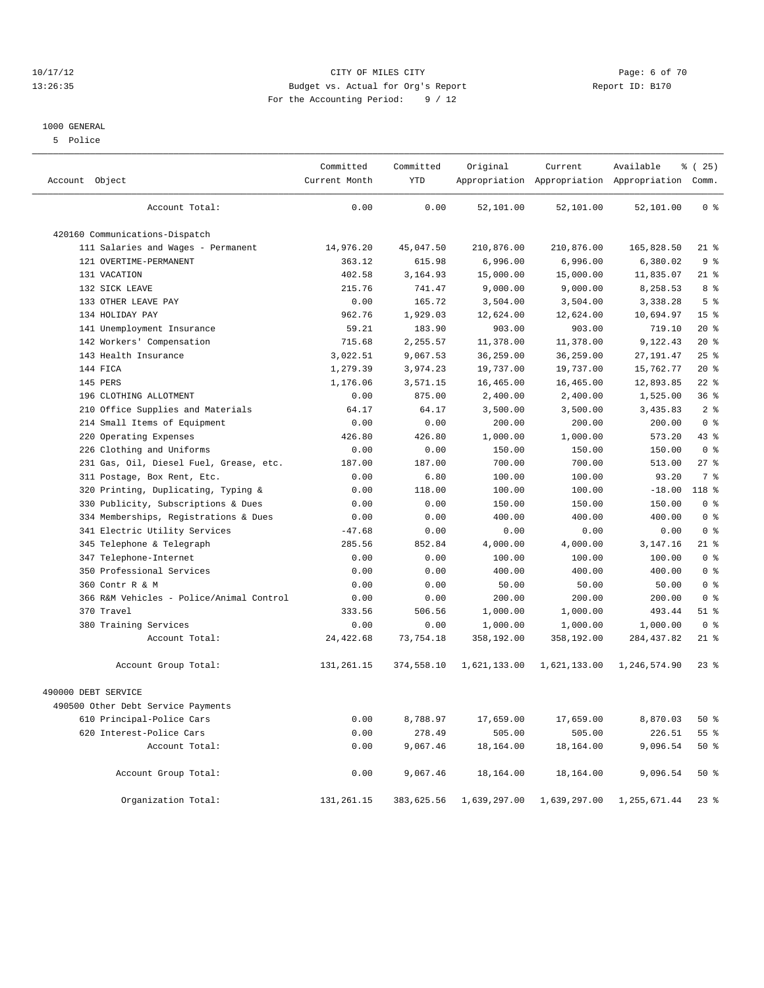#### 10/17/12 CITY OF MILES CITY Page: 6 of 70 13:26:35 Budget vs. Actual for Org's Report Report ID: B170 For the Accounting Period: 9 / 12

#### 1000 GENERAL

5 Police

| Account Object                           | Committed<br>Current Month | Committed<br><b>YTD</b> | Original     | Current      | Available<br>Appropriation Appropriation Appropriation Comm. | % (25)          |
|------------------------------------------|----------------------------|-------------------------|--------------|--------------|--------------------------------------------------------------|-----------------|
| Account Total:                           | 0.00                       | 0.00                    | 52,101.00    | 52,101.00    | 52,101.00                                                    | 0 <sup>8</sup>  |
| 420160 Communications-Dispatch           |                            |                         |              |              |                                                              |                 |
| 111 Salaries and Wages - Permanent       | 14,976.20                  | 45,047.50               | 210,876.00   | 210,876.00   | 165,828.50                                                   | $21$ %          |
| 121 OVERTIME-PERMANENT                   | 363.12                     | 615.98                  | 6,996.00     | 6,996.00     | 6,380.02                                                     | 9%              |
| 131 VACATION                             | 402.58                     | 3,164.93                | 15,000.00    | 15,000.00    | 11,835.07                                                    | $21$ %          |
| 132 SICK LEAVE                           | 215.76                     | 741.47                  | 9,000.00     | 9,000.00     | 8,258.53                                                     | 8 %             |
| 133 OTHER LEAVE PAY                      | 0.00                       | 165.72                  | 3,504.00     | 3,504.00     | 3,338.28                                                     | 5 <sub>8</sub>  |
| 134 HOLIDAY PAY                          | 962.76                     | 1,929.03                | 12,624.00    | 12,624.00    | 10,694.97                                                    | 15 <sup>°</sup> |
| 141 Unemployment Insurance               | 59.21                      | 183.90                  | 903.00       | 903.00       | 719.10                                                       | $20*$           |
| 142 Workers' Compensation                | 715.68                     | 2,255.57                | 11,378.00    | 11,378.00    | 9,122.43                                                     | 20%             |
| 143 Health Insurance                     | 3,022.51                   | 9,067.53                | 36,259.00    | 36,259.00    | 27, 191.47                                                   | 25%             |
| 144 FICA                                 | 1,279.39                   | 3,974.23                | 19,737.00    | 19,737.00    | 15,762.77                                                    | $20*$           |
| 145 PERS                                 | 1,176.06                   | 3,571.15                | 16,465.00    | 16,465.00    | 12,893.85                                                    | $22$ %          |
| 196 CLOTHING ALLOTMENT                   | 0.00                       | 875.00                  | 2,400.00     | 2,400.00     | 1,525.00                                                     | 36%             |
| Office Supplies and Materials<br>210     | 64.17                      | 64.17                   | 3,500.00     | 3,500.00     | 3,435.83                                                     | 2 <sup>8</sup>  |
| 214 Small Items of Equipment             | 0.00                       | 0.00                    | 200.00       | 200.00       | 200.00                                                       | 0 <sup>8</sup>  |
| 220 Operating Expenses                   | 426.80                     | 426.80                  | 1,000.00     | 1,000.00     | 573.20                                                       | 43 %            |
| 226 Clothing and Uniforms                | 0.00                       | 0.00                    | 150.00       | 150.00       | 150.00                                                       | 0 <sup>8</sup>  |
| 231 Gas, Oil, Diesel Fuel, Grease, etc.  | 187.00                     | 187.00                  | 700.00       | 700.00       | 513.00                                                       | 27%             |
| 311 Postage, Box Rent, Etc.              | 0.00                       | 6.80                    | 100.00       | 100.00       | 93.20                                                        | 7 <sup>8</sup>  |
| 320 Printing, Duplicating, Typing &      | 0.00                       | 118.00                  | 100.00       | 100.00       | $-18.00$                                                     | $118*$          |
| 330 Publicity, Subscriptions & Dues      | 0.00                       | 0.00                    | 150.00       | 150.00       | 150.00                                                       | 0 <sup>8</sup>  |
| 334 Memberships, Registrations & Dues    | 0.00                       | 0.00                    | 400.00       | 400.00       | 400.00                                                       | 0 <sup>8</sup>  |
| 341 Electric Utility Services            | $-47.68$                   | 0.00                    | 0.00         | 0.00         | 0.00                                                         | 0 <sup>8</sup>  |
| Telephone & Telegraph<br>345             | 285.56                     | 852.84                  | 4,000.00     | 4,000.00     | 3, 147. 16                                                   | $21$ %          |
| 347 Telephone-Internet                   | 0.00                       | 0.00                    | 100.00       | 100.00       | 100.00                                                       | 0 <sup>8</sup>  |
| 350 Professional Services                | 0.00                       | 0.00                    | 400.00       | 400.00       | 400.00                                                       | 0 <sup>8</sup>  |
| 360 Contr R & M                          | 0.00                       | 0.00                    | 50.00        | 50.00        | 50.00                                                        | 0 <sup>8</sup>  |
| 366 R&M Vehicles - Police/Animal Control | 0.00                       | 0.00                    | 200.00       | 200.00       | 200.00                                                       | 0 <sup>8</sup>  |
| 370 Travel                               | 333.56                     | 506.56                  | 1,000.00     | 1,000.00     | 493.44                                                       | $51$ %          |
| 380 Training Services                    | 0.00                       | 0.00                    | 1,000.00     | 1,000.00     | 1,000.00                                                     | 0 <sup>8</sup>  |
| Account Total:                           | 24, 422.68                 | 73, 754.18              | 358,192.00   | 358,192.00   | 284, 437.82                                                  | $21*$           |
| Account Group Total:                     | 131,261.15                 | 374,558.10              | 1,621,133.00 | 1,621,133.00 | 1,246,574.90                                                 | $23$ $%$        |
| 490000 DEBT SERVICE                      |                            |                         |              |              |                                                              |                 |
| 490500 Other Debt Service Payments       |                            |                         |              |              |                                                              |                 |
| 610 Principal-Police Cars                | 0.00                       | 8,788.97                | 17,659.00    | 17,659.00    | 8,870.03                                                     | 50%             |
| 620 Interest-Police Cars                 | 0.00                       | 278.49                  | 505.00       | 505.00       | 226.51                                                       | 55%             |
| Account Total:                           | 0.00                       | 9,067.46                | 18,164.00    | 18,164.00    | 9,096.54                                                     | $50*$           |
| Account Group Total:                     | 0.00                       | 9,067.46                | 18,164.00    | 18,164.00    | 9,096.54                                                     | $50*$           |
| Organization Total:                      | 131, 261. 15               | 383,625.56              | 1,639,297.00 | 1,639,297.00 | 1,255,671.44                                                 | $23$ %          |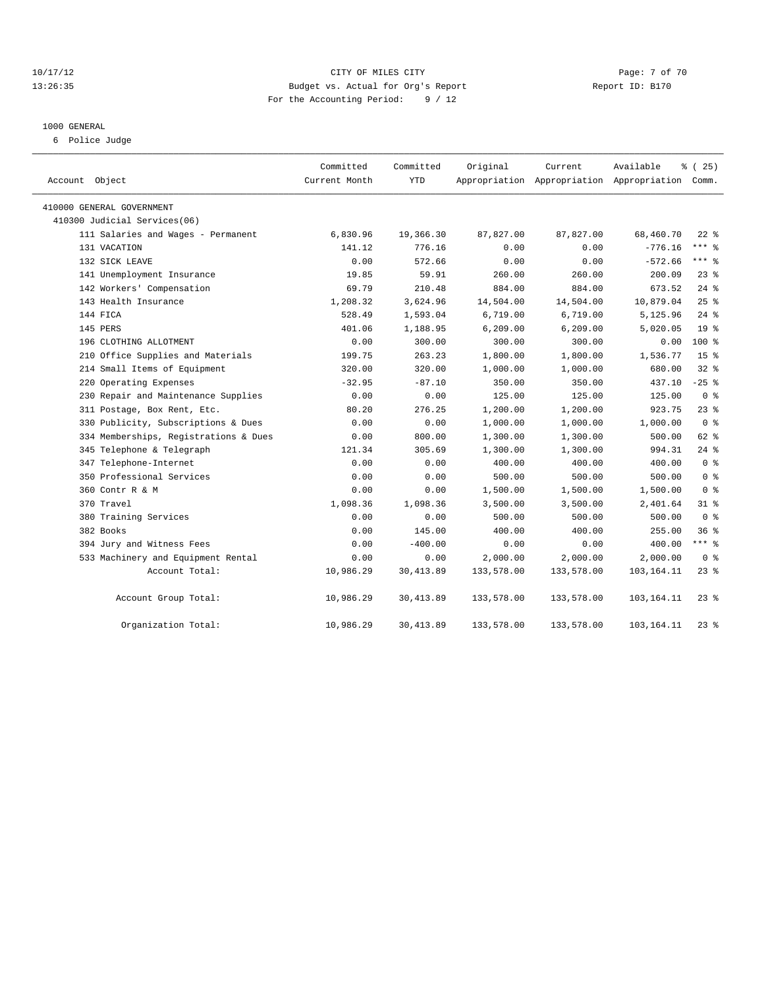#### 10/17/12 CITY OF MILES CITY Page: 7 of 70 13:26:35 Budget vs. Actual for Org's Report Report ID: B170 For the Accounting Period: 9 / 12

#### 1000 GENERAL

6 Police Judge

| Account Object                        | Committed<br>Current Month | Committed<br><b>YTD</b> | Original   | Current    | Available<br>Appropriation Appropriation Appropriation Comm. | % (25)          |
|---------------------------------------|----------------------------|-------------------------|------------|------------|--------------------------------------------------------------|-----------------|
|                                       |                            |                         |            |            |                                                              |                 |
| 410000 GENERAL GOVERNMENT             |                            |                         |            |            |                                                              |                 |
| 410300 Judicial Services(06)          |                            |                         |            |            |                                                              |                 |
| 111 Salaries and Wages - Permanent    | 6,830.96                   | 19,366.30               | 87,827.00  | 87,827.00  | 68,460.70                                                    | $22$ %          |
| 131 VACATION                          | 141.12                     | 776.16                  | 0.00       | 0.00       | $-776.16$                                                    | $***$ $-$       |
| 132 SICK LEAVE                        | 0.00                       | 572.66                  | 0.00       | 0.00       | $-572.66$                                                    | $***$ $-$       |
| 141 Unemployment Insurance            | 19.85                      | 59.91                   | 260.00     | 260.00     | 200.09                                                       | $23$ $%$        |
| 142 Workers' Compensation             | 69.79                      | 210.48                  | 884.00     | 884.00     | 673.52                                                       | $24$ %          |
| 143 Health Insurance                  | 1,208.32                   | 3,624.96                | 14,504.00  | 14,504.00  | 10,879.04                                                    | $25$ $%$        |
| 144 FICA                              | 528.49                     | 1,593.04                | 6,719.00   | 6,719.00   | 5,125.96                                                     | $24$ %          |
| 145 PERS                              | 401.06                     | 1,188.95                | 6, 209.00  | 6, 209.00  | 5,020.05                                                     | 19 <sup>8</sup> |
| 196 CLOTHING ALLOTMENT                | 0.00                       | 300.00                  | 300.00     | 300.00     | 0.00                                                         | $100*$          |
| 210 Office Supplies and Materials     | 199.75                     | 263.23                  | 1,800.00   | 1,800.00   | 1,536.77                                                     | 15 <sup>°</sup> |
| 214 Small Items of Equipment          | 320.00                     | 320.00                  | 1,000.00   | 1,000.00   | 680.00                                                       | $32$ $%$        |
| 220 Operating Expenses                | $-32.95$                   | $-87.10$                | 350.00     | 350.00     | 437.10                                                       | $-25$ %         |
| 230 Repair and Maintenance Supplies   | 0.00                       | 0.00                    | 125.00     | 125.00     | 125.00                                                       | 0 <sup>8</sup>  |
| 311 Postage, Box Rent, Etc.           | 80.20                      | 276.25                  | 1,200.00   | 1,200.00   | 923.75                                                       | 23%             |
| 330 Publicity, Subscriptions & Dues   | 0.00                       | 0.00                    | 1,000.00   | 1,000.00   | 1,000.00                                                     | 0 <sup>8</sup>  |
| 334 Memberships, Registrations & Dues | 0.00                       | 800.00                  | 1,300.00   | 1,300.00   | 500.00                                                       | 62 %            |
| 345 Telephone & Telegraph             | 121.34                     | 305.69                  | 1,300.00   | 1,300.00   | 994.31                                                       | $24$ %          |
| 347 Telephone-Internet                | 0.00                       | 0.00                    | 400.00     | 400.00     | 400.00                                                       | 0 <sup>8</sup>  |
| 350 Professional Services             | 0.00                       | 0.00                    | 500.00     | 500.00     | 500.00                                                       | 0 <sup>8</sup>  |
| 360 Contr R & M                       | 0.00                       | 0.00                    | 1,500.00   | 1,500.00   | 1,500.00                                                     | 0 <sup>8</sup>  |
| 370 Travel                            | 1,098.36                   | 1,098.36                | 3,500.00   | 3,500.00   | 2,401.64                                                     | $31$ %          |
| 380 Training Services                 | 0.00                       | 0.00                    | 500.00     | 500.00     | 500.00                                                       | 0 <sup>8</sup>  |
| 382 Books                             | 0.00                       | 145.00                  | 400.00     | 400.00     | 255.00                                                       | 36%             |
| 394 Jury and Witness Fees             | 0.00                       | $-400.00$               | 0.00       | 0.00       | 400.00                                                       | *** %           |
| 533 Machinery and Equipment Rental    | 0.00                       | 0.00                    | 2,000.00   | 2,000.00   | 2,000.00                                                     | 0 <sup>8</sup>  |
| Account Total:                        | 10,986.29                  | 30,413.89               | 133,578.00 | 133,578.00 | 103,164.11                                                   | $23$ $%$        |
| Account Group Total:                  | 10,986.29                  | 30, 413.89              | 133,578.00 | 133,578.00 | 103,164.11                                                   | $23$ %          |
| Organization Total:                   | 10,986.29                  | 30, 413.89              | 133,578.00 | 133,578.00 | 103, 164. 11                                                 | $23$ $%$        |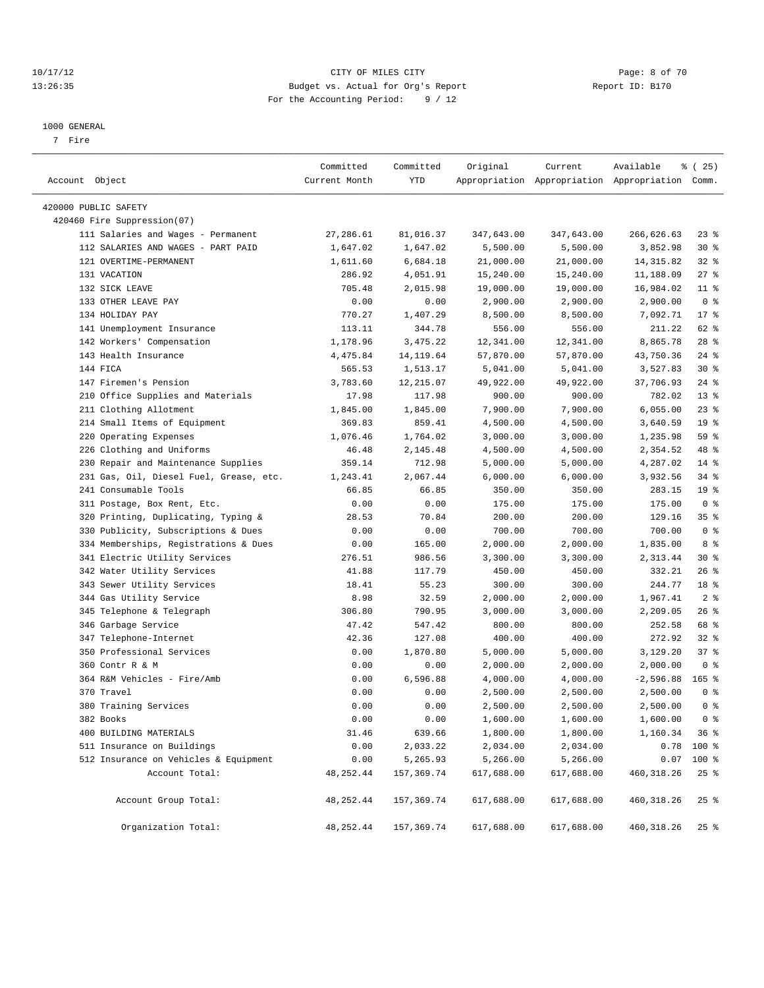#### 10/17/12 CITY OF MILES CITY Page: 8 of 70 13:26:35 Budget vs. Actual for Org's Report Report ID: B170 For the Accounting Period: 9 / 12

————————————————————————————————————————————————————————————————————————————————————————————————————————————————————————————————————

#### 1000 GENERAL

7 Fire

|                                         | Committed     | Committed  | Original   | Current    | Available                                       | ៖ (25)          |
|-----------------------------------------|---------------|------------|------------|------------|-------------------------------------------------|-----------------|
| Account Object                          | Current Month | YTD        |            |            | Appropriation Appropriation Appropriation Comm. |                 |
| 420000 PUBLIC SAFETY                    |               |            |            |            |                                                 |                 |
| 420460 Fire Suppression(07)             |               |            |            |            |                                                 |                 |
| 111 Salaries and Wages - Permanent      | 27,286.61     | 81,016.37  | 347,643.00 | 347,643.00 | 266,626.63                                      | $23$ $%$        |
| 112 SALARIES AND WAGES - PART PAID      | 1,647.02      | 1,647.02   | 5,500.00   | 5,500.00   | 3,852.98                                        | $30*$           |
| 121 OVERTIME-PERMANENT                  | 1,611.60      | 6,684.18   | 21,000.00  | 21,000.00  | 14, 315.82                                      | $32$ $%$        |
| 131 VACATION                            | 286.92        | 4,051.91   | 15,240.00  | 15,240.00  | 11,188.09                                       | $27$ %          |
| 132 SICK LEAVE                          | 705.48        | 2,015.98   | 19,000.00  | 19,000.00  | 16,984.02                                       | $11*$           |
| 133 OTHER LEAVE PAY                     | 0.00          | 0.00       | 2,900.00   | 2,900.00   | 2,900.00                                        | 0 <sup>8</sup>  |
| 134 HOLIDAY PAY                         | 770.27        | 1,407.29   | 8,500.00   | 8,500.00   | 7,092.71                                        | $17*$           |
| 141 Unemployment Insurance              | 113.11        | 344.78     | 556.00     | 556.00     | 211.22                                          | 62 %            |
| 142 Workers' Compensation               | 1,178.96      | 3,475.22   | 12,341.00  | 12,341.00  | 8,865.78                                        | $28$ %          |
| 143 Health Insurance                    | 4,475.84      | 14, 119.64 | 57,870.00  | 57,870.00  | 43,750.36                                       | $24$ %          |
| 144 FICA                                | 565.53        | 1,513.17   | 5,041.00   | 5,041.00   | 3,527.83                                        | $30*$           |
| 147 Firemen's Pension                   | 3,783.60      | 12,215.07  | 49,922.00  | 49,922.00  | 37,706.93                                       | $24$ %          |
| 210 Office Supplies and Materials       | 17.98         | 117.98     | 900.00     | 900.00     | 782.02                                          | $13*$           |
| 211 Clothing Allotment                  | 1,845.00      | 1,845.00   | 7,900.00   | 7,900.00   | 6,055.00                                        | $23$ $%$        |
| 214 Small Items of Equipment            | 369.83        | 859.41     | 4,500.00   | 4,500.00   | 3,640.59                                        | 19 <sup>°</sup> |
| 220 Operating Expenses                  | 1,076.46      | 1,764.02   | 3,000.00   | 3,000.00   | 1,235.98                                        | 59 %            |
| 226 Clothing and Uniforms               | 46.48         | 2,145.48   | 4,500.00   | 4,500.00   | 2,354.52                                        | 48 %            |
| 230 Repair and Maintenance Supplies     | 359.14        | 712.98     | 5,000.00   | 5,000.00   | 4,287.02                                        | $14$ %          |
| 231 Gas, Oil, Diesel Fuel, Grease, etc. | 1,243.41      | 2,067.44   | 6,000.00   | 6,000.00   | 3,932.56                                        | $34$ $%$        |
| 241 Consumable Tools                    | 66.85         | 66.85      | 350.00     | 350.00     | 283.15                                          | 19 <sup>°</sup> |
| 311 Postage, Box Rent, Etc.             | 0.00          | 0.00       | 175.00     | 175.00     | 175.00                                          | 0 <sup>8</sup>  |
| 320 Printing, Duplicating, Typing &     | 28.53         | 70.84      | 200.00     | 200.00     | 129.16                                          | 35%             |
| 330 Publicity, Subscriptions & Dues     | 0.00          | 0.00       | 700.00     | 700.00     | 700.00                                          | 0 <sup>8</sup>  |
| 334 Memberships, Registrations & Dues   | 0.00          | 165.00     | 2,000.00   | 2,000.00   | 1,835.00                                        | 8 %             |
| 341 Electric Utility Services           | 276.51        | 986.56     | 3,300.00   | 3,300.00   | 2,313.44                                        | $30*$           |
| 342 Water Utility Services              | 41.88         | 117.79     | 450.00     | 450.00     | 332.21                                          | 26%             |
| 343 Sewer Utility Services              | 18.41         | 55.23      | 300.00     | 300.00     | 244.77                                          | 18 %            |
| 344 Gas Utility Service                 | 8.98          | 32.59      | 2,000.00   | 2,000.00   | 1,967.41                                        | 2 <sup>°</sup>  |
| 345 Telephone & Telegraph               | 306.80        | 790.95     | 3,000.00   | 3,000.00   | 2,209.05                                        | $26$ %          |
| 346 Garbage Service                     | 47.42         | 547.42     | 800.00     | 800.00     | 252.58                                          | 68 %            |
| 347 Telephone-Internet                  | 42.36         | 127.08     | 400.00     | 400.00     | 272.92                                          | $32$ $%$        |
| 350 Professional Services               | 0.00          | 1,870.80   | 5,000.00   | 5,000.00   | 3,129.20                                        | 37%             |
| 360 Contr R & M                         | 0.00          | 0.00       | 2,000.00   | 2,000.00   | 2,000.00                                        | 0 <sup>8</sup>  |
| 364 R&M Vehicles - Fire/Amb             | 0.00          | 6,596.88   | 4,000.00   | 4,000.00   | $-2,596.88$                                     | $165$ %         |
| 370 Travel                              | 0.00          | 0.00       | 2,500.00   | 2,500.00   | 2,500.00                                        | 0 <sup>8</sup>  |
| 380 Training Services                   | 0.00          | 0.00       | 2,500.00   | 2,500.00   | 2,500.00                                        | 0 <sup>8</sup>  |
| 382 Books                               | 0.00          | 0.00       | 1,600.00   | 1,600.00   | 1,600.00                                        | 0 <sup>8</sup>  |
| 400 BUILDING MATERIALS                  | 31.46         | 639.66     | 1,800.00   | 1,800.00   | $1,160.34$ 36 %                                 |                 |
| 511 Insurance on Buildings              | 0.00          | 2,033.22   | 2,034.00   | 2,034.00   |                                                 | $0.78$ 100 %    |
| 512 Insurance on Vehicles & Equipment   | 0.00          | 5,265.93   | 5,266.00   | 5,266.00   |                                                 | $0.07$ 100 %    |
| Account Total:                          | 48, 252.44    | 157,369.74 | 617,688.00 | 617,688.00 | 460, 318.26                                     | $25$ %          |
| Account Group Total:                    | 48, 252.44    | 157,369.74 | 617,688.00 | 617,688.00 | 460, 318.26                                     | 25%             |
| Organization Total:                     | 48, 252.44    | 157,369.74 | 617,688.00 | 617,688.00 | 460, 318.26                                     | $25$ %          |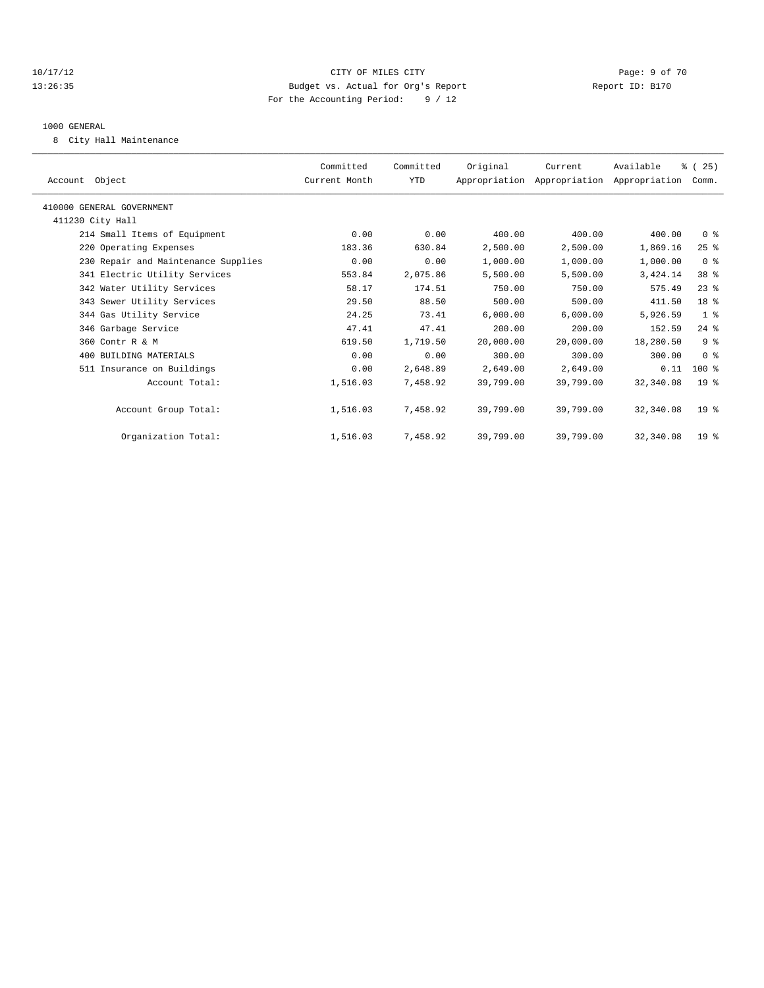#### 10/17/12 CITY OF MILES CITY Page: 9 of 70 13:26:35 Budget vs. Actual for Org's Report Report ID: B170 For the Accounting Period: 9 / 12

#### 1000 GENERAL

8 City Hall Maintenance

| Account Object                      | Committed<br>Current Month | Committed<br>YTD | Original  | Current<br>Appropriation Appropriation Appropriation | Available | % (25)<br>Comm. |  |
|-------------------------------------|----------------------------|------------------|-----------|------------------------------------------------------|-----------|-----------------|--|
| 410000 GENERAL GOVERNMENT           |                            |                  |           |                                                      |           |                 |  |
| 411230 City Hall                    |                            |                  |           |                                                      |           |                 |  |
| 214 Small Items of Equipment        | 0.00                       | 0.00             | 400.00    | 400.00                                               | 400.00    | 0 <sup>8</sup>  |  |
| 220 Operating Expenses              | 183.36                     | 630.84           | 2,500.00  | 2,500.00                                             | 1,869.16  | $25$ $%$        |  |
| 230 Repair and Maintenance Supplies | 0.00                       | 0.00             | 1,000.00  | 1,000.00                                             | 1,000.00  | 0 <sup>8</sup>  |  |
| 341 Electric Utility Services       | 553.84                     | 2,075.86         | 5,500.00  | 5,500.00                                             | 3,424.14  | 38 <sup>8</sup> |  |
| 342 Water Utility Services          | 58.17                      | 174.51           | 750.00    | 750.00                                               | 575.49    | $23$ %          |  |
| 343 Sewer Utility Services          | 29.50                      | 88.50            | 500.00    | 500.00                                               | 411.50    | 18 <sup>8</sup> |  |
| 344 Gas Utility Service             | 24.25                      | 73.41            | 6,000.00  | 6,000.00                                             | 5,926.59  | 1 <sup>8</sup>  |  |
| 346 Garbage Service                 | 47.41                      | 47.41            | 200.00    | 200.00                                               | 152.59    | $24$ $%$        |  |
| 360 Contr R & M                     | 619.50                     | 1,719.50         | 20,000.00 | 20,000.00                                            | 18,280.50 | 9 <sup>°</sup>  |  |
| 400 BUILDING MATERIALS              | 0.00                       | 0.00             | 300.00    | 300.00                                               | 300.00    | 0 <sup>8</sup>  |  |
| 511 Insurance on Buildings          | 0.00                       | 2,648.89         | 2,649.00  | 2,649.00                                             | 0.11      | $100$ %         |  |
| Account Total:                      | 1,516.03                   | 7,458.92         | 39,799.00 | 39,799.00                                            | 32,340.08 | 19 <sup>°</sup> |  |
| Account Group Total:                | 1,516.03                   | 7,458.92         | 39,799.00 | 39,799.00                                            | 32,340.08 | 19 <sup>°</sup> |  |
| Organization Total:                 | 1,516.03                   | 7,458.92         | 39,799.00 | 39,799.00                                            | 32,340.08 | 19 <sup>°</sup> |  |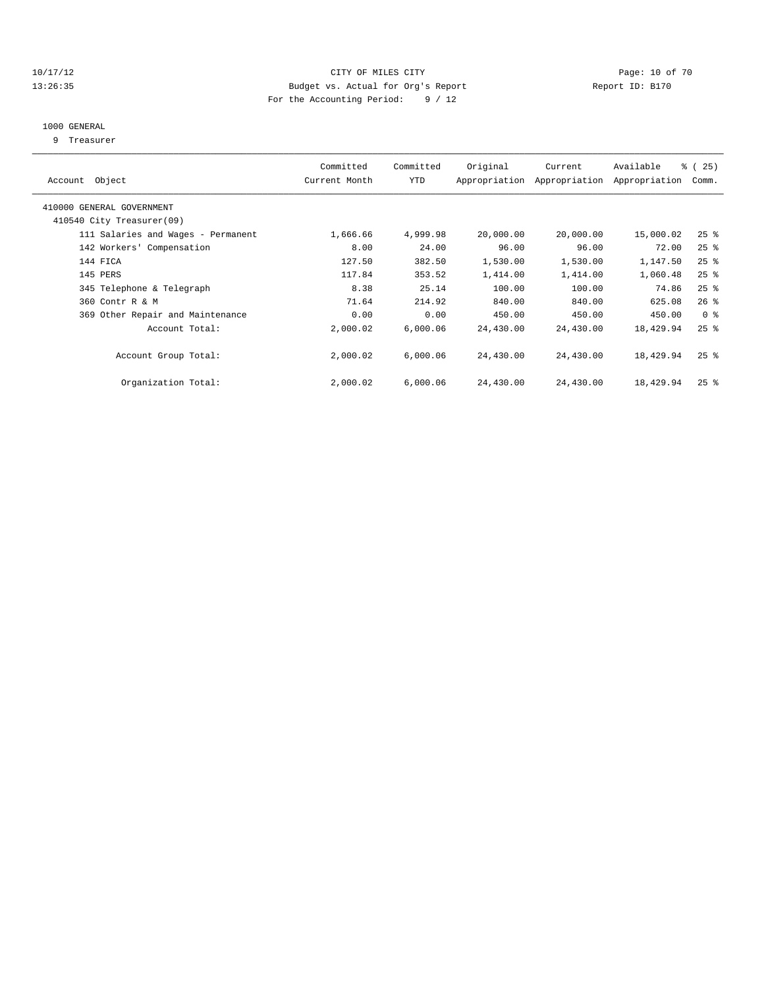#### 10/17/12 **Page: 10 of 70** CITY OF MILES CITY **Page: 10 of 70** 13:26:35 Budget vs. Actual for Org's Report Report ID: B170 For the Accounting Period: 9 / 12

#### 1000 GENERAL

9 Treasurer

| Account Object                                         | Committed<br>Current Month | Committed<br>YTD | Original  | Current<br>Appropriation Appropriation | Available<br>Appropriation | 8 (25)<br>Comm.    |
|--------------------------------------------------------|----------------------------|------------------|-----------|----------------------------------------|----------------------------|--------------------|
| 410000 GENERAL GOVERNMENT<br>410540 City Treasurer(09) |                            |                  |           |                                        |                            |                    |
| 111 Salaries and Wages - Permanent                     | 1,666.66                   | 4,999.98         | 20,000.00 | 20,000.00                              | 15,000.02                  | $25$ %             |
| 142 Workers' Compensation                              | 8.00                       | 24.00            | 96.00     | 96.00                                  | 72.00                      | $25$ %             |
| 144 FICA                                               | 127.50                     | 382.50           | 1,530.00  | 1,530.00                               | 1,147.50                   | $25$ $%$           |
| 145 PERS                                               | 117.84                     | 353.52           | 1,414.00  | 1,414.00                               | 1,060.48                   | $25$ %             |
| 345 Telephone & Telegraph                              | 8.38                       | 25.14            | 100.00    | 100.00                                 | 74.86                      | $25$ $%$           |
| 360 Contr R & M                                        | 71.64                      | 214.92           | 840.00    | 840.00                                 | 625.08                     | $26$ $%$           |
| 369 Other Repair and Maintenance                       | 0.00                       | 0.00             | 450.00    | 450.00                                 | 450.00                     | 0 <sup>8</sup>     |
| Account Total:                                         | 2,000.02                   | 6.000.06         | 24,430.00 | 24,430.00                              | 18,429.94                  | $25$ $%$           |
| Account Group Total:                                   | 2,000.02                   | 6,000.06         | 24,430.00 | 24,430.00                              | 18,429.94                  | $25$ $\frac{6}{5}$ |
| Organization Total:                                    | 2,000.02                   | 6,000.06         | 24,430.00 | 24,430.00                              | 18,429.94                  | $25$ $%$           |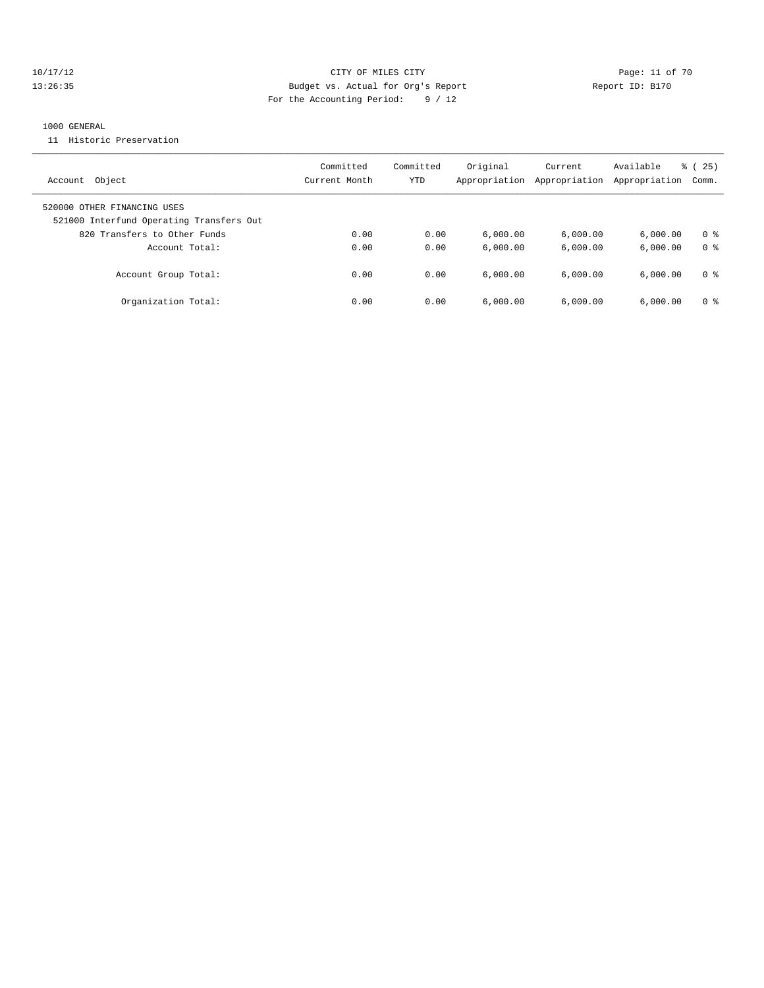#### 10/17/12 Page: 11 of 70 13:26:35 Budget vs. Actual for Org's Report Report ID: B170 For the Accounting Period: 9 / 12

#### 1000 GENERAL

11 Historic Preservation

| Object<br>Account                                                       | Committed<br>Current Month | Committed<br>YTD | Original<br>Appropriation | Current<br>Appropriation | Available<br>Appropriation | 25)<br>ී (<br>Comm. |
|-------------------------------------------------------------------------|----------------------------|------------------|---------------------------|--------------------------|----------------------------|---------------------|
| 520000 OTHER FINANCING USES<br>521000 Interfund Operating Transfers Out |                            |                  |                           |                          |                            |                     |
| 820 Transfers to Other Funds                                            | 0.00                       | 0.00             | 6.000.00                  | 6,000.00                 | 6.000.00                   | 0 <sup>8</sup>      |
| Account Total:                                                          | 0.00                       | 0.00             | 6.000.00                  | 6.000.00                 | 6.000.00                   | 0 <sup>8</sup>      |
| Account Group Total:                                                    | 0.00                       | 0.00             | 6.000.00                  | 6.000.00                 | 6.000.00                   | 0 %                 |
| Organization Total:                                                     | 0.00                       | 0.00             | 6,000.00                  | 6.000.00                 | 6.000.00                   | 0 <sup>8</sup>      |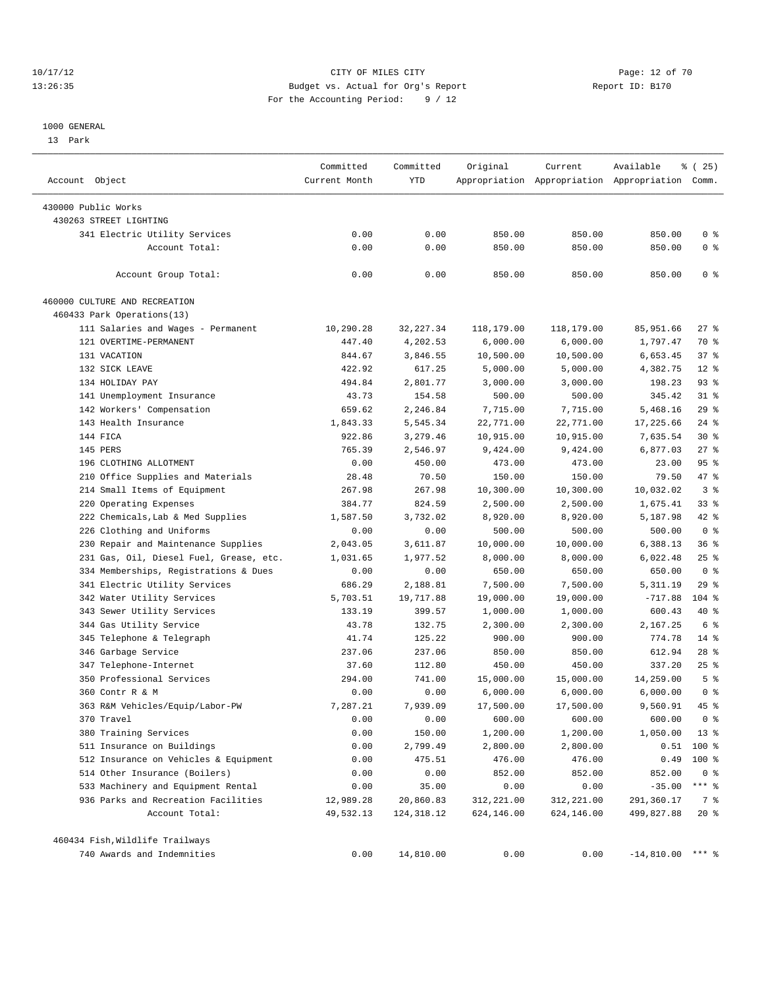#### 10/17/12 Page: 12 of 70 13:26:35 Budget vs. Actual for Org's Report Report ID: B170 For the Accounting Period: 9 / 12

————————————————————————————————————————————————————————————————————————————————————————————————————————————————————————————————————

#### 1000 GENERAL

13 Park

|                                         | Committed     | Committed  | Original   | Current    | Available                                       | % (25)         |
|-----------------------------------------|---------------|------------|------------|------------|-------------------------------------------------|----------------|
| Account Object                          | Current Month | YTD        |            |            | Appropriation Appropriation Appropriation Comm. |                |
| 430000 Public Works                     |               |            |            |            |                                                 |                |
| 430263 STREET LIGHTING                  |               |            |            |            |                                                 |                |
| 341 Electric Utility Services           | 0.00          | 0.00       | 850.00     | 850.00     | 850.00                                          | 0 <sup>8</sup> |
| Account Total:                          | 0.00          | 0.00       | 850.00     | 850.00     | 850.00                                          | 0 <sup>8</sup> |
| Account Group Total:                    | 0.00          | 0.00       | 850.00     | 850.00     | 850.00                                          | 0 <sup>8</sup> |
| 460000 CULTURE AND RECREATION           |               |            |            |            |                                                 |                |
| 460433 Park Operations(13)              |               |            |            |            |                                                 |                |
| 111 Salaries and Wages - Permanent      | 10,290.28     | 32, 227.34 | 118,179.00 | 118,179.00 | 85,951.66                                       | $27$ %         |
| 121 OVERTIME-PERMANENT                  | 447.40        | 4,202.53   | 6,000.00   | 6,000.00   | 1,797.47                                        | 70 %           |
| 131 VACATION                            | 844.67        | 3,846.55   | 10,500.00  | 10,500.00  | 6,653.45                                        | 37%            |
| 132 SICK LEAVE                          | 422.92        | 617.25     | 5,000.00   | 5,000.00   | 4,382.75                                        | $12*$          |
| 134 HOLIDAY PAY                         | 494.84        | 2,801.77   | 3,000.00   | 3,000.00   | 198.23                                          | 93%            |
| 141 Unemployment Insurance              | 43.73         | 154.58     | 500.00     | 500.00     | 345.42                                          | $31$ %         |
| 142 Workers' Compensation               | 659.62        | 2,246.84   | 7,715.00   | 7,715.00   | 5,468.16                                        | 29%            |
| 143 Health Insurance                    | 1,843.33      | 5,545.34   | 22,771.00  | 22,771.00  | 17,225.66                                       | 24 %           |
| 144 FICA                                | 922.86        | 3,279.46   | 10,915.00  | 10,915.00  | 7,635.54                                        | $30*$          |
| 145 PERS                                | 765.39        | 2,546.97   | 9,424.00   | 9,424.00   | 6,877.03                                        | $27$ %         |
| 196 CLOTHING ALLOTMENT                  | 0.00          | 450.00     | 473.00     | 473.00     | 23.00                                           | 95%            |
| 210 Office Supplies and Materials       | 28.48         | 70.50      | 150.00     | 150.00     | 79.50                                           | 47 %           |
| 214 Small Items of Equipment            | 267.98        | 267.98     | 10,300.00  | 10,300.00  | 10,032.02                                       | 3 <sup>8</sup> |
| 220 Operating Expenses                  | 384.77        | 824.59     | 2,500.00   | 2,500.00   | 1,675.41                                        | $33$ $%$       |
| 222 Chemicals, Lab & Med Supplies       | 1,587.50      | 3,732.02   | 8,920.00   | 8,920.00   | 5,187.98                                        | $42$ %         |
| 226 Clothing and Uniforms               | 0.00          | 0.00       | 500.00     | 500.00     | 500.00                                          | 0 <sup>8</sup> |
| 230 Repair and Maintenance Supplies     | 2,043.05      | 3,611.87   | 10,000.00  | 10,000.00  | 6,388.13                                        | 36%            |
| 231 Gas, Oil, Diesel Fuel, Grease, etc. | 1,031.65      | 1,977.52   | 8,000.00   | 8,000.00   | 6,022.48                                        | $25$ %         |
| 334 Memberships, Registrations & Dues   | 0.00          | 0.00       | 650.00     | 650.00     | 650.00                                          | 0 <sup>8</sup> |
| 341 Electric Utility Services           | 686.29        | 2,188.81   | 7,500.00   | 7,500.00   | 5, 311.19                                       | 29%            |
| 342 Water Utility Services              | 5,703.51      | 19,717.88  | 19,000.00  | 19,000.00  | $-717.88$                                       | 104 %          |
| 343 Sewer Utility Services              | 133.19        | 399.57     | 1,000.00   | 1,000.00   | 600.43                                          | 40 %           |
| 344 Gas Utility Service                 | 43.78         | 132.75     | 2,300.00   | 2,300.00   | 2,167.25                                        | 6 %            |
| 345 Telephone & Telegraph               | 41.74         | 125.22     | 900.00     | 900.00     | 774.78                                          | $14*$          |
| 346 Garbage Service                     | 237.06        | 237.06     | 850.00     | 850.00     | 612.94                                          | $28$ %         |
| 347 Telephone-Internet                  | 37.60         | 112.80     | 450.00     | 450.00     | 337.20                                          | $25$ $%$       |
| 350 Professional Services               | 294.00        | 741.00     | 15,000.00  | 15,000.00  | 14,259.00                                       | 5 <sup>°</sup> |
| 360 Contr R & M                         | 0.00          | 0.00       | 6,000.00   | 6,000.00   | 6,000.00                                        | 0 <sup>8</sup> |
| 363 R&M Vehicles/Equip/Labor-PW         | 7,287.21      | 7,939.09   | 17,500.00  | 17,500.00  | 9,560.91                                        | 45 %           |
| 370 Travel                              | 0.00          | 0.00       | 600.00     | 600.00     | 600.00                                          | 0 <sup>8</sup> |
| 380 Training Services                   | 0.00          | 150.00     | 1,200.00   | 1,200.00   | 1,050.00                                        | $13*$          |
| 511 Insurance on Buildings              | 0.00          | 2,799.49   | 2,800.00   | 2,800.00   |                                                 | $0.51$ 100 %   |
| 512 Insurance on Vehicles & Equipment   | 0.00          | 475.51     | 476.00     | 476.00     | 0.49                                            | 100 %          |
| 514 Other Insurance (Boilers)           | 0.00          | 0.00       | 852.00     | 852.00     | 852.00                                          | 0 <sup>8</sup> |
| 533 Machinery and Equipment Rental      | 0.00          | 35.00      | 0.00       | 0.00       | $-35.00$                                        | $***$ $-$      |
| 936 Parks and Recreation Facilities     | 12,989.28     | 20,860.83  | 312,221.00 | 312,221.00 | 291,360.17                                      | 7 %            |
| Account Total:                          | 49,532.13     | 124,318.12 | 624,146.00 | 624,146.00 | 499,827.88                                      | $20*$          |
| 460434 Fish, Wildlife Trailways         |               |            |            |            |                                                 |                |
| 740 Awards and Indemnities              | 0.00          | 14,810.00  | 0.00       | 0.00       | $-14,810.00$ *** %                              |                |
|                                         |               |            |            |            |                                                 |                |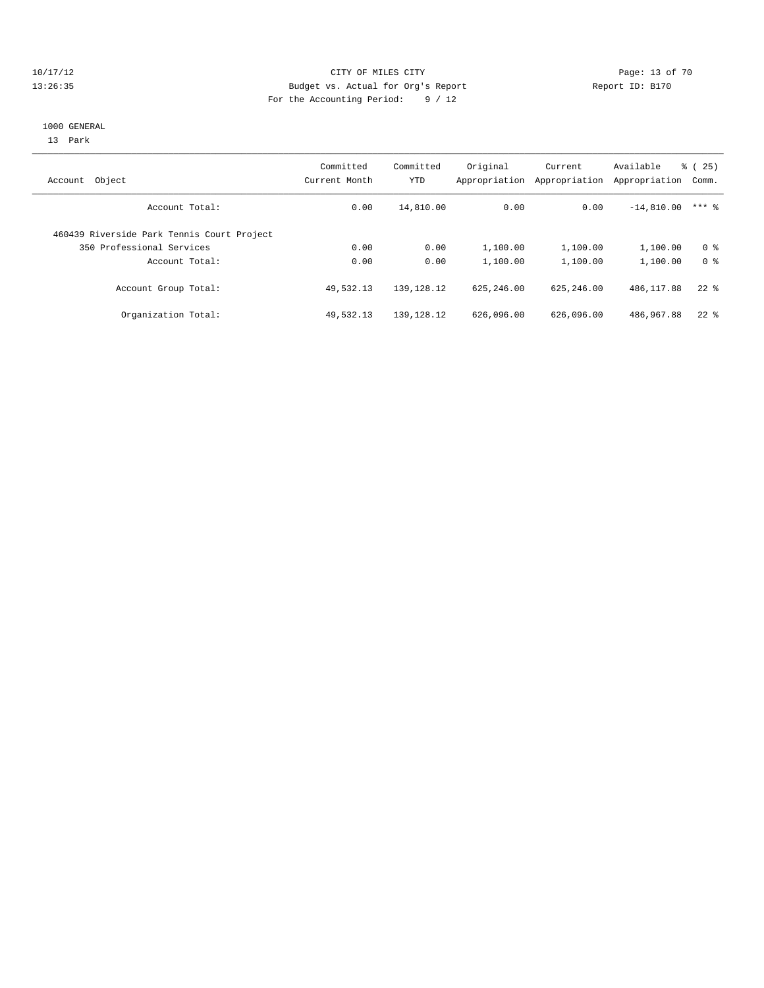#### 10/17/12 Page: 13 of 70 13:26:35 Budget vs. Actual for Org's Report Report ID: B170 For the Accounting Period: 9 / 12

#### 1000 GENERAL

13 Park

| Object<br>Account                          | Committed<br>Current Month | Committed<br>YTD | Original<br>Appropriation | Current<br>Appropriation | Available<br>Appropriation | 25)<br>ී (<br>Comm. |
|--------------------------------------------|----------------------------|------------------|---------------------------|--------------------------|----------------------------|---------------------|
| Account Total:                             | 0.00                       | 14,810.00        | 0.00                      | 0.00                     | $-14,810.00$               | $***$ 2             |
| 460439 Riverside Park Tennis Court Project |                            |                  |                           |                          |                            |                     |
| 350 Professional Services                  | 0.00                       | 0.00             | 1,100.00                  | 1,100.00                 | 1,100.00                   | 0 <sup>8</sup>      |
| Account Total:                             | 0.00                       | 0.00             | 1,100.00                  | 1,100.00                 | 1,100.00                   | 0 <sup>8</sup>      |
| Account Group Total:                       | 49,532.13                  | 139, 128. 12     | 625, 246, 00              | 625, 246, 00             | 486, 117.88                | $22$ $%$            |
| Organization Total:                        | 49,532.13                  | 139, 128. 12     | 626,096.00                | 626,096.00               | 486,967.88                 | $22$ $%$            |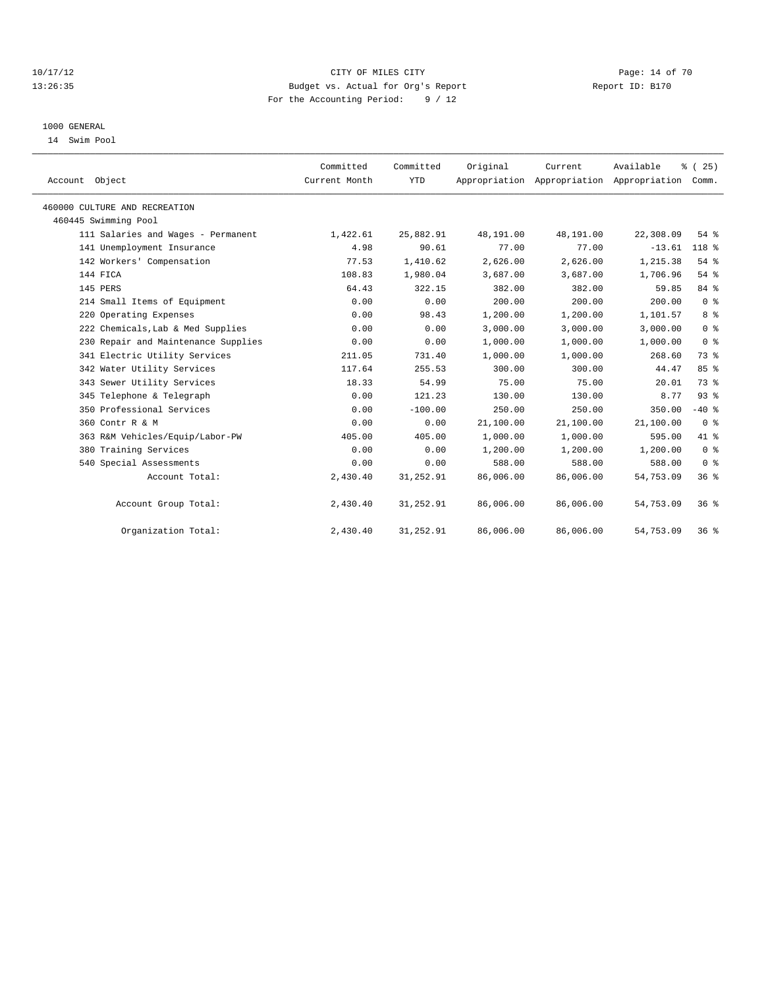#### 10/17/12 Page: 14 of 70 13:26:35 Budget vs. Actual for Org's Report Report ID: B170 For the Accounting Period: 9 / 12

#### 1000 GENERAL

14 Swim Pool

| Account Object                |                                     | Committed<br>Current Month | Committed<br><b>YTD</b> | Original  | Current<br>Appropriation Appropriation Appropriation | Available | % (25)<br>Comm. |  |
|-------------------------------|-------------------------------------|----------------------------|-------------------------|-----------|------------------------------------------------------|-----------|-----------------|--|
| 460000 CULTURE AND RECREATION |                                     |                            |                         |           |                                                      |           |                 |  |
| 460445 Swimming Pool          |                                     |                            |                         |           |                                                      |           |                 |  |
|                               | 111 Salaries and Wages - Permanent  | 1,422.61                   | 25,882.91               | 48,191.00 | 48,191.00                                            | 22,308.09 | $54$ $%$        |  |
|                               | 141 Unemployment Insurance          | 4.98                       | 90.61                   | 77.00     | 77.00                                                | $-13.61$  | 118 %           |  |
|                               | 142 Workers' Compensation           | 77.53                      | 1,410.62                | 2,626.00  | 2.626.00                                             | 1,215.38  | 54%             |  |
| 144 FICA                      |                                     | 108.83                     | 1,980.04                | 3,687.00  | 3,687.00                                             | 1,706.96  | 54%             |  |
| 145 PERS                      |                                     | 64.43                      | 322.15                  | 382.00    | 382.00                                               | 59.85     | 84 %            |  |
|                               | 214 Small Items of Equipment        | 0.00                       | 0.00                    | 200.00    | 200.00                                               | 200.00    | 0 <sup>8</sup>  |  |
|                               | 220 Operating Expenses              | 0.00                       | 98.43                   | 1,200.00  | 1,200.00                                             | 1,101.57  | 8 %             |  |
|                               | 222 Chemicals, Lab & Med Supplies   | 0.00                       | 0.00                    | 3,000.00  | 3,000.00                                             | 3,000.00  | 0 <sup>8</sup>  |  |
|                               | 230 Repair and Maintenance Supplies | 0.00                       | 0.00                    | 1,000.00  | 1,000.00                                             | 1,000.00  | 0 <sup>8</sup>  |  |
|                               | 341 Electric Utility Services       | 211.05                     | 731.40                  | 1,000.00  | 1,000.00                                             | 268.60    | 73.8            |  |
|                               | 342 Water Utility Services          | 117.64                     | 255.53                  | 300.00    | 300.00                                               | 44.47     | 85%             |  |
|                               | 343 Sewer Utility Services          | 18.33                      | 54.99                   | 75.00     | 75.00                                                | 20.01     | 73 %            |  |
|                               | 345 Telephone & Telegraph           | 0.00                       | 121.23                  | 130.00    | 130.00                                               | 8.77      | 93%             |  |
|                               | 350 Professional Services           | 0.00                       | $-100.00$               | 250.00    | 250.00                                               | 350.00    | $-40$ %         |  |
| 360 Contr R & M               |                                     | 0.00                       | 0.00                    | 21,100.00 | 21,100.00                                            | 21,100.00 | 0 <sup>8</sup>  |  |
|                               | 363 R&M Vehicles/Equip/Labor-PW     | 405.00                     | 405.00                  | 1,000.00  | 1,000.00                                             | 595.00    | 41 %            |  |
|                               | 380 Training Services               | 0.00                       | 0.00                    | 1,200.00  | 1,200.00                                             | 1,200.00  | 0 <sup>8</sup>  |  |
|                               | 540 Special Assessments             | 0.00                       | 0.00                    | 588.00    | 588.00                                               | 588.00    | 0 <sup>8</sup>  |  |
|                               | Account Total:                      | 2,430.40                   | 31,252.91               | 86,006.00 | 86,006.00                                            | 54,753.09 | 36 <sup>8</sup> |  |
|                               | Account Group Total:                | 2,430.40                   | 31,252.91               | 86,006.00 | 86,006.00                                            | 54,753.09 | 36%             |  |
|                               | Organization Total:                 | 2,430.40                   | 31,252.91               | 86,006.00 | 86,006.00                                            | 54,753.09 | 36%             |  |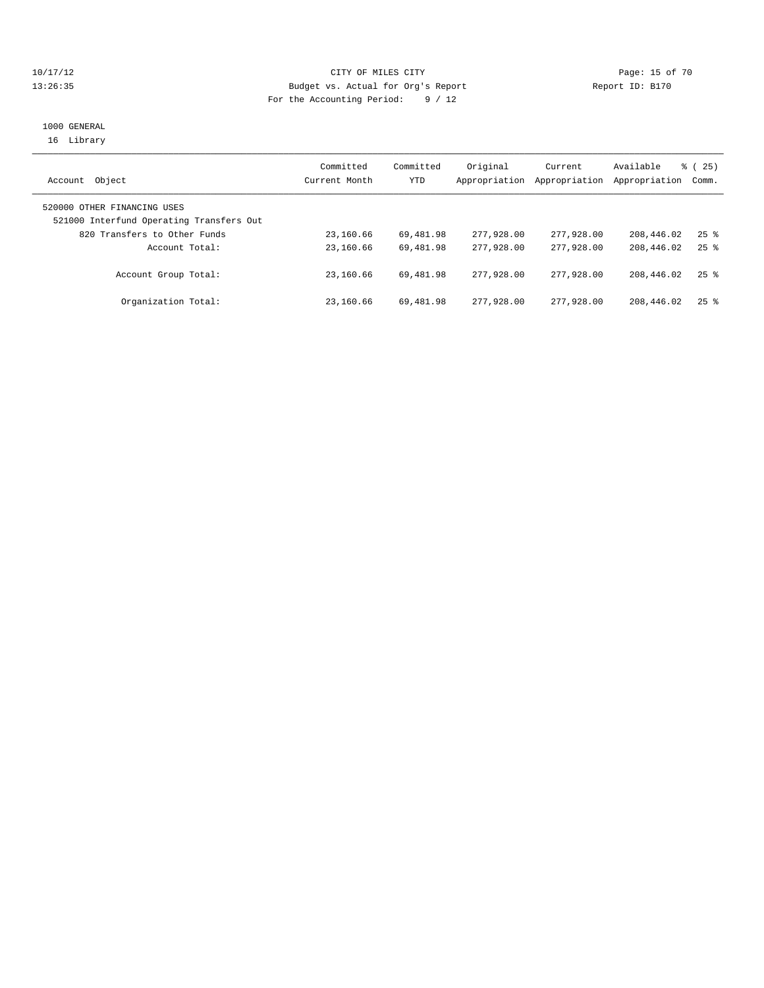### 10/17/12 Page: 15 of 70 13:26:35 Budget vs. Actual for Org's Report Report ID: B170 For the Accounting Period: 9 / 12

#### 1000 GENERAL 16 Library

| Object<br>Account                                                       | Committed<br>Current Month | Committed<br>YTD | Original<br>Appropriation | Current<br>Appropriation | Available<br>Appropriation | 8 (25)<br>Comm. |
|-------------------------------------------------------------------------|----------------------------|------------------|---------------------------|--------------------------|----------------------------|-----------------|
| 520000 OTHER FINANCING USES<br>521000 Interfund Operating Transfers Out |                            |                  |                           |                          |                            |                 |
| 820 Transfers to Other Funds                                            | 23,160.66                  | 69,481.98        | 277,928,00                | 277,928.00               | 208,446.02                 | $25$ $%$        |
| Account Total:                                                          | 23,160.66                  | 69,481.98        | 277,928,00                | 277,928,00               | 208,446.02                 | $25$ $%$        |
| Account Group Total:                                                    | 23,160.66                  | 69,481.98        | 277,928,00                | 277,928,00               | 208,446.02                 | $25$ $%$        |
| Organization Total:                                                     | 23,160.66                  | 69,481.98        | 277,928,00                | 277,928,00               | 208,446.02                 | $25$ %          |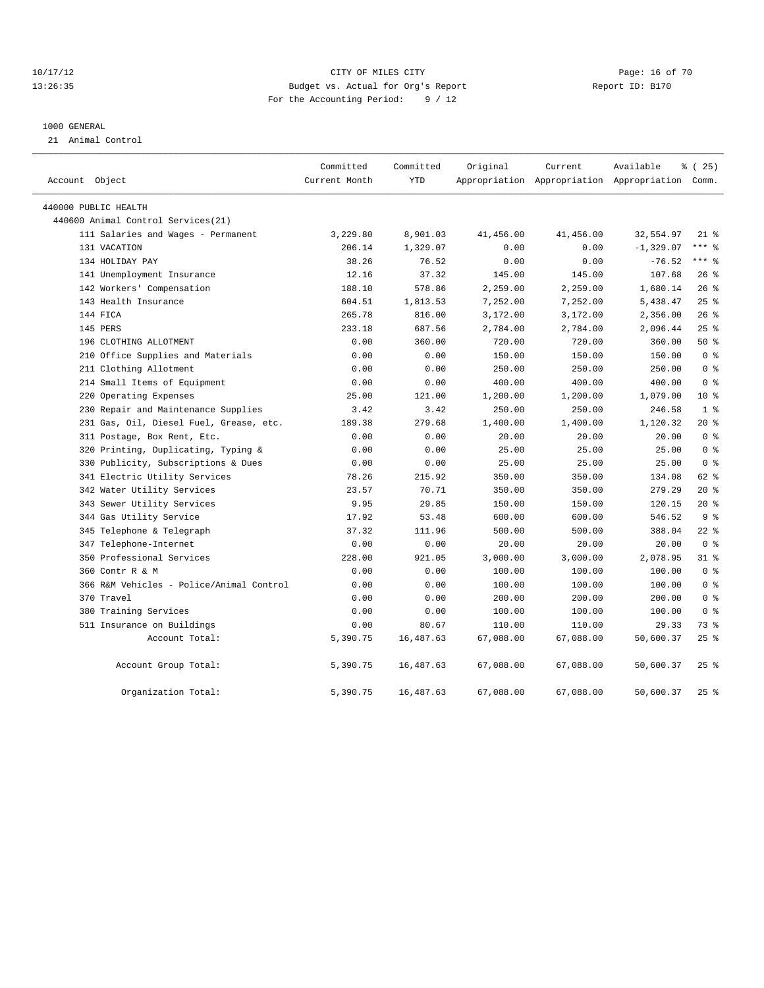### 10/17/12 **Page: 16 of 70** CITY OF MILES CITY **Page: 16 of 70** 13:26:35 Budget vs. Actual for Org's Report Report ID: B170 For the Accounting Period: 9 / 12

#### 1000 GENERAL

21 Animal Control

| Account Object                           | Committed<br>Current Month | Committed<br><b>YTD</b> | Original  | Current   | Available<br>Appropriation Appropriation Appropriation Comm. | % (25)         |
|------------------------------------------|----------------------------|-------------------------|-----------|-----------|--------------------------------------------------------------|----------------|
| 440000 PUBLIC HEALTH                     |                            |                         |           |           |                                                              |                |
| 440600 Animal Control Services (21)      |                            |                         |           |           |                                                              |                |
| 111 Salaries and Wages - Permanent       | 3,229.80                   | 8,901.03                | 41,456.00 | 41,456.00 | 32,554.97                                                    | $21$ %         |
| 131 VACATION                             | 206.14                     | 1,329.07                | 0.00      | 0.00      | $-1, 329.07$                                                 | $***$ $-$      |
| 134 HOLIDAY PAY                          | 38.26                      | 76.52                   | 0.00      | 0.00      | $-76.52$                                                     | $***$ 8        |
| 141 Unemployment Insurance               | 12.16                      | 37.32                   | 145.00    | 145.00    | 107.68                                                       | 26%            |
| 142 Workers' Compensation                | 188.10                     | 578.86                  | 2,259.00  | 2,259.00  | 1,680.14                                                     | 26%            |
| 143 Health Insurance                     | 604.51                     | 1,813.53                | 7,252.00  | 7,252.00  | 5,438.47                                                     | 25%            |
| 144 FICA                                 | 265.78                     | 816.00                  | 3,172.00  | 3,172.00  | 2,356.00                                                     | 26%            |
| 145 PERS                                 | 233.18                     | 687.56                  | 2,784.00  | 2,784.00  | 2,096.44                                                     | $25$ %         |
| 196 CLOTHING ALLOTMENT                   | 0.00                       | 360.00                  | 720.00    | 720.00    | 360.00                                                       | 50%            |
| 210 Office Supplies and Materials        | 0.00                       | 0.00                    | 150.00    | 150.00    | 150.00                                                       | 0 <sup>8</sup> |
| 211 Clothing Allotment                   | 0.00                       | 0.00                    | 250.00    | 250.00    | 250.00                                                       | 0 <sup>8</sup> |
| 214 Small Items of Equipment             | 0.00                       | 0.00                    | 400.00    | 400.00    | 400.00                                                       | 0 <sup>8</sup> |
| 220 Operating Expenses                   | 25.00                      | 121.00                  | 1,200.00  | 1,200.00  | 1,079.00                                                     | $10*$          |
| 230 Repair and Maintenance Supplies      | 3.42                       | 3.42                    | 250.00    | 250.00    | 246.58                                                       | 1 <sup>8</sup> |
| 231 Gas, Oil, Diesel Fuel, Grease, etc.  | 189.38                     | 279.68                  | 1,400.00  | 1,400.00  | 1,120.32                                                     | $20*$          |
| 311 Postage, Box Rent, Etc.              | 0.00                       | 0.00                    | 20.00     | 20.00     | 20.00                                                        | 0 <sup>8</sup> |
| 320 Printing, Duplicating, Typing &      | 0.00                       | 0.00                    | 25.00     | 25.00     | 25.00                                                        | 0 <sup>8</sup> |
| 330 Publicity, Subscriptions & Dues      | 0.00                       | 0.00                    | 25.00     | 25.00     | 25.00                                                        | 0 <sup>8</sup> |
| 341 Electric Utility Services            | 78.26                      | 215.92                  | 350.00    | 350.00    | 134.08                                                       | 62 %           |
| 342 Water Utility Services               | 23.57                      | 70.71                   | 350.00    | 350.00    | 279.29                                                       | $20*$          |
| 343 Sewer Utility Services               | 9.95                       | 29.85                   | 150.00    | 150.00    | 120.15                                                       | $20*$          |
| 344 Gas Utility Service                  | 17.92                      | 53.48                   | 600.00    | 600.00    | 546.52                                                       | 9 <sup>8</sup> |
| 345 Telephone & Telegraph                | 37.32                      | 111.96                  | 500.00    | 500.00    | 388.04                                                       | $22$ %         |
| 347 Telephone-Internet                   | 0.00                       | 0.00                    | 20.00     | 20.00     | 20.00                                                        | 0 <sup>8</sup> |
| 350 Professional Services                | 228.00                     | 921.05                  | 3,000.00  | 3,000.00  | 2,078.95                                                     | $31$ %         |
| 360 Contr R & M                          | 0.00                       | 0.00                    | 100.00    | 100.00    | 100.00                                                       | 0 <sup>8</sup> |
| 366 R&M Vehicles - Police/Animal Control | 0.00                       | 0.00                    | 100.00    | 100.00    | 100.00                                                       | 0 <sup>8</sup> |
| 370 Travel                               | 0.00                       | 0.00                    | 200.00    | 200.00    | 200.00                                                       | 0 <sup>8</sup> |
| 380 Training Services                    | 0.00                       | 0.00                    | 100.00    | 100.00    | 100.00                                                       | 0 <sup>8</sup> |
| 511 Insurance on Buildings               | 0.00                       | 80.67                   | 110.00    | 110.00    | 29.33                                                        | 73 %           |
| Account Total:                           | 5,390.75                   | 16, 487.63              | 67,088.00 | 67,088.00 | 50,600.37                                                    | 25%            |
| Account Group Total:                     | 5,390.75                   | 16,487.63               | 67,088.00 | 67,088.00 | 50,600.37                                                    | $25$ $%$       |
| Organization Total:                      | 5,390.75                   | 16,487.63               | 67,088.00 | 67,088.00 | 50,600.37                                                    | $25$ $%$       |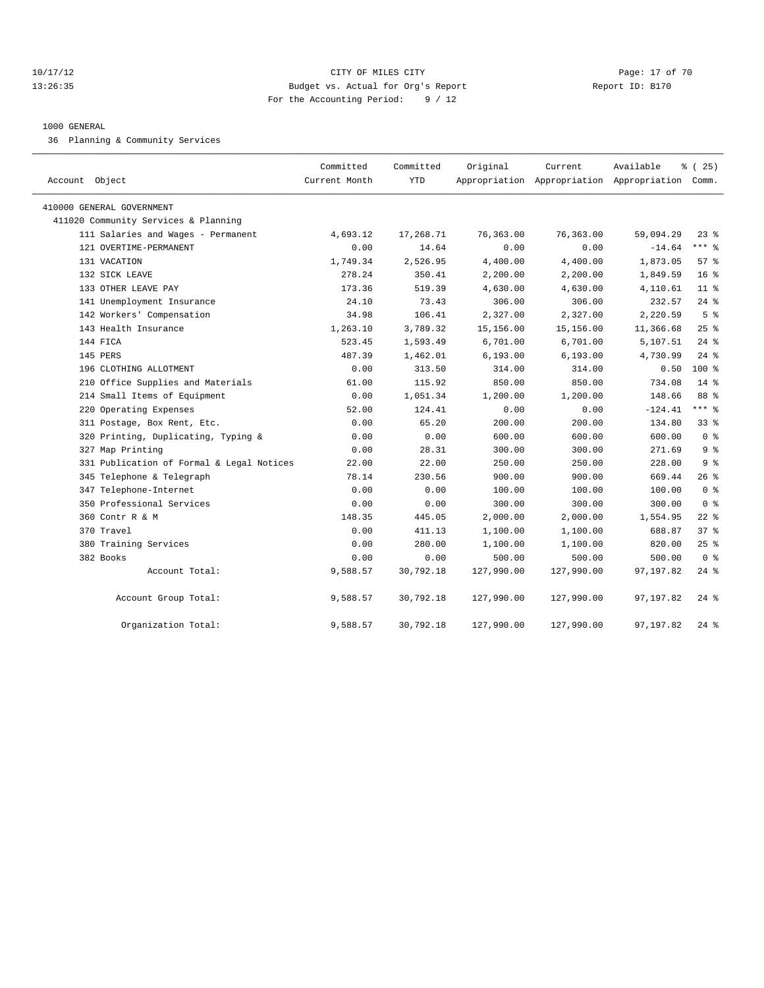#### 10/17/12 **Page: 17 of 70** CITY OF MILES CITY **Page: 17 of 70** 13:26:35 Budget vs. Actual for Org's Report Report ID: B170 For the Accounting Period: 9 / 12

#### 1000 GENERAL

36 Planning & Community Services

| Account Object                            | Committed<br>Current Month | Committed<br>YTD | Original   | Current<br>Appropriation Appropriation Appropriation Comm. | Available | % (25)          |
|-------------------------------------------|----------------------------|------------------|------------|------------------------------------------------------------|-----------|-----------------|
| 410000 GENERAL GOVERNMENT                 |                            |                  |            |                                                            |           |                 |
| 411020 Community Services & Planning      |                            |                  |            |                                                            |           |                 |
| 111 Salaries and Wages - Permanent        | 4,693.12                   | 17,268.71        | 76,363.00  | 76,363.00                                                  | 59,094.29 | $23$ $%$        |
| 121 OVERTIME-PERMANENT                    | 0.00                       | 14.64            | 0.00       | 0.00                                                       | $-14.64$  | $***$ 8         |
| 131 VACATION                              | 1,749.34                   | 2,526.95         | 4,400.00   | 4,400.00                                                   | 1,873.05  | 57 <sub>8</sub> |
| 132 SICK LEAVE                            | 278.24                     | 350.41           | 2,200.00   | 2,200.00                                                   | 1,849.59  | 16 <sup>8</sup> |
| 133 OTHER LEAVE PAY                       | 173.36                     | 519.39           | 4,630.00   | 4,630.00                                                   | 4,110.61  | $11*$           |
| 141 Unemployment Insurance                | 24.10                      | 73.43            | 306.00     | 306.00                                                     | 232.57    | $24$ $%$        |
| 142 Workers' Compensation                 | 34.98                      | 106.41           | 2,327.00   | 2,327.00                                                   | 2,220.59  | 5 <sup>°</sup>  |
| 143 Health Insurance                      | 1,263.10                   | 3,789.32         | 15,156.00  | 15,156.00                                                  | 11,366.68 | $25$ $%$        |
| 144 FICA                                  | 523.45                     | 1,593.49         | 6,701.00   | 6,701.00                                                   | 5,107.51  | $24$ %          |
| 145 PERS                                  | 487.39                     | 1,462.01         | 6, 193.00  | 6, 193.00                                                  | 4,730.99  | $24$ %          |
| 196 CLOTHING ALLOTMENT                    | 0.00                       | 313.50           | 314.00     | 314.00                                                     | 0.50      | $100*$          |
| 210 Office Supplies and Materials         | 61.00                      | 115.92           | 850.00     | 850.00                                                     | 734.08    | $14*$           |
| 214 Small Items of Equipment              | 0.00                       | 1,051.34         | 1,200.00   | 1,200.00                                                   | 148.66    | 88 %            |
| 220 Operating Expenses                    | 52.00                      | 124.41           | 0.00       | 0.00                                                       | $-124.41$ | $***$ 8         |
| 311 Postage, Box Rent, Etc.               | 0.00                       | 65.20            | 200.00     | 200.00                                                     | 134.80    | 33%             |
| 320 Printing, Duplicating, Typing &       | 0.00                       | 0.00             | 600.00     | 600.00                                                     | 600.00    | 0 <sup>8</sup>  |
| 327 Map Printing                          | 0.00                       | 28.31            | 300.00     | 300.00                                                     | 271.69    | 9 <sup>8</sup>  |
| 331 Publication of Formal & Legal Notices | 22.00                      | 22.00            | 250.00     | 250.00                                                     | 228.00    | 9 <sup>8</sup>  |
| 345 Telephone & Telegraph                 | 78.14                      | 230.56           | 900.00     | 900.00                                                     | 669.44    | $26$ %          |
| 347 Telephone-Internet                    | 0.00                       | 0.00             | 100.00     | 100.00                                                     | 100.00    | 0 <sup>8</sup>  |
| 350 Professional Services                 | 0.00                       | 0.00             | 300.00     | 300.00                                                     | 300.00    | 0 <sup>8</sup>  |
| 360 Contr R & M                           | 148.35                     | 445.05           | 2,000.00   | 2,000.00                                                   | 1,554.95  | $22$ %          |
| 370 Travel                                | 0.00                       | 411.13           | 1,100.00   | 1,100.00                                                   | 688.87    | 37 %            |
| 380 Training Services                     | 0.00                       | 280.00           | 1,100.00   | 1,100.00                                                   | 820.00    | $25$ $%$        |
| 382 Books                                 | 0.00                       | 0.00             | 500.00     | 500.00                                                     | 500.00    | 0 <sup>8</sup>  |
| Account Total:                            | 9,588.57                   | 30,792.18        | 127,990.00 | 127,990.00                                                 | 97,197.82 | $24$ %          |
| Account Group Total:                      | 9,588.57                   | 30,792.18        | 127,990.00 | 127,990.00                                                 | 97,197.82 | $24$ %          |
| Organization Total:                       | 9,588.57                   | 30,792.18        | 127,990.00 | 127,990.00                                                 | 97,197.82 | $24$ %          |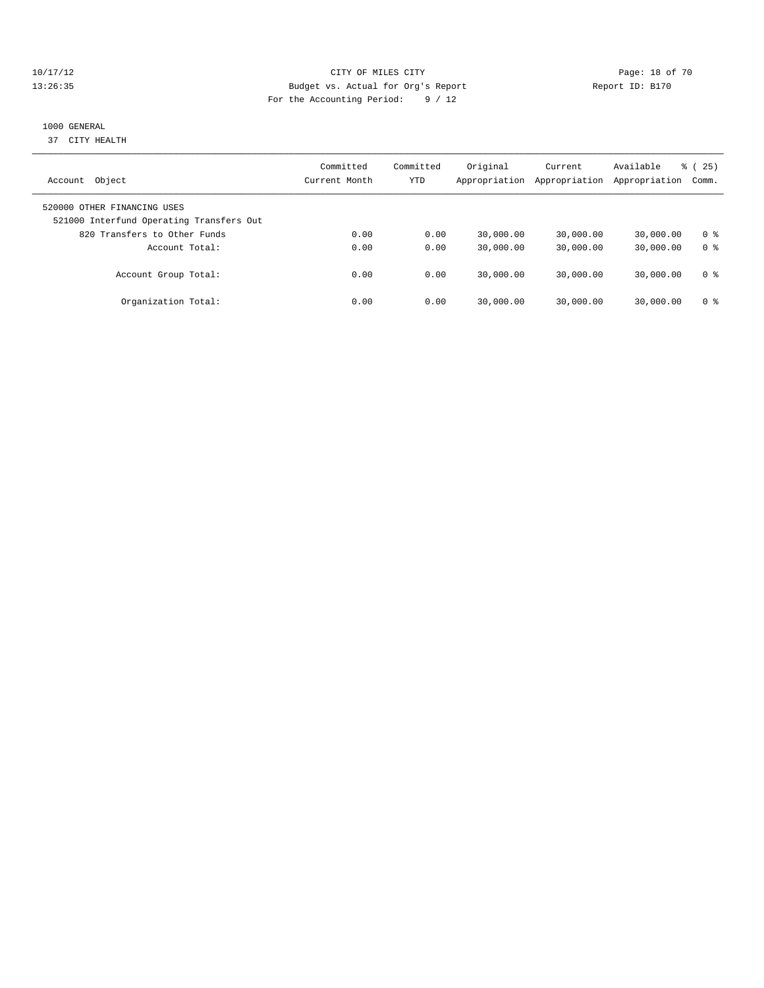### 10/17/12 Page: 18 of 70 13:26:35 Budget vs. Actual for Org's Report Report ID: B170 For the Accounting Period: 9 / 12

### 1000 GENERAL

37 CITY HEALTH

| Object<br>Account                                                       | Committed<br>Current Month | Committed<br>YTD | Original<br>Appropriation | Current<br>Appropriation | Available<br>Appropriation | % (25)<br>Comm. |
|-------------------------------------------------------------------------|----------------------------|------------------|---------------------------|--------------------------|----------------------------|-----------------|
| 520000 OTHER FINANCING USES<br>521000 Interfund Operating Transfers Out |                            |                  |                           |                          |                            |                 |
| 820 Transfers to Other Funds                                            | 0.00                       | 0.00             | 30,000.00                 | 30,000.00                | 30,000.00                  | 0 ક             |
| Account Total:                                                          | 0.00                       | 0.00             | 30,000.00                 | 30,000.00                | 30,000.00                  | 0 <sup>8</sup>  |
| Account Group Total:                                                    | 0.00                       | 0.00             | 30,000.00                 | 30,000.00                | 30,000.00                  | 0 ક             |
| Organization Total:                                                     | 0.00                       | 0.00             | 30,000.00                 | 30,000.00                | 30,000.00                  | 0 ક             |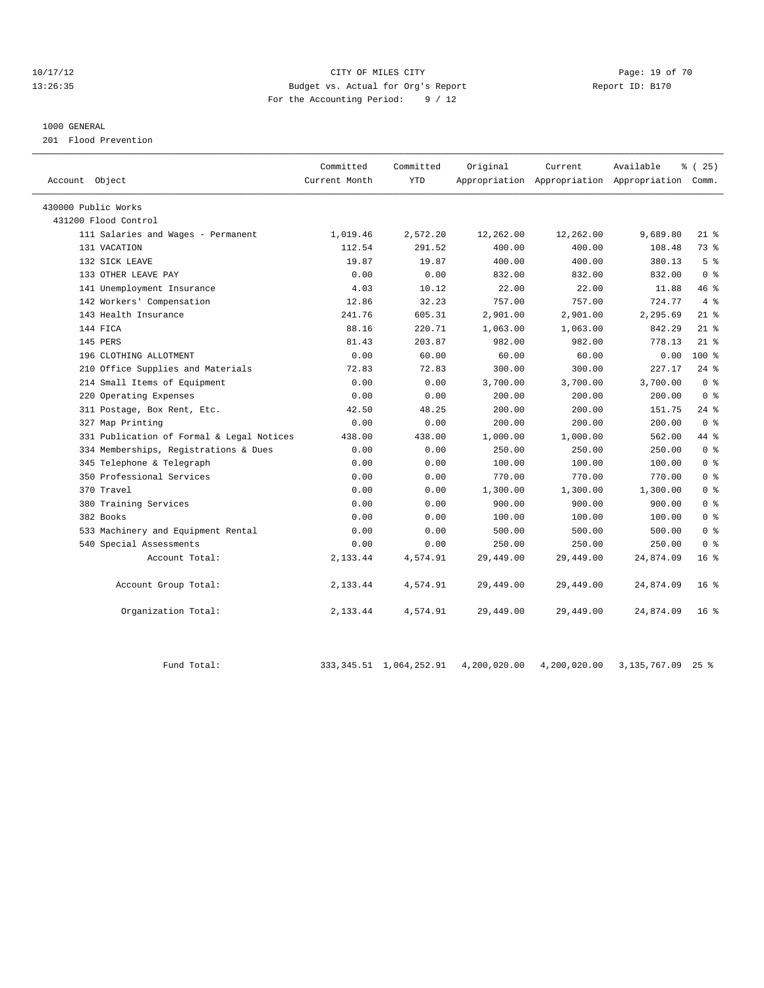#### 10/17/12 Page: 19 of 70 13:26:35 Budget vs. Actual for Org's Report Report ID: B170 For the Accounting Period: 9 / 12

#### 1000 GENERAL

201 Flood Prevention

| Account Object                            | Committed<br>Current Month | Committed<br><b>YTD</b> | Original  | Current   | Available<br>Appropriation Appropriation Appropriation Comm. | ៖ (25)          |
|-------------------------------------------|----------------------------|-------------------------|-----------|-----------|--------------------------------------------------------------|-----------------|
| 430000 Public Works                       |                            |                         |           |           |                                                              |                 |
| 431200 Flood Control                      |                            |                         |           |           |                                                              |                 |
| 111 Salaries and Wages - Permanent        | 1,019.46                   | 2,572.20                | 12,262.00 | 12,262.00 | 9,689.80                                                     | $21*$           |
| 131 VACATION                              | 112.54                     | 291.52                  | 400.00    | 400.00    | 108.48                                                       | 73.8            |
| 132 SICK LEAVE                            | 19.87                      | 19.87                   | 400.00    | 400.00    | 380.13                                                       | 5 <sup>8</sup>  |
| 133 OTHER LEAVE PAY                       | 0.00                       | 0.00                    | 832.00    | 832.00    | 832.00                                                       | 0 <sup>8</sup>  |
| 141 Unemployment Insurance                | 4.03                       | 10.12                   | 22.00     | 22.00     | 11.88                                                        | 46 %            |
| 142 Workers' Compensation                 | 12.86                      | 32.23                   | 757.00    | 757.00    | 724.77                                                       | 4%              |
| 143 Health Insurance                      | 241.76                     | 605.31                  | 2,901.00  | 2,901.00  | 2,295.69                                                     | $21$ %          |
| 144 FICA                                  | 88.16                      | 220.71                  | 1,063.00  | 1,063.00  | 842.29                                                       | $21$ %          |
| 145 PERS                                  | 81.43                      | 203.87                  | 982.00    | 982.00    | 778.13                                                       | $21$ %          |
| 196 CLOTHING ALLOTMENT                    | 0.00                       | 60.00                   | 60.00     | 60.00     | 0.00                                                         | $100$ %         |
| 210 Office Supplies and Materials         | 72.83                      | 72.83                   | 300.00    | 300.00    | 227.17                                                       | $24$ $%$        |
| 214 Small Items of Equipment              | 0.00                       | 0.00                    | 3,700.00  | 3,700.00  | 3,700.00                                                     | 0 <sup>8</sup>  |
| 220 Operating Expenses                    | 0.00                       | 0.00                    | 200.00    | 200.00    | 200.00                                                       | 0 <sup>8</sup>  |
| 311 Postage, Box Rent, Etc.               | 42.50                      | 48.25                   | 200.00    | 200.00    | 151.75                                                       | $24$ %          |
| 327 Map Printing                          | 0.00                       | 0.00                    | 200.00    | 200.00    | 200.00                                                       | 0 <sup>8</sup>  |
| 331 Publication of Formal & Legal Notices | 438.00                     | 438.00                  | 1,000.00  | 1,000.00  | 562.00                                                       | 44 %            |
| 334 Memberships, Registrations & Dues     | 0.00                       | 0.00                    | 250.00    | 250.00    | 250.00                                                       | 0 <sup>8</sup>  |
| 345 Telephone & Telegraph                 | 0.00                       | 0.00                    | 100.00    | 100.00    | 100.00                                                       | 0 <sup>8</sup>  |
| 350 Professional Services                 | 0.00                       | 0.00                    | 770.00    | 770.00    | 770.00                                                       | 0 <sup>8</sup>  |
| 370 Travel                                | 0.00                       | 0.00                    | 1,300.00  | 1,300.00  | 1,300.00                                                     | 0 <sup>°</sup>  |
| 380 Training Services                     | 0.00                       | 0.00                    | 900.00    | 900.00    | 900.00                                                       | 0 <sup>8</sup>  |
| 382 Books                                 | 0.00                       | 0.00                    | 100.00    | 100.00    | 100.00                                                       | 0 <sup>8</sup>  |
| 533 Machinery and Equipment Rental        | 0.00                       | 0.00                    | 500.00    | 500.00    | 500.00                                                       | 0 <sup>8</sup>  |
| 540 Special Assessments                   | 0.00                       | 0.00                    | 250.00    | 250.00    | 250.00                                                       | 0 <sup>8</sup>  |
| Account Total:                            | 2,133.44                   | 4,574.91                | 29,449.00 | 29,449.00 | 24,874.09                                                    | $16*$           |
| Account Group Total:                      | 2,133.44                   | 4,574.91                | 29,449.00 | 29,449.00 | 24,874.09                                                    | 16 <sup>8</sup> |
| Organization Total:                       | 2,133.44                   | 4,574.91                | 29,449.00 | 29,449.00 | 24,874.09                                                    | 16 <sup>8</sup> |

Fund Total: 333,345.51 1,064,252.91 4,200,020.00 4,200,020.00 3,135,767.09 25 %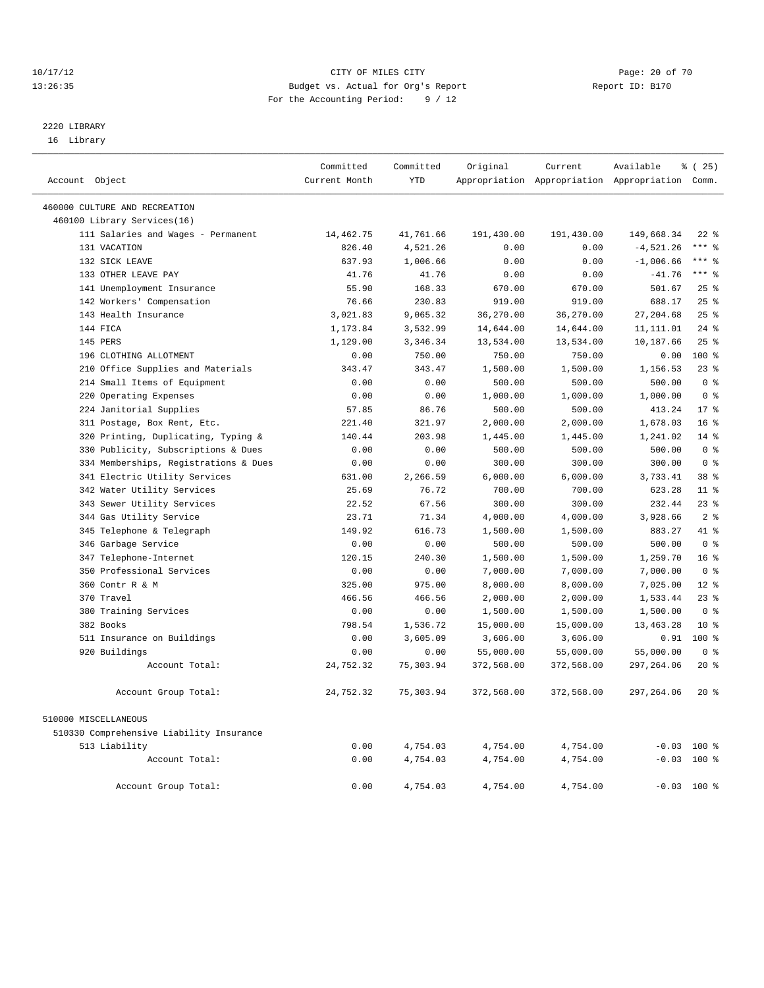#### 10/17/12 Page: 20 of 70 13:26:35 Budget vs. Actual for Org's Report Report ID: B170 For the Accounting Period: 9 / 12

————————————————————————————————————————————————————————————————————————————————————————————————————————————————————————————————————

## 2220 LIBRARY

16 Library

|                                          | Committed     | Committed  | Original   | Current    | Available                                       | % (25)          |
|------------------------------------------|---------------|------------|------------|------------|-------------------------------------------------|-----------------|
| Account Object                           | Current Month | <b>YTD</b> |            |            | Appropriation Appropriation Appropriation Comm. |                 |
| 460000 CULTURE AND RECREATION            |               |            |            |            |                                                 |                 |
| 460100 Library Services(16)              |               |            |            |            |                                                 |                 |
| 111 Salaries and Wages - Permanent       | 14,462.75     | 41,761.66  | 191,430.00 | 191,430.00 | 149,668.34                                      | $22$ %          |
| 131 VACATION                             | 826.40        | 4,521.26   | 0.00       | 0.00       | $-4,521.26$                                     | $***$ $=$       |
| 132 SICK LEAVE                           | 637.93        | 1,006.66   | 0.00       | 0.00       | $-1,006.66$                                     | $***$ 8         |
| 133 OTHER LEAVE PAY                      | 41.76         | 41.76      | 0.00       | 0.00       | $-41.76$                                        | $***$ 8         |
| 141 Unemployment Insurance               | 55.90         | 168.33     | 670.00     | 670.00     | 501.67                                          | 25%             |
| 142 Workers' Compensation                | 76.66         | 230.83     | 919.00     | 919.00     | 688.17                                          | 25%             |
| 143 Health Insurance                     | 3,021.83      | 9,065.32   | 36,270.00  | 36,270.00  | 27, 204.68                                      | 25%             |
| 144 FICA                                 | 1,173.84      | 3,532.99   | 14,644.00  | 14,644.00  | 11, 111.01                                      | $24$ %          |
| 145 PERS                                 | 1,129.00      | 3,346.34   | 13,534.00  | 13,534.00  | 10,187.66                                       | 25%             |
| 196 CLOTHING ALLOTMENT                   | 0.00          | 750.00     | 750.00     | 750.00     | 0.00                                            | $100*$          |
| 210 Office Supplies and Materials        | 343.47        | 343.47     | 1,500.00   | 1,500.00   | 1,156.53                                        | $23$ %          |
| 214 Small Items of Equipment             | 0.00          | 0.00       | 500.00     | 500.00     | 500.00                                          | 0 <sup>8</sup>  |
| 220 Operating Expenses                   | 0.00          | 0.00       | 1,000.00   | 1,000.00   | 1,000.00                                        | 0 <sup>8</sup>  |
| 224 Janitorial Supplies                  | 57.85         | 86.76      | 500.00     | 500.00     | 413.24                                          | $17*$           |
| 311 Postage, Box Rent, Etc.              | 221.40        | 321.97     | 2,000.00   | 2,000.00   | 1,678.03                                        | 16 <sup>°</sup> |
| 320 Printing, Duplicating, Typing &      | 140.44        | 203.98     | 1,445.00   | 1,445.00   | 1,241.02                                        | 14.8            |
| 330 Publicity, Subscriptions & Dues      | 0.00          | 0.00       | 500.00     | 500.00     | 500.00                                          | 0 <sup>8</sup>  |
| 334 Memberships, Registrations & Dues    | 0.00          | 0.00       | 300.00     | 300.00     | 300.00                                          | 0 <sup>8</sup>  |
| 341 Electric Utility Services            | 631.00        | 2,266.59   | 6,000.00   | 6,000.00   | 3,733.41                                        | 38 %            |
| 342 Water Utility Services               | 25.69         | 76.72      | 700.00     | 700.00     | 623.28                                          | $11*$           |
| 343 Sewer Utility Services               | 22.52         | 67.56      | 300.00     | 300.00     | 232.44                                          | $23$ $%$        |
| 344 Gas Utility Service                  | 23.71         | 71.34      | 4,000.00   | 4,000.00   | 3,928.66                                        | 2 <sup>8</sup>  |
| 345 Telephone & Telegraph                | 149.92        | 616.73     | 1,500.00   | 1,500.00   | 883.27                                          | 41 %            |
| 346 Garbage Service                      | 0.00          | 0.00       | 500.00     | 500.00     | 500.00                                          | 0 <sup>8</sup>  |
| 347 Telephone-Internet                   | 120.15        | 240.30     | 1,500.00   | 1,500.00   | 1,259.70                                        | $16*$           |
| 350 Professional Services                | 0.00          | 0.00       | 7,000.00   | 7,000.00   | 7,000.00                                        | 0 <sup>8</sup>  |
| 360 Contr R & M                          | 325.00        | 975.00     | 8,000.00   | 8,000.00   | 7,025.00                                        | $12*$           |
| 370 Travel                               | 466.56        | 466.56     | 2,000.00   | 2,000.00   | 1,533.44                                        | 23%             |
| 380 Training Services                    | 0.00          | 0.00       | 1,500.00   | 1,500.00   | 1,500.00                                        | 0 <sup>8</sup>  |
| 382 Books                                | 798.54        | 1,536.72   | 15,000.00  | 15,000.00  | 13, 463. 28                                     | $10*$           |
| 511 Insurance on Buildings               | 0.00          | 3,605.09   | 3,606.00   | 3,606.00   | 0.91                                            | 100 %           |
| 920 Buildings                            | 0.00          | 0.00       | 55,000.00  | 55,000.00  | 55,000.00                                       | 0 <sup>8</sup>  |
| Account Total:                           | 24,752.32     | 75,303.94  | 372,568.00 | 372,568.00 | 297,264.06                                      | $20*$           |
| Account Group Total:                     | 24,752.32     | 75, 303.94 | 372,568.00 | 372,568.00 | 297,264.06                                      | $20*$           |
| 510000 MISCELLANEOUS                     |               |            |            |            |                                                 |                 |
| 510330 Comprehensive Liability Insurance |               |            |            |            |                                                 |                 |
| 513 Liability                            | 0.00          | 4,754.03   | 4,754.00   | 4,754.00   |                                                 | $-0.03$ 100 %   |
| Account Total:                           | 0.00          | 4,754.03   | 4,754.00   | 4,754.00   |                                                 | $-0.03$ 100 %   |
| Account Group Total:                     | 0.00          | 4,754.03   | 4,754.00   | 4,754.00   |                                                 | $-0.03$ 100 %   |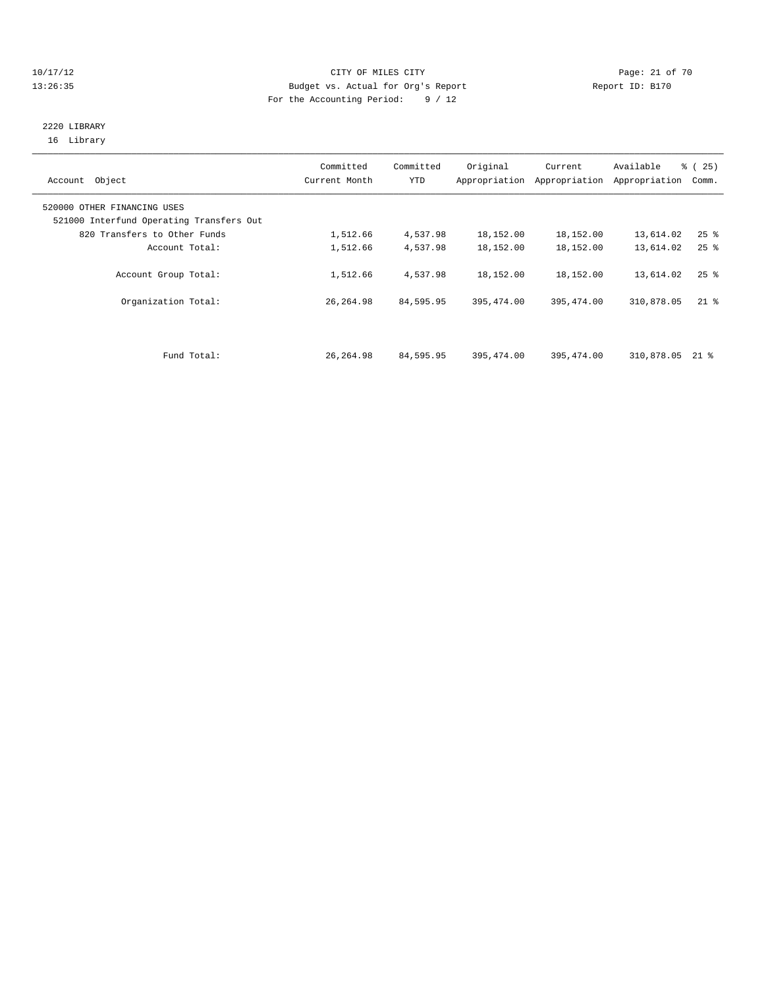#### 10/17/12 Page: 21 of 70 13:26:35 Budget vs. Actual for Org's Report Report ID: B170 For the Accounting Period: 9 / 12

#### 2220 LIBRARY 16 Library

| Account Object                                                          | Committed<br>Current Month | Committed<br>YTD | Original   | Current<br>Appropriation Appropriation | Available<br>Appropriation | % (25)<br>Comm.    |
|-------------------------------------------------------------------------|----------------------------|------------------|------------|----------------------------------------|----------------------------|--------------------|
| 520000 OTHER FINANCING USES<br>521000 Interfund Operating Transfers Out |                            |                  |            |                                        |                            |                    |
| 820 Transfers to Other Funds                                            | 1,512.66                   | 4,537.98         | 18,152.00  | 18,152.00                              | 13,614.02                  | $25$ $\frac{6}{5}$ |
| Account Total:                                                          | 1,512.66                   | 4,537.98         | 18,152.00  | 18,152.00                              | 13,614.02                  | $25$ $%$           |
| Account Group Total:                                                    | 1,512.66                   | 4,537.98         | 18,152.00  | 18,152.00                              | 13,614.02                  | $25$ $\frac{6}{5}$ |
| Organization Total:                                                     | 26, 264.98                 | 84,595.95        | 395,474.00 | 395, 474.00                            | 310,878.05                 | $21$ %             |
|                                                                         |                            |                  |            |                                        |                            |                    |
| Fund Total:                                                             | 26, 264.98                 | 84,595.95        | 395,474.00 | 395, 474, 00                           | 310,878.05                 | 21 %               |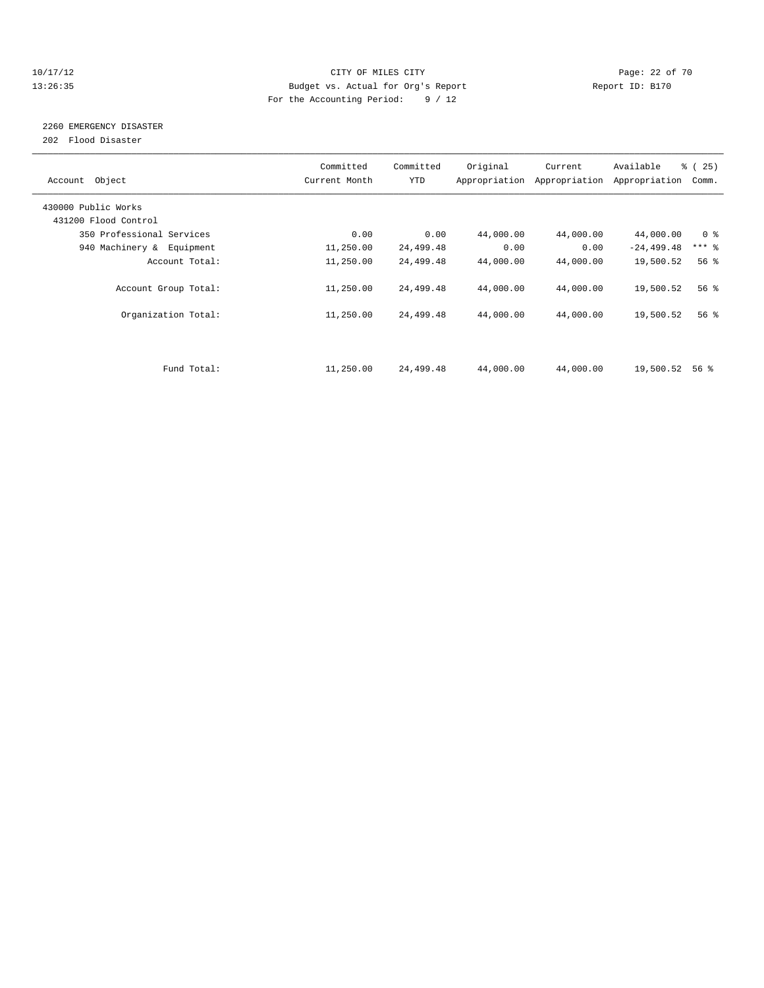### 10/17/12 Page: 22 of 70 13:26:35 Budget vs. Actual for Org's Report Report ID: B170 For the Accounting Period: 9 / 12

## 2260 EMERGENCY DISASTER

202 Flood Disaster

| Account Object            | Committed<br>Current Month | Committed<br><b>YTD</b> | Original  | Current<br>Appropriation Appropriation | Available<br>Appropriation | % (25)<br>Comm.     |
|---------------------------|----------------------------|-------------------------|-----------|----------------------------------------|----------------------------|---------------------|
| 430000 Public Works       |                            |                         |           |                                        |                            |                     |
| 431200 Flood Control      |                            |                         |           |                                        |                            |                     |
| 350 Professional Services | 0.00                       | 0.00                    | 44,000.00 | 44,000.00                              | 44,000.00                  | 0 <sup>8</sup>      |
| 940 Machinery & Equipment | 11,250.00                  | 24,499.48               | 0.00      | 0.00                                   | $-24, 499.48$              | $***$ $\frac{6}{5}$ |
| Account Total:            | 11,250.00                  | 24,499.48               | 44,000.00 | 44,000.00                              | 19,500.52                  | 56%                 |
| Account Group Total:      | 11,250.00                  | 24,499.48               | 44,000.00 | 44,000.00                              | 19,500.52                  | $56$ $\frac{6}{3}$  |
| Organization Total:       | 11,250.00                  | 24,499.48               | 44,000.00 | 44,000.00                              | 19,500.52                  | 56 <sup>8</sup>     |
|                           |                            |                         |           |                                        |                            |                     |
| Fund Total:               | 11,250.00                  | 24,499.48               | 44,000.00 | 44,000.00                              | 19,500.52                  | 56 %                |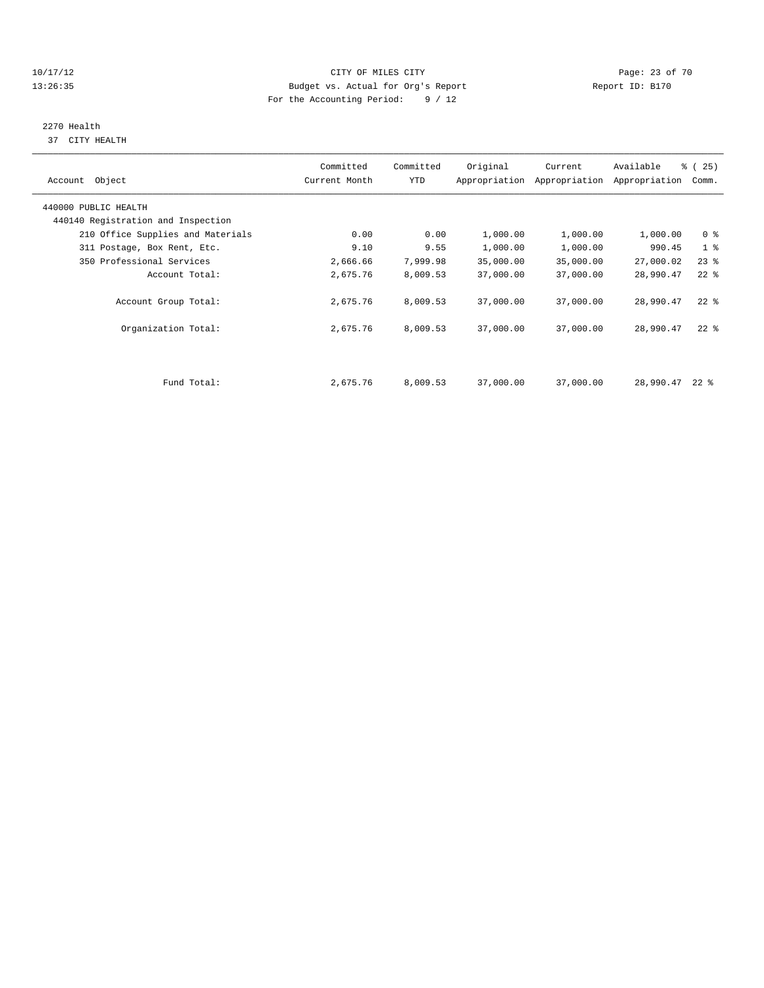#### 10/17/12 Page: 23 of 70 13:26:35 Budget vs. Actual for Org's Report Report ID: B170 For the Accounting Period: 9 / 12

# 2270 Health

37 CITY HEALTH

| Account Object                                             | Committed<br>Current Month | Committed<br>YTD | Original  | Current<br>Appropriation Appropriation | Available<br>Appropriation | % (25)<br>Comm. |
|------------------------------------------------------------|----------------------------|------------------|-----------|----------------------------------------|----------------------------|-----------------|
| 440000 PUBLIC HEALTH<br>440140 Registration and Inspection |                            |                  |           |                                        |                            |                 |
| 210 Office Supplies and Materials                          | 0.00                       | 0.00             | 1,000.00  | 1,000.00                               | 1,000.00                   | 0 <sup>8</sup>  |
| 311 Postage, Box Rent, Etc.                                | 9.10                       | 9.55             | 1,000.00  | 1,000.00                               | 990.45                     | 1 <sup>8</sup>  |
| 350 Professional Services                                  | 2,666.66                   | 7,999.98         | 35,000.00 | 35,000.00                              | 27,000.02                  | $23$ $%$        |
| Account Total:                                             | 2,675.76                   | 8,009.53         | 37,000.00 | 37,000.00                              | 28,990.47                  | $22$ %          |
| Account Group Total:                                       | 2,675.76                   | 8,009.53         | 37,000.00 | 37,000.00                              | 28,990.47                  | $22$ %          |
| Organization Total:                                        | 2,675.76                   | 8,009.53         | 37,000.00 | 37,000.00                              | 28,990.47                  | $22$ $%$        |
|                                                            |                            |                  |           |                                        |                            |                 |
| Fund Total:                                                | 2,675.76                   | 8,009.53         | 37,000.00 | 37,000.00                              | 28,990.47                  | $22$ %          |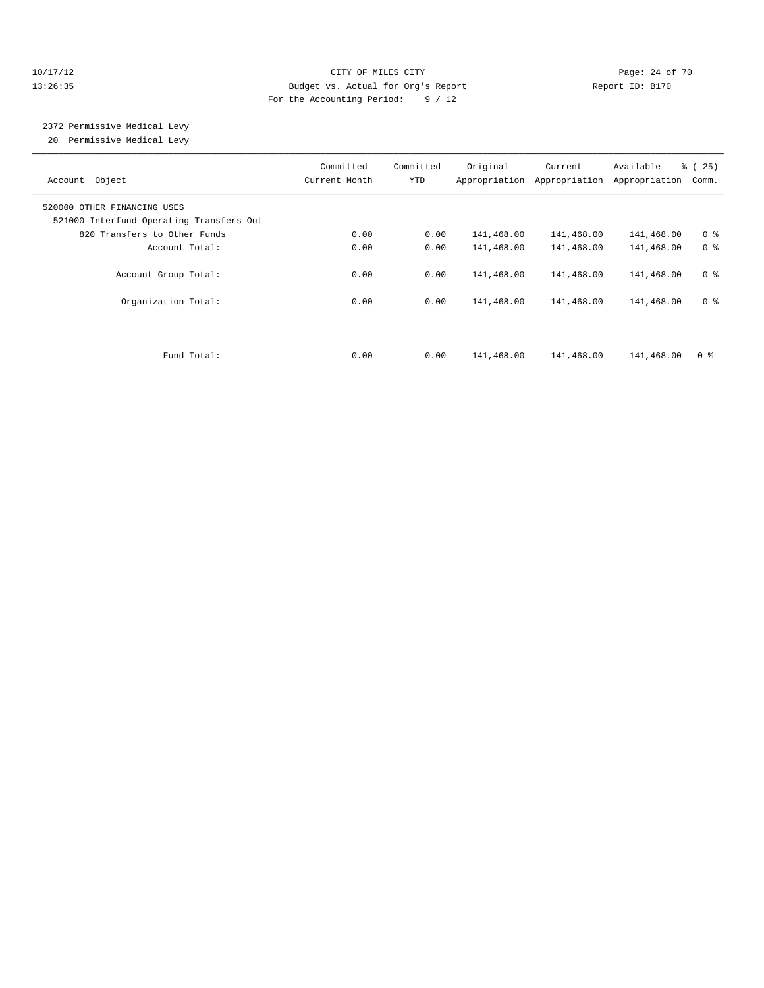#### 10/17/12 Page: 24 of 70 13:26:35 Budget vs. Actual for Org's Report Report ID: B170 For the Accounting Period: 9 / 12

#### 2372 Permissive Medical Levy 20 Permissive Medical Levy

| Account Object                                                          | Committed<br>Current Month | Committed<br>YTD | Original   | Current<br>Appropriation Appropriation | Available<br>Appropriation | % (25)<br>Comm. |
|-------------------------------------------------------------------------|----------------------------|------------------|------------|----------------------------------------|----------------------------|-----------------|
| 520000 OTHER FINANCING USES<br>521000 Interfund Operating Transfers Out |                            |                  |            |                                        |                            |                 |
| 820 Transfers to Other Funds                                            | 0.00                       | 0.00             | 141,468.00 | 141,468.00                             | 141,468.00                 | 0 <sup>8</sup>  |
| Account Total:                                                          | 0.00                       | 0.00             | 141,468.00 | 141,468.00                             | 141,468.00                 | 0 <sup>8</sup>  |
| Account Group Total:                                                    | 0.00                       | 0.00             | 141,468.00 | 141,468.00                             | 141,468.00                 | 0 <sup>8</sup>  |
| Organization Total:                                                     | 0.00                       | 0.00             | 141,468.00 | 141,468.00                             | 141,468.00                 | 0 <sup>8</sup>  |
| Fund Total:                                                             | 0.00                       | 0.00             | 141,468.00 | 141,468.00                             | 141,468.00                 | 0 <sup>8</sup>  |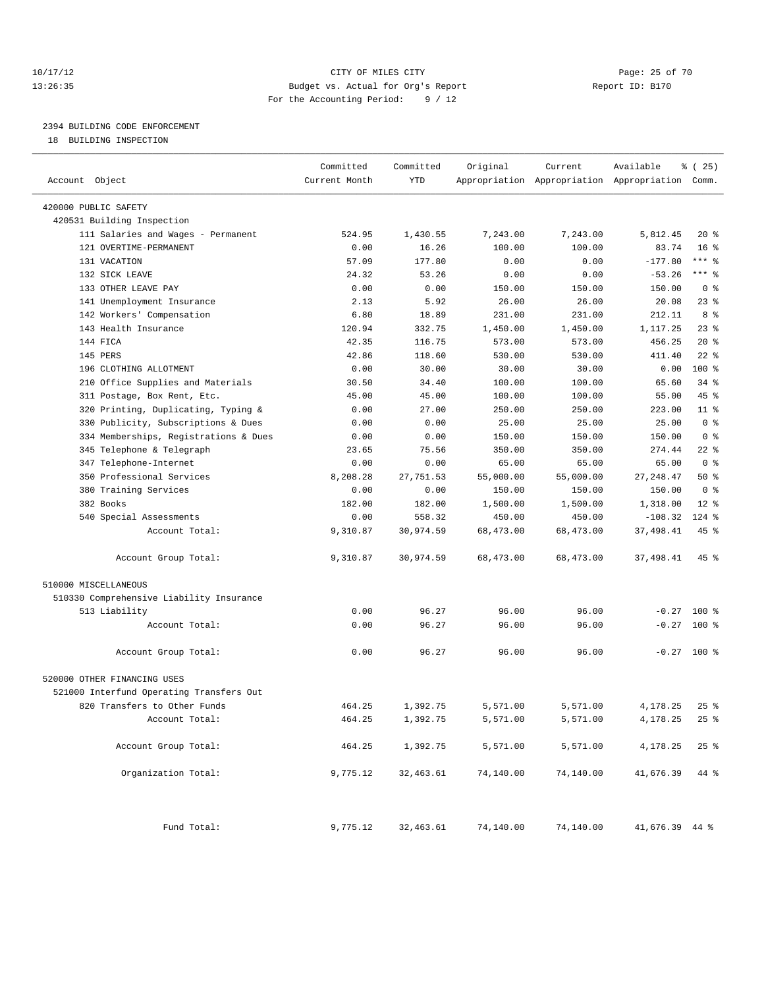### 10/17/12 Page: 25 of 70 13:26:35 Budget vs. Actual for Org's Report Report ID: B170 For the Accounting Period: 9 / 12

————————————————————————————————————————————————————————————————————————————————————————————————————————————————————————————————————

## 2394 BUILDING CODE ENFORCEMENT

18 BUILDING INSPECTION

|                                          | Committed     | Committed | Original  | Current                                         | Available      | % (25)             |
|------------------------------------------|---------------|-----------|-----------|-------------------------------------------------|----------------|--------------------|
| Account Object                           | Current Month | YTD       |           | Appropriation Appropriation Appropriation Comm. |                |                    |
| 420000 PUBLIC SAFETY                     |               |           |           |                                                 |                |                    |
| 420531 Building Inspection               |               |           |           |                                                 |                |                    |
| 111 Salaries and Wages - Permanent       | 524.95        | 1,430.55  | 7,243.00  | 7,243.00                                        | 5,812.45       | $20*$              |
| 121 OVERTIME-PERMANENT                   | 0.00          | 16.26     | 100.00    | 100.00                                          | 83.74          | 16 <sup>8</sup>    |
| 131 VACATION                             | 57.09         | 177.80    | 0.00      | 0.00                                            | $-177.80$      | $***$ $-$          |
| 132 SICK LEAVE                           | 24.32         | 53.26     | 0.00      | 0.00                                            | $-53.26$       | $***$ $-$          |
| 133 OTHER LEAVE PAY                      | 0.00          | 0.00      | 150.00    | 150.00                                          | 150.00         | 0 <sup>8</sup>     |
| 141 Unemployment Insurance               | 2.13          | 5.92      | 26.00     | 26.00                                           | 20.08          | $23$ $%$           |
| 142 Workers' Compensation                | 6.80          | 18.89     | 231.00    | 231.00                                          | 212.11         | 8 %                |
| 143 Health Insurance                     | 120.94        | 332.75    | 1,450.00  | 1,450.00                                        | 1,117.25       | 23%                |
| 144 FICA                                 | 42.35         | 116.75    | 573.00    | 573.00                                          | 456.25         | $20*$              |
| 145 PERS                                 | 42.86         | 118.60    | 530.00    | 530.00                                          | 411.40         | $22$ %             |
| 196 CLOTHING ALLOTMENT                   | 0.00          | 30.00     | 30.00     | 30.00                                           | 0.00           | 100 %              |
| 210 Office Supplies and Materials        | 30.50         | 34.40     | 100.00    | 100.00                                          | 65.60          | $34$ $%$           |
| 311 Postage, Box Rent, Etc.              | 45.00         | 45.00     | 100.00    | 100.00                                          | 55.00          | 45 %               |
| 320 Printing, Duplicating, Typing &      | 0.00          | 27.00     | 250.00    | 250.00                                          | 223.00         | $11$ %             |
| 330 Publicity, Subscriptions & Dues      | 0.00          | 0.00      | 25.00     | 25.00                                           | 25.00          | 0 <sup>8</sup>     |
| 334 Memberships, Registrations & Dues    | 0.00          | 0.00      | 150.00    | 150.00                                          | 150.00         | 0 <sup>8</sup>     |
| 345 Telephone & Telegraph                | 23.65         | 75.56     | 350.00    | 350.00                                          | 274.44         | $22$ %             |
| 347 Telephone-Internet                   | 0.00          | 0.00      | 65.00     | 65.00                                           | 65.00          | 0 <sup>8</sup>     |
| 350 Professional Services                | 8,208.28      | 27,751.53 | 55,000.00 | 55,000.00                                       | 27, 248.47     | 50%                |
| 380 Training Services                    | 0.00          | 0.00      | 150.00    | 150.00                                          | 150.00         | 0 <sup>8</sup>     |
| 382 Books                                | 182.00        | 182.00    | 1,500.00  | 1,500.00                                        | 1,318.00       | $12*$              |
| 540 Special Assessments                  | 0.00          | 558.32    | 450.00    | 450.00                                          | $-108.32$      | $124$ $%$          |
| Account Total:                           | 9,310.87      | 30,974.59 | 68,473.00 | 68,473.00                                       | 37,498.41      | 45 %               |
| Account Group Total:                     | 9,310.87      | 30,974.59 | 68,473.00 | 68,473.00                                       | 37,498.41      | 45 %               |
| 510000 MISCELLANEOUS                     |               |           |           |                                                 |                |                    |
| 510330 Comprehensive Liability Insurance |               |           |           |                                                 |                |                    |
| 513 Liability                            | 0.00          | 96.27     | 96.00     | 96.00                                           |                | $-0.27$ 100 %      |
| Account Total:                           | 0.00          | 96.27     | 96.00     | 96.00                                           | $-0.27$        | $100*$             |
| Account Group Total:                     | 0.00          | 96.27     | 96.00     | 96.00                                           |                | $-0.27$ 100 %      |
| 520000 OTHER FINANCING USES              |               |           |           |                                                 |                |                    |
| 521000 Interfund Operating Transfers Out |               |           |           |                                                 |                |                    |
| 820 Transfers to Other Funds             | 464.25        | 1,392.75  | 5,571.00  | 5,571.00                                        | 4,178.25       | $25$ $\frac{6}{3}$ |
| Account Total:                           | 464.25        | 1,392.75  | 5,571.00  | 5,571.00                                        | 4,178.25       | $25$ $%$           |
| Account Group Total:                     | 464.25        | 1,392.75  | 5,571.00  | 5,571.00                                        | 4,178.25       | $25$ $%$           |
| Organization Total:                      | 9,775.12      | 32,463.61 | 74,140.00 | 74,140.00                                       | 41,676.39      | 44 %               |
|                                          |               |           |           |                                                 |                |                    |
| Fund Total:                              | 9,775.12      | 32,463.61 | 74,140.00 | 74,140.00                                       | 41,676.39 44 % |                    |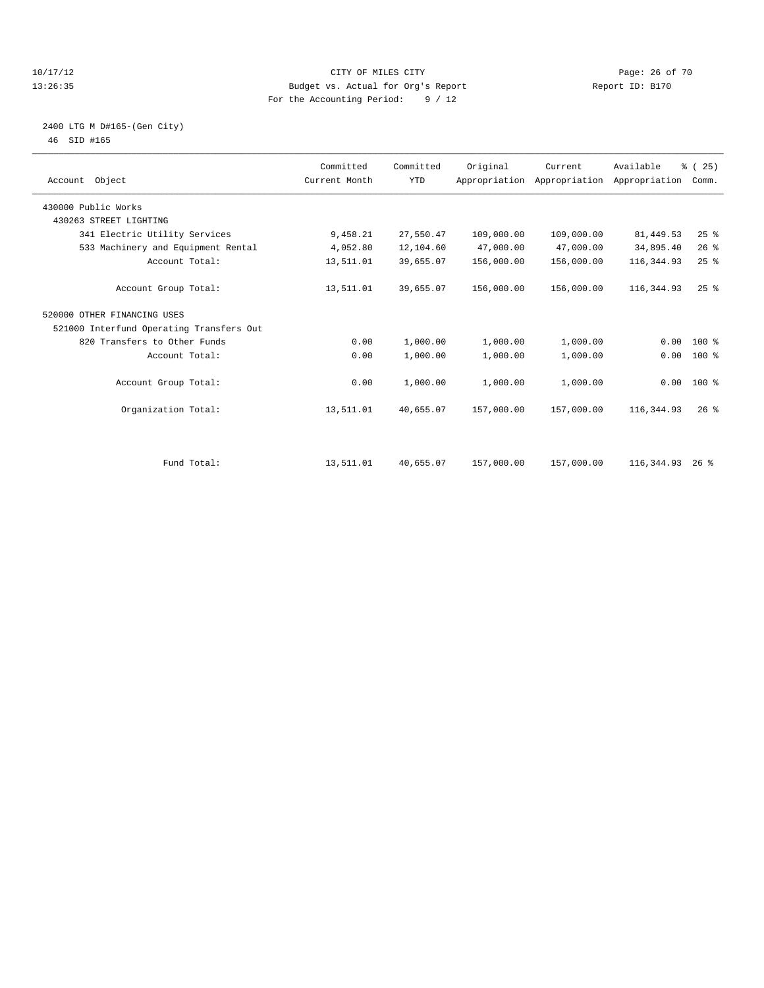#### 10/17/12 Page: 26 of 70 13:26:35 Budget vs. Actual for Org's Report Report ID: B170 For the Accounting Period: 9 / 12

#### 2400 LTG M D#165-(Gen City) 46 SID #165

| Account Object                           | Committed<br>Current Month | Committed<br><b>YTD</b> | Original   | Current<br>Appropriation Appropriation Appropriation | Available   | % (25)<br>Comm. |  |
|------------------------------------------|----------------------------|-------------------------|------------|------------------------------------------------------|-------------|-----------------|--|
| 430000 Public Works                      |                            |                         |            |                                                      |             |                 |  |
| 430263 STREET LIGHTING                   |                            |                         |            |                                                      |             |                 |  |
| 341 Electric Utility Services            | 9,458.21                   | 27,550.47               | 109,000.00 | 109,000.00                                           | 81, 449.53  | 25%             |  |
| 533 Machinery and Equipment Rental       | 4,052.80                   | 12,104.60               | 47,000.00  | 47,000.00                                            | 34,895.40   | 26%             |  |
| Account Total:                           | 13,511.01                  | 39,655.07               | 156,000.00 | 156,000.00                                           | 116, 344.93 | 25%             |  |
| Account Group Total:                     | 13,511.01                  | 39,655.07               | 156,000.00 | 156,000.00                                           | 116, 344.93 | 25%             |  |
| 520000 OTHER FINANCING USES              |                            |                         |            |                                                      |             |                 |  |
| 521000 Interfund Operating Transfers Out |                            |                         |            |                                                      |             |                 |  |
| 820 Transfers to Other Funds             | 0.00                       | 1,000.00                | 1,000.00   | 1,000.00                                             | 0.00        | $100*$          |  |
| Account Total:                           | 0.00                       | 1,000.00                | 1,000.00   | 1,000.00                                             | 0.00        | $100*$          |  |
| Account Group Total:                     | 0.00                       | 1,000.00                | 1,000.00   | 1,000.00                                             |             | $0.00$ 100 %    |  |
| Organization Total:                      | 13,511.01                  | 40,655.07               | 157,000.00 | 157,000.00                                           | 116,344.93  | $26$ $%$        |  |
|                                          |                            |                         |            |                                                      |             |                 |  |
| Fund Total:                              | 13,511.01                  | 40,655.07               | 157,000.00 | 157,000.00                                           | 116,344.93  | $26$ %          |  |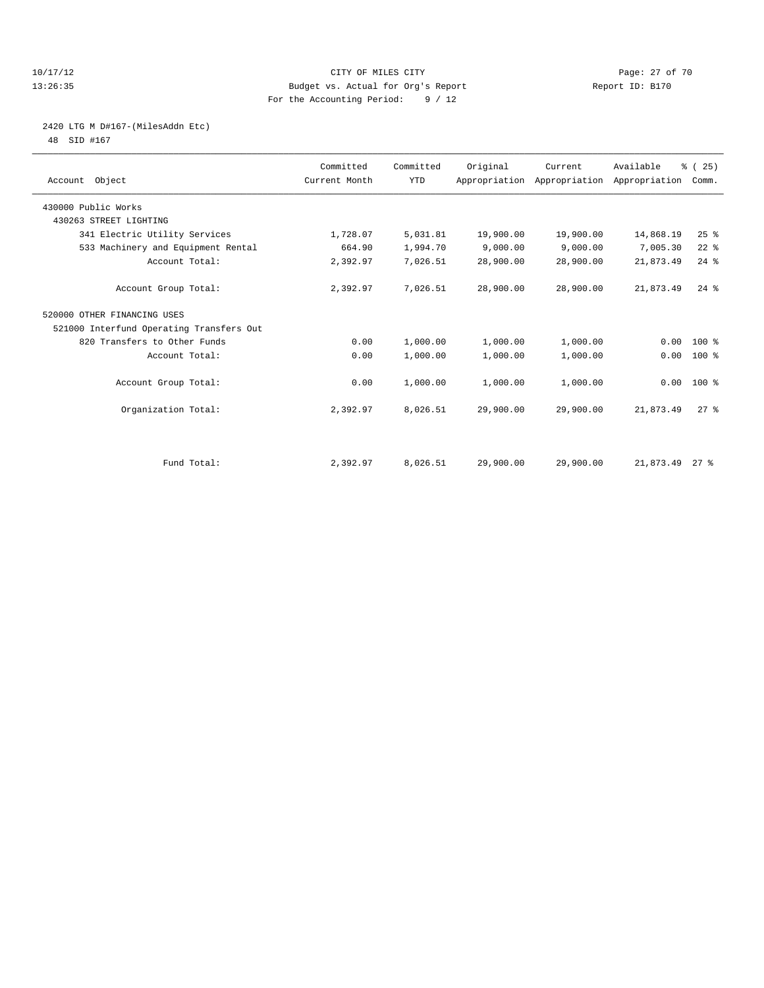#### 10/17/12 Page: 27 of 70 13:26:35 Budget vs. Actual for Org's Report Report ID: B170 For the Accounting Period: 9 / 12

## 2420 LTG M D#167-(MilesAddn Etc)

48 SID #167

| Account Object                           | Committed<br>Current Month | Committed<br><b>YTD</b> | Original  | Current<br>Appropriation Appropriation Appropriation | Available | % (25)<br>Comm. |  |
|------------------------------------------|----------------------------|-------------------------|-----------|------------------------------------------------------|-----------|-----------------|--|
| 430000 Public Works                      |                            |                         |           |                                                      |           |                 |  |
| 430263 STREET LIGHTING                   |                            |                         |           |                                                      |           |                 |  |
| 341 Electric Utility Services            | 1,728.07                   | 5,031.81                | 19,900.00 | 19,900.00                                            | 14,868.19 | 25%             |  |
| 533 Machinery and Equipment Rental       | 664.90                     | 1,994.70                | 9,000.00  | 9,000.00                                             | 7,005.30  | $22$ $%$        |  |
| Account Total:                           | 2,392.97                   | 7,026.51                | 28,900.00 | 28,900.00                                            | 21,873.49 | $24$ %          |  |
| Account Group Total:                     | 2,392.97                   | 7,026.51                | 28,900.00 | 28,900.00                                            | 21,873.49 | $24$ $%$        |  |
| 520000 OTHER FINANCING USES              |                            |                         |           |                                                      |           |                 |  |
| 521000 Interfund Operating Transfers Out |                            |                         |           |                                                      |           |                 |  |
| 820 Transfers to Other Funds             | 0.00                       | 1,000.00                | 1,000.00  | 1,000.00                                             | 0.00      | $100*$          |  |
| Account Total:                           | 0.00                       | 1,000.00                | 1,000.00  | 1,000.00                                             | 0.00      | 100 %           |  |
| Account Group Total:                     | 0.00                       | 1,000.00                | 1,000.00  | 1,000.00                                             |           | $0.00$ 100 %    |  |
| Organization Total:                      | 2,392.97                   | 8,026.51                | 29,900.00 | 29,900.00                                            | 21,873.49 | $27$ $%$        |  |
|                                          |                            |                         |           |                                                      |           |                 |  |
| Fund Total:                              | 2,392.97                   | 8,026.51                | 29,900.00 | 29,900.00                                            | 21,873.49 | $27$ %          |  |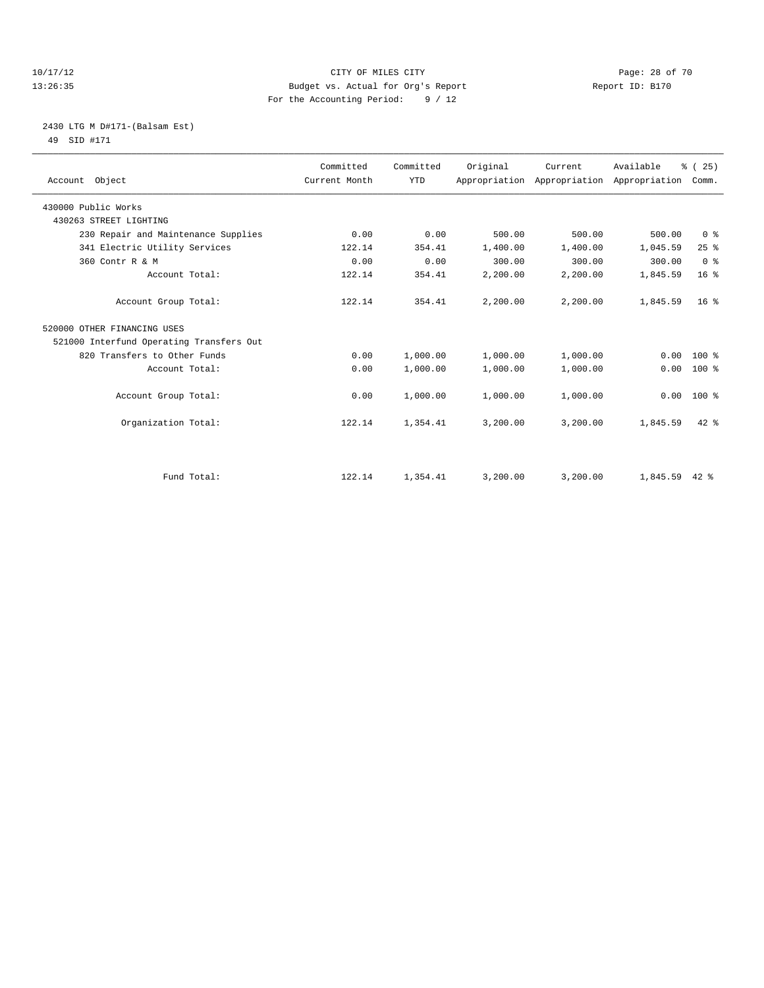#### 10/17/12 Page: 28 of 70 13:26:35 Budget vs. Actual for Org's Report Report ID: B170 For the Accounting Period: 9 / 12

## 2430 LTG M D#171-(Balsam Est) 49 SID #171

| Account Object                           | Committed<br>Current Month | Committed<br><b>YTD</b> | Original | Current<br>Appropriation Appropriation Appropriation | Available | % (25)<br>Comm. |  |
|------------------------------------------|----------------------------|-------------------------|----------|------------------------------------------------------|-----------|-----------------|--|
| 430000 Public Works                      |                            |                         |          |                                                      |           |                 |  |
| 430263 STREET LIGHTING                   |                            |                         |          |                                                      |           |                 |  |
| 230 Repair and Maintenance Supplies      | 0.00                       | 0.00                    | 500.00   | 500.00                                               | 500.00    | 0 <sup>8</sup>  |  |
| 341 Electric Utility Services            | 122.14                     | 354.41                  | 1,400.00 | 1,400.00                                             | 1,045.59  | 25%             |  |
| 360 Contr R & M                          | 0.00                       | 0.00                    | 300.00   | 300.00                                               | 300.00    | 0 <sup>8</sup>  |  |
| Account Total:                           | 122.14                     | 354.41                  | 2,200.00 | 2,200.00                                             | 1,845.59  | 16 <sup>8</sup> |  |
| Account Group Total:                     | 122.14                     | 354.41                  | 2,200.00 | 2,200.00                                             | 1,845.59  | 16 <sup>8</sup> |  |
| 520000 OTHER FINANCING USES              |                            |                         |          |                                                      |           |                 |  |
| 521000 Interfund Operating Transfers Out |                            |                         |          |                                                      |           |                 |  |
| 820 Transfers to Other Funds             | 0.00                       | 1,000.00                | 1,000.00 | 1,000.00                                             | 0.00      | $100*$          |  |
| Account Total:                           | 0.00                       | 1,000.00                | 1,000.00 | 1,000.00                                             | 0.00      | 100 %           |  |
| Account Group Total:                     | 0.00                       | 1,000.00                | 1,000.00 | 1,000.00                                             | 0.00      | 100 %           |  |
| Organization Total:                      | 122.14                     | 1,354.41                | 3,200.00 | 3,200.00                                             | 1,845.59  | $42$ $%$        |  |
|                                          |                            |                         |          |                                                      |           |                 |  |
| Fund Total:                              | 122.14                     | 1,354.41                | 3,200.00 | 3,200.00                                             | 1,845.59  | $42*$           |  |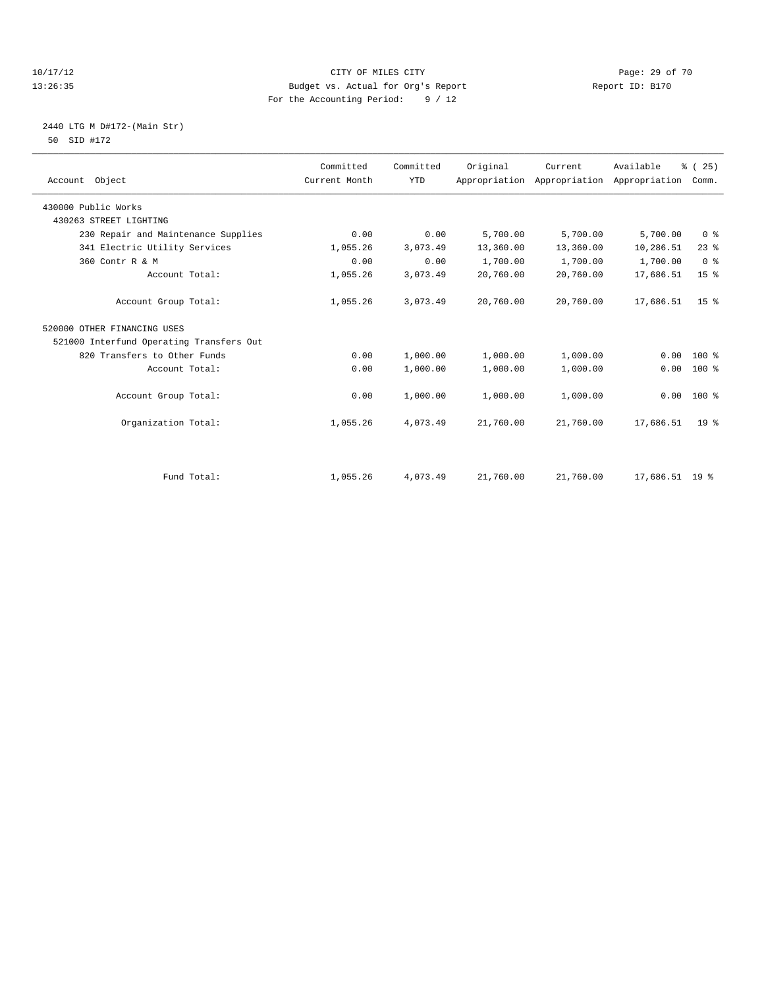#### 10/17/12 Page: 29 of 70 13:26:35 Budget vs. Actual for Org's Report Report ID: B170 For the Accounting Period: 9 / 12

## 2440 LTG M D#172-(Main Str) 50 SID #172

| Account Object                           | Committed<br>Current Month | Committed<br><b>YTD</b> | Original  | Current<br>Appropriation Appropriation | Available<br>Appropriation | % (25)<br>Comm. |
|------------------------------------------|----------------------------|-------------------------|-----------|----------------------------------------|----------------------------|-----------------|
| 430000 Public Works                      |                            |                         |           |                                        |                            |                 |
| 430263 STREET LIGHTING                   |                            |                         |           |                                        |                            |                 |
| 230 Repair and Maintenance Supplies      | 0.00                       | 0.00                    | 5,700.00  | 5,700.00                               | 5,700.00                   | 0 <sup>8</sup>  |
| 341 Electric Utility Services            | 1,055.26                   | 3,073.49                | 13,360.00 | 13,360.00                              | 10,286.51                  | $23$ $%$        |
| 360 Contr R & M                          | 0.00                       | 0.00                    | 1,700.00  | 1,700.00                               | 1,700.00                   | 0 <sup>8</sup>  |
| Account Total:                           | 1,055.26                   | 3,073.49                | 20,760.00 | 20,760.00                              | 17,686.51                  | 15 <sup>°</sup> |
| Account Group Total:                     | 1,055.26                   | 3,073.49                | 20,760.00 | 20,760.00                              | 17,686.51                  | 15 <sup>8</sup> |
| 520000 OTHER FINANCING USES              |                            |                         |           |                                        |                            |                 |
| 521000 Interfund Operating Transfers Out |                            |                         |           |                                        |                            |                 |
| 820 Transfers to Other Funds             | 0.00                       | 1,000.00                | 1,000.00  | 1,000.00                               | 0.00                       | $100*$          |
| Account Total:                           | 0.00                       | 1,000.00                | 1,000.00  | 1,000.00                               | 0.00                       | $100*$          |
| Account Group Total:                     | 0.00                       | 1,000.00                | 1,000.00  | 1,000.00                               | 0.00                       | $100*$          |
| Organization Total:                      | 1,055.26                   | 4,073.49                | 21,760.00 | 21,760.00                              | 17,686.51                  | 19 <sup>°</sup> |
|                                          |                            |                         |           |                                        |                            |                 |
| Fund Total:                              | 1,055.26                   | 4,073.49                | 21,760.00 | 21,760.00                              | 17,686.51 19 %             |                 |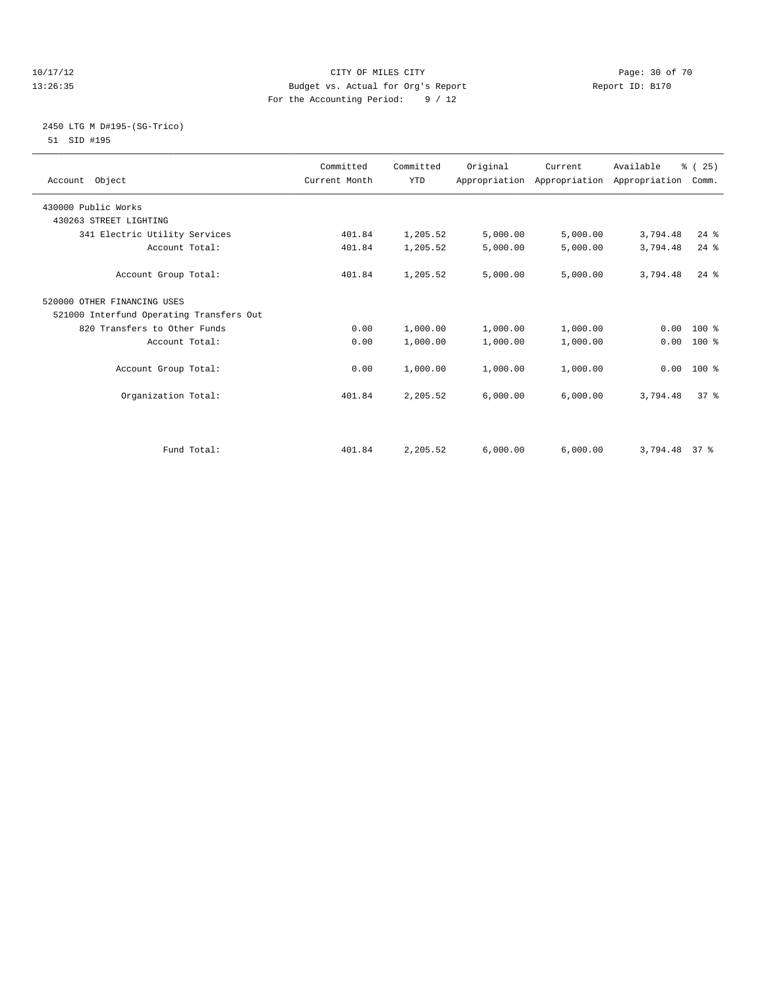#### 10/17/12 Page: 30 of 70 13:26:35 Budget vs. Actual for Org's Report Report ID: B170 For the Accounting Period: 9 / 12

#### 2450 LTG M D#195-(SG-Trico) 51 SID #195

| Account Object                           | Committed<br>Current Month | Committed<br><b>YTD</b> | Original | Current  | Available<br>Appropriation Appropriation Appropriation | % (25)<br>Comm. |  |
|------------------------------------------|----------------------------|-------------------------|----------|----------|--------------------------------------------------------|-----------------|--|
| 430000 Public Works                      |                            |                         |          |          |                                                        |                 |  |
| 430263 STREET LIGHTING                   |                            |                         |          |          |                                                        |                 |  |
| 341 Electric Utility Services            | 401.84                     | 1,205.52                | 5,000.00 | 5,000.00 | 3,794.48                                               | $24$ $%$        |  |
| Account Total:                           | 401.84                     | 1,205.52                | 5,000.00 | 5,000.00 | 3,794.48                                               | $24$ $%$        |  |
| Account Group Total:                     | 401.84                     | 1,205.52                | 5,000.00 | 5,000.00 | 3,794.48                                               | $24$ $%$        |  |
| 520000 OTHER FINANCING USES              |                            |                         |          |          |                                                        |                 |  |
| 521000 Interfund Operating Transfers Out |                            |                         |          |          |                                                        |                 |  |
| 820 Transfers to Other Funds             | 0.00                       | 1,000.00                | 1,000.00 | 1,000.00 |                                                        | $0.00 100$ %    |  |
| Account Total:                           | 0.00                       | 1,000.00                | 1,000.00 | 1,000.00 | 0.00                                                   | 100 %           |  |
| Account Group Total:                     | 0.00                       | 1,000.00                | 1,000.00 | 1,000.00 |                                                        | $0.00$ 100 %    |  |
| Organization Total:                      | 401.84                     | 2,205.52                | 6,000.00 | 6,000.00 | 3,794.48                                               | 37 <sup>8</sup> |  |
| Fund Total:                              | 401.84                     | 2,205.52                | 6,000.00 | 6,000.00 | 3,794.48 37 %                                          |                 |  |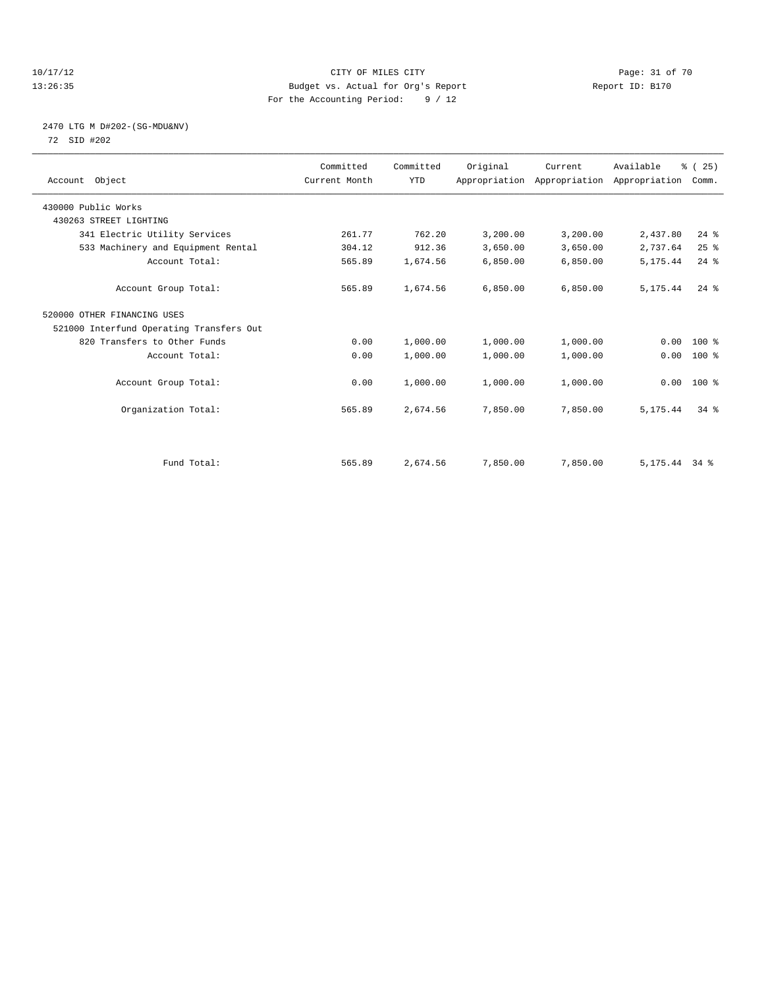#### 10/17/12 Page: 31 of 70 13:26:35 Budget vs. Actual for Org's Report Report ID: B170 For the Accounting Period: 9 / 12

## 2470 LTG M D#202-(SG-MDU&NV) 72 SID #202

| Account Object                           | Committed<br>Current Month | Committed<br><b>YTD</b> | Original | Current<br>Appropriation Appropriation Appropriation | Available       | % (25)<br>Comm. |  |
|------------------------------------------|----------------------------|-------------------------|----------|------------------------------------------------------|-----------------|-----------------|--|
| 430000 Public Works                      |                            |                         |          |                                                      |                 |                 |  |
| 430263 STREET LIGHTING                   |                            |                         |          |                                                      |                 |                 |  |
| 341 Electric Utility Services            | 261.77                     | 762.20                  | 3,200.00 | 3,200.00                                             | 2,437.80        | $24$ %          |  |
| 533 Machinery and Equipment Rental       | 304.12                     | 912.36                  | 3,650.00 | 3,650.00                                             | 2,737.64        | 25%             |  |
| Account Total:                           | 565.89                     | 1,674.56                | 6,850.00 | 6,850.00                                             | 5, 175.44       | $24$ $%$        |  |
| Account Group Total:                     | 565.89                     | 1,674.56                | 6.850.00 | 6,850.00                                             | 5, 175.44       | $24$ $%$        |  |
| 520000 OTHER FINANCING USES              |                            |                         |          |                                                      |                 |                 |  |
| 521000 Interfund Operating Transfers Out |                            |                         |          |                                                      |                 |                 |  |
| 820 Transfers to Other Funds             | 0.00                       | 1,000.00                | 1,000.00 | 1,000.00                                             | 0.00            | 100 %           |  |
| Account Total:                           | 0.00                       | 1,000.00                | 1,000.00 | 1,000.00                                             | 0.00            | 100 %           |  |
| Account Group Total:                     | 0.00                       | 1,000.00                | 1,000.00 | 1,000.00                                             |                 | $0.00$ 100 %    |  |
| Organization Total:                      | 565.89                     | 2,674.56                | 7,850.00 | 7,850.00                                             | 5, 175.44       | $34$ $%$        |  |
|                                          |                            |                         |          |                                                      |                 |                 |  |
| Fund Total:                              | 565.89                     | 2,674.56                | 7,850.00 | 7,850.00                                             | $5,175.44$ 34 % |                 |  |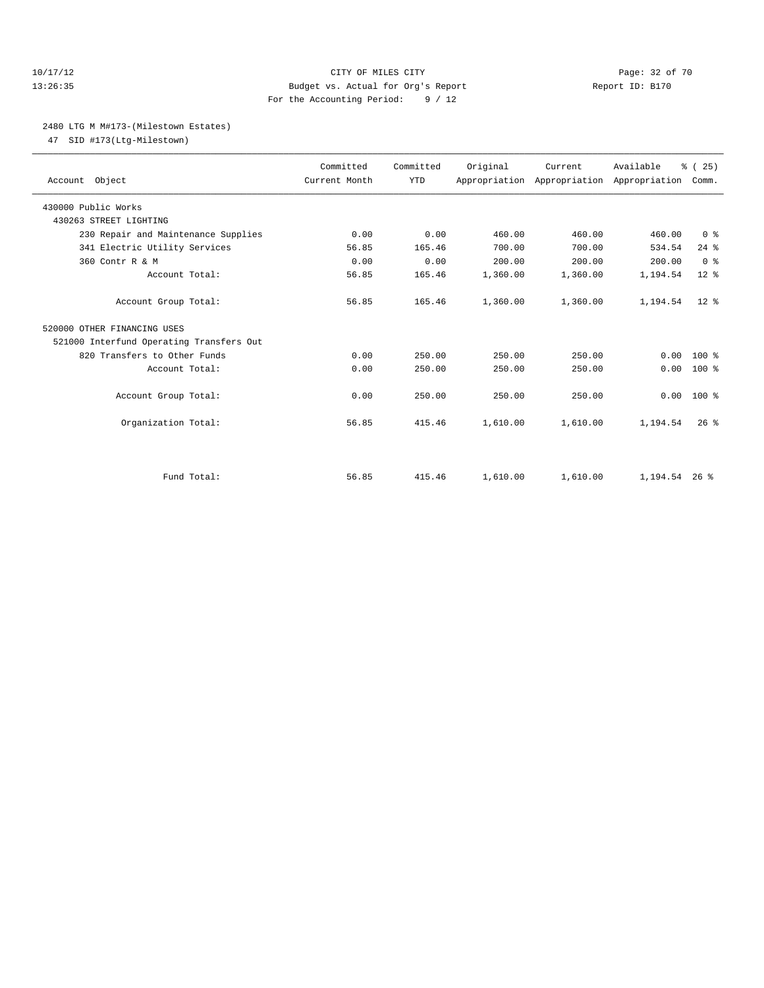#### 10/17/12 Page: 32 of 70 13:26:35 Budget vs. Actual for Org's Report Report ID: B170 For the Accounting Period: 9 / 12

#### 2480 LTG M M#173-(Milestown Estates)

47 SID #173(Ltg-Milestown)

| Account Object                           | Committed<br>Current Month | Committed<br><b>YTD</b> | Original | Current<br>Appropriation Appropriation Appropriation | Available       | % (25)<br>Comm. |  |
|------------------------------------------|----------------------------|-------------------------|----------|------------------------------------------------------|-----------------|-----------------|--|
| 430000 Public Works                      |                            |                         |          |                                                      |                 |                 |  |
| 430263 STREET LIGHTING                   |                            |                         |          |                                                      |                 |                 |  |
| 230 Repair and Maintenance Supplies      | 0.00                       | 0.00                    | 460.00   | 460.00                                               | 460.00          | 0 <sup>8</sup>  |  |
| 341 Electric Utility Services            | 56.85                      | 165.46                  | 700.00   | 700.00                                               | 534.54          | $24$ $%$        |  |
| 360 Contr R & M                          | 0.00                       | 0.00                    | 200.00   | 200.00                                               | 200.00          | 0 <sup>8</sup>  |  |
| Account Total:                           | 56.85                      | 165.46                  | 1,360.00 | 1,360.00                                             | 1,194.54        | $12*$           |  |
| Account Group Total:                     | 56.85                      | 165.46                  | 1,360.00 | 1,360.00                                             | 1,194.54        | $12*$           |  |
| 520000 OTHER FINANCING USES              |                            |                         |          |                                                      |                 |                 |  |
| 521000 Interfund Operating Transfers Out |                            |                         |          |                                                      |                 |                 |  |
| 820 Transfers to Other Funds             | 0.00                       | 250.00                  | 250.00   | 250.00                                               | 0.00            | $100*$          |  |
| Account Total:                           | 0.00                       | 250.00                  | 250.00   | 250.00                                               | 0.00            | $100*$          |  |
| Account Group Total:                     | 0.00                       | 250.00                  | 250.00   | 250.00                                               | 0.00            | $100*$          |  |
| Organization Total:                      | 56.85                      | 415.46                  | 1,610.00 | 1,610.00                                             | 1,194.54        | $26$ $%$        |  |
|                                          |                            |                         |          |                                                      |                 |                 |  |
| Fund Total:                              | 56.85                      | 415.46                  | 1,610.00 | 1,610.00                                             | $1.194.54$ 26 % |                 |  |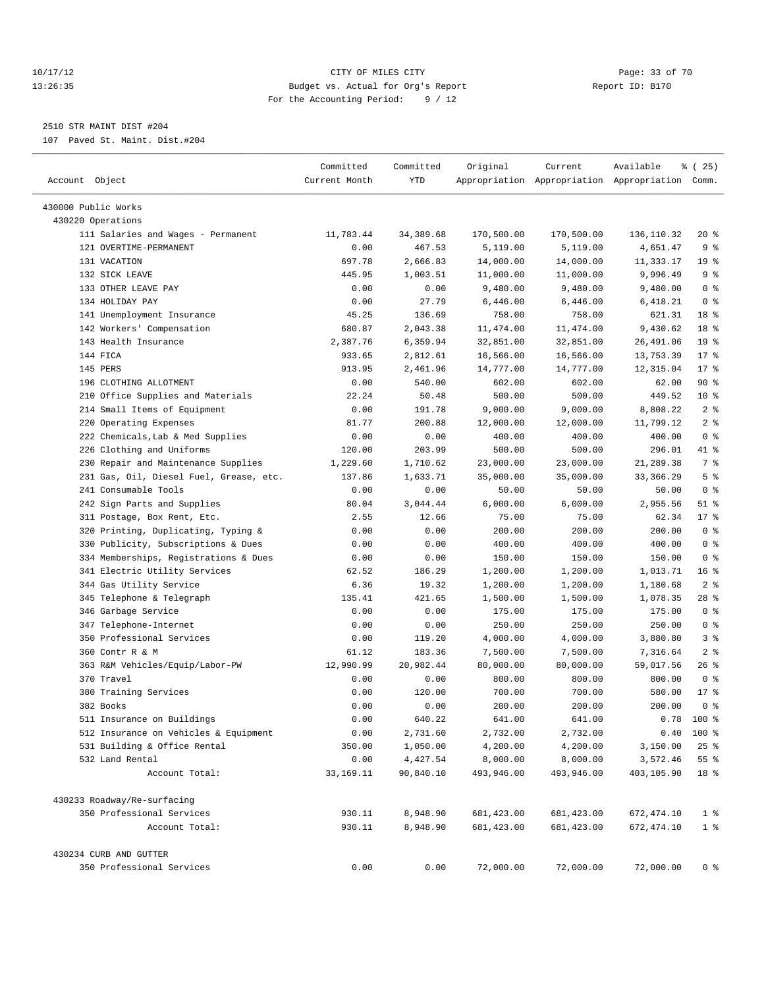#### 10/17/12 Page: 33 of 70 13:26:35 Budget vs. Actual for Org's Report Report ID: B170 For the Accounting Period: 9 / 12

————————————————————————————————————————————————————————————————————————————————————————————————————————————————————————————————————

## 2510 STR MAINT DIST #204

107 Paved St. Maint. Dist.#204

|                                         | Committed     | Committed | Original   | Current     | Available                                       | % (25)             |
|-----------------------------------------|---------------|-----------|------------|-------------|-------------------------------------------------|--------------------|
| Account Object                          | Current Month | YTD       |            |             | Appropriation Appropriation Appropriation Comm. |                    |
| 430000 Public Works                     |               |           |            |             |                                                 |                    |
| 430220 Operations                       |               |           |            |             |                                                 |                    |
| 111 Salaries and Wages - Permanent      | 11,783.44     | 34,389.68 | 170,500.00 | 170,500.00  | 136,110.32                                      | $20*$              |
| 121 OVERTIME-PERMANENT                  | 0.00          | 467.53    | 5,119.00   | 5,119.00    | 4,651.47                                        | 9 <sub>8</sub>     |
| 131 VACATION                            | 697.78        | 2,666.83  | 14,000.00  | 14,000.00   | 11,333.17                                       | 19 <sup>°</sup>    |
| 132 SICK LEAVE                          | 445.95        | 1,003.51  | 11,000.00  | 11,000.00   | 9,996.49                                        | 9%                 |
| 133 OTHER LEAVE PAY                     | 0.00          | 0.00      | 9,480.00   | 9,480.00    | 9,480.00                                        | 0 <sup>8</sup>     |
| 134 HOLIDAY PAY                         | 0.00          | 27.79     | 6,446.00   | 6,446.00    | 6,418.21                                        | 0 <sup>8</sup>     |
| 141 Unemployment Insurance              | 45.25         | 136.69    | 758.00     | 758.00      | 621.31                                          | 18 %               |
| 142 Workers' Compensation               | 680.87        | 2,043.38  | 11,474.00  | 11, 474.00  | 9,430.62                                        | 18 <sup>°</sup>    |
| 143 Health Insurance                    | 2,387.76      | 6,359.94  | 32,851.00  | 32,851.00   | 26,491.06                                       | 19 <sup>°</sup>    |
| 144 FICA                                | 933.65        | 2,812.61  | 16,566.00  | 16,566.00   | 13,753.39                                       | $17*$              |
| 145 PERS                                | 913.95        | 2,461.96  | 14,777.00  | 14,777.00   | 12,315.04                                       | $17*$              |
| 196 CLOTHING ALLOTMENT                  | 0.00          | 540.00    | 602.00     | 602.00      | 62.00                                           | 90%                |
| 210 Office Supplies and Materials       | 22.24         | 50.48     | 500.00     | 500.00      | 449.52                                          | $10*$              |
| 214 Small Items of Equipment            | 0.00          | 191.78    | 9,000.00   | 9,000.00    | 8,808.22                                        | 2 <sup>°</sup>     |
| 220 Operating Expenses                  | 81.77         | 200.88    | 12,000.00  | 12,000.00   | 11,799.12                                       | 2 <sup>°</sup>     |
| 222 Chemicals, Lab & Med Supplies       | 0.00          | 0.00      | 400.00     | 400.00      | 400.00                                          | 0 <sup>8</sup>     |
| 226 Clothing and Uniforms               | 120.00        | 203.99    | 500.00     | 500.00      | 296.01                                          | 41 %               |
| 230 Repair and Maintenance Supplies     | 1,229.60      | 1,710.62  | 23,000.00  | 23,000.00   | 21,289.38                                       | 7 %                |
| 231 Gas, Oil, Diesel Fuel, Grease, etc. | 137.86        | 1,633.71  | 35,000.00  | 35,000.00   | 33, 366.29                                      | 5 <sup>°</sup>     |
| 241 Consumable Tools                    | 0.00          | 0.00      | 50.00      | 50.00       | 50.00                                           | 0 <sup>8</sup>     |
| 242 Sign Parts and Supplies             | 80.04         | 3,044.44  | 6,000.00   | 6,000.00    | 2,955.56                                        | $51$ %             |
| 311 Postage, Box Rent, Etc.             | 2.55          | 12.66     | 75.00      | 75.00       | 62.34                                           | 17.8               |
| 320 Printing, Duplicating, Typing &     | 0.00          | 0.00      | 200.00     | 200.00      | 200.00                                          | 0 <sup>8</sup>     |
| 330 Publicity, Subscriptions & Dues     | 0.00          | 0.00      | 400.00     | 400.00      | 400.00                                          | 0 <sup>8</sup>     |
| 334 Memberships, Registrations & Dues   | 0.00          | 0.00      | 150.00     | 150.00      | 150.00                                          | 0 <sup>8</sup>     |
| 341 Electric Utility Services           | 62.52         | 186.29    | 1,200.00   | 1,200.00    | 1,013.71                                        | 16 <sup>8</sup>    |
| 344 Gas Utility Service                 | 6.36          | 19.32     | 1,200.00   | 1,200.00    | 1,180.68                                        | 2 <sup>8</sup>     |
| 345 Telephone & Telegraph               | 135.41        | 421.65    | 1,500.00   | 1,500.00    | 1,078.35                                        | 28 %               |
| 346 Garbage Service                     | 0.00          | 0.00      | 175.00     | 175.00      | 175.00                                          | 0 <sup>8</sup>     |
| 347 Telephone-Internet                  | 0.00          | 0.00      | 250.00     | 250.00      | 250.00                                          | 0 <sup>8</sup>     |
| 350 Professional Services               | 0.00          | 119.20    | 4,000.00   | 4,000.00    | 3,880.80                                        | 3%                 |
| 360 Contr R & M                         | 61.12         | 183.36    | 7,500.00   | 7,500.00    | 7,316.64                                        | 2 <sup>8</sup>     |
| 363 R&M Vehicles/Equip/Labor-PW         | 12,990.99     | 20,982.44 | 80,000.00  | 80,000.00   | 59,017.56                                       | 26 %               |
| 370 Travel                              | 0.00          | 0.00      | 800.00     | 800.00      | 800.00                                          | 0 <sup>8</sup>     |
| 380 Training Services                   | 0.00          | 120.00    | 700.00     | 700.00      | 580.00                                          | $17*$              |
| 382 Books                               | 0.00          | 0.00      | 200.00     | 200.00      | 200.00                                          | 0 <sup>8</sup>     |
| 511 Insurance on Buildings              | 0.00          | 640.22    | 641.00     | 641.00      |                                                 | $0.78$ 100 %       |
| 512 Insurance on Vehicles & Equipment   | 0.00          | 2,731.60  | 2,732.00   | 2,732.00    | 0.40                                            | 100 %              |
| 531 Building & Office Rental            | 350.00        | 1,050.00  | 4,200.00   | 4,200.00    | 3,150.00                                        | $25$ $%$           |
| 532 Land Rental                         | 0.00          | 4,427.54  | 8,000.00   | 8,000.00    | 3,572.46                                        | $55$ $\frac{6}{3}$ |
| Account Total:                          | 33,169.11     | 90,840.10 | 493,946.00 | 493,946.00  | 403,105.90                                      | 18 %               |
| 430233 Roadway/Re-surfacing             |               |           |            |             |                                                 |                    |
| 350 Professional Services               | 930.11        | 8,948.90  | 681,423.00 | 681, 423.00 | 672,474.10                                      | 1 <sup>°</sup>     |
| Account Total:                          | 930.11        | 8,948.90  | 681,423.00 | 681, 423.00 | 672,474.10                                      | 1 <sup>°</sup>     |
| 430234 CURB AND GUTTER                  |               |           |            |             |                                                 |                    |
| 350 Professional Services               | 0.00          | 0.00      | 72,000.00  | 72,000.00   | 72,000.00                                       | 0 <sup>8</sup>     |
|                                         |               |           |            |             |                                                 |                    |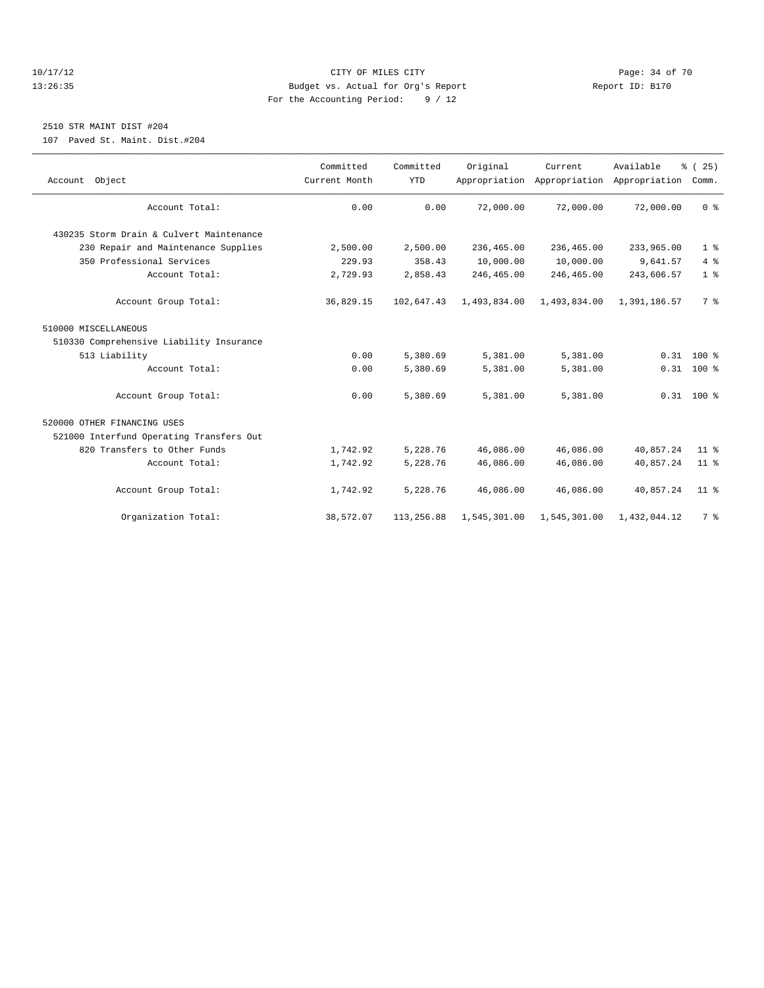#### 10/17/12 Page: 34 of 70 13:26:35 Budget vs. Actual for Org's Report Report ID: B170 For the Accounting Period: 9 / 12

## 2510 STR MAINT DIST #204

107 Paved St. Maint. Dist.#204

| Account Object                           | Committed<br>Current Month | Committed<br><b>YTD</b> | Original     | Current<br>Appropriation Appropriation Appropriation | Available    | % (25)<br>Comm. |
|------------------------------------------|----------------------------|-------------------------|--------------|------------------------------------------------------|--------------|-----------------|
|                                          |                            |                         |              |                                                      |              |                 |
| Account Total:                           | 0.00                       | 0.00                    | 72,000.00    | 72,000.00                                            | 72,000.00    | 0 <sup>8</sup>  |
|                                          |                            |                         |              |                                                      |              |                 |
| 430235 Storm Drain & Culvert Maintenance |                            |                         |              |                                                      |              |                 |
| 230 Repair and Maintenance Supplies      | 2,500.00                   | 2,500.00                | 236,465.00   | 236,465.00                                           | 233,965.00   | 1 <sup>°</sup>  |
| 350 Professional Services                | 229.93                     | 358.43                  | 10,000.00    | 10,000.00                                            | 9,641.57     | 4%              |
| Account Total:                           | 2,729.93                   | 2,858.43                | 246,465.00   | 246,465.00                                           | 243,606.57   | 1 <sup>°</sup>  |
| Account Group Total:                     | 36,829.15                  | 102,647.43              | 1,493,834.00 | 1,493,834.00                                         | 1,391,186.57 | 7 %             |
| 510000 MISCELLANEOUS                     |                            |                         |              |                                                      |              |                 |
| 510330 Comprehensive Liability Insurance |                            |                         |              |                                                      |              |                 |
| 513 Liability                            | 0.00                       | 5,380.69                | 5,381.00     | 5,381.00                                             |              | $0.31$ 100 %    |
| Account Total:                           | 0.00                       | 5,380.69                | 5,381.00     | 5,381.00                                             |              | $0.31$ 100 %    |
| Account Group Total:                     | 0.00                       | 5,380.69                | 5,381.00     | 5,381.00                                             |              | $0.31$ 100 %    |
| 520000 OTHER FINANCING USES              |                            |                         |              |                                                      |              |                 |
| 521000 Interfund Operating Transfers Out |                            |                         |              |                                                      |              |                 |
| 820 Transfers to Other Funds             | 1,742.92                   | 5,228.76                | 46,086.00    | 46,086.00                                            | 40,857.24    | 11 <sup>8</sup> |
| Account Total:                           | 1,742.92                   | 5,228.76                | 46,086.00    | 46,086.00                                            | 40,857.24    | 11 <sup>8</sup> |
|                                          |                            |                         |              |                                                      |              |                 |
| Account Group Total:                     | 1,742.92                   | 5,228.76                | 46,086.00    | 46,086.00                                            | 40,857.24    | 11 <sup>°</sup> |
| Organization Total:                      | 38,572.07                  | 113,256.88              | 1,545,301.00 | 1,545,301.00                                         | 1,432,044.12 | 7 <sup>°</sup>  |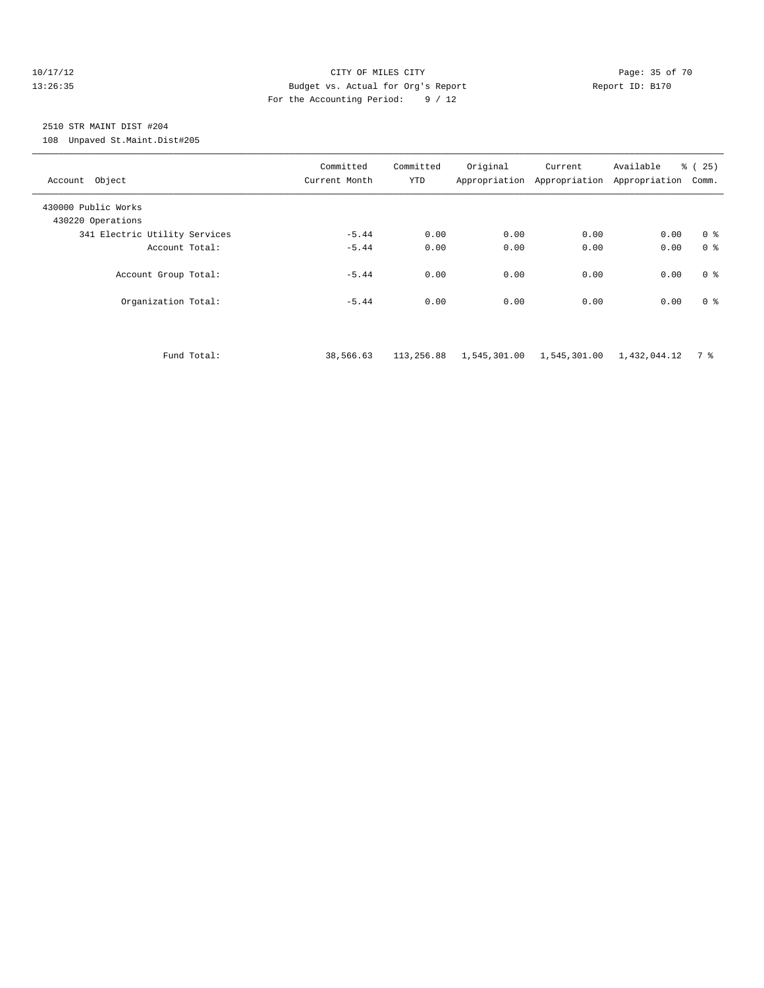#### 10/17/12 Page: 35 of 70 13:26:35 Budget vs. Actual for Org's Report Report ID: B170 For the Accounting Period: 9 / 12

## 2510 STR MAINT DIST #204

108 Unpaved St.Maint.Dist#205

| Account Object                           | Committed<br>Current Month | Committed<br>YTD | Original | Current<br>Appropriation Appropriation | Available<br>Appropriation | ී (<br>25)<br>Comm. |
|------------------------------------------|----------------------------|------------------|----------|----------------------------------------|----------------------------|---------------------|
| 430000 Public Works<br>430220 Operations |                            |                  |          |                                        |                            |                     |
| 341 Electric Utility Services            | $-5.44$                    | 0.00             | 0.00     | 0.00                                   | 0.00                       | 0 <sup>8</sup>      |
| Account Total:                           | $-5.44$                    | 0.00             | 0.00     | 0.00                                   | 0.00                       | 0 <sup>8</sup>      |
| Account Group Total:                     | $-5.44$                    | 0.00             | 0.00     | 0.00                                   | 0.00                       | 0 <sup>8</sup>      |
| Organization Total:                      | $-5.44$                    | 0.00             | 0.00     | 0.00                                   | 0.00                       | 0 <sup>8</sup>      |
|                                          |                            |                  |          |                                        |                            |                     |

Fund Total: 38,566.63 113,256.88 1,545,301.00 1,545,301.00 1,432,044.12 7 %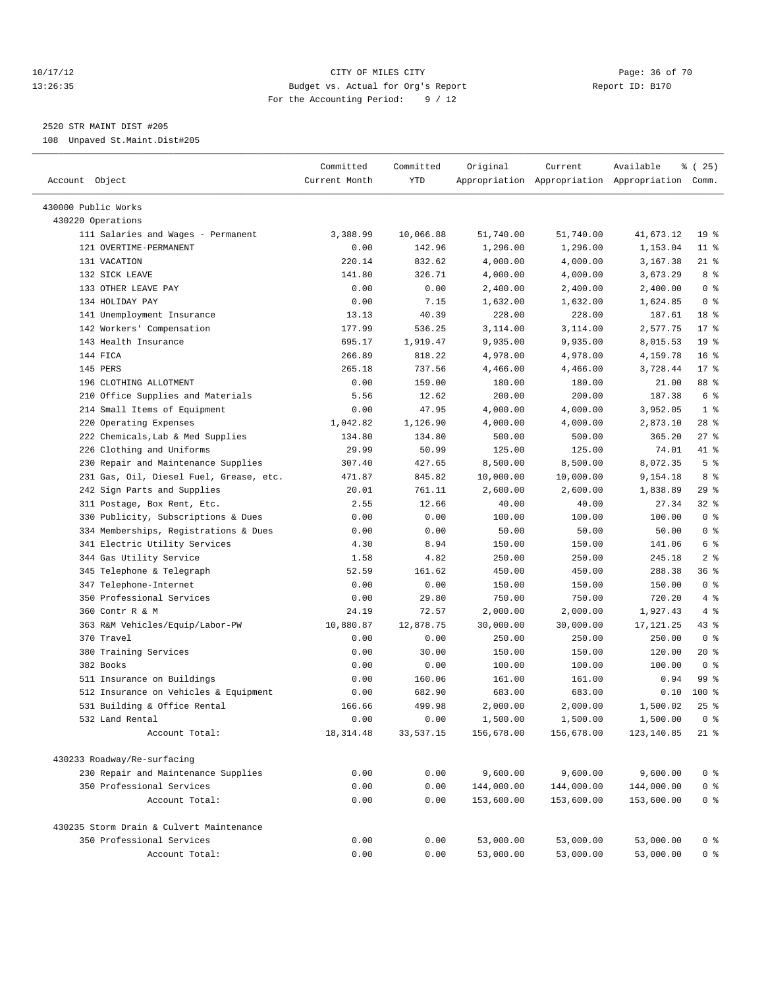#### 10/17/12 Page: 36 of 70 13:26:35 Budget vs. Actual for Org's Report Report ID: B170 For the Accounting Period: 9 / 12

————————————————————————————————————————————————————————————————————————————————————————————————————————————————————————————————————

2520 STR MAINT DIST #205

108 Unpaved St.Maint.Dist#205

|                                          | Committed          | Committed | Original   | Current    | Available                                       | <sub>ර</sub> ි (25) |
|------------------------------------------|--------------------|-----------|------------|------------|-------------------------------------------------|---------------------|
| Account Object                           | Current Month      | YTD       |            |            | Appropriation Appropriation Appropriation Comm. |                     |
| 430000 Public Works                      |                    |           |            |            |                                                 |                     |
| 430220 Operations                        |                    |           |            |            |                                                 |                     |
| 111 Salaries and Wages - Permanent       | 3,388.99           | 10,066.88 | 51,740.00  | 51,740.00  | 41,673.12                                       | 19 <sup>°</sup>     |
| 121 OVERTIME-PERMANENT                   | 0.00               | 142.96    | 1,296.00   | 1,296.00   | 1,153.04                                        | $11$ %              |
| 131 VACATION                             | 220.14             | 832.62    | 4,000.00   | 4,000.00   | 3,167.38                                        | 21 %                |
| 132 SICK LEAVE                           | 141.80             | 326.71    | 4,000.00   | 4,000.00   | 3,673.29                                        | 8 %                 |
| 133 OTHER LEAVE PAY                      | 0.00               | 0.00      | 2,400.00   | 2,400.00   | 2,400.00                                        | 0 <sup>8</sup>      |
| 134 HOLIDAY PAY                          | 0.00               | 7.15      | 1,632.00   | 1,632.00   | 1,624.85                                        | 0 <sup>8</sup>      |
| 141 Unemployment Insurance               | 13.13              | 40.39     | 228.00     | 228.00     | 187.61                                          | 18 %                |
| 142 Workers' Compensation                | 177.99             | 536.25    | 3,114.00   | 3,114.00   | 2,577.75                                        | $17*$               |
| 143 Health Insurance                     | 695.17             | 1,919.47  | 9,935.00   | 9,935.00   | 8,015.53                                        | 19 <sup>°</sup>     |
| 144 FICA                                 | 266.89             | 818.22    | 4,978.00   | 4,978.00   | 4,159.78                                        | 16 <sup>8</sup>     |
| 145 PERS                                 | 265.18             | 737.56    | 4,466.00   | 4,466.00   | 3,728.44                                        | $17*$               |
| 196 CLOTHING ALLOTMENT                   | 0.00               | 159.00    | 180.00     | 180.00     | 21.00                                           | 88 %                |
| 210 Office Supplies and Materials        | 5.56               | 12.62     | 200.00     | 200.00     | 187.38                                          | 6 %                 |
| 214 Small Items of Equipment             | 0.00               | 47.95     | 4,000.00   | 4,000.00   | 3,952.05                                        | 1 <sup>8</sup>      |
| 220 Operating Expenses                   | 1,042.82           | 1,126.90  | 4,000.00   | 4,000.00   | 2,873.10                                        | $28$ %              |
| 222 Chemicals, Lab & Med Supplies        | 134.80             | 134.80    | 500.00     | 500.00     | 365.20                                          | $27$ %              |
| 226 Clothing and Uniforms                | 29.99              | 50.99     | 125.00     | 125.00     | 74.01                                           | 41 %                |
| 230 Repair and Maintenance Supplies      | 307.40             | 427.65    | 8,500.00   | 8,500.00   | 8,072.35                                        | 5 <sup>°</sup>      |
| 231 Gas, Oil, Diesel Fuel, Grease, etc.  | 471.87             | 845.82    | 10,000.00  | 10,000.00  | 9,154.18                                        | 8 %                 |
| 242 Sign Parts and Supplies              | 20.01              | 761.11    | 2,600.00   | 2,600.00   | 1,838.89                                        | $29$ %              |
| 311 Postage, Box Rent, Etc.              | 2.55               | 12.66     | 40.00      | 40.00      | 27.34                                           | 328                 |
| 330 Publicity, Subscriptions & Dues      | 0.00               | 0.00      | 100.00     | 100.00     | 100.00                                          | 0 <sup>8</sup>      |
| 334 Memberships, Registrations & Dues    | 0.00               | 0.00      | 50.00      | 50.00      | 50.00                                           | 0 <sup>8</sup>      |
| 341 Electric Utility Services            | 4.30               | 8.94      | 150.00     | 150.00     | 141.06                                          | 6 %                 |
| 344 Gas Utility Service                  | 1.58               | 4.82      | 250.00     | 250.00     | 245.18                                          | 2 <sup>°</sup>      |
| 345 Telephone & Telegraph                | 52.59              | 161.62    | 450.00     | 450.00     | 288.38                                          | 36%                 |
| 347 Telephone-Internet                   | 0.00               | 0.00      | 150.00     | 150.00     | 150.00                                          | 0 <sup>8</sup>      |
| 350 Professional Services                | 0.00               | 29.80     | 750.00     | 750.00     | 720.20                                          | 4%                  |
| 360 Contr R & M                          |                    |           |            |            |                                                 | 4%                  |
|                                          | 24.19<br>10,880.87 | 72.57     | 2,000.00   | 2,000.00   | 1,927.43<br>17, 121.25                          | 43 %                |
| 363 R&M Vehicles/Equip/Labor-PW          |                    | 12,878.75 | 30,000.00  | 30,000.00  |                                                 |                     |
| 370 Travel                               | 0.00               | 0.00      | 250.00     | 250.00     | 250.00                                          | 0 <sup>8</sup>      |
| 380 Training Services                    | 0.00               | 30.00     | 150.00     | 150.00     | 120.00                                          | $20*$               |
| 382 Books                                | 0.00               | 0.00      | 100.00     | 100.00     | 100.00                                          | 0 <sup>8</sup>      |
| 511 Insurance on Buildings               | 0.00               | 160.06    | 161.00     | 161.00     | 0.94                                            | 99 %<br>$100*$      |
| 512 Insurance on Vehicles & Equipment    | 0.00               | 682.90    | 683.00     | 683.00     | 0.10<br>1,500.02                                |                     |
| 531 Building & Office Rental             | 166.66             | 499.98    | 2,000.00   | 2,000.00   |                                                 | $25$ $%$            |
| 532 Land Rental                          | 0.00               | 0.00      | 1,500.00   | 1,500.00   | 1,500.00                                        | 0 <sup>8</sup>      |
| Account Total:                           | 18, 314.48         | 33,537.15 | 156,678.00 | 156,678.00 | 123,140.85                                      | $21$ %              |
| 430233 Roadway/Re-surfacing              |                    |           |            |            |                                                 |                     |
| 230 Repair and Maintenance Supplies      | 0.00               | 0.00      | 9,600.00   | 9,600.00   | 9,600.00                                        | $0$ %               |
| 350 Professional Services                | 0.00               | 0.00      | 144,000.00 | 144,000.00 | 144,000.00                                      | $0$ %               |
| Account Total:                           | 0.00               | 0.00      | 153,600.00 | 153,600.00 | 153,600.00                                      | 0 <sup>8</sup>      |
| 430235 Storm Drain & Culvert Maintenance |                    |           |            |            |                                                 |                     |
| 350 Professional Services                | 0.00               | 0.00      | 53,000.00  | 53,000.00  | 53,000.00                                       | 0 %                 |
| Account Total:                           | 0.00               | 0.00      | 53,000.00  | 53,000.00  | 53,000.00                                       | 0 <sup>8</sup>      |
|                                          |                    |           |            |            |                                                 |                     |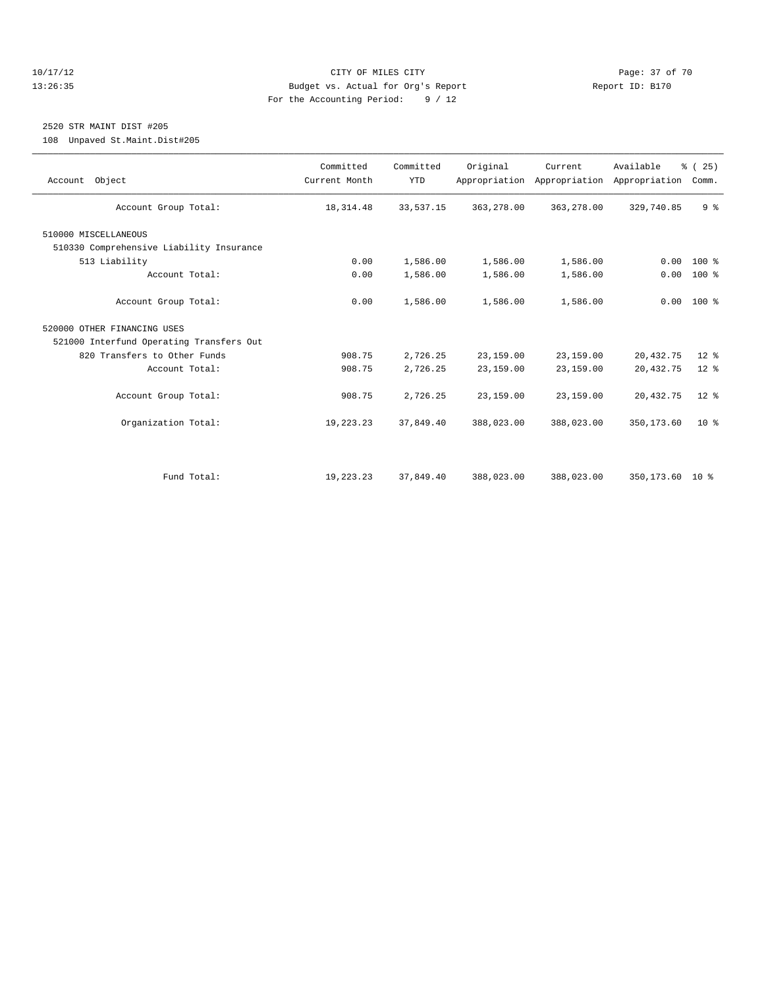#### 10/17/12 Page: 37 of 70 13:26:35 Budget vs. Actual for Org's Report Report ID: B170 For the Accounting Period: 9 / 12

## 2520 STR MAINT DIST #205

108 Unpaved St.Maint.Dist#205

| Account Object                           | Committed<br>Current Month | Committed<br><b>YTD</b> | Original   | Current<br>Appropriation Appropriation | Available<br>Appropriation | % (25)<br>Comm. |
|------------------------------------------|----------------------------|-------------------------|------------|----------------------------------------|----------------------------|-----------------|
| Account Group Total:                     | 18, 314.48                 | 33,537.15               | 363,278.00 | 363,278.00                             | 329,740.85                 | 9 <sup>8</sup>  |
| 510000 MISCELLANEOUS                     |                            |                         |            |                                        |                            |                 |
| 510330 Comprehensive Liability Insurance |                            |                         |            |                                        |                            |                 |
| 513 Liability                            | 0.00                       | 1,586.00                | 1,586.00   | 1,586.00                               | 0.00                       | $100*$          |
| Account Total:                           | 0.00                       | 1,586.00                | 1,586.00   | 1,586.00                               | 0.00                       | 100 %           |
| Account Group Total:                     | 0.00                       | 1,586.00                | 1,586.00   | 1,586.00                               |                            | $0.00 100$ %    |
| 520000 OTHER FINANCING USES              |                            |                         |            |                                        |                            |                 |
| 521000 Interfund Operating Transfers Out |                            |                         |            |                                        |                            |                 |
| 820 Transfers to Other Funds             | 908.75                     | 2,726.25                | 23,159.00  | 23,159.00                              | 20, 432.75                 | $12*$           |
| Account Total:                           | 908.75                     | 2,726.25                | 23,159.00  | 23,159.00                              | 20, 432.75                 | $12*$           |
| Account Group Total:                     | 908.75                     | 2,726.25                | 23,159.00  | 23,159.00                              | 20, 432.75                 | $12*$           |
| Organization Total:                      | 19,223.23                  | 37,849.40               | 388,023.00 | 388,023.00                             | 350, 173.60                | $10*$           |
|                                          |                            |                         |            |                                        |                            |                 |
| Fund Total:                              | 19,223.23                  | 37,849.40               | 388,023.00 | 388,023.00                             | 350,173.60 10 %            |                 |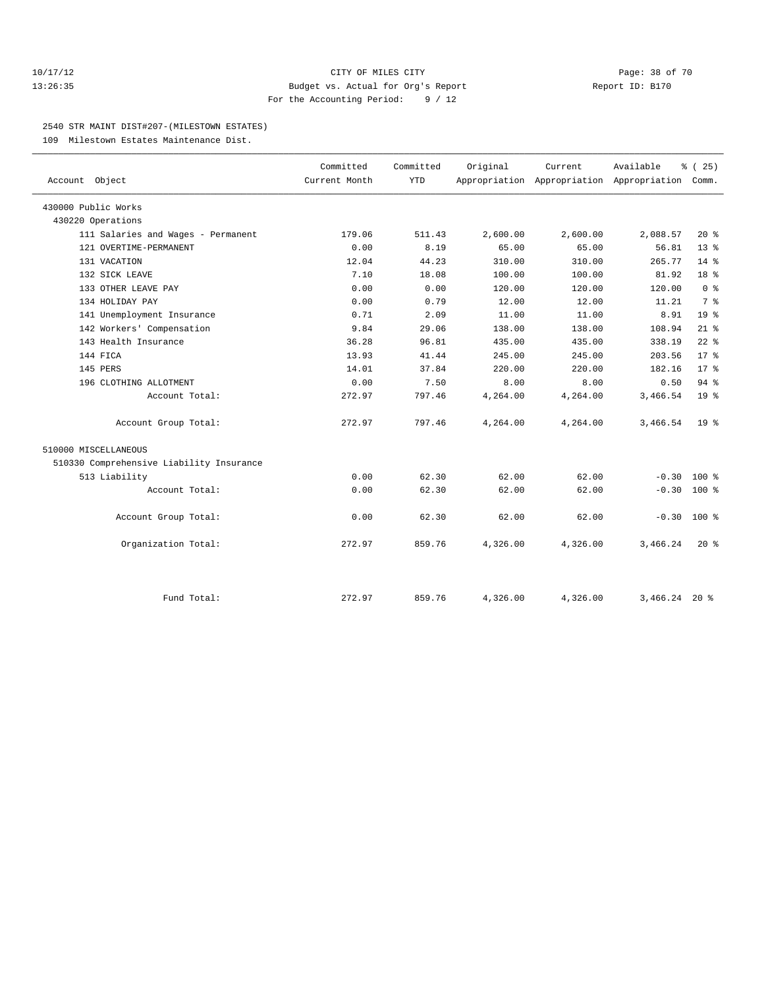#### 10/17/12 Page: 38 of 70 13:26:35 Budget vs. Actual for Org's Report Report ID: B170 For the Accounting Period: 9 / 12

#### 2540 STR MAINT DIST#207-(MILESTOWN ESTATES)

109 Milestown Estates Maintenance Dist.

|                                          | Committed     | Committed  | Original | Current  | Available                                 | % (25)          |  |
|------------------------------------------|---------------|------------|----------|----------|-------------------------------------------|-----------------|--|
| Account Object                           | Current Month | <b>YTD</b> |          |          | Appropriation Appropriation Appropriation | Comm.           |  |
| 430000 Public Works                      |               |            |          |          |                                           |                 |  |
| 430220 Operations                        |               |            |          |          |                                           |                 |  |
| 111 Salaries and Wages - Permanent       | 179.06        | 511.43     | 2,600.00 | 2,600.00 | 2,088.57                                  | $20*$           |  |
| 121 OVERTIME-PERMANENT                   | 0.00          | 8.19       | 65.00    | 65.00    | 56.81                                     | $13*$           |  |
| 131 VACATION                             | 12.04         | 44.23      | 310.00   | 310.00   | 265.77                                    | $14*$           |  |
| 132 SICK LEAVE                           | 7.10          | 18.08      | 100.00   | 100.00   | 81.92                                     | 18 <sup>°</sup> |  |
| 133 OTHER LEAVE PAY                      | 0.00          | 0.00       | 120.00   | 120.00   | 120.00                                    | 0 <sup>8</sup>  |  |
| 134 HOLIDAY PAY                          | 0.00          | 0.79       | 12.00    | 12.00    | 11.21                                     | 7 <sup>°</sup>  |  |
| 141 Unemployment Insurance               | 0.71          | 2.09       | 11.00    | 11.00    | 8.91                                      | 19 <sup>°</sup> |  |
| 142 Workers' Compensation                | 9.84          | 29.06      | 138.00   | 138.00   | 108.94                                    | $21$ %          |  |
| 143 Health Insurance                     | 36.28         | 96.81      | 435.00   | 435.00   | 338.19                                    | $22$ $%$        |  |
| 144 FICA                                 | 13.93         | 41.44      | 245.00   | 245.00   | 203.56                                    | $17*$           |  |
| 145 PERS                                 | 14.01         | 37.84      | 220.00   | 220.00   | 182.16                                    | $17*$           |  |
| 196 CLOTHING ALLOTMENT                   | 0.00          | 7.50       | 8.00     | 8.00     | 0.50                                      | 94%             |  |
| Account Total:                           | 272.97        | 797.46     | 4,264.00 | 4,264.00 | 3,466.54                                  | 19 <sup>8</sup> |  |
| Account Group Total:                     | 272.97        | 797.46     | 4,264.00 | 4,264.00 | 3,466.54                                  | 19 <sup>°</sup> |  |
| 510000 MISCELLANEOUS                     |               |            |          |          |                                           |                 |  |
| 510330 Comprehensive Liability Insurance |               |            |          |          |                                           |                 |  |
| 513 Liability                            | 0.00          | 62.30      | 62.00    | 62.00    | $-0.30$                                   | $100*$          |  |
| Account Total:                           | 0.00          | 62.30      | 62.00    | 62.00    | $-0.30$                                   | 100 %           |  |
| Account Group Total:                     | 0.00          | 62.30      | 62.00    | 62.00    | $-0.30$ 100 %                             |                 |  |
| Organization Total:                      | 272.97        | 859.76     | 4,326.00 | 4,326.00 | 3,466.24                                  | $20*$           |  |
|                                          |               |            |          |          |                                           |                 |  |
| Fund Total:                              | 272.97        | 859.76     | 4,326.00 | 4,326.00 | $3,466.24$ 20 %                           |                 |  |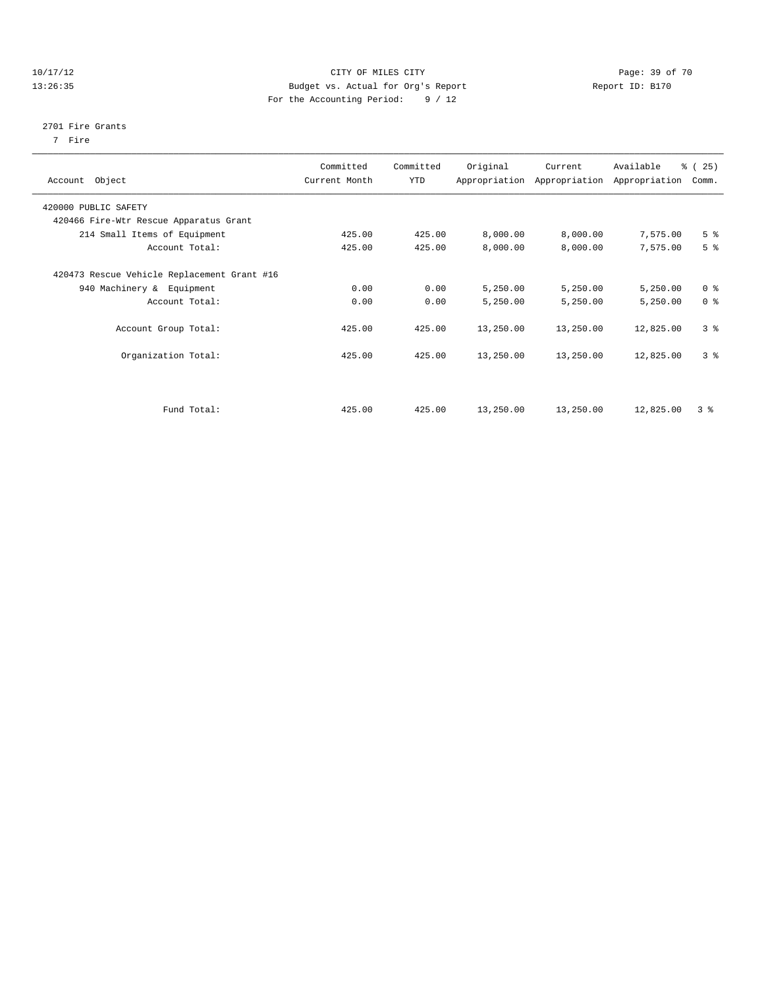#### 10/17/12 Page: 39 of 70 13:26:35 Budget vs. Actual for Org's Report Report ID: B170 For the Accounting Period: 9 / 12

#### 2701 Fire Grants

7 Fire

| Object<br>Account                           | Committed<br>Current Month | Committed<br><b>YTD</b> | Original  | Current<br>Appropriation Appropriation | Available<br>Appropriation | % (25)<br>Comm. |
|---------------------------------------------|----------------------------|-------------------------|-----------|----------------------------------------|----------------------------|-----------------|
| 420000 PUBLIC SAFETY                        |                            |                         |           |                                        |                            |                 |
| 420466 Fire-Wtr Rescue Apparatus Grant      |                            |                         |           |                                        |                            |                 |
| 214 Small Items of Equipment                | 425.00                     | 425.00                  | 8,000.00  | 8,000.00                               | 7,575.00                   | 5 <sup>8</sup>  |
| Account Total:                              | 425.00                     | 425.00                  | 8,000.00  | 8,000.00                               | 7,575.00                   | 5 <sup>8</sup>  |
| 420473 Rescue Vehicle Replacement Grant #16 |                            |                         |           |                                        |                            |                 |
| 940 Machinery & Equipment                   | 0.00                       | 0.00                    | 5,250.00  | 5,250.00                               | 5,250.00                   | 0 <sup>8</sup>  |
| Account Total:                              | 0.00                       | 0.00                    | 5,250.00  | 5,250.00                               | 5,250.00                   | 0 <sup>8</sup>  |
| Account Group Total:                        | 425.00                     | 425.00                  | 13,250.00 | 13,250.00                              | 12,825.00                  | 3 <sup>°</sup>  |
| Organization Total:                         | 425.00                     | 425.00                  | 13,250.00 | 13,250.00                              | 12,825.00                  | 3 <sup>8</sup>  |
|                                             |                            |                         |           |                                        |                            |                 |
| Fund Total:                                 | 425.00                     | 425.00                  | 13,250.00 | 13,250.00                              | 12,825.00                  | 3 <sup>8</sup>  |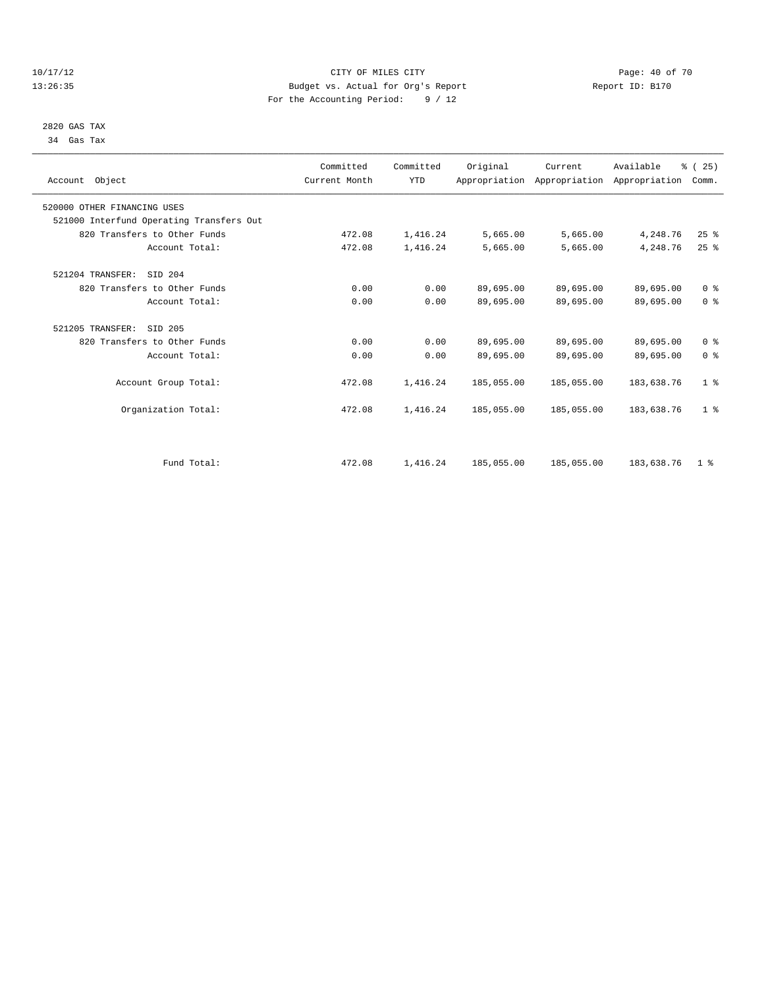# 2820 GAS TAX

34 Gas Tax

| 10/17/12 | CITY OF MILES CITY                 | Page: 40 of 70  |
|----------|------------------------------------|-----------------|
| 13:26:35 | Budget vs. Actual for Org's Report | Report ID: B170 |
|          | For the Accounting Period: $9/12$  |                 |

| Account Object                           | Committed<br>Current Month | Committed<br><b>YTD</b> | Original   | Current<br>Appropriation Appropriation Appropriation | Available  | % (25)<br>Comm. |  |
|------------------------------------------|----------------------------|-------------------------|------------|------------------------------------------------------|------------|-----------------|--|
| 520000 OTHER FINANCING USES              |                            |                         |            |                                                      |            |                 |  |
| 521000 Interfund Operating Transfers Out |                            |                         |            |                                                      |            |                 |  |
| 820 Transfers to Other Funds             | 472.08                     | 1,416.24                | 5,665.00   | 5,665.00                                             | 4,248.76   | 25%             |  |
| Account Total:                           | 472.08                     | 1,416.24                | 5,665.00   | 5,665.00                                             | 4,248.76   | $25$ $%$        |  |
| 521204 TRANSFER:<br>SID 204              |                            |                         |            |                                                      |            |                 |  |
| 820 Transfers to Other Funds             | 0.00                       | 0.00                    | 89,695.00  | 89,695.00                                            | 89,695.00  | 0 <sup>8</sup>  |  |
| Account Total:                           | 0.00                       | 0.00                    | 89,695.00  | 89,695.00                                            | 89,695.00  | 0 <sup>8</sup>  |  |
| 521205 TRANSFER:<br>SID 205              |                            |                         |            |                                                      |            |                 |  |
| 820 Transfers to Other Funds             | 0.00                       | 0.00                    | 89,695.00  | 89,695.00                                            | 89,695.00  | 0 <sup>8</sup>  |  |
| Account Total:                           | 0.00                       | 0.00                    | 89,695.00  | 89,695.00                                            | 89,695.00  | 0 <sup>8</sup>  |  |
| Account Group Total:                     | 472.08                     | 1,416.24                | 185,055.00 | 185,055.00                                           | 183,638.76 | 1 <sup>8</sup>  |  |
| Organization Total:                      | 472.08                     | 1,416.24                | 185,055.00 | 185,055.00                                           | 183,638.76 | 1 <sup>8</sup>  |  |
|                                          |                            |                         |            |                                                      |            |                 |  |
| Fund Total:                              | 472.08                     | 1,416.24                | 185,055.00 | 185,055.00                                           | 183,638.76 | 1 <sup>8</sup>  |  |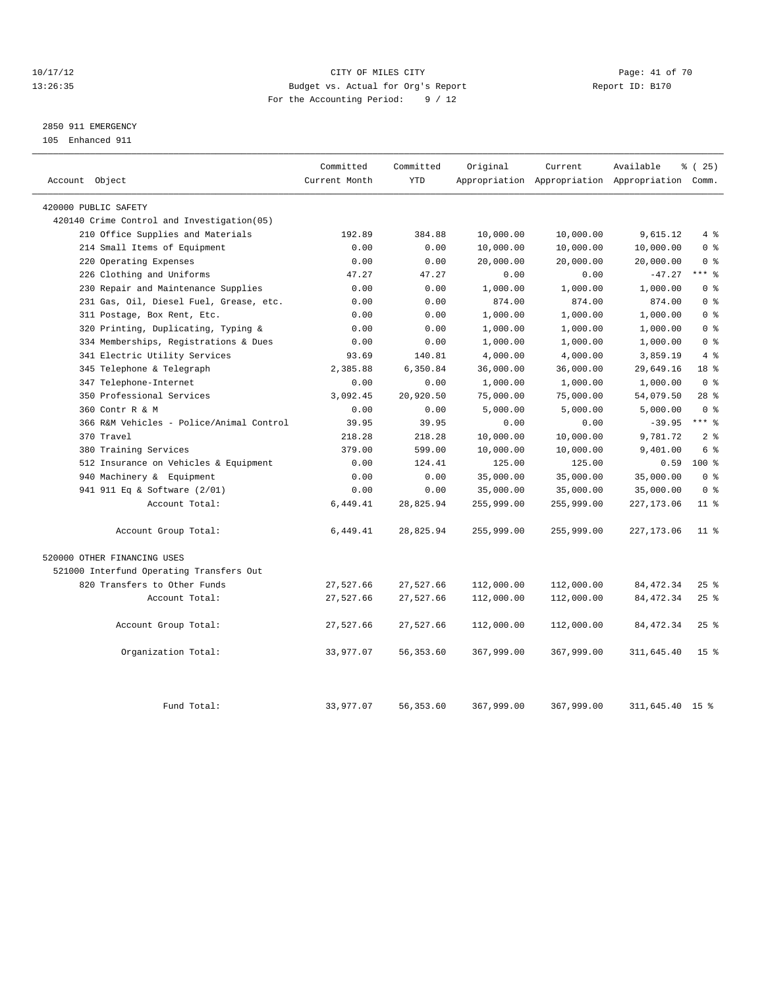#### 10/17/12 Page: 41 of 70 13:26:35 Budget vs. Actual for Org's Report Report ID: B170 For the Accounting Period: 9 / 12

## 2850 911 EMERGENCY

105 Enhanced 911

| Account Object                             | Committed<br>Current Month | Committed<br><b>YTD</b> | Original         | Current          | Available<br>Appropriation Appropriation Appropriation Comm. | % (25)          |
|--------------------------------------------|----------------------------|-------------------------|------------------|------------------|--------------------------------------------------------------|-----------------|
| 420000 PUBLIC SAFETY                       |                            |                         |                  |                  |                                                              |                 |
| 420140 Crime Control and Investigation(05) |                            |                         |                  |                  |                                                              |                 |
| 210 Office Supplies and Materials          | 192.89                     | 384.88                  | 10,000.00        | 10,000.00        | 9,615.12                                                     | 4%              |
| 214 Small Items of Equipment               | 0.00                       | 0.00                    | 10,000.00        | 10,000.00        | 10,000.00                                                    | 0 <sup>8</sup>  |
| Operating Expenses<br>220                  | 0.00                       | 0.00                    | 20,000.00        | 20,000.00        | 20,000.00                                                    | 0 <sup>8</sup>  |
| 226 Clothing and Uniforms                  | 47.27                      | 47.27                   | 0.00             | 0.00             | $-47.27$                                                     | $***$ $-$       |
| 230 Repair and Maintenance Supplies        | 0.00                       | 0.00                    | 1,000.00         | 1,000.00         | 1,000.00                                                     | 0 <sup>8</sup>  |
| 231 Gas, Oil, Diesel Fuel, Grease, etc.    | 0.00                       | 0.00                    | 874.00           | 874.00           | 874.00                                                       | 0 <sup>8</sup>  |
| 311 Postage, Box Rent, Etc.                | 0.00                       | 0.00                    | 1,000.00         | 1,000.00         | 1,000.00                                                     | 0 <sup>8</sup>  |
| Printing, Duplicating, Typing &<br>320     | 0.00                       | 0.00                    | 1,000.00         | 1,000.00         | 1,000.00                                                     | 0 <sup>8</sup>  |
| 334 Memberships, Registrations & Dues      |                            | 0.00                    | 1,000.00         | 1,000.00         | 1,000.00                                                     | 0 <sup>8</sup>  |
| 341 Electric Utility Services              | 0.00<br>93.69              | 140.81                  | 4,000.00         | 4,000.00         | 3,859.19                                                     | 4%              |
| 345 Telephone & Telegraph                  | 2,385.88                   | 6,350.84                | 36,000.00        | 36,000.00        | 29,649.16                                                    | 18 <sup>8</sup> |
| 347 Telephone-Internet                     | 0.00                       | 0.00                    | 1,000.00         | 1,000.00         | 1,000.00                                                     | 0 <sup>8</sup>  |
| 350 Professional Services                  | 3,092.45                   | 20,920.50               | 75,000.00        | 75,000.00        | 54,079.50                                                    | $28$ %          |
| 360 Contr R & M                            | 0.00                       | 0.00                    |                  |                  |                                                              | 0 <sup>8</sup>  |
| 366 R&M Vehicles - Police/Animal Control   | 39.95                      | 39.95                   | 5,000.00<br>0.00 | 5,000.00<br>0.00 | 5,000.00                                                     | $***$ $-$       |
| 370 Travel                                 | 218.28                     | 218.28                  | 10,000.00        | 10,000.00        | $-39.95$<br>9,781.72                                         | 2 <sub>8</sub>  |
|                                            |                            | 599.00                  |                  |                  |                                                              | 6 %             |
| 380 Training Services                      | 379.00                     |                         | 10,000.00        | 10,000.00        | 9,401.00                                                     | $100*$          |
| 512 Insurance on Vehicles & Equipment      | 0.00                       | 124.41                  | 125.00           | 125.00           | 0.59                                                         |                 |
| 940 Machinery & Equipment                  | 0.00                       | 0.00                    | 35,000.00        | 35,000.00        | 35,000.00                                                    | 0 <sup>8</sup>  |
| 941 911 Eq & Software (2/01)               | 0.00                       | 0.00                    | 35,000.00        | 35,000.00        | 35,000.00                                                    | 0 <sup>8</sup>  |
| Account Total:                             | 6,449.41                   | 28,825.94               | 255,999.00       | 255,999.00       | 227, 173.06                                                  | $11$ %          |
| Account Group Total:                       | 6,449.41                   | 28,825.94               | 255,999.00       | 255,999.00       | 227, 173.06                                                  | $11$ %          |
| 520000 OTHER FINANCING USES                |                            |                         |                  |                  |                                                              |                 |
| 521000 Interfund Operating Transfers Out   |                            |                         |                  |                  |                                                              |                 |
| 820 Transfers to Other Funds               | 27,527.66                  | 27,527.66               | 112,000.00       | 112,000.00       | 84, 472.34                                                   | $25$ %          |
| Account Total:                             | 27,527.66                  | 27,527.66               | 112,000.00       | 112,000.00       | 84, 472.34                                                   | $25$ %          |
| Account Group Total:                       | 27,527.66                  | 27,527.66               | 112,000.00       | 112,000.00       | 84, 472.34                                                   | $25$ %          |
| Organization Total:                        | 33,977.07                  | 56, 353.60              | 367,999.00       | 367,999.00       | 311,645.40                                                   | 15 <sup>8</sup> |
| Fund Total:                                | 33,977.07                  | 56, 353.60              | 367,999.00       | 367,999.00       | 311,645.40                                                   | 15 <sup>8</sup> |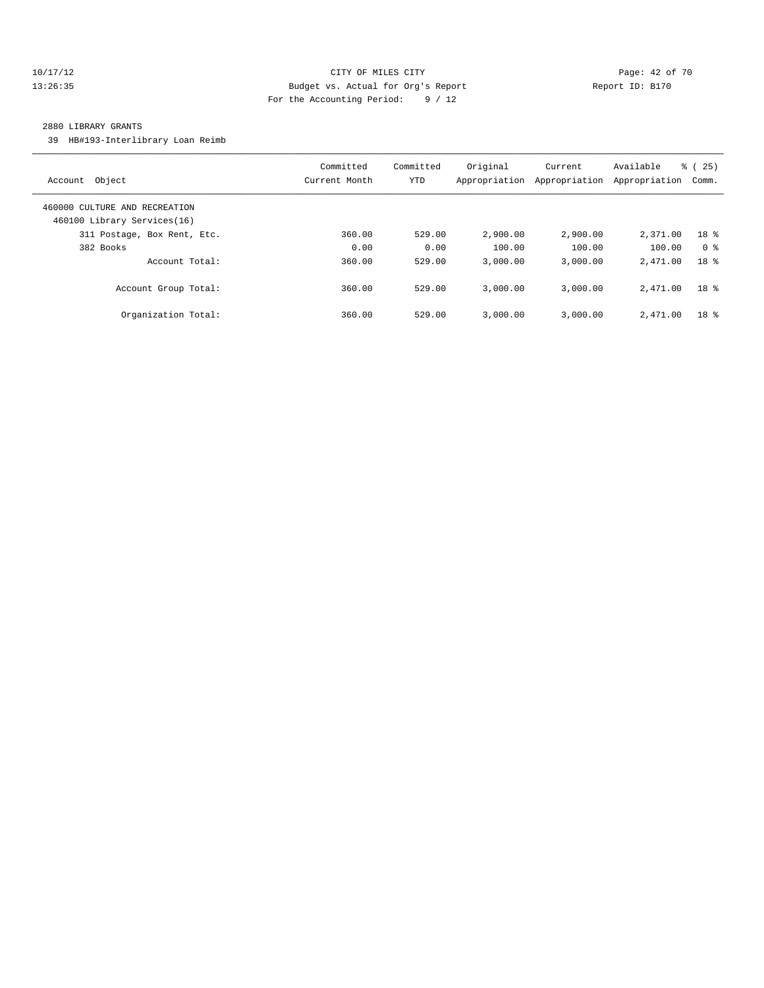### 10/17/12 Page: 42 of 70 13:26:35 Budget vs. Actual for Org's Report Report ID: B170 For the Accounting Period: 9 / 12

#### 2880 LIBRARY GRANTS

39 HB#193-Interlibrary Loan Reimb

| Object<br>Account                                            | Committed<br>Current Month | Committed<br>YTD | Original<br>Appropriation | Current<br>Appropriation | Available<br>Appropriation | 25)<br>ී (<br>Comm. |
|--------------------------------------------------------------|----------------------------|------------------|---------------------------|--------------------------|----------------------------|---------------------|
| 460000 CULTURE AND RECREATION<br>460100 Library Services(16) |                            |                  |                           |                          |                            |                     |
| 311 Postage, Box Rent, Etc.                                  | 360.00                     | 529.00           | 2,900.00                  | 2,900.00                 | 2,371.00                   | 18 <sup>8</sup>     |
| 382 Books                                                    | 0.00                       | 0.00             | 100.00                    | 100.00                   | 100.00                     | 0 <sup>8</sup>      |
| Account Total:                                               | 360.00                     | 529.00           | 3.000.00                  | 3.000.00                 | 2,471.00                   | 18 <sup>8</sup>     |
| Account Group Total:                                         | 360.00                     | 529.00           | 3,000.00                  | 3.000.00                 | 2,471.00                   | 18 <sup>8</sup>     |
| Organization Total:                                          | 360.00                     | 529.00           | 3,000.00                  | 3.000.00                 | 2,471.00                   | 18 %                |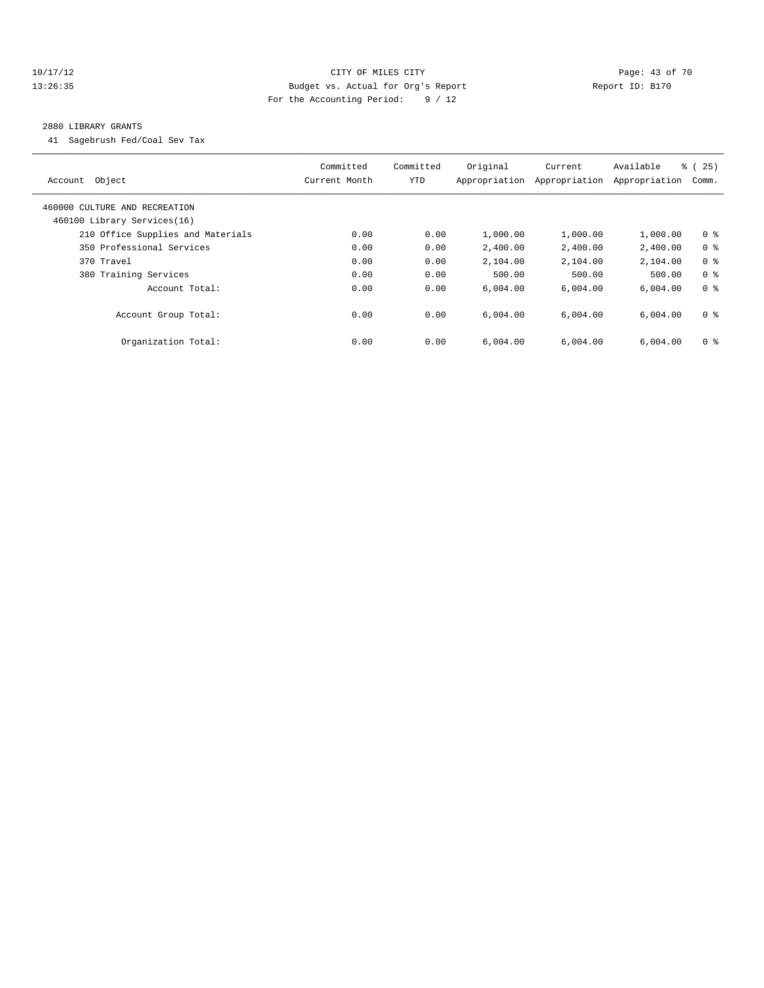### 10/17/12 Page: 43 of 70 13:26:35 Budget vs. Actual for Org's Report Report ID: B170 For the Accounting Period: 9 / 12

#### 2880 LIBRARY GRANTS

41 Sagebrush Fed/Coal Sev Tax

| Object<br>Account                                            | Committed<br>Current Month | Committed<br><b>YTD</b> | Original<br>Appropriation | Current<br>Appropriation | Available<br>Appropriation | % (25)<br>Comm. |
|--------------------------------------------------------------|----------------------------|-------------------------|---------------------------|--------------------------|----------------------------|-----------------|
| 460000 CULTURE AND RECREATION<br>460100 Library Services(16) |                            |                         |                           |                          |                            |                 |
| 210 Office Supplies and Materials                            | 0.00                       | 0.00                    | 1,000.00                  | 1,000.00                 | 1,000.00                   | 0 <sup>8</sup>  |
| 350 Professional Services                                    | 0.00                       | 0.00                    | 2,400.00                  | 2,400.00                 | 2,400.00                   | 0 <sup>8</sup>  |
| 370 Travel                                                   | 0.00                       | 0.00                    | 2,104.00                  | 2,104.00                 | 2,104.00                   | 0 <sup>8</sup>  |
| 380 Training Services                                        | 0.00                       | 0.00                    | 500.00                    | 500.00                   | 500.00                     | 0 <sup>8</sup>  |
| Account Total:                                               | 0.00                       | 0.00                    | 6,004.00                  | 6,004.00                 | 6,004.00                   | 0 <sup>8</sup>  |
| Account Group Total:                                         | 0.00                       | 0.00                    | 6.004.00                  | 6.004.00                 | 6,004.00                   | 0 <sup>8</sup>  |
| Organization Total:                                          | 0.00                       | 0.00                    | 6.004.00                  | 6.004.00                 | 6,004.00                   | 0 <sup>8</sup>  |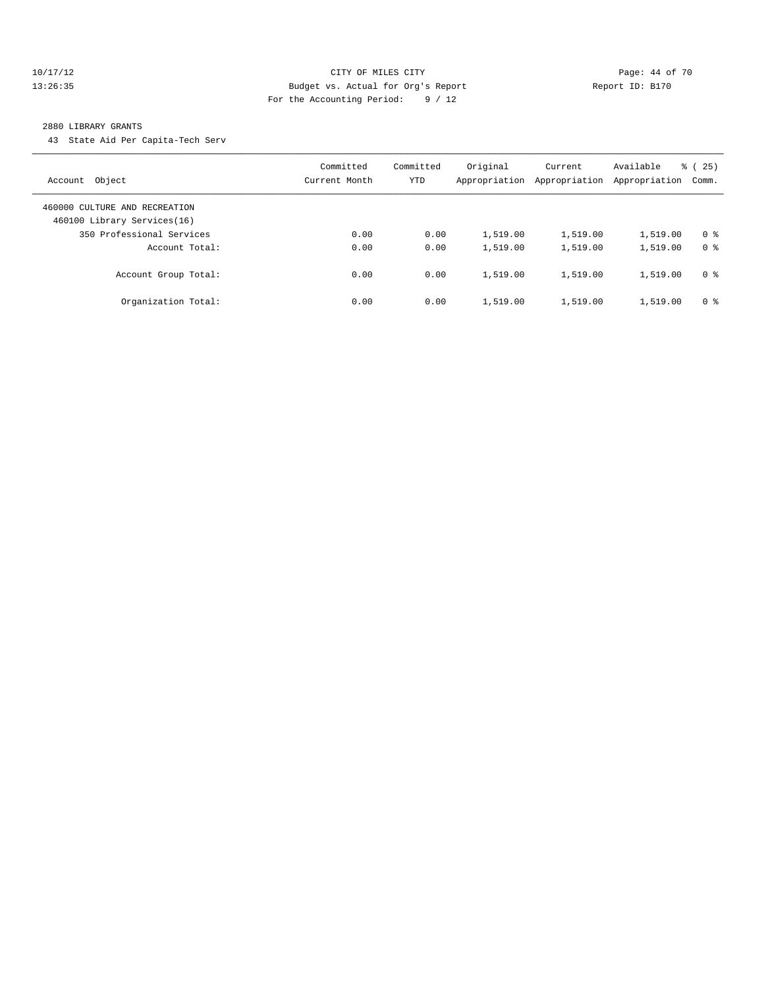#### 10/17/12 Page: 44 of 70 13:26:35 Budget vs. Actual for Org's Report Report ID: B170 For the Accounting Period: 9 / 12

#### 2880 LIBRARY GRANTS

43 State Aid Per Capita-Tech Serv

| Object<br>Account                                            | Committed<br>Current Month | Committed<br>YTD | Original<br>Appropriation | Current<br>Appropriation | Available<br>Appropriation | $\frac{3}{6}$ ( 25 )<br>Comm. |
|--------------------------------------------------------------|----------------------------|------------------|---------------------------|--------------------------|----------------------------|-------------------------------|
| 460000 CULTURE AND RECREATION<br>460100 Library Services(16) |                            |                  |                           |                          |                            |                               |
| 350 Professional Services                                    | 0.00                       | 0.00             | 1,519.00                  | 1,519.00                 | 1,519.00                   | 0 <sup>8</sup>                |
| Account Total:                                               | 0.00                       | 0.00             | 1,519.00                  | 1,519.00                 | 1,519.00                   | 0 <sup>8</sup>                |
| Account Group Total:                                         | 0.00                       | 0.00             | 1,519.00                  | 1,519.00                 | 1,519.00                   | 0 <sup>8</sup>                |
| Organization Total:                                          | 0.00                       | 0.00             | 1,519.00                  | 1,519.00                 | 1,519.00                   | 0 <sup>8</sup>                |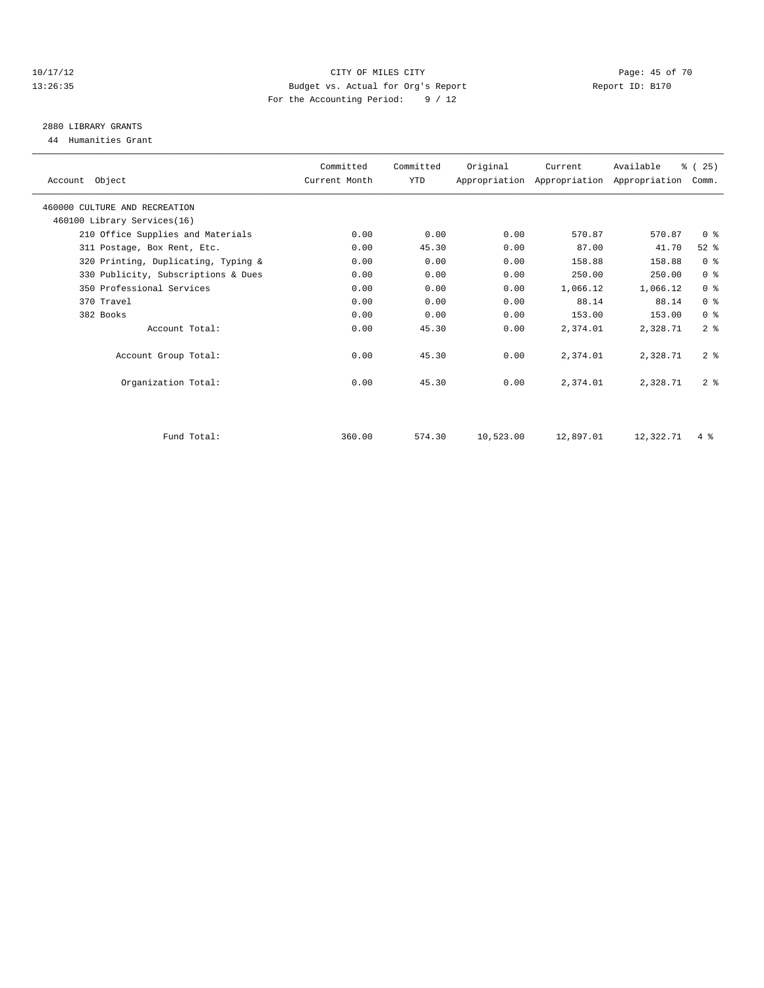#### 10/17/12 Page: 45 of 70 13:26:35 Budget vs. Actual for Org's Report Report ID: B170 For the Accounting Period: 9 / 12

## 2880 LIBRARY GRANTS

44 Humanities Grant

| Account Object                      | Committed<br>Current Month | Committed<br>YTD | Original  | Current   | Available<br>Appropriation Appropriation Appropriation | % (25)<br>Comm. |  |
|-------------------------------------|----------------------------|------------------|-----------|-----------|--------------------------------------------------------|-----------------|--|
| 460000 CULTURE AND RECREATION       |                            |                  |           |           |                                                        |                 |  |
| 460100 Library Services(16)         |                            |                  |           |           |                                                        |                 |  |
| 210 Office Supplies and Materials   | 0.00                       | 0.00             | 0.00      | 570.87    | 570.87                                                 | 0 <sup>8</sup>  |  |
| 311 Postage, Box Rent, Etc.         | 0.00                       | 45.30            | 0.00      | 87.00     | 41.70                                                  | $52$ $%$        |  |
| 320 Printing, Duplicating, Typing & | 0.00                       | 0.00             | 0.00      | 158.88    | 158.88                                                 | 0 <sup>8</sup>  |  |
| 330 Publicity, Subscriptions & Dues | 0.00                       | 0.00             | 0.00      | 250.00    | 250.00                                                 | 0 <sup>8</sup>  |  |
| 350 Professional Services           | 0.00                       | 0.00             | 0.00      | 1,066.12  | 1,066.12                                               | 0 <sup>8</sup>  |  |
| 370 Travel                          | 0.00                       | 0.00             | 0.00      | 88.14     | 88.14                                                  | 0 <sup>8</sup>  |  |
| 382 Books                           | 0.00                       | 0.00             | 0.00      | 153.00    | 153.00                                                 | 0 <sup>8</sup>  |  |
| Account Total:                      | 0.00                       | 45.30            | 0.00      | 2,374.01  | 2,328.71                                               | 2 <sup>8</sup>  |  |
| Account Group Total:                | 0.00                       | 45.30            | 0.00      | 2,374.01  | 2,328.71                                               | 2 <sup>8</sup>  |  |
| Organization Total:                 | 0.00                       | 45.30            | 0.00      | 2,374.01  | 2,328.71                                               | 2 <sup>8</sup>  |  |
|                                     |                            |                  |           |           |                                                        |                 |  |
| Fund Total:                         | 360.00                     | 574.30           | 10,523.00 | 12,897.01 | 12,322.71                                              | $4\degree$      |  |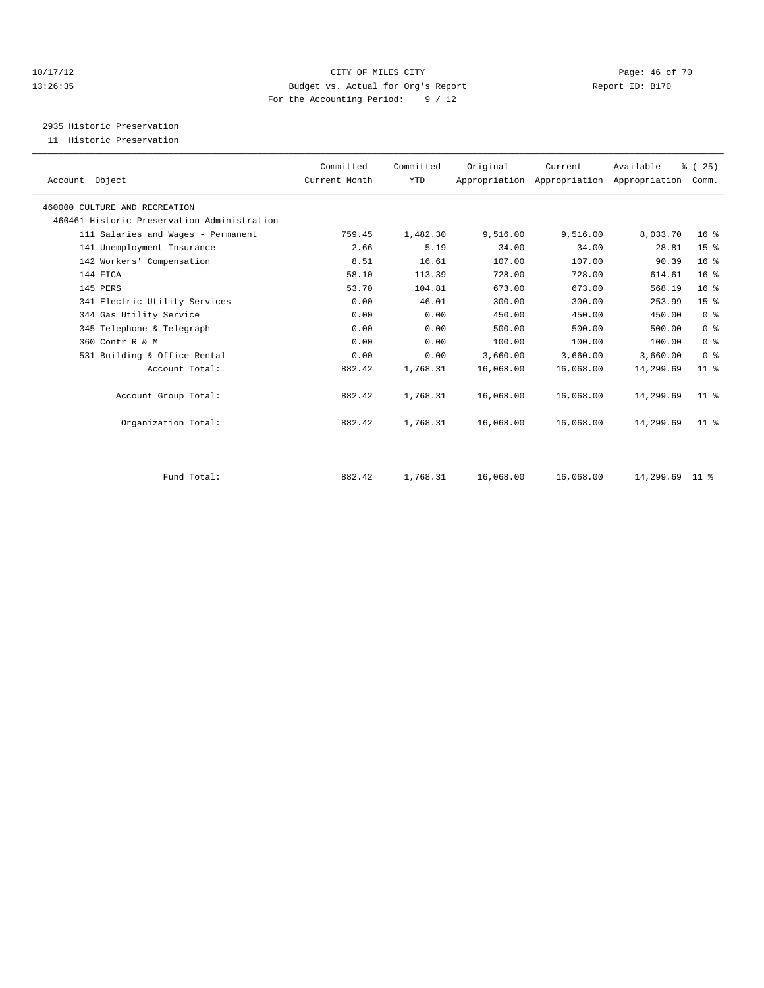#### 10/17/12 Page: 46 of 70 13:26:35 Budget vs. Actual for Org's Report Report ID: B170 For the Accounting Period: 9 / 12

2935 Historic Preservation

11 Historic Preservation

| Account Object                              | Committed<br>Current Month | Committed<br><b>YTD</b> | Original  | Current   | Available<br>Appropriation Appropriation Appropriation | % (25)<br>Comm. |  |
|---------------------------------------------|----------------------------|-------------------------|-----------|-----------|--------------------------------------------------------|-----------------|--|
| 460000 CULTURE AND RECREATION               |                            |                         |           |           |                                                        |                 |  |
| 460461 Historic Preservation-Administration |                            |                         |           |           |                                                        |                 |  |
| 111 Salaries and Wages - Permanent          | 759.45                     | 1,482.30                | 9,516.00  | 9,516.00  | 8,033.70                                               | 16 <sup>°</sup> |  |
| 141 Unemployment Insurance                  | 2.66                       | 5.19                    | 34.00     | 34.00     | 28.81                                                  | 15 <sup>°</sup> |  |
| 142 Workers' Compensation                   | 8.51                       | 16.61                   | 107.00    | 107.00    | 90.39                                                  | 16 <sup>°</sup> |  |
| 144 FICA                                    | 58.10                      | 113.39                  | 728.00    | 728.00    | 614.61                                                 | 16 <sup>8</sup> |  |
| 145 PERS                                    | 53.70                      | 104.81                  | 673.00    | 673.00    | 568.19                                                 | 16 <sup>°</sup> |  |
| 341 Electric Utility Services               | 0.00                       | 46.01                   | 300.00    | 300.00    | 253.99                                                 | 15 <sup>°</sup> |  |
| 344 Gas Utility Service                     | 0.00                       | 0.00                    | 450.00    | 450.00    | 450.00                                                 | 0 <sup>8</sup>  |  |
| 345 Telephone & Telegraph                   | 0.00                       | 0.00                    | 500.00    | 500.00    | 500.00                                                 | 0 <sup>8</sup>  |  |
| 360 Contr R & M                             | 0.00                       | 0.00                    | 100.00    | 100.00    | 100.00                                                 | 0 <sup>8</sup>  |  |
| 531 Building & Office Rental                | 0.00                       | 0.00                    | 3,660.00  | 3,660.00  | 3,660.00                                               | 0 <sup>8</sup>  |  |
| Account Total:                              | 882.42                     | 1,768.31                | 16,068.00 | 16,068.00 | 14,299.69                                              | $11$ %          |  |
| Account Group Total:                        | 882.42                     | 1,768.31                | 16,068.00 | 16,068.00 | 14,299.69                                              | 11 <sup>8</sup> |  |
| Organization Total:                         | 882.42                     | 1,768.31                | 16,068.00 | 16,068.00 | 14,299.69                                              | $11$ %          |  |
|                                             |                            |                         |           |           |                                                        |                 |  |
| Fund Total:                                 | 882.42                     | 1,768.31                | 16,068.00 | 16,068.00 | 14,299.69 11 %                                         |                 |  |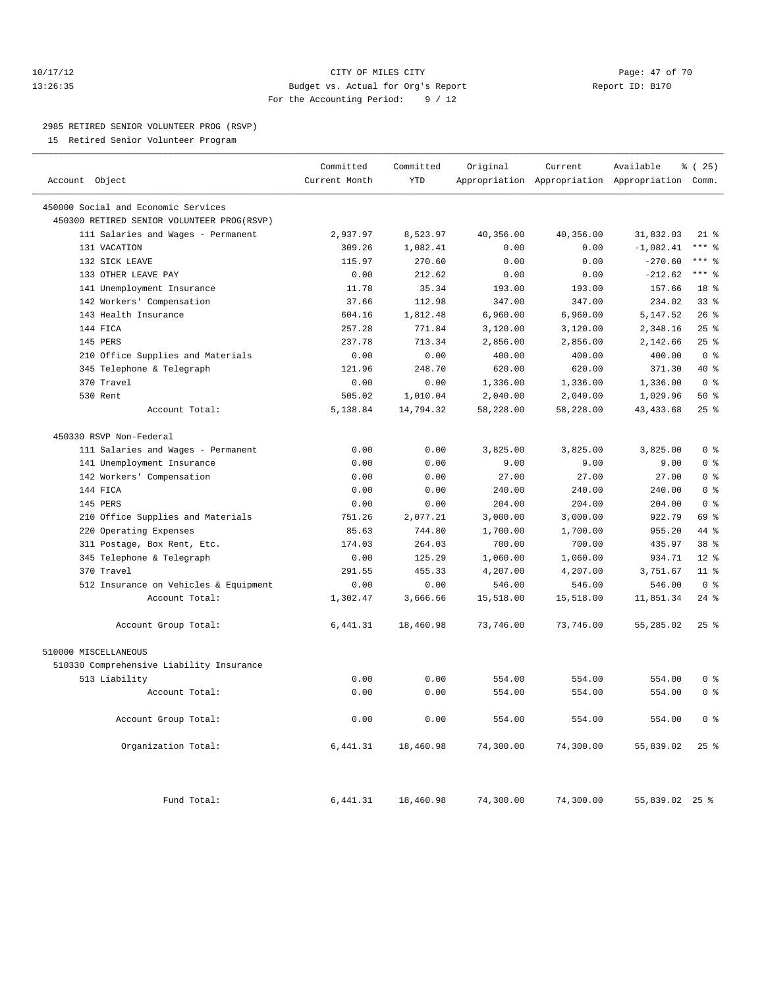### 10/17/12 Page: 47 of 70 13:26:35 Budget vs. Actual for Org's Report Report ID: B170 For the Accounting Period: 9 / 12

————————————————————————————————————————————————————————————————————————————————————————————————————————————————————————————————————

#### 2985 RETIRED SENIOR VOLUNTEER PROG (RSVP)

15 Retired Senior Volunteer Program

|                                            | Committed     | Committed  | Original  | Current   | Available                                       | % (25)          |
|--------------------------------------------|---------------|------------|-----------|-----------|-------------------------------------------------|-----------------|
| Account Object                             | Current Month | <b>YTD</b> |           |           | Appropriation Appropriation Appropriation Comm. |                 |
| 450000 Social and Economic Services        |               |            |           |           |                                                 |                 |
| 450300 RETIRED SENIOR VOLUNTEER PROG(RSVP) |               |            |           |           |                                                 |                 |
| 111 Salaries and Wages - Permanent         | 2,937.97      | 8,523.97   | 40,356.00 | 40,356.00 | 31,832.03                                       | $21$ %          |
| 131 VACATION                               | 309.26        | 1,082.41   | 0.00      | 0.00      | $-1,082.41$                                     | $***$ 8         |
| 132 SICK LEAVE                             | 115.97        | 270.60     | 0.00      | 0.00      | $-270.60$                                       | $***$ $%$       |
| 133 OTHER LEAVE PAY                        | 0.00          | 212.62     | 0.00      | 0.00      | $-212.62$                                       | $***$ 8         |
| 141 Unemployment Insurance                 | 11.78         | 35.34      | 193.00    | 193.00    | 157.66                                          | 18 %            |
| 142 Workers' Compensation                  | 37.66         | 112.98     | 347.00    | 347.00    | 234.02                                          | 33 <sup>8</sup> |
| 143 Health Insurance                       | 604.16        | 1,812.48   | 6,960.00  | 6,960.00  | 5,147.52                                        | 26%             |
| 144 FICA                                   | 257.28        | 771.84     | 3,120.00  | 3,120.00  | 2,348.16                                        | $25$ $%$        |
| 145 PERS                                   | 237.78        | 713.34     | 2,856.00  | 2,856.00  | 2,142.66                                        | 25%             |
| 210 Office Supplies and Materials          | 0.00          | 0.00       | 400.00    | 400.00    | 400.00                                          | 0 <sup>8</sup>  |
| 345 Telephone & Telegraph                  | 121.96        | 248.70     | 620.00    | 620.00    | 371.30                                          | $40*$           |
| 370 Travel                                 | 0.00          | 0.00       | 1,336.00  | 1,336.00  | 1,336.00                                        | 0 <sup>8</sup>  |
| 530 Rent                                   | 505.02        | 1,010.04   | 2,040.00  | 2,040.00  | 1,029.96                                        | $50*$           |
| Account Total:                             | 5,138.84      | 14,794.32  | 58,228.00 | 58,228.00 | 43, 433.68                                      | 25%             |
| 450330 RSVP Non-Federal                    |               |            |           |           |                                                 |                 |
| 111 Salaries and Wages - Permanent         | 0.00          | 0.00       | 3,825.00  | 3,825.00  | 3,825.00                                        | 0 <sup>8</sup>  |
| 141 Unemployment Insurance                 | 0.00          | 0.00       | 9.00      | 9.00      | 9.00                                            | 0 <sup>8</sup>  |
| 142 Workers' Compensation                  | 0.00          | 0.00       | 27.00     | 27.00     | 27.00                                           | 0 <sup>8</sup>  |
| 144 FICA                                   | 0.00          | 0.00       | 240.00    | 240.00    | 240.00                                          | 0 <sup>8</sup>  |
| 145 PERS                                   | 0.00          | 0.00       | 204.00    | 204.00    | 204.00                                          | 0 <sup>8</sup>  |
| 210 Office Supplies and Materials          | 751.26        | 2,077.21   | 3,000.00  | 3,000.00  | 922.79                                          | 69 %            |
| 220 Operating Expenses                     | 85.63         | 744.80     | 1,700.00  | 1,700.00  | 955.20                                          | 44 %            |
| 311 Postage, Box Rent, Etc.                | 174.03        | 264.03     | 700.00    | 700.00    | 435.97                                          | 38 <sup>8</sup> |
| 345 Telephone & Telegraph                  | 0.00          | 125.29     | 1,060.00  | 1,060.00  | 934.71                                          | $12*$           |
| 370 Travel                                 | 291.55        | 455.33     | 4,207.00  | 4,207.00  | 3,751.67                                        | $11*$           |
| 512 Insurance on Vehicles & Equipment      | 0.00          | 0.00       | 546.00    | 546.00    | 546.00                                          | 0 <sup>8</sup>  |
| Account Total:                             | 1,302.47      | 3,666.66   | 15,518.00 | 15,518.00 | 11,851.34                                       | $24$ %          |
| Account Group Total:                       | 6,441.31      | 18,460.98  | 73,746.00 | 73,746.00 | 55,285.02                                       | $25$ $%$        |
| 510000 MISCELLANEOUS                       |               |            |           |           |                                                 |                 |
| 510330 Comprehensive Liability Insurance   |               |            |           |           |                                                 |                 |
| 513 Liability                              | 0.00          | 0.00       | 554.00    | 554.00    | 554.00                                          | 0 <sup>8</sup>  |
| Account Total:                             | 0.00          | 0.00       | 554.00    | 554.00    | 554.00                                          | 0 <sup>8</sup>  |
| Account Group Total:                       | 0.00          | 0.00       | 554.00    | 554.00    | 554.00                                          | 0 <sup>8</sup>  |
| Organization Total:                        | 6,441.31      | 18,460.98  | 74,300.00 | 74,300.00 | 55,839.02                                       | $25$ $%$        |
| Fund Total:                                | 6,441.31      | 18,460.98  | 74,300.00 | 74,300.00 | 55,839.02 25 %                                  |                 |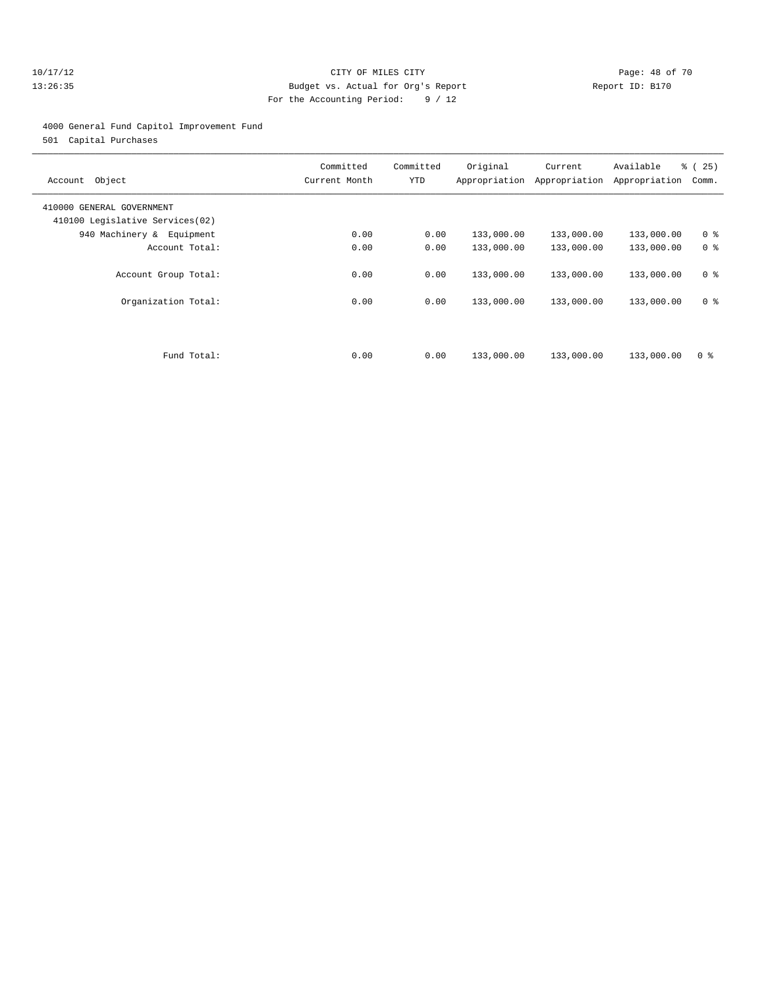#### 10/17/12 Page: 48 of 70 13:26:35 Budget vs. Actual for Org's Report Report ID: B170 For the Accounting Period: 9 / 12

#### 4000 General Fund Capitol Improvement Fund

501 Capital Purchases

| Object<br>Account                                            | Committed<br>Current Month | Committed<br>YTD | Original   | Current<br>Appropriation Appropriation | Available<br>Appropriation | ී (<br>25)<br>Comm. |
|--------------------------------------------------------------|----------------------------|------------------|------------|----------------------------------------|----------------------------|---------------------|
| 410000 GENERAL GOVERNMENT<br>410100 Legislative Services(02) |                            |                  |            |                                        |                            |                     |
| 940 Machinery & Equipment                                    | 0.00                       | 0.00             | 133,000.00 | 133,000.00                             | 133,000.00                 | 0 <sup>8</sup>      |
| Account Total:                                               | 0.00                       | 0.00             | 133,000.00 | 133,000.00                             | 133,000.00                 | 0 <sup>8</sup>      |
| Account Group Total:                                         | 0.00                       | 0.00             | 133,000.00 | 133,000.00                             | 133,000.00                 | 0 <sup>8</sup>      |
| Organization Total:                                          | 0.00                       | 0.00             | 133,000.00 | 133,000.00                             | 133,000.00                 | 0 <sup>8</sup>      |
| Fund Total:                                                  | 0.00                       | 0.00             | 133,000.00 | 133,000.00                             |                            | 0 <sup>8</sup>      |
|                                                              |                            |                  |            |                                        | 133,000.00                 |                     |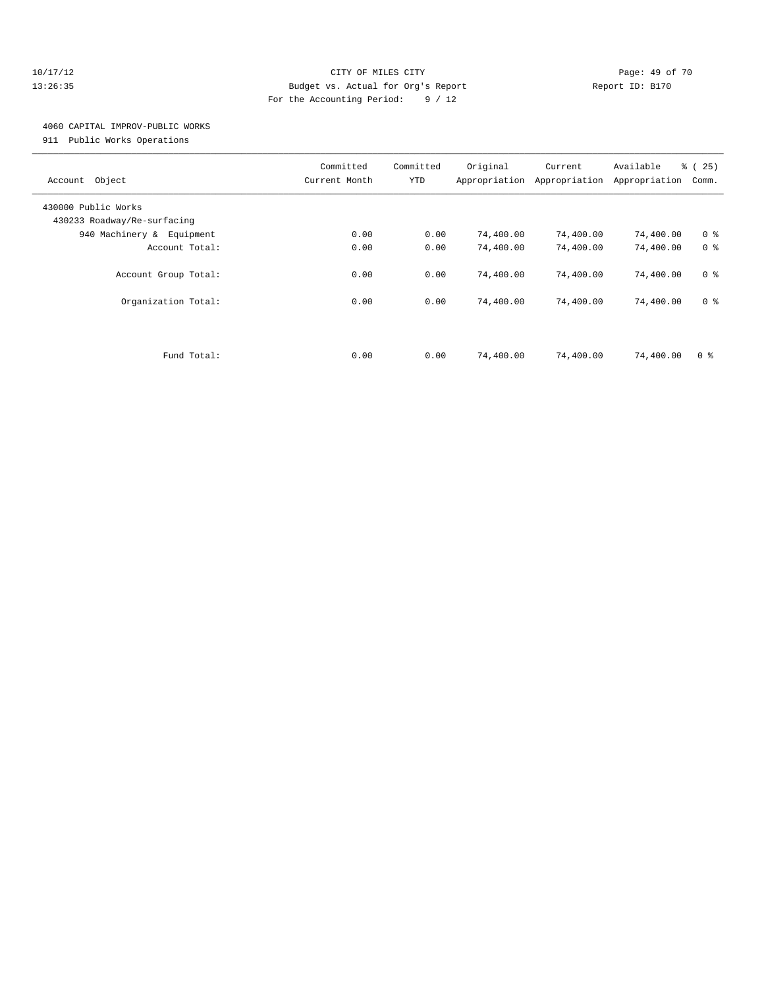#### 10/17/12 Page: 49 of 70 13:26:35 Budget vs. Actual for Org's Report Report ID: B170 For the Accounting Period: 9 / 12

## 4060 CAPITAL IMPROV-PUBLIC WORKS

911 Public Works Operations

| Object<br>Account                                  | Committed<br>Current Month | Committed<br>YTD | Original<br>Appropriation | Current<br>Appropriation | Available<br>Appropriation | % (25)<br>Comm. |
|----------------------------------------------------|----------------------------|------------------|---------------------------|--------------------------|----------------------------|-----------------|
| 430000 Public Works<br>430233 Roadway/Re-surfacing |                            |                  |                           |                          |                            |                 |
| 940 Machinery & Equipment                          | 0.00                       | 0.00             | 74,400.00                 | 74,400.00                | 74,400.00                  | 0 <sup>8</sup>  |
| Account Total:                                     | 0.00                       | 0.00             | 74,400.00                 | 74,400.00                | 74,400.00                  | 0 <sup>8</sup>  |
| Account Group Total:                               | 0.00                       | 0.00             | 74,400.00                 | 74,400.00                | 74,400.00                  | 0 <sup>8</sup>  |
| Organization Total:                                | 0.00                       | 0.00             | 74,400.00                 | 74,400.00                | 74,400.00                  | 0 <sup>8</sup>  |
|                                                    |                            |                  |                           |                          |                            |                 |
| Fund Total:                                        | 0.00                       | 0.00             | 74,400.00                 | 74,400.00                | 74,400.00                  | 0 <sup>8</sup>  |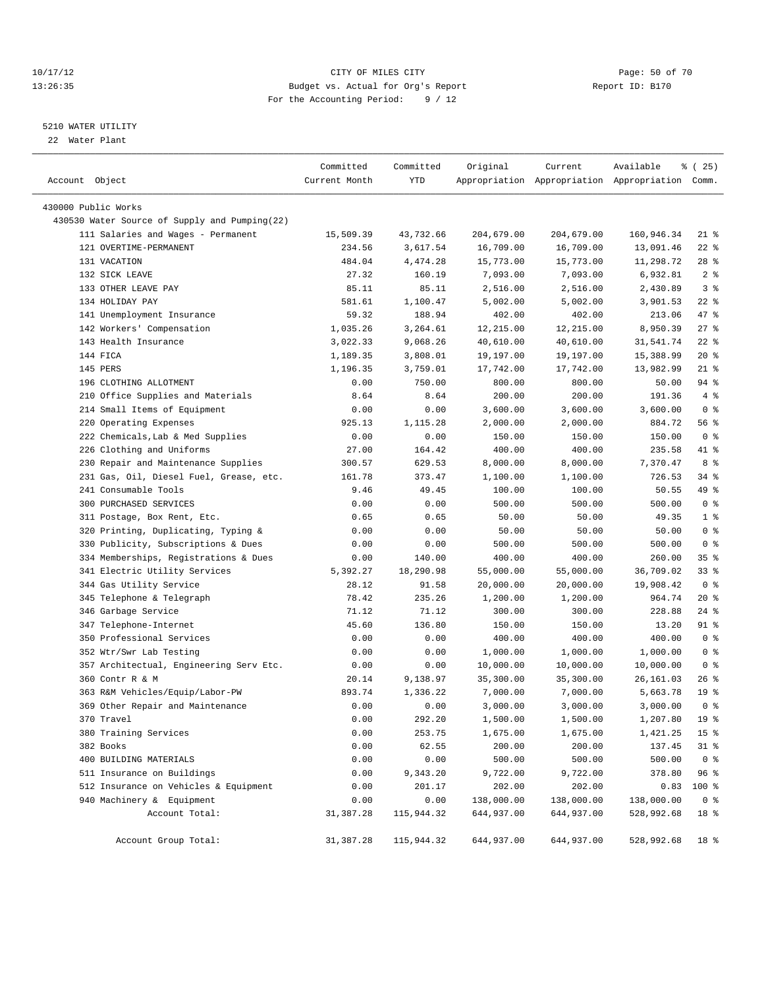#### 10/17/12 Page: 50 of 70 13:26:35 Budget vs. Actual for Org's Report Report ID: B170 For the Accounting Period: 9 / 12

————————————————————————————————————————————————————————————————————————————————————————————————————————————————————————————————————

#### 5210 WATER UTILITY

22 Water Plant

|                                               | Committed     | Committed  | Original   | Current    | Available                                       | <sub>है</sub> (25) |
|-----------------------------------------------|---------------|------------|------------|------------|-------------------------------------------------|--------------------|
| Account Object                                | Current Month | YTD        |            |            | Appropriation Appropriation Appropriation Comm. |                    |
|                                               |               |            |            |            |                                                 |                    |
| 430000 Public Works                           |               |            |            |            |                                                 |                    |
| 430530 Water Source of Supply and Pumping(22) |               |            |            |            |                                                 |                    |
| 111 Salaries and Wages - Permanent            | 15,509.39     | 43,732.66  | 204,679.00 | 204,679.00 | 160,946.34                                      | $21$ %             |
| 121 OVERTIME-PERMANENT                        | 234.56        | 3,617.54   | 16,709.00  | 16,709.00  | 13,091.46                                       | $22$ %             |
| 131 VACATION                                  | 484.04        | 4,474.28   | 15,773.00  | 15,773.00  | 11,298.72                                       | $28$ %             |
| 132 SICK LEAVE                                | 27.32         | 160.19     | 7,093.00   | 7,093.00   | 6,932.81                                        | 2 <sup>8</sup>     |
| 133 OTHER LEAVE PAY                           | 85.11         | 85.11      | 2,516.00   | 2,516.00   | 2,430.89                                        | 3 <sup>8</sup>     |
| 134 HOLIDAY PAY                               | 581.61        | 1,100.47   | 5,002.00   | 5,002.00   | 3,901.53                                        | $22$ %             |
| 141 Unemployment Insurance                    | 59.32         | 188.94     | 402.00     | 402.00     | 213.06                                          | 47 %               |
| 142 Workers' Compensation                     | 1,035.26      | 3,264.61   | 12,215.00  | 12,215.00  | 8,950.39                                        | $27$ %             |
| 143 Health Insurance                          | 3,022.33      | 9,068.26   | 40,610.00  | 40,610.00  | 31,541.74                                       | $22$ %             |
| 144 FICA                                      | 1,189.35      | 3,808.01   | 19,197.00  | 19,197.00  | 15,388.99                                       | $20*$              |
| 145 PERS                                      | 1,196.35      | 3,759.01   | 17,742.00  | 17,742.00  | 13,982.99                                       | $21$ %             |
| 196 CLOTHING ALLOTMENT                        | 0.00          | 750.00     | 800.00     | 800.00     | 50.00                                           | 94 %               |
| 210 Office Supplies and Materials             | 8.64          | 8.64       | 200.00     | 200.00     | 191.36                                          | 4%                 |
| 214 Small Items of Equipment                  | 0.00          | 0.00       | 3,600.00   | 3,600.00   | 3,600.00                                        | 0 <sup>8</sup>     |
| 220 Operating Expenses                        | 925.13        | 1,115.28   | 2,000.00   | 2,000.00   | 884.72                                          | 56%                |
| 222 Chemicals, Lab & Med Supplies             | 0.00          | 0.00       | 150.00     | 150.00     | 150.00                                          | 0 <sup>8</sup>     |
| 226 Clothing and Uniforms                     | 27.00         | 164.42     | 400.00     | 400.00     | 235.58                                          | 41 %               |
| 230 Repair and Maintenance Supplies           | 300.57        | 629.53     | 8,000.00   | 8,000.00   | 7,370.47                                        | 8 %                |
| 231 Gas, Oil, Diesel Fuel, Grease, etc.       | 161.78        | 373.47     | 1,100.00   | 1,100.00   | 726.53                                          | 34 %               |
| 241 Consumable Tools                          | 9.46          | 49.45      | 100.00     | 100.00     | 50.55                                           | 49 %               |
| 300 PURCHASED SERVICES                        | 0.00          | 0.00       | 500.00     | 500.00     | 500.00                                          | 0 <sup>8</sup>     |
| 311 Postage, Box Rent, Etc.                   | 0.65          | 0.65       | 50.00      | 50.00      | 49.35                                           | 1 <sup>8</sup>     |
| 320 Printing, Duplicating, Typing &           | 0.00          | 0.00       | 50.00      | 50.00      | 50.00                                           | 0 <sup>8</sup>     |
| 330 Publicity, Subscriptions & Dues           | 0.00          | 0.00       | 500.00     | 500.00     | 500.00                                          | 0 <sup>8</sup>     |
| 334 Memberships, Registrations & Dues         | 0.00          | 140.00     | 400.00     | 400.00     | 260.00                                          | 35%                |
| 341 Electric Utility Services                 | 5,392.27      | 18,290.98  | 55,000.00  | 55,000.00  | 36,709.02                                       | 338                |
| 344 Gas Utility Service                       | 28.12         | 91.58      | 20,000.00  | 20,000.00  | 19,908.42                                       | 0 <sup>8</sup>     |
| 345 Telephone & Telegraph                     | 78.42         | 235.26     | 1,200.00   | 1,200.00   | 964.74                                          | $20*$              |
| 346 Garbage Service                           | 71.12         | 71.12      | 300.00     | 300.00     | 228.88                                          | 24 %               |
| 347 Telephone-Internet                        | 45.60         | 136.80     | 150.00     | 150.00     | 13.20                                           | 91 %               |
| 350 Professional Services                     | 0.00          | 0.00       | 400.00     | 400.00     | 400.00                                          | 0 <sup>8</sup>     |
| 352 Wtr/Swr Lab Testing                       | 0.00          | 0.00       | 1,000.00   | 1,000.00   | 1,000.00                                        | 0 <sup>8</sup>     |
| 357 Architectual, Engineering Serv Etc.       | 0.00          | 0.00       | 10,000.00  | 10,000.00  | 10,000.00                                       | 0 <sup>8</sup>     |
| 360 Contr R & M                               | 20.14         | 9,138.97   | 35,300.00  | 35,300.00  | 26,161.03                                       | $26$ %             |
| 363 R&M Vehicles/Equip/Labor-PW               | 893.74        | 1,336.22   | 7,000.00   | 7,000.00   | 5,663.78                                        | 19 <sup>°</sup>    |
| 369 Other Repair and Maintenance              | 0.00          | 0.00       | 3,000.00   | 3,000.00   | 3,000.00                                        | 0 <sup>8</sup>     |
| 370 Travel                                    | 0.00          | 292.20     | 1,500.00   | 1,500.00   | 1,207.80                                        | 19 <sup>°</sup>    |
| 380 Training Services                         | 0.00          | 253.75     | 1,675.00   | 1,675.00   | 1,421.25                                        | 15 <sup>8</sup>    |
| 382 Books                                     | 0.00          | 62.55      | 200.00     | 200.00     | 137.45                                          | $31$ %             |
| 400 BUILDING MATERIALS                        | 0.00          | 0.00       | 500.00     | 500.00     | 500.00                                          | 0 <sup>8</sup>     |
| 511 Insurance on Buildings                    | 0.00          | 9,343.20   | 9,722.00   | 9,722.00   | 378.80                                          | 96%                |
| 512 Insurance on Vehicles & Equipment         | 0.00          | 201.17     | 202.00     | 202.00     | 0.83                                            | 100 %              |
| 940 Machinery & Equipment                     | 0.00          | 0.00       | 138,000.00 | 138,000.00 | 138,000.00                                      | 0 <sup>8</sup>     |
| Account Total:                                | 31,387.28     | 115,944.32 | 644,937.00 | 644,937.00 | 528,992.68                                      | 18 %               |
| Account Group Total:                          | 31,387.28     | 115,944.32 | 644,937.00 | 644,937.00 | 528,992.68                                      | 18 %               |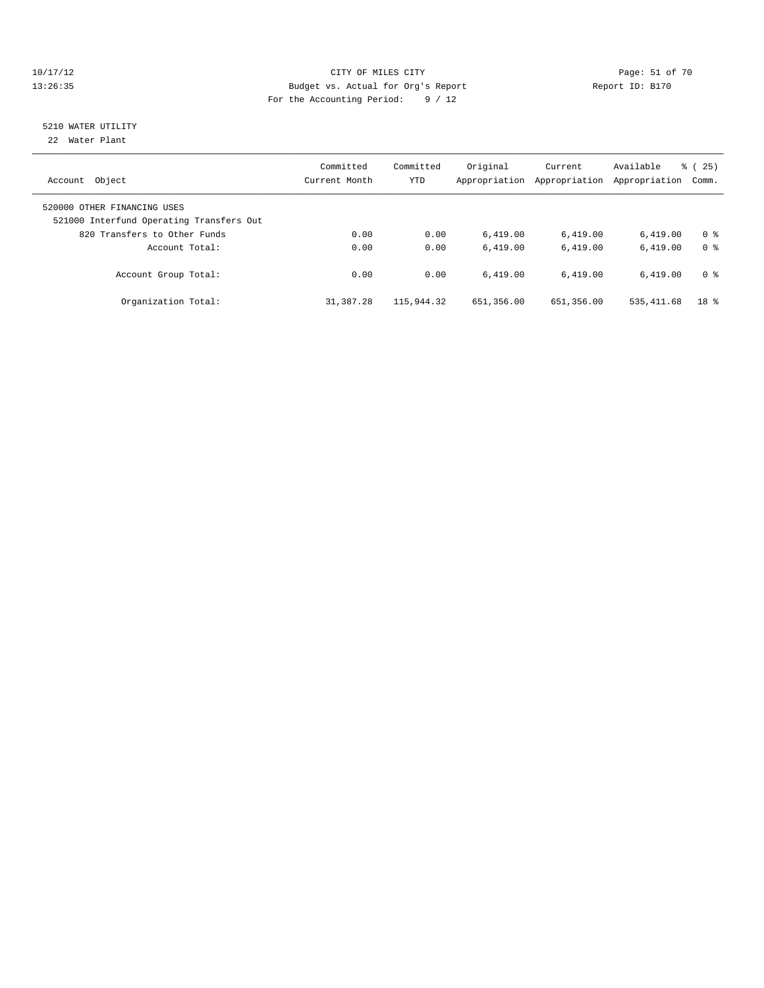#### 10/17/12 Page: 51 of 70 13:26:35 Budget vs. Actual for Org's Report Report ID: B170 For the Accounting Period: 9 / 12

# 5210 WATER UTILITY

22 Water Plant

| Object<br>Account                                                                                       | Committed<br>Current Month | Committed<br><b>YTD</b> | Original<br>Appropriation | Current<br>Appropriation | Available<br>Appropriation | $\frac{3}{6}$ ( 25 )<br>Comm. |
|---------------------------------------------------------------------------------------------------------|----------------------------|-------------------------|---------------------------|--------------------------|----------------------------|-------------------------------|
| 520000 OTHER FINANCING USES<br>521000 Interfund Operating Transfers Out<br>820 Transfers to Other Funds | 0.00                       | 0.00                    | 6.419.00                  | 6,419.00                 | 6.419.00                   | 0 <sup>8</sup>                |
| Account Total:                                                                                          | 0.00                       | 0.00                    | 6.419.00                  | 6.419.00                 | 6.419.00                   | 0 <sup>8</sup>                |
| Account Group Total:                                                                                    | 0.00                       | 0.00                    | 6.419.00                  | 6.419.00                 | 6.419.00                   | 0 <sup>8</sup>                |
| Organization Total:                                                                                     | 31,387.28                  | 115,944.32              | 651,356.00                | 651,356.00               | 535, 411.68                | 18 <sup>8</sup>               |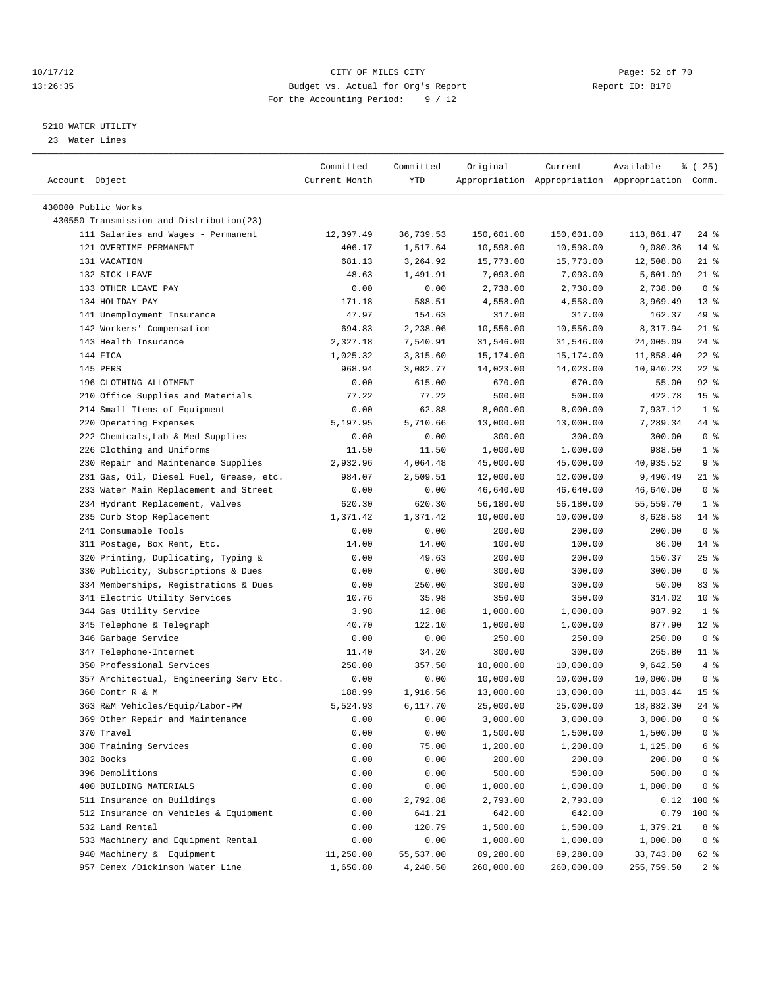#### 10/17/12 Page: 52 of 70 13:26:35 Budget vs. Actual for Org's Report Report ID: B170 For the Accounting Period: 9 / 12

————————————————————————————————————————————————————————————————————————————————————————————————————————————————————————————————————

#### 5210 WATER UTILITY

23 Water Lines

| Account Object                                          | Committed<br>Current Month | Committed<br>YTD | Original   | Current    | Available<br>Appropriation Appropriation Appropriation Comm. | 8 (25)          |
|---------------------------------------------------------|----------------------------|------------------|------------|------------|--------------------------------------------------------------|-----------------|
| 430000 Public Works                                     |                            |                  |            |            |                                                              |                 |
| 430550 Transmission and Distribution(23)                |                            |                  |            |            |                                                              |                 |
| 111 Salaries and Wages - Permanent                      | 12,397.49                  | 36,739.53        | 150,601.00 | 150,601.00 | 113,861.47                                                   | 24 %            |
| 121 OVERTIME-PERMANENT                                  | 406.17                     | 1,517.64         | 10,598.00  | 10,598.00  | 9,080.36                                                     | $14$ %          |
| 131 VACATION                                            | 681.13                     | 3,264.92         | 15,773.00  | 15,773.00  | 12,508.08                                                    | $21$ %          |
| 132 SICK LEAVE                                          | 48.63                      | 1,491.91         | 7,093.00   | 7,093.00   | 5,601.09                                                     | $21$ %          |
| 133 OTHER LEAVE PAY                                     | 0.00                       | 0.00             | 2,738.00   | 2,738.00   | 2,738.00                                                     | 0 <sup>8</sup>  |
| 134 HOLIDAY PAY                                         | 171.18                     | 588.51           | 4,558.00   | 4,558.00   | 3,969.49                                                     | $13*$           |
|                                                         | 47.97                      |                  |            | 317.00     |                                                              | 49 %            |
| 141 Unemployment Insurance<br>142 Workers' Compensation | 694.83                     | 154.63           | 317.00     |            | 162.37                                                       | $21$ %          |
|                                                         |                            | 2,238.06         | 10,556.00  | 10,556.00  | 8,317.94                                                     |                 |
| 143 Health Insurance                                    | 2,327.18                   | 7,540.91         | 31,546.00  | 31,546.00  | 24,005.09                                                    | $24$ %          |
| 144 FICA                                                | 1,025.32                   | 3,315.60         | 15,174.00  | 15,174.00  | 11,858.40                                                    | $22$ %          |
| 145 PERS                                                | 968.94                     | 3,082.77         | 14,023.00  | 14,023.00  | 10,940.23                                                    | $22$ %          |
| 196 CLOTHING ALLOTMENT                                  | 0.00                       | 615.00           | 670.00     | 670.00     | 55.00                                                        | $92$ $%$        |
| 210 Office Supplies and Materials                       | 77.22                      | 77.22            | 500.00     | 500.00     | 422.78                                                       | 15 <sup>8</sup> |
| 214 Small Items of Equipment                            | 0.00                       | 62.88            | 8,000.00   | 8,000.00   | 7,937.12                                                     | 1 <sup>8</sup>  |
| 220 Operating Expenses                                  | 5,197.95                   | 5,710.66         | 13,000.00  | 13,000.00  | 7,289.34                                                     | 44 %            |
| 222 Chemicals, Lab & Med Supplies                       | 0.00                       | 0.00             | 300.00     | 300.00     | 300.00                                                       | 0 <sup>8</sup>  |
| 226 Clothing and Uniforms                               | 11.50                      | 11.50            | 1,000.00   | 1,000.00   | 988.50                                                       | 1 <sup>°</sup>  |
| 230 Repair and Maintenance Supplies                     | 2,932.96                   | 4,064.48         | 45,000.00  | 45,000.00  | 40,935.52                                                    | 9 <sub>8</sub>  |
| 231 Gas, Oil, Diesel Fuel, Grease, etc.                 | 984.07                     | 2,509.51         | 12,000.00  | 12,000.00  | 9,490.49                                                     | 21 %            |
| 233 Water Main Replacement and Street                   | 0.00                       | 0.00             | 46,640.00  | 46,640.00  | 46,640.00                                                    | 0 <sup>8</sup>  |
| 234 Hydrant Replacement, Valves                         | 620.30                     | 620.30           | 56,180.00  | 56,180.00  | 55,559.70                                                    | 1 <sup>8</sup>  |
| 235 Curb Stop Replacement                               | 1,371.42                   | 1,371.42         | 10,000.00  | 10,000.00  | 8,628.58                                                     | 14 %            |
| 241 Consumable Tools                                    | 0.00                       | 0.00             | 200.00     | 200.00     | 200.00                                                       | 0 <sup>8</sup>  |
| 311 Postage, Box Rent, Etc.                             | 14.00                      | 14.00            | 100.00     | 100.00     | 86.00                                                        | $14*$           |
| 320 Printing, Duplicating, Typing &                     | 0.00                       | 49.63            | 200.00     | 200.00     | 150.37                                                       | $25$ $%$        |
| 330 Publicity, Subscriptions & Dues                     | 0.00                       | 0.00             | 300.00     | 300.00     | 300.00                                                       | 0 <sup>8</sup>  |
| 334 Memberships, Registrations & Dues                   | 0.00                       | 250.00           | 300.00     | 300.00     | 50.00                                                        | 83%             |
| 341 Electric Utility Services                           | 10.76                      | 35.98            | 350.00     | 350.00     | 314.02                                                       | $10*$           |
| 344 Gas Utility Service                                 | 3.98                       | 12.08            | 1,000.00   | 1,000.00   | 987.92                                                       | 1 <sup>8</sup>  |
| 345 Telephone & Telegraph                               | 40.70                      | 122.10           | 1,000.00   | 1,000.00   | 877.90                                                       | $12*$           |
| 346 Garbage Service                                     | 0.00                       | 0.00             | 250.00     | 250.00     | 250.00                                                       | 0 <sup>8</sup>  |
| 347 Telephone-Internet                                  | 11.40                      | 34.20            | 300.00     | 300.00     | 265.80                                                       | $11$ %          |
| 350 Professional Services                               | 250.00                     | 357.50           | 10,000.00  | 10,000.00  | 9,642.50                                                     | 4%              |
| 357 Architectual, Engineering Serv Etc.                 | 0.00                       | 0.00             | 10,000.00  | 10,000.00  | 10,000.00                                                    | 0 <sup>8</sup>  |
| 360 Contr R & M                                         | 188.99                     | 1,916.56         | 13,000.00  | 13,000.00  | 11,083.44                                                    | 15 <sup>°</sup> |
| 363 R&M Vehicles/Equip/Labor-PW                         | 5,524.93                   | 6,117.70         | 25,000.00  | 25,000.00  | 18,882.30                                                    | $24$ %          |
| 369 Other Repair and Maintenance                        | 0.00                       | 0.00             | 3,000.00   | 3,000.00   | 3,000.00                                                     | $0$ %           |
| 370 Travel                                              | 0.00                       | 0.00             | 1,500.00   | 1,500.00   | 1,500.00                                                     | 0 <sup>8</sup>  |
| 380 Training Services                                   | 0.00                       | 75.00            | 1,200.00   | 1,200.00   | 1,125.00                                                     | $6\degree$      |
| 382 Books                                               | 0.00                       | 0.00             | 200.00     | 200.00     | 200.00                                                       | $0$ %           |
| 396 Demolitions                                         | 0.00                       | 0.00             | 500.00     | 500.00     | 500.00                                                       | $0$ %           |
| 400 BUILDING MATERIALS                                  | 0.00                       | 0.00             | 1,000.00   | 1,000.00   | 1,000.00                                                     | 0 <sup>8</sup>  |
| 511 Insurance on Buildings                              | 0.00                       | 2,792.88         | 2,793.00   | 2,793.00   | 0.12                                                         | $100$ %         |
| 512 Insurance on Vehicles & Equipment                   | 0.00                       | 641.21           | 642.00     | 642.00     | 0.79                                                         | 100 %           |
| 532 Land Rental                                         | 0.00                       | 120.79           | 1,500.00   | 1,500.00   | 1,379.21                                                     | 8 %             |
| 533 Machinery and Equipment Rental                      | 0.00                       | 0.00             | 1,000.00   | 1,000.00   | 1,000.00                                                     | 0 <sup>8</sup>  |
| 940 Machinery & Equipment                               | 11,250.00                  | 55,537.00        | 89,280.00  | 89,280.00  | 33,743.00                                                    | 62 %            |
| 957 Cenex /Dickinson Water Line                         | 1,650.80                   | 4,240.50         | 260,000.00 | 260,000.00 | 255,759.50                                                   | 2 <sup>8</sup>  |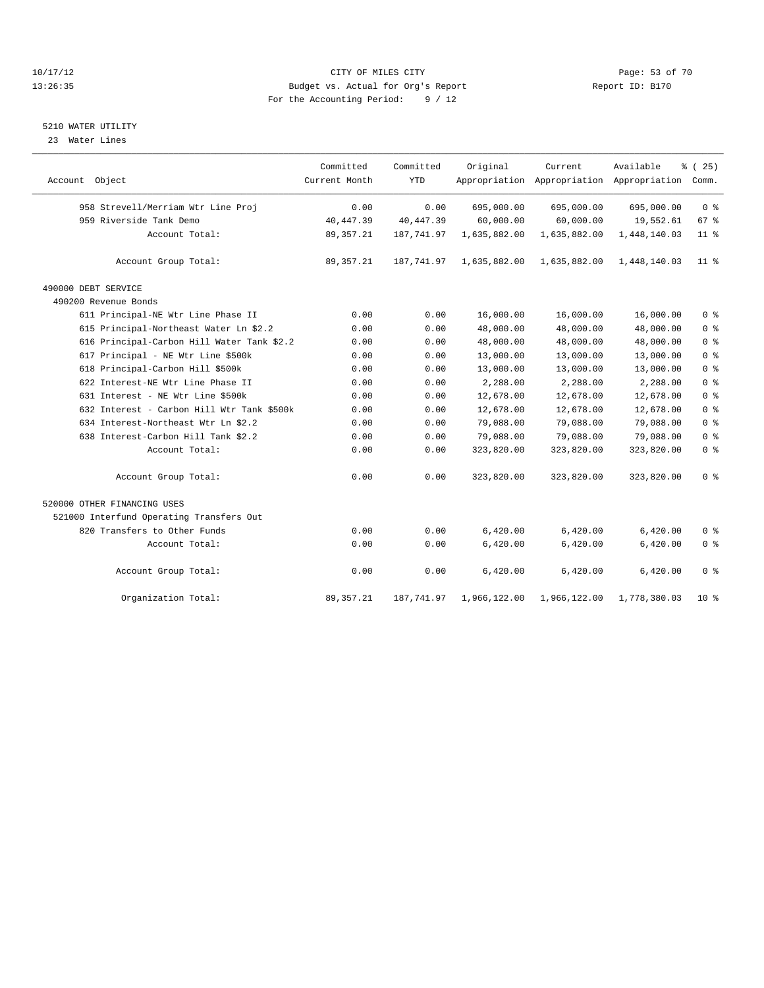#### 10/17/12 Page: 53 of 70 13:26:35 Budget vs. Actual for Org's Report Report ID: B170 For the Accounting Period: 9 / 12

#### 5210 WATER UTILITY

23 Water Lines

|                                            | Committed     | Committed  | Original     | Current      | Available                                 | % (25)          |
|--------------------------------------------|---------------|------------|--------------|--------------|-------------------------------------------|-----------------|
| Account Object                             | Current Month | <b>YTD</b> |              |              | Appropriation Appropriation Appropriation | Comm.           |
| 958 Strevell/Merriam Wtr Line Proj         | 0.00          | 0.00       | 695,000.00   | 695,000.00   | 695,000.00                                | 0 <sup>8</sup>  |
| 959 Riverside Tank Demo                    | 40, 447.39    | 40, 447.39 | 60,000.00    | 60,000.00    | 19,552.61                                 | 67 %            |
| Account Total:                             | 89, 357. 21   | 187,741.97 | 1,635,882.00 | 1,635,882.00 | 1,448,140.03                              | $11$ %          |
| Account Group Total:                       | 89, 357. 21   | 187,741.97 | 1,635,882.00 | 1,635,882.00 | 1,448,140.03                              | 11 <sub>8</sub> |
| 490000 DEBT SERVICE                        |               |            |              |              |                                           |                 |
| 490200 Revenue Bonds                       |               |            |              |              |                                           |                 |
| 611 Principal-NE Wtr Line Phase II         | 0.00          | 0.00       | 16,000.00    | 16,000.00    | 16,000.00                                 | 0 <sup>8</sup>  |
| 615 Principal-Northeast Water Ln \$2.2     | 0.00          | 0.00       | 48,000.00    | 48,000.00    | 48,000.00                                 | 0 <sup>°</sup>  |
| 616 Principal-Carbon Hill Water Tank \$2.2 | 0.00          | 0.00       | 48,000.00    | 48,000.00    | 48,000.00                                 | 0 <sup>°</sup>  |
| 617 Principal - NE Wtr Line \$500k         | 0.00          | 0.00       | 13,000.00    | 13,000.00    | 13,000.00                                 | 0 <sup>°</sup>  |
| 618 Principal-Carbon Hill \$500k           | 0.00          | 0.00       | 13,000.00    | 13,000.00    | 13,000.00                                 | 0 <sup>°</sup>  |
| 622 Interest-NE Wtr Line Phase II          | 0.00          | 0.00       | 2,288.00     | 2,288.00     | 2,288.00                                  | 0 <sup>°</sup>  |
| 631 Interest - NE Wtr Line \$500k          | 0.00          | 0.00       | 12,678.00    | 12,678.00    | 12,678.00                                 | 0 <sup>8</sup>  |
| 632 Interest - Carbon Hill Wtr Tank \$500k | 0.00          | 0.00       | 12,678.00    | 12,678.00    | 12,678.00                                 | 0 <sup>8</sup>  |
| 634 Interest-Northeast Wtr Ln \$2.2        | 0.00          | 0.00       | 79,088.00    | 79,088.00    | 79,088.00                                 | 0 <sup>°</sup>  |
| 638 Interest-Carbon Hill Tank \$2.2        | 0.00          | 0.00       | 79,088.00    | 79,088.00    | 79,088.00                                 | 0 <sup>°</sup>  |
| Account Total:                             | 0.00          | 0.00       | 323,820.00   | 323,820.00   | 323,820.00                                | 0 <sup>°</sup>  |
| Account Group Total:                       | 0.00          | 0.00       | 323,820.00   | 323,820.00   | 323,820.00                                | 0 <sup>8</sup>  |
| 520000 OTHER FINANCING USES                |               |            |              |              |                                           |                 |
| 521000 Interfund Operating Transfers Out   |               |            |              |              |                                           |                 |
| 820 Transfers to Other Funds               | 0.00          | 0.00       | 6,420.00     | 6,420.00     | 6,420.00                                  | 0 <sup>8</sup>  |
| Account Total:                             | 0.00          | 0.00       | 6,420.00     | 6,420.00     | 6,420.00                                  | 0 <sup>°</sup>  |
| Account Group Total:                       | 0.00          | 0.00       | 6,420.00     | 6,420.00     | 6,420.00                                  | 0 <sup>8</sup>  |
| Organization Total:                        | 89, 357. 21   | 187,741.97 | 1,966,122.00 | 1,966,122.00 | 1,778,380.03                              | 10 <sub>8</sub> |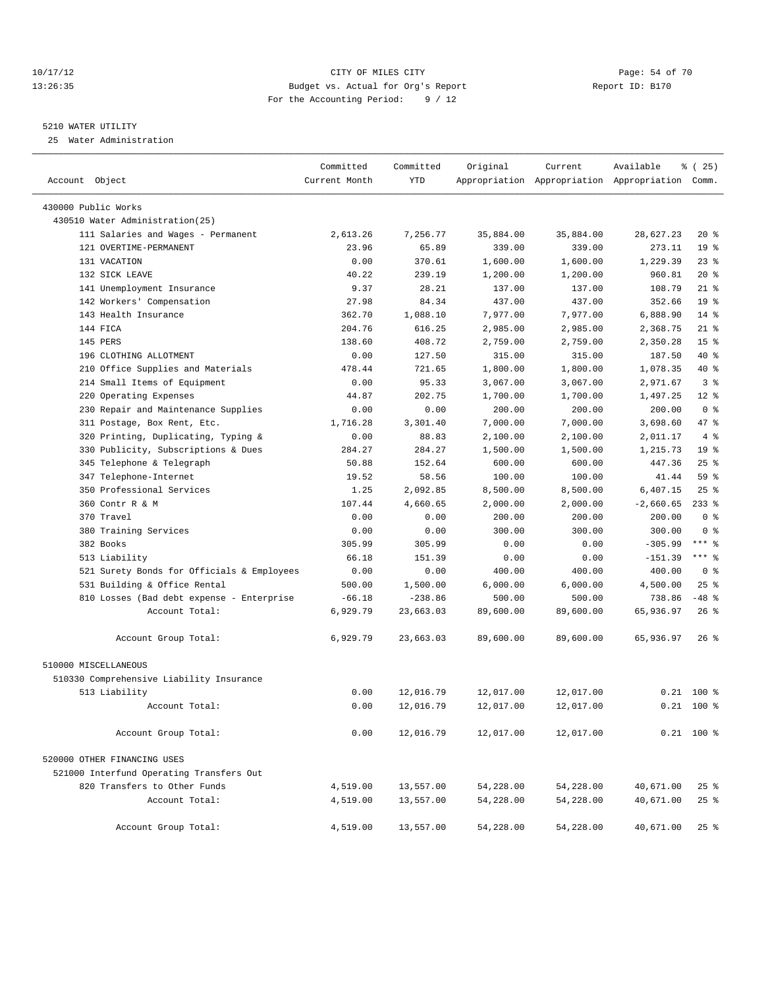#### 10/17/12 Page: 54 of 70 13:26:35 Budget vs. Actual for Org's Report Report ID: B170 For the Accounting Period: 9 / 12

————————————————————————————————————————————————————————————————————————————————————————————————————————————————————————————————————

#### 5210 WATER UTILITY

25 Water Administration

|                                            | Committed     | Committed  | Original  | Current                                         | Available   | % (25)          |
|--------------------------------------------|---------------|------------|-----------|-------------------------------------------------|-------------|-----------------|
| Account Object                             | Current Month | <b>YTD</b> |           | Appropriation Appropriation Appropriation Comm. |             |                 |
| 430000 Public Works                        |               |            |           |                                                 |             |                 |
| 430510 Water Administration(25)            |               |            |           |                                                 |             |                 |
| 111 Salaries and Wages - Permanent         | 2,613.26      | 7,256.77   | 35,884.00 | 35,884.00                                       | 28,627.23   | $20*$           |
| 121 OVERTIME-PERMANENT                     | 23.96         | 65.89      | 339.00    | 339.00                                          | 273.11      | 19 <sup>°</sup> |
| 131 VACATION                               | 0.00          | 370.61     | 1,600.00  | 1,600.00                                        | 1,229.39    | $23$ $%$        |
| 132 SICK LEAVE                             | 40.22         | 239.19     | 1,200.00  | 1,200.00                                        | 960.81      | $20*$           |
| 141 Unemployment Insurance                 | 9.37          | 28.21      | 137.00    | 137.00                                          | 108.79      | $21$ %          |
| 142 Workers' Compensation                  | 27.98         | 84.34      | 437.00    | 437.00                                          | 352.66      | 19 <sup>°</sup> |
| 143 Health Insurance                       | 362.70        | 1,088.10   | 7,977.00  | 7,977.00                                        | 6,888.90    | $14$ %          |
| 144 FICA                                   | 204.76        | 616.25     | 2,985.00  | 2,985.00                                        | 2,368.75    | $21$ %          |
| 145 PERS                                   | 138.60        | 408.72     | 2,759.00  | 2,759.00                                        | 2,350.28    | 15 <sup>°</sup> |
| 196 CLOTHING ALLOTMENT                     | 0.00          | 127.50     | 315.00    | 315.00                                          | 187.50      | 40 %            |
| 210 Office Supplies and Materials          | 478.44        | 721.65     | 1,800.00  | 1,800.00                                        | 1,078.35    | 40 %            |
| 214 Small Items of Equipment               | 0.00          | 95.33      | 3,067.00  | 3,067.00                                        | 2,971.67    | 3%              |
| 220 Operating Expenses                     | 44.87         | 202.75     | 1,700.00  | 1,700.00                                        | 1,497.25    | $12*$           |
| 230 Repair and Maintenance Supplies        | 0.00          | 0.00       | 200.00    | 200.00                                          | 200.00      | 0 <sup>8</sup>  |
| 311 Postage, Box Rent, Etc.                | 1,716.28      | 3,301.40   | 7,000.00  | 7,000.00                                        | 3,698.60    | 47 %            |
| 320 Printing, Duplicating, Typing &        | 0.00          | 88.83      | 2,100.00  | 2,100.00                                        | 2,011.17    | $4 \frac{6}{6}$ |
| 330 Publicity, Subscriptions & Dues        | 284.27        | 284.27     | 1,500.00  | 1,500.00                                        | 1,215.73    | 19 <sup>°</sup> |
| 345 Telephone & Telegraph                  | 50.88         | 152.64     | 600.00    | 600.00                                          | 447.36      | $25$ $%$        |
| 347 Telephone-Internet                     | 19.52         | 58.56      | 100.00    | 100.00                                          | 41.44       | 59 %            |
| 350 Professional Services                  | 1.25          | 2,092.85   | 8,500.00  | 8,500.00                                        | 6,407.15    | $25$ $%$        |
| 360 Contr R & M                            | 107.44        | 4,660.65   | 2,000.00  | 2,000.00                                        | $-2,660.65$ | $233$ $%$       |
| 370 Travel                                 | 0.00          | 0.00       | 200.00    | 200.00                                          | 200.00      | 0 <sup>8</sup>  |
| 380 Training Services                      | 0.00          | 0.00       | 300.00    | 300.00                                          | 300.00      | 0 <sup>8</sup>  |
| 382 Books                                  | 305.99        | 305.99     | 0.00      | 0.00                                            | $-305.99$   | $***$ $-$       |
| 513 Liability                              | 66.18         | 151.39     | 0.00      | 0.00                                            | $-151.39$   | $***$ $-$       |
| 521 Surety Bonds for Officials & Employees | 0.00          | 0.00       | 400.00    | 400.00                                          | 400.00      | 0 <sup>8</sup>  |
| 531 Building & Office Rental               | 500.00        | 1,500.00   | 6,000.00  | 6,000.00                                        | 4,500.00    | $25$ $%$        |
| 810 Losses (Bad debt expense - Enterprise  | $-66.18$      | $-238.86$  | 500.00    | 500.00                                          | 738.86      | $-48$ %         |
| Account Total:                             | 6,929.79      | 23,663.03  | 89,600.00 | 89,600.00                                       | 65,936.97   | $26$ %          |
|                                            |               |            |           |                                                 |             |                 |
| Account Group Total:                       | 6,929.79      | 23,663.03  | 89,600.00 | 89,600.00                                       | 65,936.97   | $26$ %          |
| 510000 MISCELLANEOUS                       |               |            |           |                                                 |             |                 |
| 510330 Comprehensive Liability Insurance   |               |            |           |                                                 |             |                 |
| 513 Liability                              | 0.00          | 12,016.79  | 12,017.00 | 12,017.00                                       | 0.21        | $100*$          |
| Account Total:                             | 0.00          | 12,016.79  | 12,017.00 | 12,017.00                                       |             | $0.21$ 100 %    |
|                                            |               |            |           |                                                 |             |                 |
| Account Group Total:                       | 0.00          | 12,016.79  | 12,017.00 | 12,017.00                                       |             | $0.21$ 100 %    |
| 520000 OTHER FINANCING USES                |               |            |           |                                                 |             |                 |
| 521000 Interfund Operating Transfers Out   |               |            |           |                                                 |             |                 |
| 820 Transfers to Other Funds               | 4,519.00      | 13,557.00  | 54,228.00 | 54,228.00                                       | 40,671.00   | $25$ $%$        |
| Account Total:                             | 4,519.00      | 13,557.00  | 54,228.00 | 54,228.00                                       | 40,671.00   | $25$ $%$        |
|                                            |               |            |           |                                                 |             |                 |
| Account Group Total:                       | 4,519.00      | 13,557.00  | 54,228.00 | 54,228.00                                       | 40,671.00   | $25$ $%$        |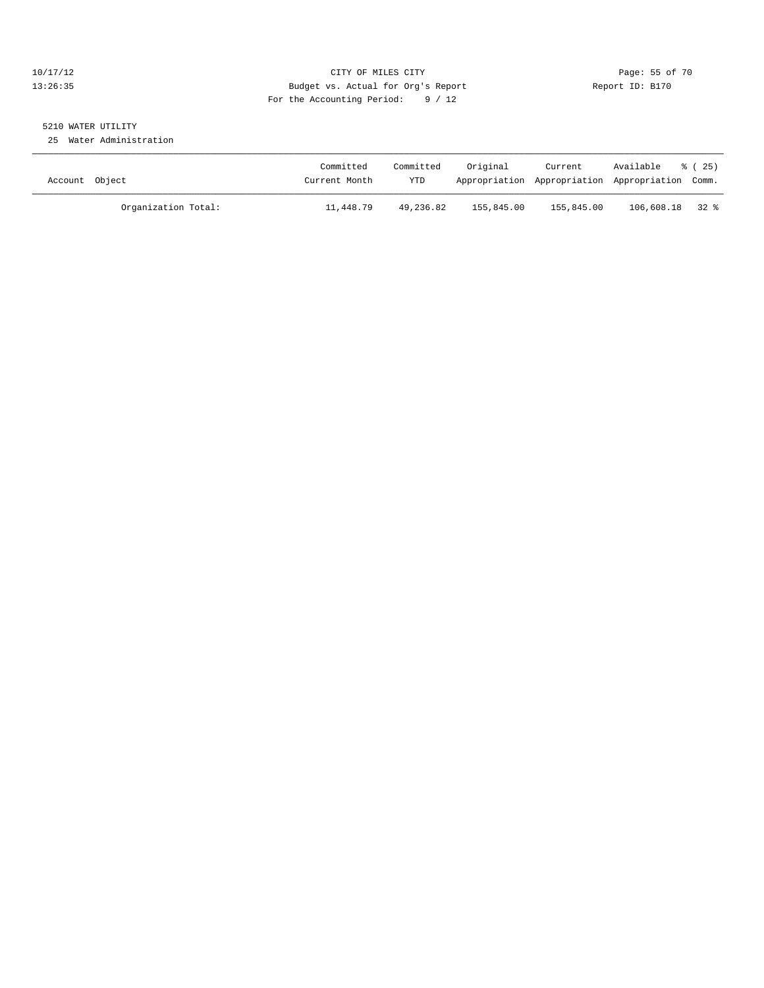### 10/17/12 Page: 55 of 70 13:26:35 Budget vs. Actual for Org's Report Report ID: B170 For the Accounting Period: 9 / 12

# 5210 WATER UTILITY

25 Water Administration

| Account Object      | Committed<br>Current Month | Committed<br><b>YTD</b> | Original   | Current    | Available<br>Appropriation Appropriation Appropriation Comm. | % (25) |
|---------------------|----------------------------|-------------------------|------------|------------|--------------------------------------------------------------|--------|
| Organization Total: | 11,448.79                  | 49,236.82               | 155,845.00 | 155,845.00 | 106,608.18 32 %                                              |        |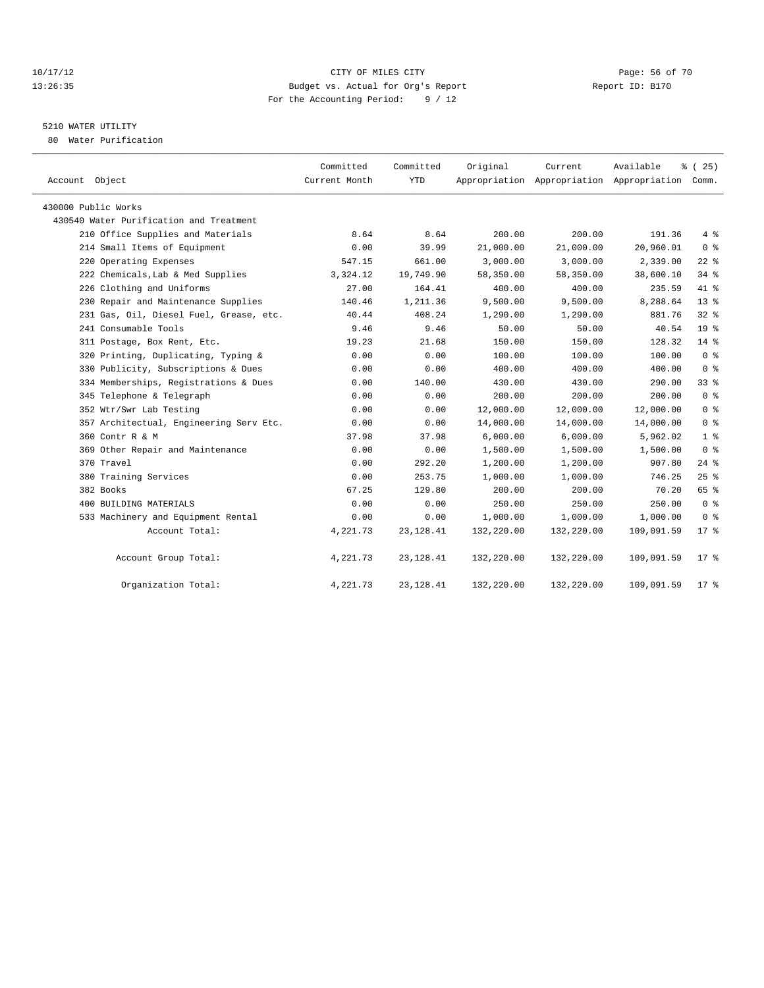#### 10/17/12 Page: 56 of 70 13:26:35 Budget vs. Actual for Org's Report Report ID: B170 For the Accounting Period: 9 / 12

## 5210 WATER UTILITY

80 Water Purification

| Account Object                          | Committed<br>Current Month | Committed<br>YTD | Original   | Current    | Available<br>Appropriation Appropriation Appropriation Comm. | % (25)          |
|-----------------------------------------|----------------------------|------------------|------------|------------|--------------------------------------------------------------|-----------------|
| 430000 Public Works                     |                            |                  |            |            |                                                              |                 |
| 430540 Water Purification and Treatment |                            |                  |            |            |                                                              |                 |
| 210 Office Supplies and Materials       | 8.64                       | 8.64             | 200.00     | 200.00     | 191.36                                                       | 4%              |
| 214 Small Items of Equipment            | 0.00                       | 39.99            | 21,000.00  | 21,000.00  | 20,960.01                                                    | 0 <sup>8</sup>  |
| 220 Operating Expenses                  | 547.15                     | 661.00           | 3,000.00   | 3,000.00   | 2,339.00                                                     | $22$ %          |
| 222 Chemicals, Lab & Med Supplies       | 3,324.12                   | 19,749.90        | 58,350.00  | 58,350.00  | 38,600.10                                                    | $34$ $%$        |
| 226 Clothing and Uniforms               | 27.00                      | 164.41           | 400.00     | 400.00     | 235.59                                                       | 41 %            |
| 230 Repair and Maintenance Supplies     | 140.46                     | 1,211.36         | 9,500.00   | 9,500.00   | 8,288.64                                                     | 13 <sup>°</sup> |
| 231 Gas, Oil, Diesel Fuel, Grease, etc. | 40.44                      | 408.24           | 1,290.00   | 1,290.00   | 881.76                                                       | 32%             |
| 241 Consumable Tools                    | 9.46                       | 9.46             | 50.00      | 50.00      | 40.54                                                        | 19 <sup>°</sup> |
| 311 Postage, Box Rent, Etc.             | 19.23                      | 21.68            | 150.00     | 150.00     | 128.32                                                       | 14 %            |
| 320 Printing, Duplicating, Typing &     | 0.00                       | 0.00             | 100.00     | 100.00     | 100.00                                                       | 0 <sup>8</sup>  |
| 330 Publicity, Subscriptions & Dues     | 0.00                       | 0.00             | 400.00     | 400.00     | 400.00                                                       | 0 <sup>8</sup>  |
| 334 Memberships, Registrations & Dues   | 0.00                       | 140.00           | 430.00     | 430.00     | 290.00                                                       | 33 <sup>8</sup> |
| 345 Telephone & Telegraph               | 0.00                       | 0.00             | 200.00     | 200.00     | 200.00                                                       | 0 <sup>8</sup>  |
| 352 Wtr/Swr Lab Testing                 | 0.00                       | 0.00             | 12,000.00  | 12,000.00  | 12,000.00                                                    | 0 <sup>8</sup>  |
| 357 Architectual, Engineering Serv Etc. | 0.00                       | 0.00             | 14,000.00  | 14,000.00  | 14,000.00                                                    | 0 <sup>8</sup>  |
| 360 Contr R & M                         | 37.98                      | 37.98            | 6,000.00   | 6,000.00   | 5,962.02                                                     | 1 <sup>°</sup>  |
| 369 Other Repair and Maintenance        | 0.00                       | 0.00             | 1,500.00   | 1,500.00   | 1,500.00                                                     | 0 <sup>8</sup>  |
| 370 Travel                              | 0.00                       | 292.20           | 1,200.00   | 1,200.00   | 907.80                                                       | $24$ %          |
| 380 Training Services                   | 0.00                       | 253.75           | 1,000.00   | 1,000.00   | 746.25                                                       | 25%             |
| 382 Books                               | 67.25                      | 129.80           | 200.00     | 200.00     | 70.20                                                        | 65 %            |
| 400 BUILDING MATERIALS                  | 0.00                       | 0.00             | 250.00     | 250.00     | 250.00                                                       | 0 <sup>8</sup>  |
| 533 Machinery and Equipment Rental      | 0.00                       | 0.00             | 1,000.00   | 1,000.00   | 1,000.00                                                     | 0 <sup>8</sup>  |
| Account Total:                          | 4,221.73                   | 23, 128.41       | 132,220.00 | 132,220.00 | 109,091.59                                                   | $17*$           |
| Account Group Total:                    | 4,221.73                   | 23, 128.41       | 132,220.00 | 132,220.00 | 109,091.59                                                   | $17*$           |
| Organization Total:                     | 4,221.73                   | 23, 128.41       | 132,220.00 | 132,220.00 | 109,091.59                                                   | $17*$           |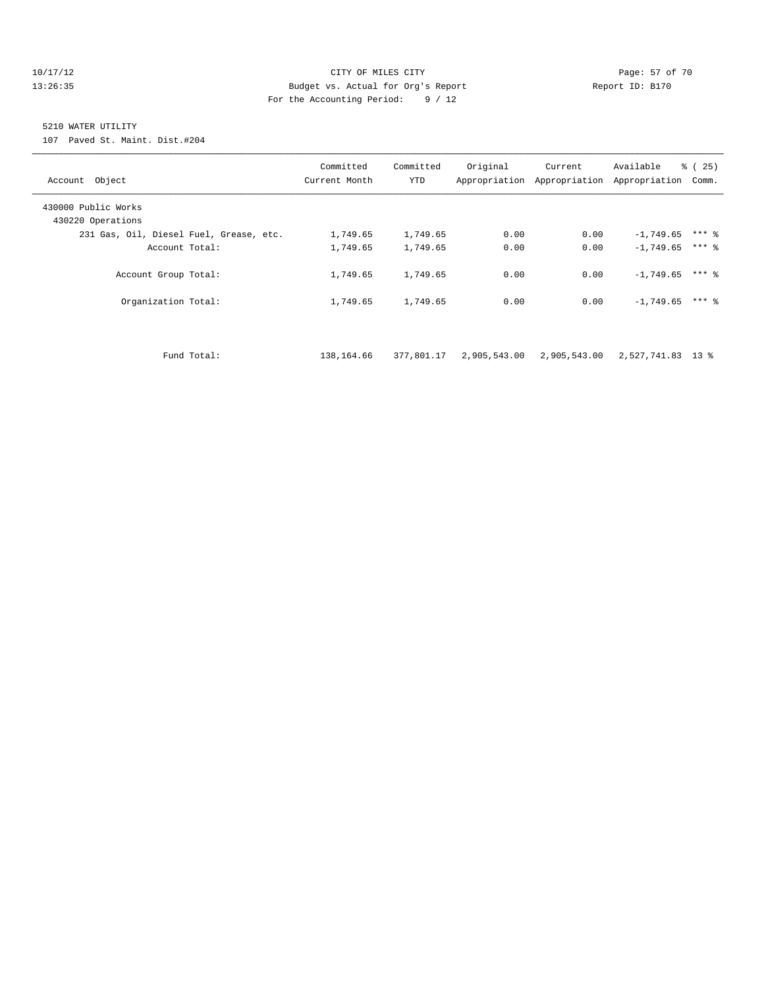#### 10/17/12 Page: 57 of 70 13:26:35 Budget vs. Actual for Org's Report Report ID: B170 For the Accounting Period: 9 / 12

## 5210 WATER UTILITY

107 Paved St. Maint. Dist.#204

| Account Object                           | Committed<br>Current Month | Committed<br>YTD | Original<br>Appropriation | Current<br>Appropriation | Available<br>Appropriation | ී (<br>25)<br>Comm. |
|------------------------------------------|----------------------------|------------------|---------------------------|--------------------------|----------------------------|---------------------|
| 430000 Public Works<br>430220 Operations |                            |                  |                           |                          |                            |                     |
| 231 Gas, Oil, Diesel Fuel, Grease, etc.  | 1,749.65                   | 1,749.65         | 0.00                      | 0.00                     | $-1,749.65$                | $***$ 2             |
| Account Total:                           | 1,749.65                   | 1,749.65         | 0.00                      | 0.00                     | $-1.749.65$                | $***$ 2             |
| Account Group Total:                     | 1,749.65                   | 1,749.65         | 0.00                      | 0.00                     | $-1,749.65$                | $***$ $%$           |
| Organization Total:                      | 1,749.65                   | 1,749.65         | 0.00                      | 0.00                     | $-1,749.65$                | $***$ %             |
|                                          |                            |                  |                           |                          |                            |                     |

Fund Total: 138,164.66 377,801.17 2,905,543.00 2,905,543.00 2,527,741.83 13 %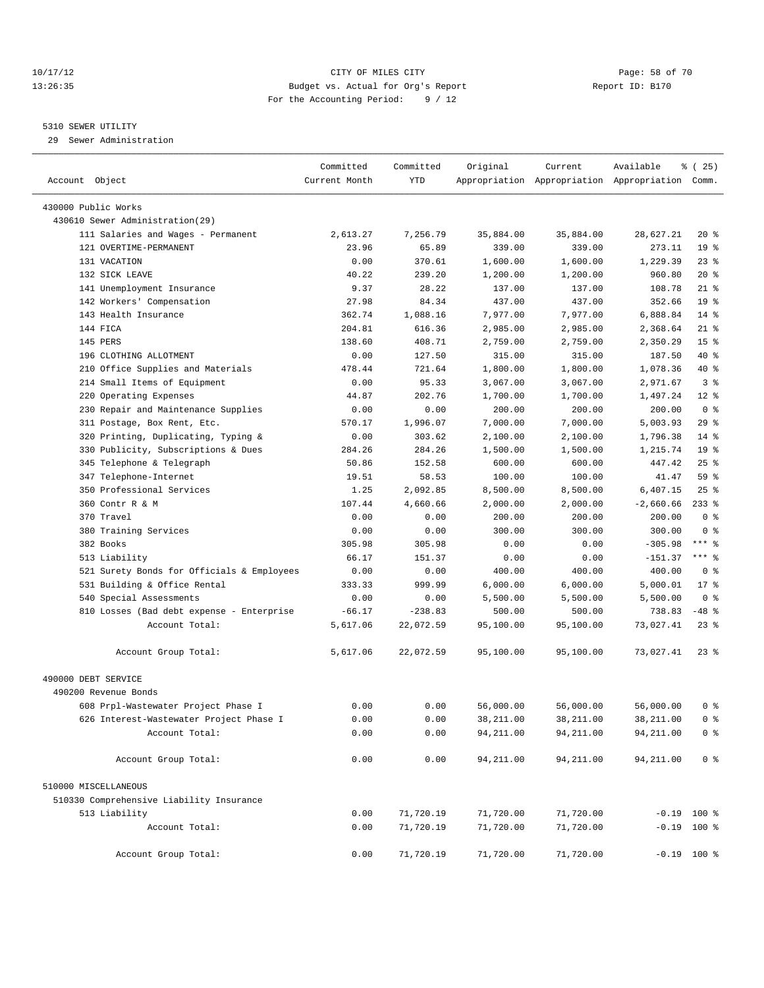#### 10/17/12 Page: 58 of 70 13:26:35 Budget vs. Actual for Org's Report Report ID: B170 For the Accounting Period: 9 / 12

————————————————————————————————————————————————————————————————————————————————————————————————————————————————————————————————————

#### 5310 SEWER UTILITY

29 Sewer Administration

|                                             | Committed     | Committed | Original   | Current    | Available                                       | <sub>है</sub> (25) |
|---------------------------------------------|---------------|-----------|------------|------------|-------------------------------------------------|--------------------|
| Account Object                              | Current Month | YTD       |            |            | Appropriation Appropriation Appropriation Comm. |                    |
| 430000 Public Works                         |               |           |            |            |                                                 |                    |
| 430610 Sewer Administration(29)             |               |           |            |            |                                                 |                    |
| 111 Salaries and Wages - Permanent          | 2,613.27      | 7,256.79  | 35,884.00  | 35,884.00  | 28,627.21                                       | $20*$              |
| 121 OVERTIME-PERMANENT                      | 23.96         | 65.89     |            |            |                                                 | 19 <sup>°</sup>    |
|                                             |               |           | 339.00     | 339.00     | 273.11                                          |                    |
| 131 VACATION                                | 0.00          | 370.61    | 1,600.00   | 1,600.00   | 1,229.39                                        | $23$ $%$           |
| 132 SICK LEAVE                              | 40.22         | 239.20    | 1,200.00   | 1,200.00   | 960.80                                          | $20*$              |
| 141 Unemployment Insurance                  | 9.37          | 28.22     | 137.00     | 137.00     | 108.78                                          | $21$ %             |
| 142 Workers' Compensation                   | 27.98         | 84.34     | 437.00     | 437.00     | 352.66                                          | 19 <sup>°</sup>    |
| 143 Health Insurance                        | 362.74        | 1,088.16  | 7,977.00   | 7,977.00   | 6,888.84                                        | $14$ %             |
| 144 FICA                                    | 204.81        | 616.36    | 2,985.00   | 2,985.00   | 2,368.64                                        | $21$ %             |
| 145 PERS                                    | 138.60        | 408.71    | 2,759.00   | 2,759.00   | 2,350.29                                        | 15 <sup>°</sup>    |
| 196 CLOTHING ALLOTMENT                      | 0.00          | 127.50    | 315.00     | 315.00     | 187.50                                          | 40 %               |
| 210 Office Supplies and Materials           | 478.44        | 721.64    | 1,800.00   | 1,800.00   | 1,078.36                                        | 40 %               |
| 214 Small Items of Equipment                | 0.00          | 95.33     | 3,067.00   | 3,067.00   | 2,971.67                                        | 3 <sup>8</sup>     |
| 220 Operating Expenses                      | 44.87         | 202.76    | 1,700.00   | 1,700.00   | 1,497.24                                        | $12*$              |
| 230 Repair and Maintenance Supplies         | 0.00          | 0.00      | 200.00     | 200.00     | 200.00                                          | 0 <sup>8</sup>     |
| 311 Postage, Box Rent, Etc.                 | 570.17        | 1,996.07  | 7,000.00   | 7,000.00   | 5,003.93                                        | 29%                |
| 320 Printing, Duplicating, Typing &         | 0.00          | 303.62    | 2,100.00   | 2,100.00   | 1,796.38                                        | $14$ %             |
| 330 Publicity, Subscriptions & Dues         | 284.26        | 284.26    | 1,500.00   | 1,500.00   | 1,215.74                                        | 19 <sup>°</sup>    |
| 345 Telephone & Telegraph                   | 50.86         | 152.58    | 600.00     | 600.00     | 447.42                                          | $25$ $%$           |
| 347 Telephone-Internet                      | 19.51         | 58.53     | 100.00     | 100.00     | 41.47                                           | 59 %               |
| 350 Professional Services                   | 1.25          | 2,092.85  | 8,500.00   | 8,500.00   | 6,407.15                                        | $25$ $%$           |
| 360 Contr R & M                             | 107.44        | 4,660.66  | 2,000.00   | 2,000.00   | $-2,660.66$                                     | $233$ $%$          |
| 370 Travel                                  | 0.00          | 0.00      | 200.00     | 200.00     | 200.00                                          | 0 <sup>8</sup>     |
| 380 Training Services                       | 0.00          | 0.00      | 300.00     | 300.00     | 300.00                                          | 0 <sup>8</sup>     |
| 382 Books                                   | 305.98        | 305.98    | 0.00       | 0.00       | $-305.98$                                       | *** 응              |
| 513 Liability                               | 66.17         | 151.37    | 0.00       | 0.00       | $-151.37$                                       | *** 응              |
| 521 Surety Bonds for Officials & Employees  | 0.00          | 0.00      | 400.00     | 400.00     | 400.00                                          | 0 <sup>8</sup>     |
| 531 Building & Office Rental                | 333.33        | 999.99    | 6,000.00   | 6,000.00   | 5,000.01                                        | $17*$              |
| 540 Special Assessments                     | 0.00          | 0.00      | 5,500.00   | 5,500.00   | 5,500.00                                        | 0 <sup>8</sup>     |
| 810 Losses (Bad debt expense - Enterprise   | $-66.17$      | $-238.83$ | 500.00     | 500.00     | 738.83                                          | $-48$ %            |
| Account Total:                              | 5,617.06      | 22,072.59 | 95,100.00  | 95,100.00  | 73,027.41                                       | $23$ $%$           |
| Account Group Total:                        | 5,617.06      | 22,072.59 | 95,100.00  | 95,100.00  | 73,027.41                                       | $23$ $%$           |
|                                             |               |           |            |            |                                                 |                    |
| 490000 DEBT SERVICE<br>490200 Revenue Bonds |               |           |            |            |                                                 |                    |
|                                             |               |           |            |            |                                                 |                    |
| 608 Prpl-Wastewater Project Phase I         | 0.00          | 0.00      | 56,000.00  | 56,000.00  | 56,000.00                                       | 0 %                |
| 626 Interest-Wastewater Project Phase I     | 0.00          | 0.00      | 38,211.00  | 38,211.00  | 38,211.00                                       | 0 <sup>8</sup>     |
| Account Total:                              | 0.00          | 0.00      | 94, 211.00 | 94, 211.00 | 94, 211.00                                      | 0 <sup>8</sup>     |
| Account Group Total:                        | 0.00          | 0.00      | 94,211.00  | 94, 211.00 | 94,211.00                                       | 0 <sup>8</sup>     |
| 510000 MISCELLANEOUS                        |               |           |            |            |                                                 |                    |
| 510330 Comprehensive Liability Insurance    |               |           |            |            |                                                 |                    |
| 513 Liability                               | 0.00          | 71,720.19 | 71,720.00  | 71,720.00  |                                                 | $-0.19$ 100 %      |
| Account Total:                              | 0.00          | 71,720.19 | 71,720.00  | 71,720.00  |                                                 | $-0.19$ 100 %      |
| Account Group Total:                        | 0.00          | 71,720.19 | 71,720.00  | 71,720.00  |                                                 | $-0.19$ 100 %      |
|                                             |               |           |            |            |                                                 |                    |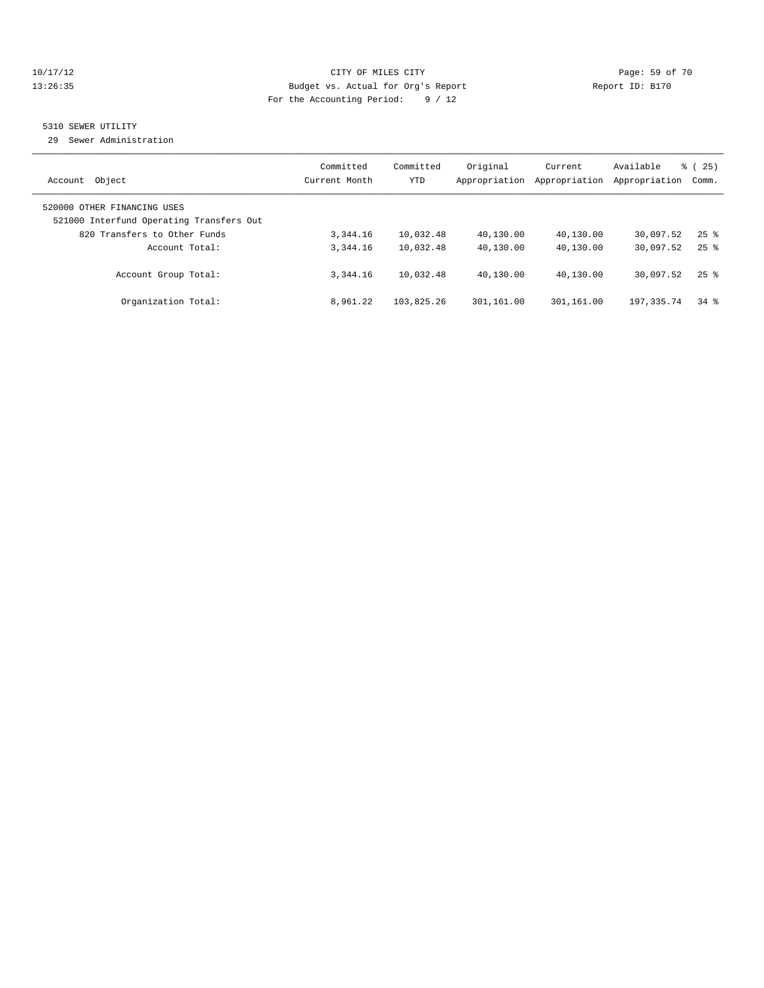#### 10/17/12 Page: 59 of 70 13:26:35 Budget vs. Actual for Org's Report Report ID: B170 For the Accounting Period: 9 / 12

## 5310 SEWER UTILITY

29 Sewer Administration

| Object<br>Account                                                                                       | Committed<br>Current Month | Committed<br><b>YTD</b> | Original<br>Appropriation | Current<br>Appropriation | Available<br>Appropriation | % (25)<br>Comm.    |
|---------------------------------------------------------------------------------------------------------|----------------------------|-------------------------|---------------------------|--------------------------|----------------------------|--------------------|
| 520000 OTHER FINANCING USES<br>521000 Interfund Operating Transfers Out<br>820 Transfers to Other Funds | 3, 344, 16                 | 10,032.48               | 40,130.00                 | 40,130.00                | 30,097.52                  | $25$ $\frac{6}{5}$ |
| Account Total:                                                                                          | 3,344.16                   | 10,032.48               | 40,130.00                 | 40,130.00                | 30,097.52                  | $25$ $\frac{6}{5}$ |
| Account Group Total:                                                                                    | 3,344.16                   | 10,032.48               | 40,130.00                 | 40,130.00                | 30,097.52                  | $25$ $\frac{6}{5}$ |
| Organization Total:                                                                                     | 8,961.22                   | 103,825.26              | 301,161.00                | 301,161.00               | 197, 335. 74               | $34$ $%$           |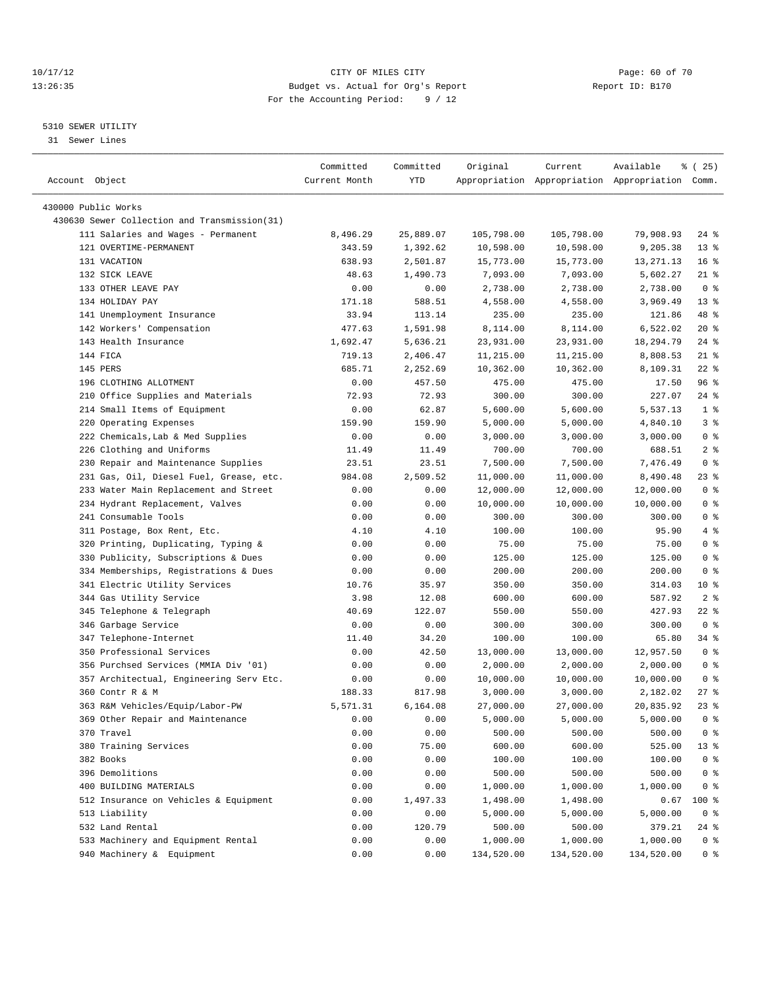#### 10/17/12 Page: 60 of 70 13:26:35 Budget vs. Actual for Org's Report Report ID: B170 For the Accounting Period: 9 / 12

————————————————————————————————————————————————————————————————————————————————————————————————————————————————————————————————————

#### 5310 SEWER UTILITY

31 Sewer Lines

| Account Object                               | Committed<br>Current Month | Committed<br>YTD | Original   | Current    | Available<br>Appropriation Appropriation Appropriation Comm. | 8 (25)          |
|----------------------------------------------|----------------------------|------------------|------------|------------|--------------------------------------------------------------|-----------------|
|                                              |                            |                  |            |            |                                                              |                 |
| 430000 Public Works                          |                            |                  |            |            |                                                              |                 |
| 430630 Sewer Collection and Transmission(31) |                            |                  |            |            |                                                              |                 |
| 111 Salaries and Wages - Permanent           | 8,496.29                   | 25,889.07        | 105,798.00 | 105,798.00 | 79,908.93                                                    | $24$ %          |
| 121 OVERTIME-PERMANENT                       | 343.59                     | 1,392.62         | 10,598.00  | 10,598.00  | 9,205.38                                                     | $13*$           |
| 131 VACATION                                 | 638.93                     | 2,501.87         | 15,773.00  | 15,773.00  | 13, 271. 13                                                  | 16 <sup>8</sup> |
| 132 SICK LEAVE                               | 48.63                      | 1,490.73         | 7,093.00   | 7,093.00   | 5,602.27                                                     | $21$ %          |
| 133 OTHER LEAVE PAY                          | 0.00                       | 0.00             | 2,738.00   | 2,738.00   | 2,738.00                                                     | 0 <sup>8</sup>  |
| 134 HOLIDAY PAY                              | 171.18                     | 588.51           | 4,558.00   | 4,558.00   | 3,969.49                                                     | $13*$           |
| 141 Unemployment Insurance                   | 33.94                      | 113.14           | 235.00     | 235.00     | 121.86                                                       | 48 %            |
| 142 Workers' Compensation                    | 477.63                     | 1,591.98         | 8,114.00   | 8,114.00   | 6,522.02                                                     | $20*$           |
| 143 Health Insurance                         | 1,692.47                   | 5,636.21         | 23,931.00  | 23,931.00  | 18,294.79                                                    | $24$ %          |
| 144 FICA                                     | 719.13                     | 2,406.47         | 11,215.00  | 11,215.00  | 8,808.53                                                     | $21$ %          |
| 145 PERS                                     | 685.71                     | 2,252.69         | 10,362.00  | 10,362.00  | 8,109.31                                                     | $22$ %          |
| 196 CLOTHING ALLOTMENT                       | 0.00                       | 457.50           | 475.00     | 475.00     | 17.50                                                        | 96%             |
| 210 Office Supplies and Materials            | 72.93                      | 72.93            | 300.00     | 300.00     | 227.07                                                       | $24$ %          |
| 214 Small Items of Equipment                 | 0.00                       | 62.87            | 5,600.00   | 5,600.00   | 5,537.13                                                     | 1 <sup>°</sup>  |
| 220 Operating Expenses                       | 159.90                     | 159.90           | 5,000.00   | 5,000.00   | 4,840.10                                                     | 3%              |
| 222 Chemicals, Lab & Med Supplies            | 0.00                       | 0.00             | 3,000.00   | 3,000.00   | 3,000.00                                                     | 0 <sup>8</sup>  |
| 226 Clothing and Uniforms                    | 11.49                      | 11.49            | 700.00     | 700.00     | 688.51                                                       | 2 <sub>8</sub>  |
| 230 Repair and Maintenance Supplies          | 23.51                      | 23.51            | 7,500.00   | 7,500.00   | 7,476.49                                                     | 0 <sup>8</sup>  |
| 231 Gas, Oil, Diesel Fuel, Grease, etc.      | 984.08                     | 2,509.52         | 11,000.00  | 11,000.00  | 8,490.48                                                     | 23 %            |
| 233 Water Main Replacement and Street        | 0.00                       | 0.00             | 12,000.00  | 12,000.00  | 12,000.00                                                    | 0 <sup>8</sup>  |
| 234 Hydrant Replacement, Valves              | 0.00                       | 0.00             | 10,000.00  | 10,000.00  | 10,000.00                                                    | 0 <sup>8</sup>  |
| 241 Consumable Tools                         | 0.00                       | 0.00             | 300.00     | 300.00     | 300.00                                                       | 0 <sup>8</sup>  |
| 311 Postage, Box Rent, Etc.                  | 4.10                       | 4.10             | 100.00     | 100.00     | 95.90                                                        | 4%              |
| 320 Printing, Duplicating, Typing &          | 0.00                       | 0.00             | 75.00      | 75.00      | 75.00                                                        | 0 <sup>8</sup>  |
| 330 Publicity, Subscriptions & Dues          | 0.00                       | 0.00             | 125.00     | 125.00     | 125.00                                                       | 0 <sup>8</sup>  |
| 334 Memberships, Registrations & Dues        | 0.00                       | 0.00             | 200.00     | 200.00     | 200.00                                                       | 0 <sup>8</sup>  |
| 341 Electric Utility Services                | 10.76                      | 35.97            | 350.00     | 350.00     | 314.03                                                       | $10*$           |
| 344 Gas Utility Service                      | 3.98                       | 12.08            | 600.00     | 600.00     | 587.92                                                       | 2 <sup>°</sup>  |
| 345 Telephone & Telegraph                    | 40.69                      | 122.07           | 550.00     | 550.00     | 427.93                                                       | 22 %            |
| 346 Garbage Service                          | 0.00                       | 0.00             | 300.00     | 300.00     | 300.00                                                       | 0 <sup>8</sup>  |
| 347 Telephone-Internet                       | 11.40                      | 34.20            | 100.00     | 100.00     | 65.80                                                        | 34 %            |
| 350 Professional Services                    | 0.00                       | 42.50            | 13,000.00  | 13,000.00  | 12,957.50                                                    | 0 <sup>8</sup>  |
| 356 Purchsed Services (MMIA Div '01)         | 0.00                       | 0.00             | 2,000.00   | 2,000.00   | 2,000.00                                                     | 0 <sup>8</sup>  |
| 357 Architectual, Engineering Serv Etc.      | 0.00                       | 0.00             | 10,000.00  | 10,000.00  | 10,000.00                                                    | 0 <sup>8</sup>  |
| 360 Contr R & M                              | 188.33                     | 817.98           | 3,000.00   | 3,000.00   | 2,182.02                                                     | $27$ %          |
| 363 R&M Vehicles/Equip/Labor-PW              | 5,571.31                   | 6,164.08         | 27,000.00  | 27,000.00  | 20,835.92                                                    | 23%             |
| 369 Other Repair and Maintenance             | 0.00                       | 0.00             | 5,000.00   | 5,000.00   | 5,000.00                                                     | 0 <sup>8</sup>  |
| 370 Travel                                   | 0.00                       | 0.00             | 500.00     | 500.00     | 500.00                                                       | 0 <sup>8</sup>  |
| 380 Training Services                        | 0.00                       | 75.00            | 600.00     | 600.00     | 525.00                                                       | 13 <sub>8</sub> |
| 382 Books                                    | 0.00                       | 0.00             | 100.00     | 100.00     | 100.00                                                       | 0 <sup>8</sup>  |
| 396 Demolitions                              | 0.00                       | 0.00             | 500.00     | 500.00     | 500.00                                                       | 0 <sup>8</sup>  |
| 400 BUILDING MATERIALS                       | 0.00                       | 0.00             | 1,000.00   | 1,000.00   | 1,000.00                                                     | 0 <sup>8</sup>  |
| 512 Insurance on Vehicles & Equipment        | 0.00                       | 1,497.33         | 1,498.00   | 1,498.00   | 0.67                                                         | 100 %           |
| 513 Liability                                | 0.00                       | 0.00             | 5,000.00   | 5,000.00   | 5,000.00                                                     | 0 <sup>8</sup>  |
| 532 Land Rental                              | 0.00                       | 120.79           | 500.00     | 500.00     | 379.21                                                       | 24 %            |
| 533 Machinery and Equipment Rental           | 0.00                       | 0.00             | 1,000.00   | 1,000.00   | 1,000.00                                                     | 0 <sup>8</sup>  |
| 940 Machinery & Equipment                    | 0.00                       | 0.00             | 134,520.00 | 134,520.00 | 134,520.00                                                   | 0 <sup>8</sup>  |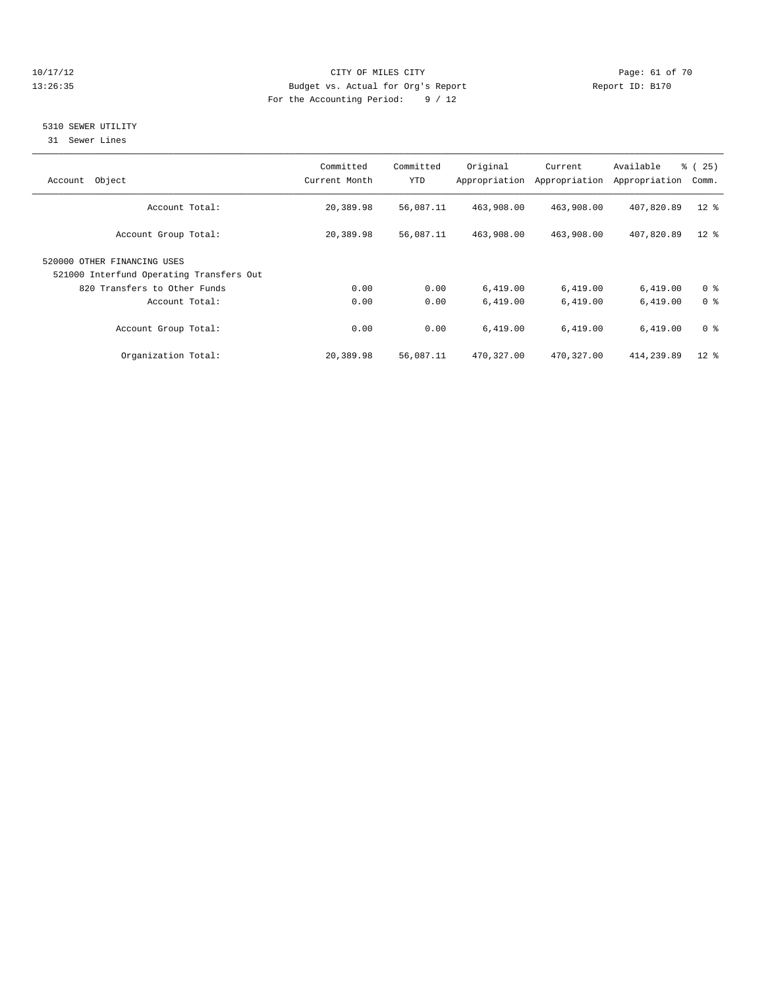#### 10/17/12 Page: 61 of 70 13:26:35 Budget vs. Actual for Org's Report Report ID: B170 For the Accounting Period: 9 / 12

#### 5310 SEWER UTILITY

31 Sewer Lines

| Object<br>Account                                                       | Committed<br>Current Month | Committed<br>YTD | Original   | Current<br>Appropriation Appropriation | Available<br>Appropriation | % (25)<br>Comm. |
|-------------------------------------------------------------------------|----------------------------|------------------|------------|----------------------------------------|----------------------------|-----------------|
| Account Total:                                                          | 20,389.98                  | 56,087.11        | 463,908.00 | 463,908.00                             | 407,820.89                 | $12*$           |
| Account Group Total:                                                    | 20,389.98                  | 56,087.11        | 463,908.00 | 463,908.00                             | 407,820.89                 | $12*$           |
| 520000 OTHER FINANCING USES<br>521000 Interfund Operating Transfers Out |                            |                  |            |                                        |                            |                 |
| 820 Transfers to Other Funds                                            | 0.00                       | 0.00             | 6,419.00   | 6,419.00                               | 6,419.00                   | 0 <sup>8</sup>  |
| Account Total:                                                          | 0.00                       | 0.00             | 6,419.00   | 6,419.00                               | 6,419.00                   | 0 <sup>8</sup>  |
| Account Group Total:                                                    | 0.00                       | 0.00             | 6,419.00   | 6,419.00                               | 6,419.00                   | 0 <sup>8</sup>  |
| Organization Total:                                                     | 20,389.98                  | 56,087.11        | 470,327.00 | 470,327.00                             | 414,239.89                 | $12$ $\approx$  |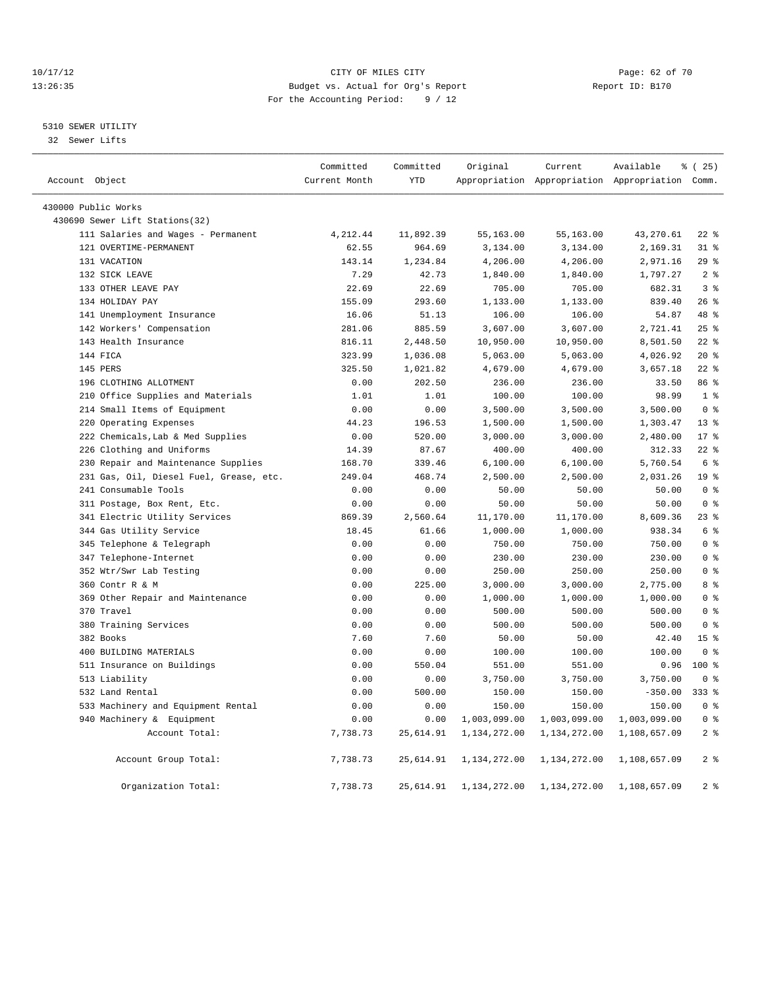#### 10/17/12 Page: 62 of 70 13:26:35 Budget vs. Actual for Org's Report Report ID: B170 For the Accounting Period: 9 / 12

### 5310 SEWER UTILITY

32 Sewer Lifts

|                     |                                         | Committed     | Committed  | Original     | Current      | Available                                       | % (25)           |
|---------------------|-----------------------------------------|---------------|------------|--------------|--------------|-------------------------------------------------|------------------|
| Account Object      |                                         | Current Month | <b>YTD</b> |              |              | Appropriation Appropriation Appropriation Comm. |                  |
| 430000 Public Works |                                         |               |            |              |              |                                                 |                  |
|                     | 430690 Sewer Lift Stations(32)          |               |            |              |              |                                                 |                  |
|                     | 111 Salaries and Wages - Permanent      | 4,212.44      | 11,892.39  | 55,163.00    | 55,163.00    | 43,270.61                                       | $22$ %           |
|                     | 121 OVERTIME-PERMANENT                  | 62.55         | 964.69     | 3,134.00     | 3,134.00     | 2,169.31                                        | 31.8             |
|                     | 131 VACATION                            | 143.14        | 1,234.84   | 4,206.00     | 4,206.00     | 2,971.16                                        | 29%              |
|                     | 132 SICK LEAVE                          | 7.29          | 42.73      | 1,840.00     | 1,840.00     | 1,797.27                                        | 2 <sup>8</sup>   |
|                     | 133 OTHER LEAVE PAY                     | 22.69         | 22.69      | 705.00       | 705.00       | 682.31                                          | 3 <sup>8</sup>   |
|                     | 134 HOLIDAY PAY                         | 155.09        | 293.60     | 1,133.00     | 1,133.00     | 839.40                                          | 26%              |
|                     | 141 Unemployment Insurance              | 16.06         | 51.13      | 106.00       | 106.00       | 54.87                                           | 48 %             |
|                     | 142 Workers' Compensation               | 281.06        | 885.59     | 3,607.00     | 3,607.00     | 2,721.41                                        | 25%              |
|                     | 143 Health Insurance                    | 816.11        | 2,448.50   | 10,950.00    | 10,950.00    | 8,501.50                                        | $22$ $%$         |
|                     | 144 FICA                                | 323.99        | 1,036.08   | 5,063.00     | 5,063.00     | 4,026.92                                        | $20*$            |
|                     | 145 PERS                                | 325.50        | 1,021.82   | 4,679.00     | 4,679.00     | 3,657.18                                        | $22$ $%$         |
|                     | 196 CLOTHING ALLOTMENT                  | 0.00          | 202.50     | 236.00       | 236.00       | 33.50                                           | 86 %             |
|                     | 210 Office Supplies and Materials       | 1.01          | 1.01       | 100.00       | 100.00       | 98.99                                           | 1 <sup>8</sup>   |
|                     | 214 Small Items of Equipment            | 0.00          | 0.00       | 3,500.00     | 3,500.00     | 3,500.00                                        | 0 <sup>8</sup>   |
|                     | 220 Operating Expenses                  | 44.23         | 196.53     | 1,500.00     | 1,500.00     | 1,303.47                                        | $13*$            |
|                     | 222 Chemicals, Lab & Med Supplies       | 0.00          | 520.00     | 3,000.00     | 3,000.00     | 2,480.00                                        | $17*$            |
|                     | 226 Clothing and Uniforms               | 14.39         | 87.67      | 400.00       | 400.00       | 312.33                                          | $22$ %           |
|                     | 230 Repair and Maintenance Supplies     | 168.70        | 339.46     | 6,100.00     | 6,100.00     | 5,760.54                                        | 6 %              |
|                     | 231 Gas, Oil, Diesel Fuel, Grease, etc. | 249.04        | 468.74     | 2,500.00     | 2,500.00     | 2,031.26                                        | 19 <sup>°</sup>  |
|                     | 241 Consumable Tools                    | 0.00          | 0.00       | 50.00        | 50.00        | 50.00                                           | 0 <sup>8</sup>   |
|                     | 311 Postage, Box Rent, Etc.             | 0.00          | 0.00       | 50.00        | 50.00        | 50.00                                           | 0 <sup>8</sup>   |
|                     | 341 Electric Utility Services           | 869.39        | 2,560.64   | 11,170.00    | 11,170.00    | 8,609.36                                        | 238              |
|                     | 344 Gas Utility Service                 | 18.45         | 61.66      | 1,000.00     | 1,000.00     | 938.34                                          | 6 %              |
|                     | 345 Telephone & Telegraph               | 0.00          | 0.00       | 750.00       | 750.00       | 750.00                                          | 0 <sup>8</sup>   |
|                     | 347 Telephone-Internet                  | 0.00          | 0.00       | 230.00       | 230.00       | 230.00                                          | 0 <sup>8</sup>   |
|                     | 352 Wtr/Swr Lab Testing                 | 0.00          | 0.00       | 250.00       | 250.00       | 250.00                                          | 0 <sup>8</sup>   |
|                     | 360 Contr R & M                         | 0.00          | 225.00     | 3,000.00     | 3,000.00     | 2,775.00                                        | 8 %              |
|                     | 369 Other Repair and Maintenance        | 0.00          | 0.00       | 1,000.00     | 1,000.00     | 1,000.00                                        | 0 <sup>8</sup>   |
|                     | 370 Travel                              | 0.00          | 0.00       | 500.00       | 500.00       | 500.00                                          | 0 <sup>8</sup>   |
|                     | 380 Training Services                   | 0.00          | 0.00       | 500.00       | 500.00       | 500.00                                          | 0 <sup>8</sup>   |
|                     | 382 Books                               | 7.60          | 7.60       | 50.00        | 50.00        | 42.40                                           | 15 <sup>°</sup>  |
|                     | 400 BUILDING MATERIALS                  | 0.00          | 0.00       | 100.00       | 100.00       | 100.00                                          | 0 %              |
|                     | 511 Insurance on Buildings              | 0.00          | 550.04     | 551.00       | 551.00       | 0.96                                            | 100 <sub>8</sub> |
|                     | 513 Liability                           | 0.00          | 0.00       | 3,750.00     | 3,750.00     | 3,750.00                                        | 0 <sup>8</sup>   |
|                     | 532 Land Rental                         | 0.00          | 500.00     | 150.00       | 150.00       | $-350.00$                                       | $333$ $%$        |
|                     | 533 Machinery and Equipment Rental      | 0.00          | 0.00       | 150.00       | 150.00       | 150.00                                          | 0 <sup>8</sup>   |
|                     | 940 Machinery & Equipment               | 0.00          | 0.00       | 1,003,099.00 | 1,003,099.00 | 1,003,099.00                                    | 0 <sup>8</sup>   |
|                     | Account Total:                          | 7,738.73      | 25,614.91  | 1,134,272.00 | 1,134,272.00 | 1,108,657.09                                    | 2 <sub>8</sub>   |
|                     | Account Group Total:                    | 7,738.73      | 25,614.91  | 1,134,272.00 | 1,134,272.00 | 1,108,657.09                                    | 2 <sup>8</sup>   |
|                     | Organization Total:                     | 7,738.73      | 25,614.91  | 1,134,272.00 | 1,134,272.00 | 1,108,657.09                                    | 2 <sup>8</sup>   |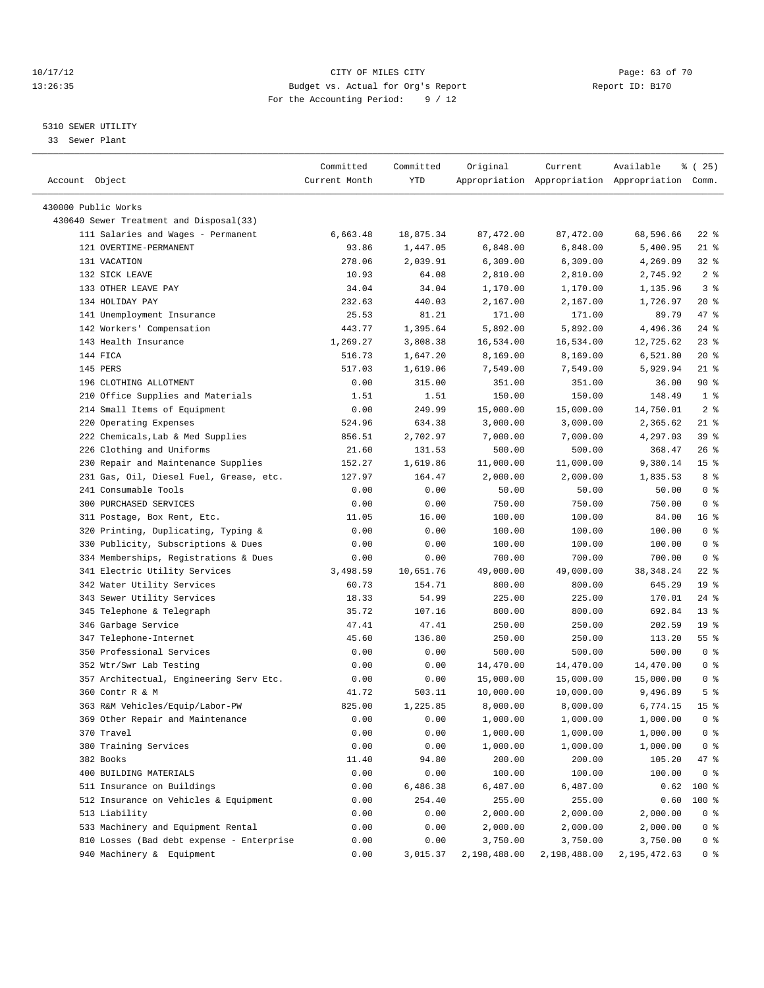#### 10/17/12 Page: 63 of 70 13:26:35 Budget vs. Actual for Org's Report Report ID: B170 For the Accounting Period: 9 / 12

————————————————————————————————————————————————————————————————————————————————————————————————————————————————————————————————————

#### 5310 SEWER UTILITY

33 Sewer Plant

|                                                              | Committed     | Committed | Original     | Current      | Available                                       | ៖ (25)          |
|--------------------------------------------------------------|---------------|-----------|--------------|--------------|-------------------------------------------------|-----------------|
| Account Object                                               | Current Month | YTD       |              |              | Appropriation Appropriation Appropriation Comm. |                 |
|                                                              |               |           |              |              |                                                 |                 |
| 430000 Public Works                                          |               |           |              |              |                                                 |                 |
| 430640 Sewer Treatment and Disposal(33)                      |               |           |              | 87, 472.00   |                                                 | $22$ %          |
| 111 Salaries and Wages - Permanent<br>121 OVERTIME-PERMANENT | 6,663.48      | 18,875.34 | 87,472.00    |              | 68,596.66                                       |                 |
|                                                              | 93.86         | 1,447.05  | 6,848.00     | 6,848.00     | 5,400.95                                        | $21$ %          |
| 131 VACATION                                                 | 278.06        | 2,039.91  | 6,309.00     | 6,309.00     | 4,269.09                                        | $32$ $%$        |
| 132 SICK LEAVE                                               | 10.93         | 64.08     | 2,810.00     | 2,810.00     | 2,745.92                                        | 2 <sup>8</sup>  |
| 133 OTHER LEAVE PAY                                          | 34.04         | 34.04     | 1,170.00     | 1,170.00     | 1,135.96                                        | 3 <sup>8</sup>  |
| 134 HOLIDAY PAY                                              | 232.63        | 440.03    | 2,167.00     | 2,167.00     | 1,726.97                                        | $20*$           |
| 141 Unemployment Insurance                                   | 25.53         | 81.21     | 171.00       | 171.00       | 89.79                                           | 47 %            |
| 142 Workers' Compensation                                    | 443.77        | 1,395.64  | 5,892.00     | 5,892.00     | 4,496.36                                        | $24$ %          |
| 143 Health Insurance                                         | 1,269.27      | 3,808.38  | 16,534.00    | 16,534.00    | 12,725.62                                       | $23$ $%$        |
| 144 FICA                                                     | 516.73        | 1,647.20  | 8,169.00     | 8,169.00     | 6,521.80                                        | $20*$           |
| 145 PERS                                                     | 517.03        | 1,619.06  | 7,549.00     | 7,549.00     | 5,929.94                                        | $21$ %          |
| 196 CLOTHING ALLOTMENT                                       | 0.00          | 315.00    | 351.00       | 351.00       | 36.00                                           | 90%             |
| 210 Office Supplies and Materials                            | 1.51          | 1.51      | 150.00       | 150.00       | 148.49                                          | 1 <sup>8</sup>  |
| 214 Small Items of Equipment                                 | 0.00          | 249.99    | 15,000.00    | 15,000.00    | 14,750.01                                       | 2 <sup>8</sup>  |
| 220 Operating Expenses                                       | 524.96        | 634.38    | 3,000.00     | 3,000.00     | 2,365.62                                        | $21$ %          |
| 222 Chemicals, Lab & Med Supplies                            | 856.51        | 2,702.97  | 7,000.00     | 7,000.00     | 4,297.03                                        | 39%             |
| 226 Clothing and Uniforms                                    | 21.60         | 131.53    | 500.00       | 500.00       | 368.47                                          | $26$ %          |
| 230 Repair and Maintenance Supplies                          | 152.27        | 1,619.86  | 11,000.00    | 11,000.00    | 9,380.14                                        | 15 <sup>8</sup> |
| 231 Gas, Oil, Diesel Fuel, Grease, etc.                      | 127.97        | 164.47    | 2,000.00     | 2,000.00     | 1,835.53                                        | 8 %             |
| 241 Consumable Tools                                         | 0.00          | 0.00      | 50.00        | 50.00        | 50.00                                           | 0 <sup>8</sup>  |
| 300 PURCHASED SERVICES                                       | 0.00          | 0.00      | 750.00       | 750.00       | 750.00                                          | 0 <sup>8</sup>  |
| 311 Postage, Box Rent, Etc.                                  | 11.05         | 16.00     | 100.00       | 100.00       | 84.00                                           | 16 <sup>8</sup> |
| 320 Printing, Duplicating, Typing &                          | 0.00          | 0.00      | 100.00       | 100.00       | 100.00                                          | 0 <sup>8</sup>  |
| 330 Publicity, Subscriptions & Dues                          | 0.00          | 0.00      | 100.00       | 100.00       | 100.00                                          | 0 <sup>8</sup>  |
| 334 Memberships, Registrations & Dues                        | 0.00          | 0.00      | 700.00       | 700.00       | 700.00                                          | 0 <sup>8</sup>  |
| 341 Electric Utility Services                                | 3,498.59      | 10,651.76 | 49,000.00    | 49,000.00    | 38, 348.24                                      | $22$ %          |
| 342 Water Utility Services                                   | 60.73         | 154.71    | 800.00       | 800.00       | 645.29                                          | 19 <sup>°</sup> |
| 343 Sewer Utility Services                                   | 18.33         | 54.99     | 225.00       | 225.00       | 170.01                                          | $24$ %          |
| 345 Telephone & Telegraph                                    | 35.72         | 107.16    | 800.00       | 800.00       | 692.84                                          | $13*$           |
| 346 Garbage Service                                          | 47.41         | 47.41     | 250.00       | 250.00       | 202.59                                          | 19 <sup>°</sup> |
| 347 Telephone-Internet                                       | 45.60         | 136.80    | 250.00       | 250.00       | 113.20                                          | $55$ $%$        |
| 350 Professional Services                                    | 0.00          | 0.00      | 500.00       | 500.00       | 500.00                                          | 0 <sup>8</sup>  |
| 352 Wtr/Swr Lab Testing                                      | 0.00          | 0.00      | 14,470.00    | 14,470.00    | 14,470.00                                       | 0 <sup>8</sup>  |
| 357 Architectual, Engineering Serv Etc.                      | 0.00          | 0.00      | 15,000.00    | 15,000.00    | 15,000.00                                       | 0 <sup>8</sup>  |
| 360 Contr R & M                                              | 41.72         | 503.11    | 10,000.00    | 10,000.00    | 9,496.89                                        | 5 <sup>°</sup>  |
| 363 R&M Vehicles/Equip/Labor-PW                              | 825.00        | 1,225.85  | 8,000.00     | 8,000.00     | 6,774.15                                        | 15 <sup>°</sup> |
| 369 Other Repair and Maintenance                             | 0.00          | 0.00      | 1,000.00     | 1,000.00     | 1,000.00                                        | 0 <sup>8</sup>  |
| 370 Travel                                                   | 0.00          | 0.00      | 1,000.00     | 1,000.00     | 1,000.00                                        | 0 %             |
| 380 Training Services                                        | 0.00          | 0.00      | 1,000.00     | 1,000.00     | 1,000.00                                        | 0 <sup>8</sup>  |
| 382 Books                                                    | 11.40         | 94.80     | 200.00       | 200.00       | 105.20                                          | 47 %            |
| 400 BUILDING MATERIALS                                       | 0.00          | 0.00      | 100.00       | 100.00       | 100.00                                          | 0 <sup>8</sup>  |
| 511 Insurance on Buildings                                   | 0.00          | 6,486.38  | 6,487.00     | 6,487.00     | 0.62                                            | 100 %           |
| 512 Insurance on Vehicles & Equipment                        | 0.00          | 254.40    | 255.00       | 255.00       | 0.60                                            | $100$ %         |
| 513 Liability                                                | 0.00          | 0.00      | 2,000.00     | 2,000.00     | 2,000.00                                        | 0 <sup>8</sup>  |
| 533 Machinery and Equipment Rental                           | 0.00          | 0.00      | 2,000.00     | 2,000.00     | 2,000.00                                        | 0 <sup>8</sup>  |
| 810 Losses (Bad debt expense - Enterprise                    | 0.00          | 0.00      | 3,750.00     | 3,750.00     | 3,750.00                                        | 0 <sup>8</sup>  |
| 940 Machinery & Equipment                                    | 0.00          | 3,015.37  | 2,198,488.00 | 2,198,488.00 | 2,195,472.63                                    | 0 %             |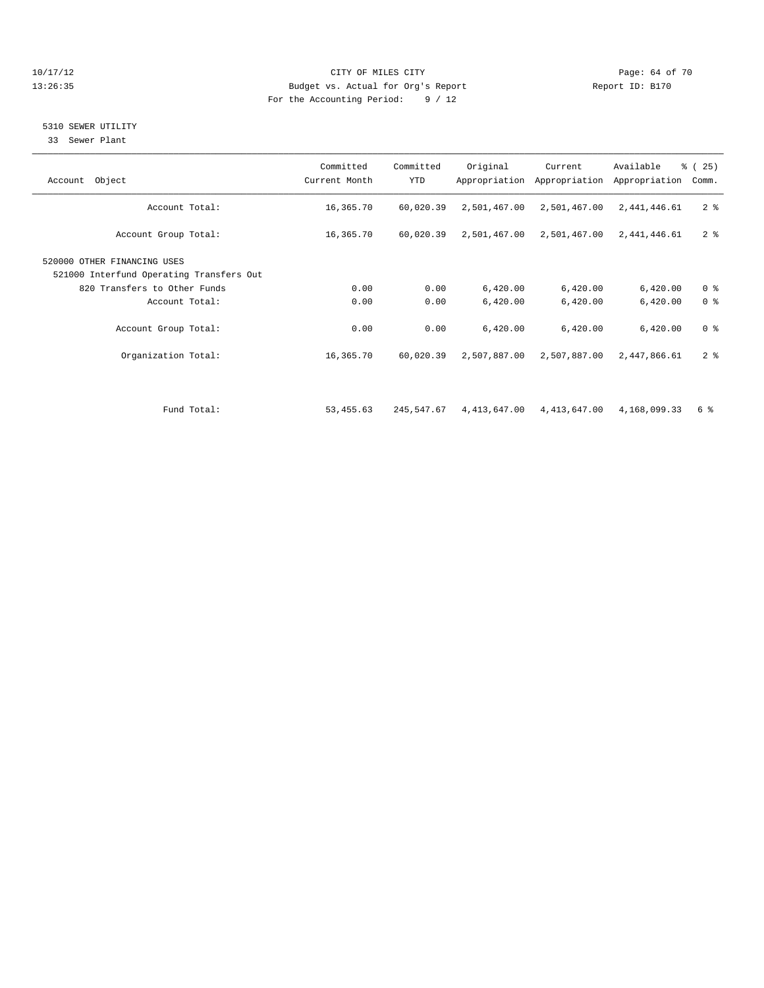#### 10/17/12 Page: 64 of 70 13:26:35 Budget vs. Actual for Org's Report Report ID: B170 For the Accounting Period: 9 / 12

## 5310 SEWER UTILITY

33 Sewer Plant

| Account Total:<br>16,365.70<br>60,020.39<br>2,501,467.00<br>2,501,467.00<br>2,441,446.61<br>Account Group Total:<br>16,365.70<br>60,020.39<br>2,501,467.00<br>2,501,467.00<br>2,441,446.61<br>520000 OTHER FINANCING USES<br>521000 Interfund Operating Transfers Out<br>820 Transfers to Other Funds<br>0.00<br>0.00<br>6,420.00<br>6,420.00<br>6,420.00<br>0.00<br>Account Total:<br>0.00<br>6,420.00<br>6,420.00<br>6,420.00<br>0.00<br>0.00<br>Account Group Total:<br>6,420.00<br>6,420.00<br>6,420.00<br>Organization Total:<br>2,507,887.00<br>16,365.70<br>60,020.39<br>2,507,887.00<br>2,447,866.61 | Account Object | Committed<br>Current Month | Committed<br><b>YTD</b> | Original | Current<br>Appropriation Appropriation | Available<br>Appropriation | $\frac{3}{6}$ ( 25 )<br>Comm. |
|--------------------------------------------------------------------------------------------------------------------------------------------------------------------------------------------------------------------------------------------------------------------------------------------------------------------------------------------------------------------------------------------------------------------------------------------------------------------------------------------------------------------------------------------------------------------------------------------------------------|----------------|----------------------------|-------------------------|----------|----------------------------------------|----------------------------|-------------------------------|
|                                                                                                                                                                                                                                                                                                                                                                                                                                                                                                                                                                                                              |                |                            |                         |          |                                        |                            | 2 <sup>8</sup>                |
|                                                                                                                                                                                                                                                                                                                                                                                                                                                                                                                                                                                                              |                |                            |                         |          |                                        |                            | 2 <sub>8</sub>                |
|                                                                                                                                                                                                                                                                                                                                                                                                                                                                                                                                                                                                              |                |                            |                         |          |                                        |                            |                               |
|                                                                                                                                                                                                                                                                                                                                                                                                                                                                                                                                                                                                              |                |                            |                         |          |                                        |                            | 0 <sup>8</sup>                |
|                                                                                                                                                                                                                                                                                                                                                                                                                                                                                                                                                                                                              |                |                            |                         |          |                                        |                            | 0 <sup>8</sup>                |
|                                                                                                                                                                                                                                                                                                                                                                                                                                                                                                                                                                                                              |                |                            |                         |          |                                        |                            | 0 <sup>8</sup>                |
|                                                                                                                                                                                                                                                                                                                                                                                                                                                                                                                                                                                                              |                |                            |                         |          |                                        |                            | 2 <sup>8</sup>                |
| Fund Total:<br>4, 413, 647.00 4, 413, 647.00<br>53, 455.63<br>245,547.67<br>4,168,099.33                                                                                                                                                                                                                                                                                                                                                                                                                                                                                                                     |                |                            |                         |          |                                        |                            | 6 %                           |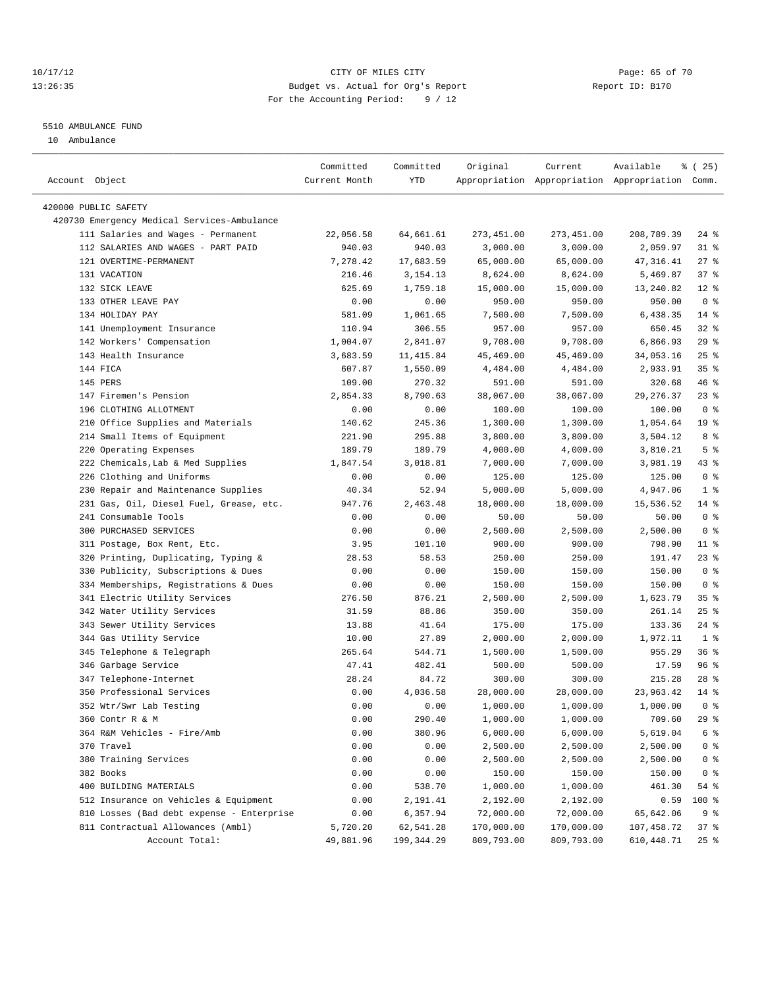### 10/17/12 Page: 65 of 70 13:26:35 Budget vs. Actual for Org's Report Report ID: B170 For the Accounting Period: 9 / 12

————————————————————————————————————————————————————————————————————————————————————————————————————————————————————————————————————

#### 5510 AMBULANCE FUND

10 Ambulance

|                                             | Committed     | Committed   | Original   | Current    | Available                                       | % (25)          |
|---------------------------------------------|---------------|-------------|------------|------------|-------------------------------------------------|-----------------|
| Account Object                              | Current Month | YTD         |            |            | Appropriation Appropriation Appropriation Comm. |                 |
|                                             |               |             |            |            |                                                 |                 |
| 420000 PUBLIC SAFETY                        |               |             |            |            |                                                 |                 |
| 420730 Emergency Medical Services-Ambulance |               |             |            |            |                                                 |                 |
| 111 Salaries and Wages - Permanent          | 22,056.58     | 64,661.61   | 273,451.00 | 273,451.00 | 208,789.39                                      | 24 %            |
| 112 SALARIES AND WAGES - PART PAID          | 940.03        | 940.03      | 3,000.00   | 3,000.00   | 2,059.97                                        | 31 %            |
| 121 OVERTIME-PERMANENT                      | 7,278.42      | 17,683.59   | 65,000.00  | 65,000.00  | 47, 316.41                                      | $27$ %          |
| 131 VACATION                                | 216.46        | 3, 154. 13  | 8,624.00   | 8,624.00   | 5,469.87                                        | 37%             |
| 132 SICK LEAVE                              | 625.69        | 1,759.18    | 15,000.00  | 15,000.00  | 13,240.82                                       | $12*$           |
| 133 OTHER LEAVE PAY                         | 0.00          | 0.00        | 950.00     | 950.00     | 950.00                                          | 0 <sup>8</sup>  |
| 134 HOLIDAY PAY                             | 581.09        | 1,061.65    | 7,500.00   | 7,500.00   | 6,438.35                                        | $14*$           |
| 141 Unemployment Insurance                  | 110.94        | 306.55      | 957.00     | 957.00     | 650.45                                          | $32$ $%$        |
| 142 Workers' Compensation                   | 1,004.07      | 2,841.07    | 9,708.00   | 9,708.00   | 6,866.93                                        | $29$ %          |
| 143 Health Insurance                        | 3,683.59      | 11,415.84   | 45,469.00  | 45,469.00  | 34,053.16                                       | $25$ $%$        |
| 144 FICA                                    | 607.87        | 1,550.09    | 4,484.00   | 4,484.00   | 2,933.91                                        | 35%             |
| 145 PERS                                    | 109.00        | 270.32      | 591.00     | 591.00     | 320.68                                          | 46 %            |
| 147 Firemen's Pension                       | 2,854.33      | 8,790.63    | 38,067.00  | 38,067.00  | 29, 276.37                                      | $23$ $%$        |
| 196 CLOTHING ALLOTMENT                      | 0.00          | 0.00        | 100.00     | 100.00     | 100.00                                          | 0 <sup>8</sup>  |
| 210 Office Supplies and Materials           | 140.62        | 245.36      | 1,300.00   | 1,300.00   | 1,054.64                                        | 19 <sup>°</sup> |
| 214 Small Items of Equipment                | 221.90        | 295.88      | 3,800.00   | 3,800.00   | 3,504.12                                        | 8 %             |
| 220 Operating Expenses                      | 189.79        | 189.79      | 4,000.00   | 4,000.00   | 3,810.21                                        | 5 <sup>°</sup>  |
| 222 Chemicals, Lab & Med Supplies           | 1,847.54      | 3,018.81    | 7,000.00   | 7,000.00   | 3,981.19                                        | 43 %            |
| 226 Clothing and Uniforms                   | 0.00          | 0.00        | 125.00     | 125.00     | 125.00                                          | 0 <sup>8</sup>  |
| 230 Repair and Maintenance Supplies         | 40.34         | 52.94       | 5,000.00   | 5,000.00   | 4,947.06                                        | 1 <sup>8</sup>  |
| 231 Gas, Oil, Diesel Fuel, Grease, etc.     | 947.76        | 2,463.48    | 18,000.00  | 18,000.00  | 15,536.52                                       | $14$ %          |
| 241 Consumable Tools                        | 0.00          | 0.00        | 50.00      | 50.00      | 50.00                                           | 0 <sup>8</sup>  |
| 300 PURCHASED SERVICES                      | 0.00          | 0.00        | 2,500.00   | 2,500.00   | 2,500.00                                        | 0 <sup>8</sup>  |
| 311 Postage, Box Rent, Etc.                 | 3.95          | 101.10      | 900.00     | 900.00     | 798.90                                          | $11$ %          |
| 320 Printing, Duplicating, Typing &         | 28.53         | 58.53       | 250.00     | 250.00     | 191.47                                          | $23$ %          |
| 330 Publicity, Subscriptions & Dues         | 0.00          | 0.00        | 150.00     | 150.00     | 150.00                                          | 0 <sup>8</sup>  |
| 334 Memberships, Registrations & Dues       | 0.00          | 0.00        | 150.00     | 150.00     | 150.00                                          | 0 <sup>8</sup>  |
| 341 Electric Utility Services               | 276.50        | 876.21      | 2,500.00   | 2,500.00   | 1,623.79                                        | 35%             |
| 342 Water Utility Services                  | 31.59         | 88.86       | 350.00     | 350.00     | 261.14                                          | $25$ $%$        |
| 343 Sewer Utility Services                  | 13.88         | 41.64       | 175.00     | 175.00     | 133.36                                          | $24$ %          |
| 344 Gas Utility Service                     | 10.00         | 27.89       | 2,000.00   | 2,000.00   | 1,972.11                                        | 1 <sup>8</sup>  |
| 345 Telephone & Telegraph                   | 265.64        | 544.71      | 1,500.00   | 1,500.00   | 955.29                                          | 36%             |
| 346 Garbage Service                         | 47.41         | 482.41      | 500.00     | 500.00     | 17.59                                           | 96 %            |
| 347 Telephone-Internet                      | 28.24         | 84.72       | 300.00     | 300.00     | 215.28                                          | $28$ %          |
| 350 Professional Services                   | 0.00          | 4,036.58    | 28,000.00  | 28,000.00  | 23,963.42                                       | $14*$           |
| 352 Wtr/Swr Lab Testing                     | 0.00          | 0.00        | 1,000.00   | 1,000.00   | 1,000.00                                        | 0 <sup>8</sup>  |
| 360 Contr R & M                             | 0.00          | 290.40      | 1,000.00   | 1,000.00   | 709.60                                          | $29$ %          |
| 364 R&M Vehicles - Fire/Amb                 | 0.00          | 380.96      | 6,000.00   | 6,000.00   | 5,619.04                                        | 6 %             |
| 370 Travel                                  | 0.00          | 0.00        | 2,500.00   | 2,500.00   | 2,500.00                                        | $0$ %           |
| 380 Training Services                       | 0.00          | 0.00        | 2,500.00   | 2,500.00   | 2,500.00                                        | $0$ %           |
| 382 Books                                   | 0.00          | 0.00        | 150.00     | 150.00     | 150.00                                          | 0 %             |
| 400 BUILDING MATERIALS                      | 0.00          | 538.70      | 1,000.00   | 1,000.00   | 461.30                                          | 54 %            |
| 512 Insurance on Vehicles & Equipment       | 0.00          | 2,191.41    | 2,192.00   | 2,192.00   | 0.59                                            | 100 %           |
| 810 Losses (Bad debt expense - Enterprise   | 0.00          | 6,357.94    | 72,000.00  | 72,000.00  | 65,642.06                                       | 9%              |
| 811 Contractual Allowances (Ambl)           | 5,720.20      | 62,541.28   | 170,000.00 | 170,000.00 | 107,458.72                                      | 37 %            |
| Account Total:                              | 49,881.96     | 199, 344.29 | 809,793.00 | 809,793.00 | 610,448.71                                      | $25$ %          |
|                                             |               |             |            |            |                                                 |                 |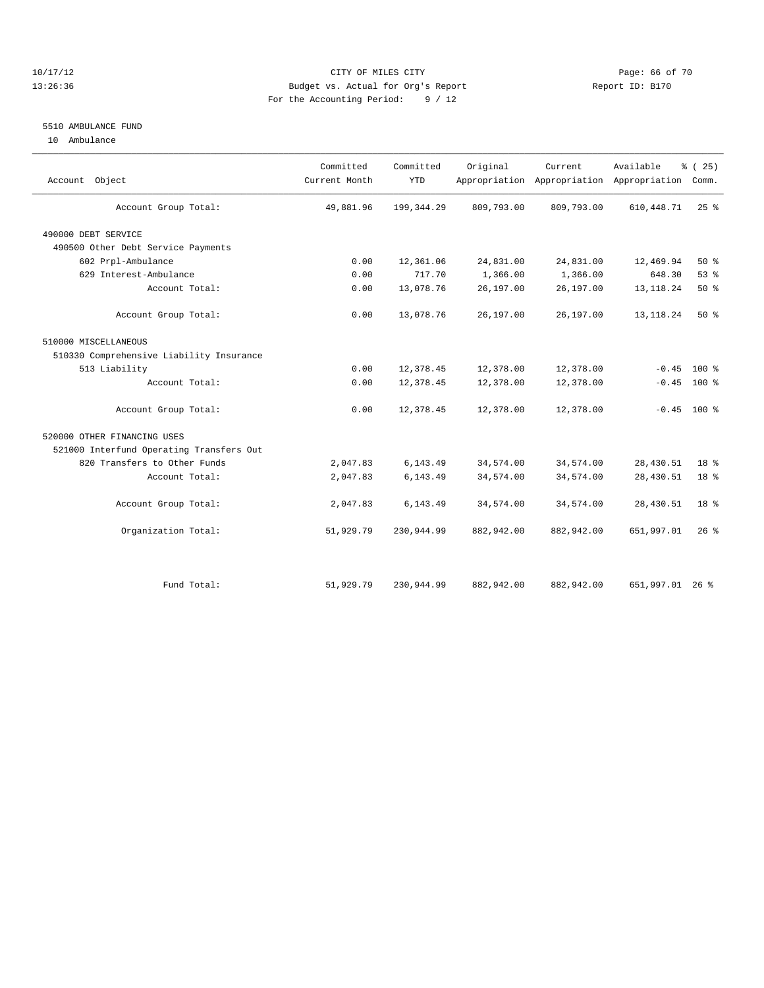#### 10/17/12 Page: 66 of 70 13:26:36 Budget vs. Actual for Org's Report Report ID: B170 For the Accounting Period: 9 / 12

### 5510 AMBULANCE FUND

10 Ambulance

| Account Object                           | Committed<br>Current Month | Committed<br><b>YTD</b> | Original   | Current    | Available<br>Appropriation Appropriation Appropriation | % (25)<br>Comm. |  |
|------------------------------------------|----------------------------|-------------------------|------------|------------|--------------------------------------------------------|-----------------|--|
| Account Group Total:                     | 49,881.96                  | 199, 344.29             | 809,793.00 | 809,793.00 | 610, 448.71                                            | $25$ $%$        |  |
| 490000 DEBT SERVICE                      |                            |                         |            |            |                                                        |                 |  |
| 490500 Other Debt Service Payments       |                            |                         |            |            |                                                        |                 |  |
| 602 Prpl-Ambulance                       | 0.00                       | 12,361.06               | 24,831.00  | 24,831.00  | 12,469.94                                              | $50*$           |  |
| 629 Interest-Ambulance                   | 0.00                       | 717.70                  | 1,366.00   | 1,366.00   | 648.30                                                 | 53%             |  |
| Account Total:                           | 0.00                       | 13,078.76               | 26,197.00  | 26,197.00  | 13, 118. 24                                            | $50*$           |  |
| Account Group Total:                     | 0.00                       | 13,078.76               | 26,197.00  | 26,197.00  | 13, 118. 24                                            | 50%             |  |
| 510000 MISCELLANEOUS                     |                            |                         |            |            |                                                        |                 |  |
| 510330 Comprehensive Liability Insurance |                            |                         |            |            |                                                        |                 |  |
| 513 Liability                            | 0.00                       | 12,378.45               | 12,378.00  | 12,378.00  | $-0.45$                                                | $100*$          |  |
| Account Total:                           | 0.00                       | 12,378.45               | 12,378.00  | 12,378.00  | $-0.45$                                                | $100*$          |  |
| Account Group Total:                     | 0.00                       | 12,378.45               | 12,378.00  | 12,378.00  |                                                        | $-0.45$ 100 %   |  |
| 520000 OTHER FINANCING USES              |                            |                         |            |            |                                                        |                 |  |
| 521000 Interfund Operating Transfers Out |                            |                         |            |            |                                                        |                 |  |
| 820 Transfers to Other Funds             | 2,047.83                   | 6, 143. 49              | 34,574.00  | 34,574.00  | 28,430.51                                              | 18 <sup>8</sup> |  |
| Account Total:                           | 2,047.83                   | 6,143.49                | 34,574.00  | 34,574.00  | 28,430.51                                              | 18 <sup>°</sup> |  |
| Account Group Total:                     | 2,047.83                   | 6,143.49                | 34,574.00  | 34,574.00  | 28,430.51                                              | 18 <sup>°</sup> |  |
| Organization Total:                      | 51,929.79                  | 230,944.99              | 882,942.00 | 882,942.00 | 651,997.01                                             | $26*$           |  |
|                                          |                            |                         |            |            |                                                        |                 |  |
| Fund Total:                              | 51,929.79                  | 230,944.99              | 882,942.00 | 882,942.00 | 651,997.01 26 %                                        |                 |  |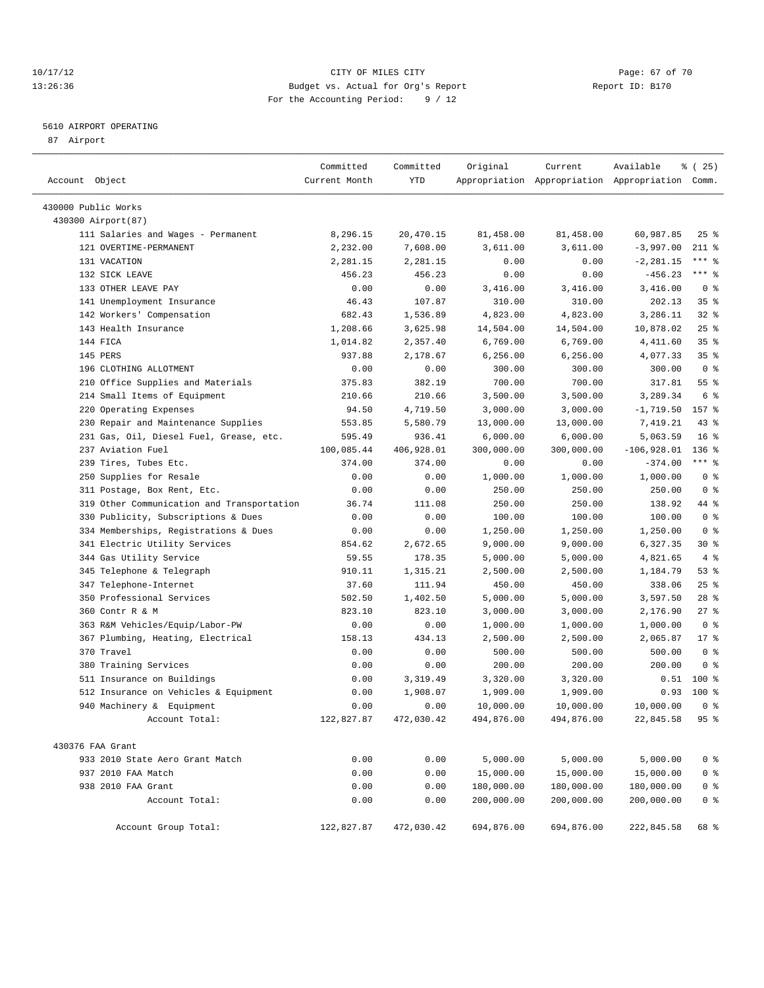### 10/17/12 Page: 67 of 70 13:26:36 Budget vs. Actual for Org's Report Report ID: B170 For the Accounting Period: 9 / 12

————————————————————————————————————————————————————————————————————————————————————————————————————————————————————————————————————

### 5610 AIRPORT OPERATING

87 Airport

|                                            | Committed     | Committed  | Original   | Current    | Available                                       | % (25)          |
|--------------------------------------------|---------------|------------|------------|------------|-------------------------------------------------|-----------------|
| Account Object                             | Current Month | YTD        |            |            | Appropriation Appropriation Appropriation Comm. |                 |
| 430000 Public Works                        |               |            |            |            |                                                 |                 |
| 430300 Airport (87)                        |               |            |            |            |                                                 |                 |
| 111 Salaries and Wages - Permanent         | 8,296.15      | 20,470.15  | 81,458.00  | 81,458.00  | 60,987.85                                       | $25$ %          |
| 121 OVERTIME-PERMANENT                     | 2,232.00      | 7,608.00   | 3,611.00   | 3,611.00   | $-3,997.00$                                     | $211$ %         |
| 131 VACATION                               | 2,281.15      | 2,281.15   | 0.00       | 0.00       | $-2, 281.15$                                    | $***$ $-$       |
| 132 SICK LEAVE                             | 456.23        | 456.23     | 0.00       | 0.00       | $-456.23$                                       | $***$ $-$       |
| 133 OTHER LEAVE PAY                        | 0.00          | 0.00       | 3,416.00   | 3,416.00   | 3,416.00                                        | 0 <sup>8</sup>  |
| 141 Unemployment Insurance                 | 46.43         | 107.87     | 310.00     | 310.00     | 202.13                                          | 35%             |
| 142 Workers' Compensation                  | 682.43        | 1,536.89   | 4,823.00   | 4,823.00   | 3,286.11                                        | $32$ $%$        |
| 143 Health Insurance                       | 1,208.66      | 3,625.98   | 14,504.00  | 14,504.00  | 10,878.02                                       | $25$ $%$        |
| 144 FICA                                   | 1,014.82      | 2,357.40   | 6,769.00   | 6,769.00   | 4,411.60                                        | 35 <sup>8</sup> |
| 145 PERS                                   | 937.88        | 2,178.67   | 6, 256.00  | 6, 256.00  | 4,077.33                                        | 35%             |
| 196 CLOTHING ALLOTMENT                     | 0.00          | 0.00       | 300.00     | 300.00     | 300.00                                          | 0 <sup>8</sup>  |
| 210 Office Supplies and Materials          | 375.83        | 382.19     | 700.00     | 700.00     | 317.81                                          | $55$ $%$        |
| 214 Small Items of Equipment               | 210.66        | 210.66     | 3,500.00   | 3,500.00   | 3,289.34                                        | 6 %             |
| 220 Operating Expenses                     | 94.50         | 4,719.50   | 3,000.00   | 3,000.00   | $-1,719.50$                                     | 157 %           |
| 230 Repair and Maintenance Supplies        | 553.85        | 5,580.79   | 13,000.00  | 13,000.00  | 7,419.21                                        | 43 %            |
| 231 Gas, Oil, Diesel Fuel, Grease, etc.    | 595.49        | 936.41     | 6,000.00   | 6,000.00   | 5,063.59                                        | 16 <sup>8</sup> |
| 237 Aviation Fuel                          | 100,085.44    | 406,928.01 | 300,000.00 | 300,000.00 | $-106,928.01$                                   | $136$ %         |
| 239 Tires, Tubes Etc.                      | 374.00        | 374.00     | 0.00       | 0.00       | $-374.00$                                       | $***$ $-$       |
| 250 Supplies for Resale                    | 0.00          | 0.00       | 1,000.00   | 1,000.00   | 1,000.00                                        | 0 <sup>8</sup>  |
| 311 Postage, Box Rent, Etc.                | 0.00          | 0.00       | 250.00     | 250.00     | 250.00                                          | 0 <sup>8</sup>  |
| 319 Other Communication and Transportation | 36.74         | 111.08     | 250.00     | 250.00     | 138.92                                          | 44 %            |
| 330 Publicity, Subscriptions & Dues        | 0.00          | 0.00       | 100.00     | 100.00     | 100.00                                          | 0 <sup>8</sup>  |
| 334 Memberships, Registrations & Dues      | 0.00          | 0.00       | 1,250.00   | 1,250.00   | 1,250.00                                        | 0 <sup>8</sup>  |
| 341 Electric Utility Services              | 854.62        | 2,672.65   | 9,000.00   | 9,000.00   | 6,327.35                                        | $30*$           |
| 344 Gas Utility Service                    | 59.55         | 178.35     | 5,000.00   | 5,000.00   | 4,821.65                                        | $4\degree$      |
| 345 Telephone & Telegraph                  | 910.11        | 1,315.21   | 2,500.00   | 2,500.00   | 1,184.79                                        | 53%             |
| 347 Telephone-Internet                     | 37.60         | 111.94     | 450.00     | 450.00     | 338.06                                          | $25$ $%$        |
| 350 Professional Services                  | 502.50        | 1,402.50   | 5,000.00   | 5,000.00   | 3,597.50                                        | $28$ %          |
| 360 Contr R & M                            | 823.10        | 823.10     | 3,000.00   | 3,000.00   | 2,176.90                                        | $27$ %          |
| 363 R&M Vehicles/Equip/Labor-PW            | 0.00          | 0.00       | 1,000.00   | 1,000.00   | 1,000.00                                        | 0 <sup>8</sup>  |
| 367 Plumbing, Heating, Electrical          | 158.13        | 434.13     | 2,500.00   | 2,500.00   | 2,065.87                                        | $17*$           |
| 370 Travel                                 | 0.00          | 0.00       | 500.00     | 500.00     | 500.00                                          | 0 <sup>8</sup>  |
| 380 Training Services                      | 0.00          | 0.00       | 200.00     | 200.00     | 200.00                                          | 0 <sup>8</sup>  |
| 511 Insurance on Buildings                 | 0.00          | 3,319.49   | 3,320.00   | 3,320.00   | 0.51                                            | 100 %           |
| 512 Insurance on Vehicles & Equipment      | 0.00          | 1,908.07   | 1,909.00   | 1,909.00   | 0.93                                            | 100 %           |
| 940 Machinery & Equipment                  | 0.00          | 0.00       | 10,000.00  | 10,000.00  | 10,000.00                                       | 0 <sup>8</sup>  |
| Account Total:                             | 122,827.87    | 472,030.42 | 494,876.00 | 494,876.00 | 22,845.58                                       | 95%             |
| 430376 FAA Grant                           |               |            |            |            |                                                 |                 |
| 933 2010 State Aero Grant Match            | 0.00          | 0.00       | 5,000.00   | 5,000.00   | 5,000.00                                        | 0 <sup>8</sup>  |
| 937 2010 FAA Match                         | 0.00          | 0.00       | 15,000.00  | 15,000.00  | 15,000.00                                       | 0 <sup>8</sup>  |
| 938 2010 FAA Grant                         | 0.00          | 0.00       | 180,000.00 | 180,000.00 | 180,000.00                                      | 0 <sup>8</sup>  |
| Account Total:                             | 0.00          | 0.00       | 200,000.00 | 200,000.00 | 200,000.00                                      | 0 <sup>8</sup>  |
| Account Group Total:                       | 122,827.87    | 472,030.42 | 694,876.00 | 694,876.00 | 222,845.58                                      | 68 %            |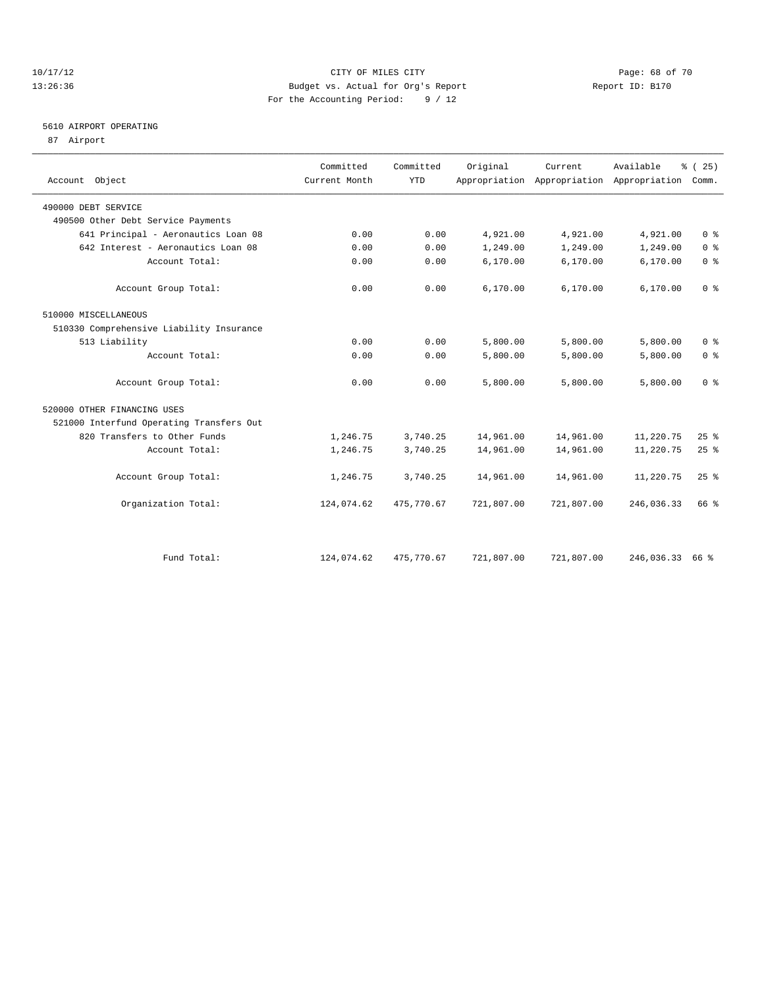### 10/17/12 Page: 68 of 70 13:26:36 Budget vs. Actual for Org's Report Report ID: B170 For the Accounting Period: 9 / 12

## 5610 AIRPORT OPERATING

87 Airport

| Account Object                           | Committed<br>Current Month | Committed<br><b>YTD</b> | Original   | Current.   | Available<br>Appropriation Appropriation Appropriation | % (25)<br>Comm. |
|------------------------------------------|----------------------------|-------------------------|------------|------------|--------------------------------------------------------|-----------------|
| 490000 DEBT SERVICE                      |                            |                         |            |            |                                                        |                 |
| 490500 Other Debt Service Payments       |                            |                         |            |            |                                                        |                 |
| 641 Principal - Aeronautics Loan 08      | 0.00                       | 0.00                    | 4,921.00   | 4,921.00   | 4,921.00                                               | 0 <sup>8</sup>  |
| 642 Interest - Aeronautics Loan 08       | 0.00                       | 0.00                    | 1,249.00   | 1,249.00   | 1,249.00                                               | 0 <sup>8</sup>  |
| Account Total:                           | 0.00                       | 0.00                    | 6, 170.00  | 6,170.00   | 6,170.00                                               | 0 <sup>°</sup>  |
| Account Group Total:                     | 0.00                       | 0.00                    | 6,170.00   | 6,170.00   | 6,170.00                                               | 0 <sup>8</sup>  |
| 510000 MISCELLANEOUS                     |                            |                         |            |            |                                                        |                 |
| 510330 Comprehensive Liability Insurance |                            |                         |            |            |                                                        |                 |
| 513 Liability                            | 0.00                       | 0.00                    | 5,800.00   | 5,800.00   | 5,800.00                                               | 0 <sup>8</sup>  |
| Account Total:                           | 0.00                       | 0.00                    | 5,800.00   | 5,800.00   | 5,800.00                                               | 0 <sup>8</sup>  |
| Account Group Total:                     | 0.00                       | 0.00                    | 5,800.00   | 5,800.00   | 5,800.00                                               | 0 <sup>8</sup>  |
| 520000 OTHER FINANCING USES              |                            |                         |            |            |                                                        |                 |
| 521000 Interfund Operating Transfers Out |                            |                         |            |            |                                                        |                 |
| 820 Transfers to Other Funds             | 1,246.75                   | 3,740.25                | 14,961.00  | 14,961.00  | 11,220.75                                              | 25%             |
| Account Total:                           | 1,246.75                   | 3,740.25                | 14,961.00  | 14,961.00  | 11,220.75                                              | 25%             |
| Account Group Total:                     | 1,246.75                   | 3,740.25                | 14,961.00  | 14,961.00  | 11,220.75                                              | 25%             |
| Organization Total:                      | 124,074.62                 | 475,770.67              | 721,807.00 | 721,807.00 | 246,036.33                                             | 66 %            |
|                                          |                            |                         |            |            |                                                        |                 |
| Fund Total:                              | 124,074.62                 | 475,770.67              | 721,807.00 | 721,807.00 | 246,036.33                                             | 66 %            |